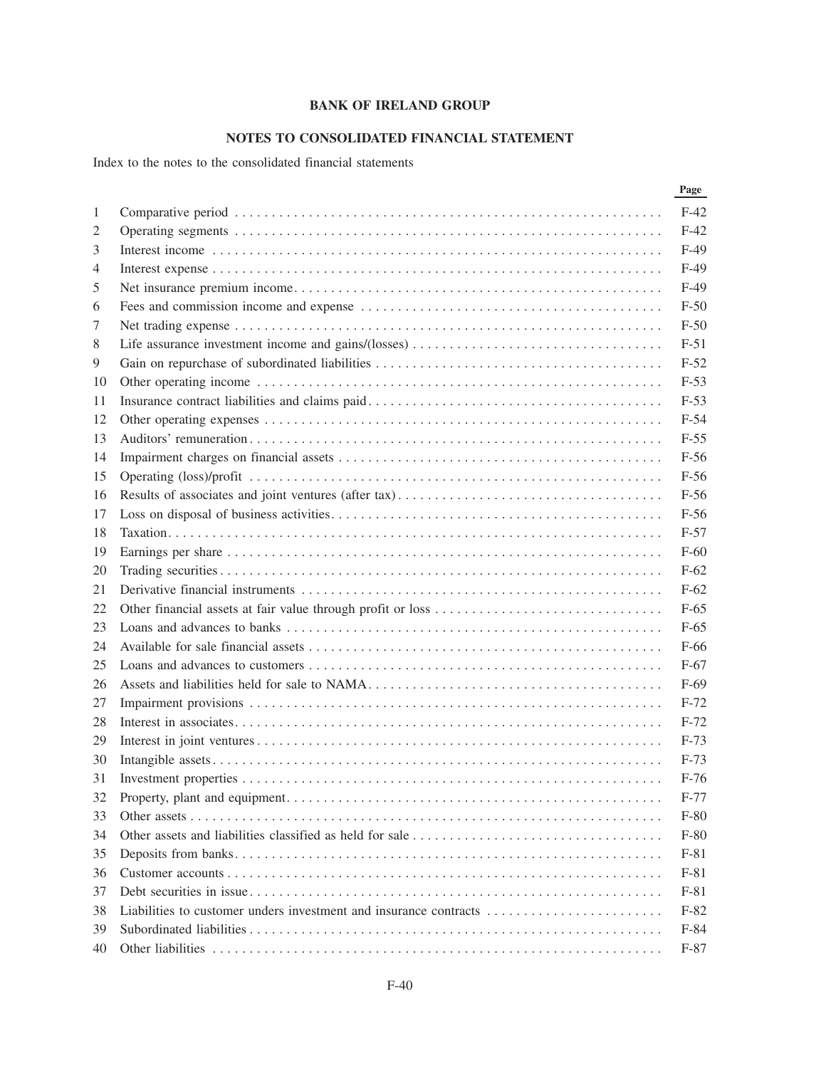## **NOTES TO CONSOLIDATED FINANCIAL STATEMENT**

Index to the notes to the consolidated financial statements

|              | Page   |
|--------------|--------|
| $\mathbf{1}$ | $F-42$ |
| 2            | $F-42$ |
| 3            | $F-49$ |
| 4            | $F-49$ |
| 5            | $F-49$ |
| 6            | $F-50$ |
| 7            | $F-50$ |
| 8            | $F-51$ |
| 9            | $F-52$ |
| 10           | $F-53$ |
| 11           | $F-53$ |
| 12           | $F-54$ |
| 13           | $F-55$ |
| 14           | $F-56$ |
| 15           | $F-56$ |
| 16           | $F-56$ |
| 17           | $F-56$ |
| 18           | $F-57$ |
| 19           | $F-60$ |
| 20           | $F-62$ |
| 21           | $F-62$ |
| 22           | $F-65$ |
| 23           | $F-65$ |
| 24           | F-66   |
| 25           | $F-67$ |
| 26           | $F-69$ |
| 27           | $F-72$ |
| 28           | $F-72$ |
| 29           | $F-73$ |
| 30           | $F-73$ |
| 31           | $F-76$ |
| 32           | $F-77$ |
| 33           | $F-80$ |
| 34           | $F-80$ |
| 35           | $F-81$ |
| 36           | $F-81$ |
| 37           | $F-81$ |
| 38           | $F-82$ |
| 39           | $F-84$ |
| 40           | $F-87$ |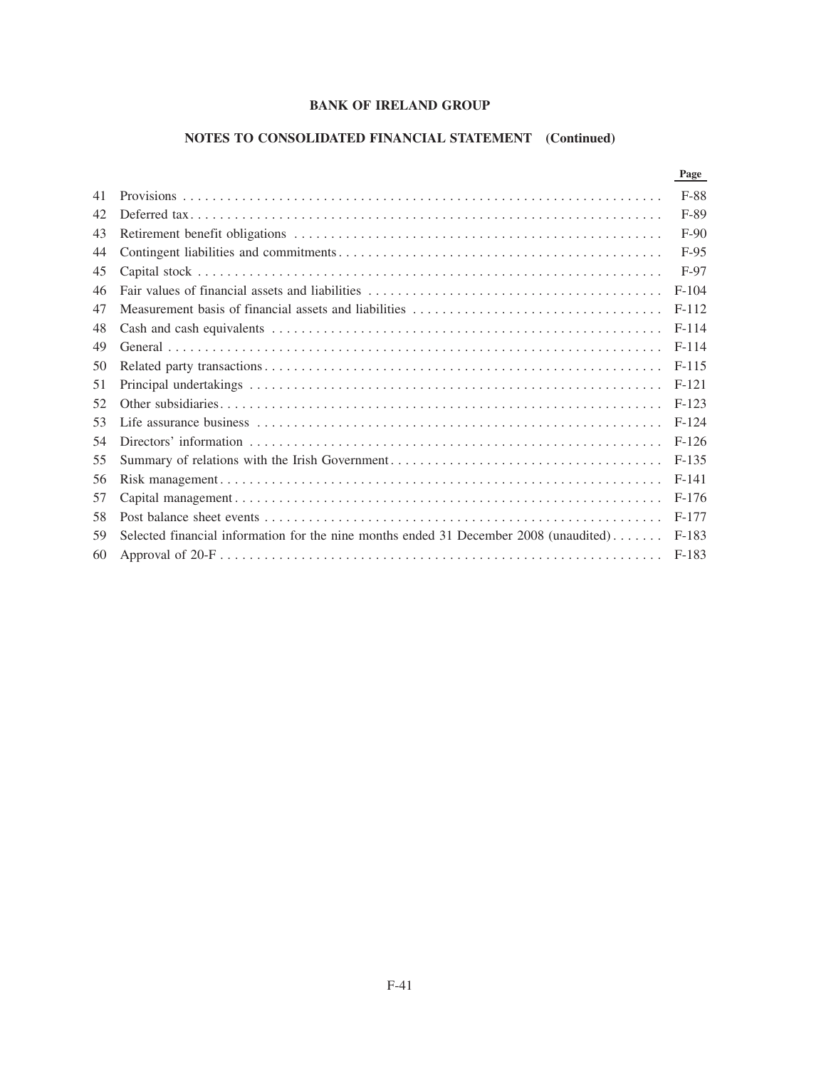# **NOTES TO CONSOLIDATED FINANCIAL STATEMENT (Continued)**

|    |                                                                                       | Page    |
|----|---------------------------------------------------------------------------------------|---------|
| 41 |                                                                                       | F-88    |
| 42 |                                                                                       | F-89    |
| 43 |                                                                                       | $F-90$  |
| 44 |                                                                                       | $F-95$  |
| 45 |                                                                                       | F-97    |
| 46 |                                                                                       | $F-104$ |
| 47 |                                                                                       | $F-112$ |
| 48 |                                                                                       | $F-114$ |
| 49 |                                                                                       | $F-114$ |
| 50 |                                                                                       | $F-115$ |
| 51 |                                                                                       | $F-121$ |
| 52 |                                                                                       | $F-123$ |
| 53 |                                                                                       | $F-124$ |
| 54 |                                                                                       | $F-126$ |
| 55 |                                                                                       | $F-135$ |
| 56 |                                                                                       | $F-141$ |
| 57 |                                                                                       | $F-176$ |
| 58 |                                                                                       | F-177   |
| 59 | Selected financial information for the nine months ended 31 December 2008 (unaudited) | $F-183$ |
| 60 |                                                                                       | F-183   |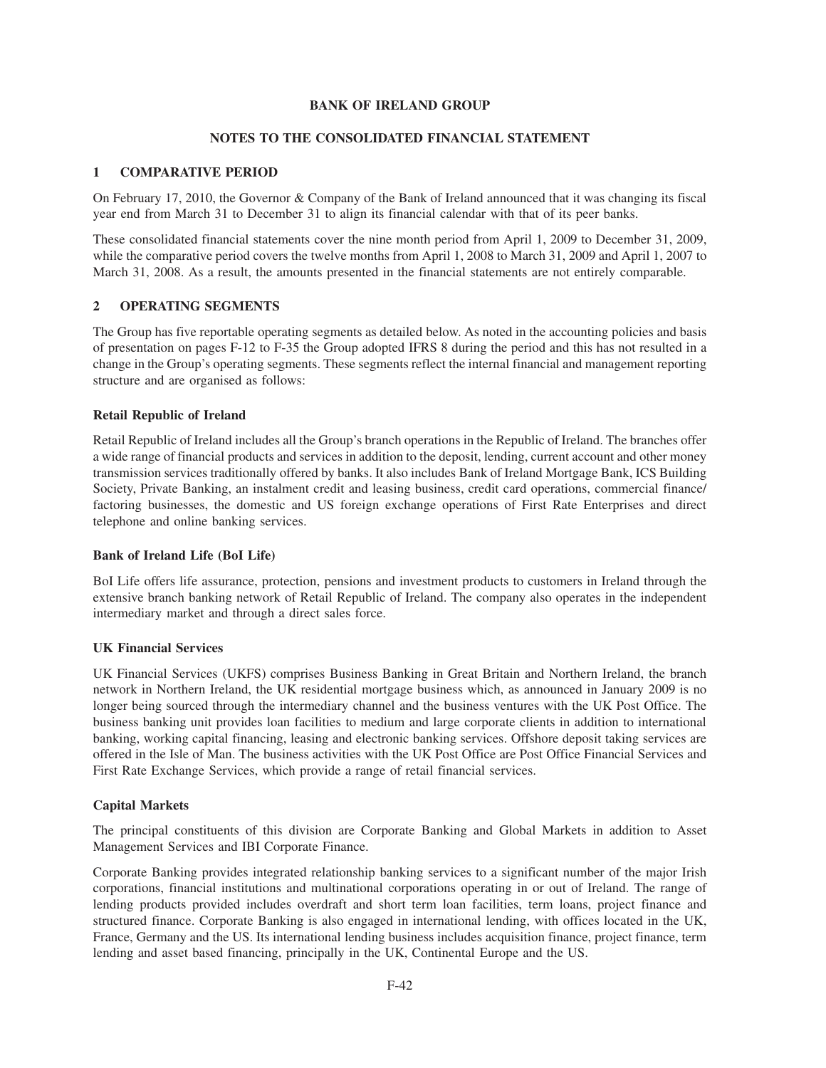## **NOTES TO THE CONSOLIDATED FINANCIAL STATEMENT**

## **1 COMPARATIVE PERIOD**

On February 17, 2010, the Governor & Company of the Bank of Ireland announced that it was changing its fiscal year end from March 31 to December 31 to align its financial calendar with that of its peer banks.

These consolidated financial statements cover the nine month period from April 1, 2009 to December 31, 2009, while the comparative period covers the twelve months from April 1, 2008 to March 31, 2009 and April 1, 2007 to March 31, 2008. As a result, the amounts presented in the financial statements are not entirely comparable.

## **2 OPERATING SEGMENTS**

The Group has five reportable operating segments as detailed below. As noted in the accounting policies and basis of presentation on pages F-12 to F-35 the Group adopted IFRS 8 during the period and this has not resulted in a change in the Group's operating segments. These segments reflect the internal financial and management reporting structure and are organised as follows:

## **Retail Republic of Ireland**

Retail Republic of Ireland includes all the Group's branch operations in the Republic of Ireland. The branches offer a wide range of financial products and services in addition to the deposit, lending, current account and other money transmission services traditionally offered by banks. It also includes Bank of Ireland Mortgage Bank, ICS Building Society, Private Banking, an instalment credit and leasing business, credit card operations, commercial finance/ factoring businesses, the domestic and US foreign exchange operations of First Rate Enterprises and direct telephone and online banking services.

### **Bank of Ireland Life (BoI Life)**

BoI Life offers life assurance, protection, pensions and investment products to customers in Ireland through the extensive branch banking network of Retail Republic of Ireland. The company also operates in the independent intermediary market and through a direct sales force.

### **UK Financial Services**

UK Financial Services (UKFS) comprises Business Banking in Great Britain and Northern Ireland, the branch network in Northern Ireland, the UK residential mortgage business which, as announced in January 2009 is no longer being sourced through the intermediary channel and the business ventures with the UK Post Office. The business banking unit provides loan facilities to medium and large corporate clients in addition to international banking, working capital financing, leasing and electronic banking services. Offshore deposit taking services are offered in the Isle of Man. The business activities with the UK Post Office are Post Office Financial Services and First Rate Exchange Services, which provide a range of retail financial services.

## **Capital Markets**

The principal constituents of this division are Corporate Banking and Global Markets in addition to Asset Management Services and IBI Corporate Finance.

Corporate Banking provides integrated relationship banking services to a significant number of the major Irish corporations, financial institutions and multinational corporations operating in or out of Ireland. The range of lending products provided includes overdraft and short term loan facilities, term loans, project finance and structured finance. Corporate Banking is also engaged in international lending, with offices located in the UK, France, Germany and the US. Its international lending business includes acquisition finance, project finance, term lending and asset based financing, principally in the UK, Continental Europe and the US.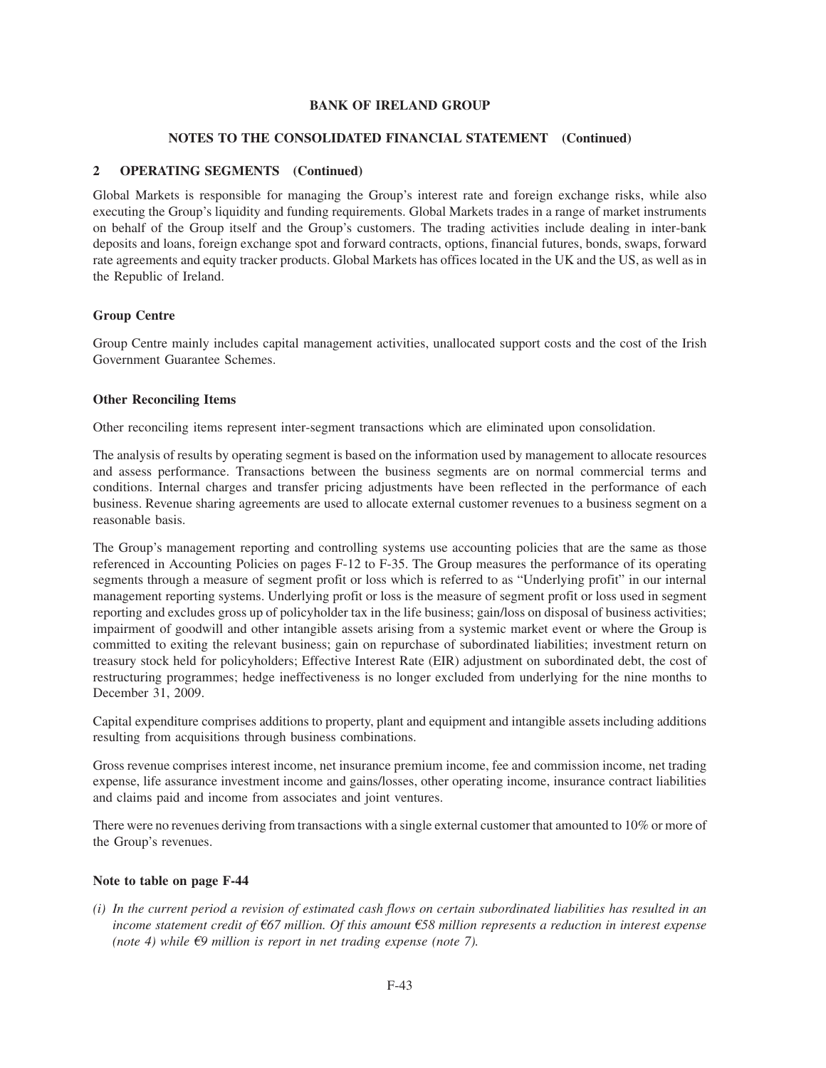### **NOTES TO THE CONSOLIDATED FINANCIAL STATEMENT (Continued)**

## **2 OPERATING SEGMENTS (Continued)**

Global Markets is responsible for managing the Group's interest rate and foreign exchange risks, while also executing the Group's liquidity and funding requirements. Global Markets trades in a range of market instruments on behalf of the Group itself and the Group's customers. The trading activities include dealing in inter-bank deposits and loans, foreign exchange spot and forward contracts, options, financial futures, bonds, swaps, forward rate agreements and equity tracker products. Global Markets has offices located in the UK and the US, as well as in the Republic of Ireland.

## **Group Centre**

Group Centre mainly includes capital management activities, unallocated support costs and the cost of the Irish Government Guarantee Schemes.

## **Other Reconciling Items**

Other reconciling items represent inter-segment transactions which are eliminated upon consolidation.

The analysis of results by operating segment is based on the information used by management to allocate resources and assess performance. Transactions between the business segments are on normal commercial terms and conditions. Internal charges and transfer pricing adjustments have been reflected in the performance of each business. Revenue sharing agreements are used to allocate external customer revenues to a business segment on a reasonable basis.

The Group's management reporting and controlling systems use accounting policies that are the same as those referenced in Accounting Policies on pages F-12 to F-35. The Group measures the performance of its operating segments through a measure of segment profit or loss which is referred to as "Underlying profit" in our internal management reporting systems. Underlying profit or loss is the measure of segment profit or loss used in segment reporting and excludes gross up of policyholder tax in the life business; gain/loss on disposal of business activities; impairment of goodwill and other intangible assets arising from a systemic market event or where the Group is committed to exiting the relevant business; gain on repurchase of subordinated liabilities; investment return on treasury stock held for policyholders; Effective Interest Rate (EIR) adjustment on subordinated debt, the cost of restructuring programmes; hedge ineffectiveness is no longer excluded from underlying for the nine months to December 31, 2009.

Capital expenditure comprises additions to property, plant and equipment and intangible assets including additions resulting from acquisitions through business combinations.

Gross revenue comprises interest income, net insurance premium income, fee and commission income, net trading expense, life assurance investment income and gains/losses, other operating income, insurance contract liabilities and claims paid and income from associates and joint ventures.

There were no revenues deriving from transactions with a single external customer that amounted to 10% or more of the Group's revenues.

## **Note to table on page F-44**

*(i) In the current period a revision of estimated cash flows on certain subordinated liabilities has resulted in an income statement credit of*  $667$  million. Of this amount  $658$  million represents a reduction in interest expense *(note 4) while*  $\epsilon$ 9 million is report in net trading expense (note 7).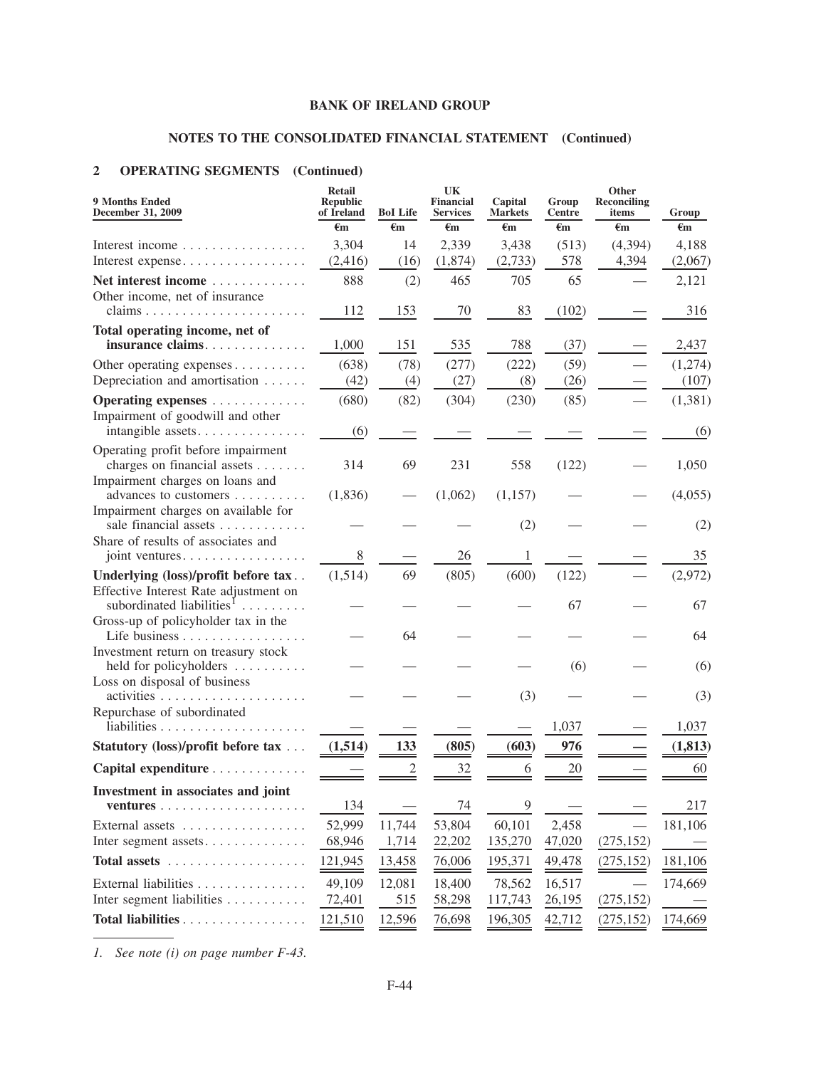# **NOTES TO THE CONSOLIDATED FINANCIAL STATEMENT (Continued)**

## **2 OPERATING SEGMENTS (Continued)**

| <b>9 Months Ended</b><br><b>December 31, 2009</b>                                   | <b>Retail</b><br><b>Republic</b><br>of Ireland | <b>BoI</b> Life | UK<br><b>Financial</b><br><b>Services</b> | Capital<br><b>Markets</b> | Group<br>Centre | Other<br><b>Reconciling</b><br>items | Group        |
|-------------------------------------------------------------------------------------|------------------------------------------------|-----------------|-------------------------------------------|---------------------------|-----------------|--------------------------------------|--------------|
|                                                                                     | $\epsilon$ m                                   | $\epsilon$ m    | $\epsilon$ m                              | $\epsilon$ m              | €m              | $\epsilon$ m                         | $\epsilon$ m |
| Interest income                                                                     | 3,304                                          | 14              | 2,339                                     | 3,438                     | (513)           | (4, 394)                             | 4,188        |
| Interest expense                                                                    | (2, 416)                                       | (16)            | (1,874)                                   | (2,733)                   | 578             | 4,394                                | (2,067)      |
| Net interest income                                                                 | 888                                            | (2)             | 465                                       | 705                       | 65              |                                      | 2,121        |
| Other income, net of insurance<br>claims                                            | 112                                            | 153             | 70                                        | 83                        | (102)           |                                      | 316          |
| Total operating income, net of                                                      |                                                |                 |                                           |                           |                 |                                      |              |
| insurance claims                                                                    | 1,000                                          | 151             | 535                                       | 788                       | (37)            |                                      | 2,437        |
| Other operating expenses                                                            | (638)                                          | (78)            | (277)                                     | (222)                     | (59)            |                                      | (1,274)      |
| Depreciation and amortisation                                                       | (42)                                           | (4)             | (27)                                      | (8)                       | (26)            |                                      | (107)        |
| Operating expenses                                                                  | (680)                                          | (82)            | (304)                                     | (230)                     | (85)            |                                      | (1, 381)     |
| Impairment of goodwill and other<br>intangible assets                               | (6)                                            |                 |                                           |                           |                 |                                      | (6)          |
| Operating profit before impairment                                                  |                                                |                 |                                           |                           |                 |                                      |              |
| charges on financial assets<br>Impairment charges on loans and                      | 314                                            | 69              | 231                                       | 558                       | (122)           |                                      | 1,050        |
| advances to customers<br>Impairment charges on available for                        | (1,836)                                        |                 | (1,062)                                   | (1,157)                   |                 |                                      | (4,055)      |
| sale financial assets<br>Share of results of associates and                         |                                                |                 |                                           | (2)                       |                 |                                      | (2)          |
| joint ventures                                                                      | 8                                              |                 | 26                                        | 1                         |                 |                                      | 35           |
| Underlying (loss)/profit before tax                                                 | (1,514)                                        | 69              | (805)                                     | (600)                     | (122)           |                                      | (2,972)      |
| Effective Interest Rate adjustment on<br>subordinated liabilities <sup>1</sup><br>. |                                                |                 |                                           |                           | 67              |                                      | 67           |
| Gross-up of policyholder tax in the<br>Life business                                |                                                | 64              |                                           |                           |                 |                                      | 64           |
| Investment return on treasury stock                                                 |                                                |                 |                                           |                           |                 |                                      |              |
| held for policyholders<br>Loss on disposal of business                              |                                                |                 |                                           |                           | (6)             |                                      | (6)          |
|                                                                                     |                                                |                 |                                           | (3)                       |                 |                                      | (3)          |
| Repurchase of subordinated                                                          |                                                |                 |                                           |                           |                 |                                      |              |
|                                                                                     |                                                |                 |                                           |                           | 1,037           |                                      | 1,037        |
| Statutory (loss)/profit before tax                                                  | (1,514)                                        | 133             | (805)                                     | (603)                     | 976             |                                      | (1, 813)     |
| Capital expenditure                                                                 |                                                |                 | 32                                        | 6                         | 20              |                                      | 60           |
| Investment in associates and joint                                                  |                                                |                 |                                           |                           |                 |                                      |              |
|                                                                                     | 134                                            |                 | 74                                        | 9                         |                 |                                      | 217          |
| External assets                                                                     | 52,999                                         | 11,744          | 53,804                                    | 60,101                    | 2,458           |                                      | 181,106      |
| Inter segment assets                                                                | 68,946                                         | 1,714           | 22,202                                    | 135,270                   | 47,020          | (275, 152)                           |              |
|                                                                                     | 121,945                                        | 13,458          | 76,006                                    | 195,371                   | 49,478          | (275, 152)                           | 181,106      |
| External liabilities                                                                | 49,109                                         | 12,081          | 18,400                                    | 78,562                    | 16,517          |                                      | 174,669      |
| Inter segment liabilities                                                           | 72,401                                         | 515             | 58,298                                    | 117,743                   | 26,195          | (275, 152)                           |              |
| Total liabilities                                                                   | 121,510                                        | 12,596          | 76,698                                    | 196,305                   | 42,712          | (275, 152)                           | 174,669      |

*1. See note (i) on page number F-43.*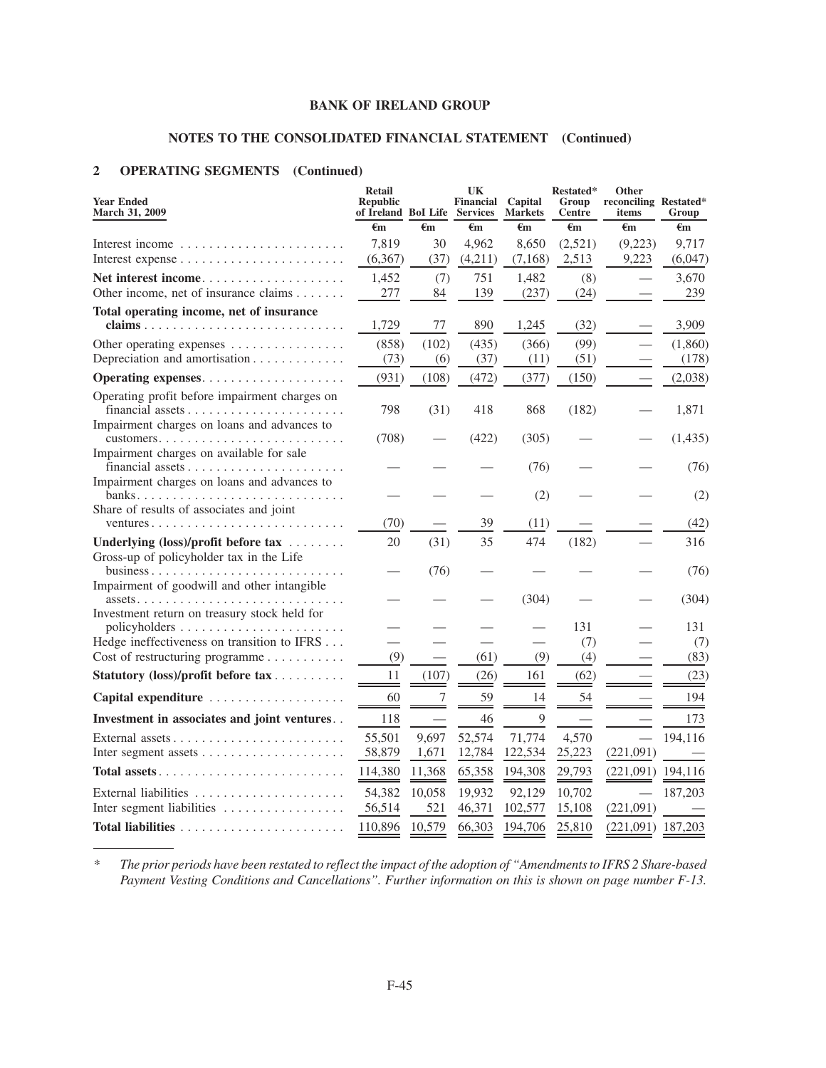## **NOTES TO THE CONSOLIDATED FINANCIAL STATEMENT (Continued)**

## **2 OPERATING SEGMENTS (Continued)**

| <b>Year Ended</b><br><b>Republic</b><br>Financial<br>Capital<br>Group<br>reconciling Restated*<br><b>March 31, 2009</b><br>of Ireland BoI Life Services<br><b>Markets</b><br><b>Centre</b><br>items | Group      |
|-----------------------------------------------------------------------------------------------------------------------------------------------------------------------------------------------------|------------|
| €m<br>€m<br>€m<br>€m<br>€m<br>€m                                                                                                                                                                    | €m         |
| 7,819<br>30<br>4,962<br>8,650<br>(2,521)<br>(9,223)<br>Interest income                                                                                                                              | 9,717      |
| (6,367)<br>(37)<br>(4,211)<br>(7, 168)<br>2,513<br>9,223                                                                                                                                            | (6,047)    |
| (7)<br>751<br>(8)<br>Net interest income<br>1,452<br>1,482                                                                                                                                          | 3,670      |
| Other income, net of insurance claims<br>277<br>139<br>84<br>(237)<br>(24)                                                                                                                          | 239        |
| Total operating income, net of insurance                                                                                                                                                            |            |
| claims<br>1,729<br>77<br>890<br>1,245<br>(32)                                                                                                                                                       | 3,909      |
| (102)<br>(99)<br>(858)<br>(435)<br>(366)<br>Other operating expenses                                                                                                                                | (1,860)    |
| Depreciation and amortisation<br>(73)<br>(6)<br>(37)<br>(51)<br>(11)                                                                                                                                | (178)      |
| (472)<br>(931)<br>(108)<br>(377)<br>(150)                                                                                                                                                           | (2,038)    |
| Operating profit before impairment charges on                                                                                                                                                       |            |
| financial assets<br>798<br>(31)<br>418<br>868<br>(182)                                                                                                                                              | 1,871      |
| Impairment charges on loans and advances to<br>(708)<br>(422)<br>(305)                                                                                                                              | (1, 435)   |
| Impairment charges on available for sale                                                                                                                                                            |            |
| (76)                                                                                                                                                                                                | (76)       |
| Impairment charges on loans and advances to                                                                                                                                                         |            |
| (2)                                                                                                                                                                                                 | (2)        |
| Share of results of associates and joint<br>(70)<br>39<br>(11)<br>ventures                                                                                                                          | (42)       |
| 35<br>474<br>Underlying (loss)/profit before tax<br>20<br>(31)<br>(182)                                                                                                                             | 316        |
| Gross-up of policyholder tax in the Life                                                                                                                                                            |            |
| (76)                                                                                                                                                                                                | (76)       |
| Impairment of goodwill and other intangible                                                                                                                                                         |            |
| (304)<br>$assets. \ldots \ldots \ldots \ldots \ldots \ldots \ldots$<br>$\ldots$                                                                                                                     | (304)      |
| Investment return on treasury stock held for                                                                                                                                                        |            |
| 131<br>Hedge ineffectiveness on transition to IFRS<br>(7)                                                                                                                                           | 131<br>(7) |
| Cost of restructuring programme<br>(9)<br>(61)<br>(9)<br>(4)                                                                                                                                        | (83)       |
| Statutory (loss)/profit before tax<br>11<br>(107)<br>(26)<br>161<br>(62)                                                                                                                            | (23)       |
| 7<br>60<br>59<br>54<br>Capital expenditure<br>14                                                                                                                                                    | 194        |
|                                                                                                                                                                                                     |            |
| Investment in associates and joint ventures. .<br>118<br>46<br>9                                                                                                                                    | 173        |
| 52,574<br>55,501<br>9,697<br>71,774<br>4,570<br>External assets                                                                                                                                     | 194,116    |
| 12,784<br>58,879<br>1,671<br>122,534<br>25,223<br>(221,091)                                                                                                                                         |            |
| 114,380<br>65,358<br>29,793<br>$(221,091)$ 194,116<br>Total assets<br>11,368<br>194,308                                                                                                             |            |
| 10,702<br>External liabilities<br>54,382<br>10,058<br>19,932<br>92,129                                                                                                                              | 187,203    |
| Inter segment liabilities<br>56,514<br>521<br>46,371<br>102,577<br>15,108<br>(221,091)                                                                                                              |            |
| 10,579<br>$(221,091)$ 187,203<br>110,896<br>66,303<br>194,706<br>25,810                                                                                                                             |            |

*\* The prior periods have been restated to reflect the impact of the adoption of "Amendments to IFRS 2 Share-based Payment Vesting Conditions and Cancellations". Further information on this is shown on page number F-13.*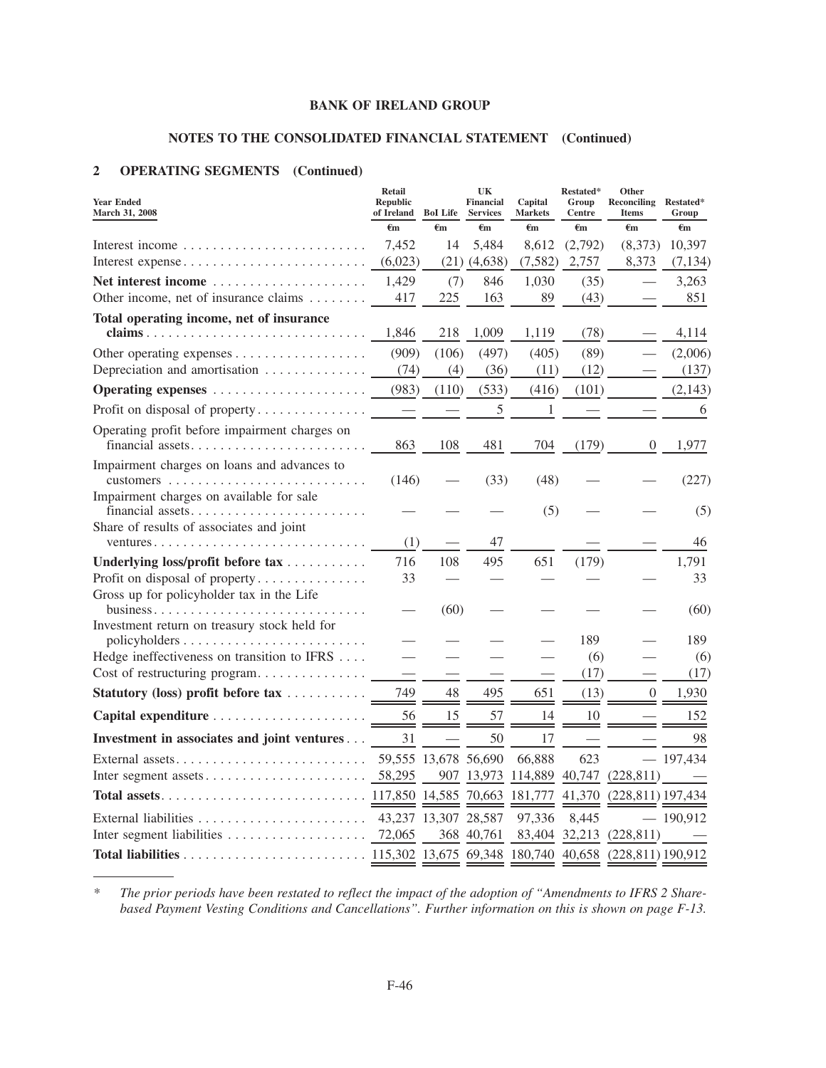## **NOTES TO THE CONSOLIDATED FINANCIAL STATEMENT (Continued)**

## **2 OPERATING SEGMENTS (Continued)**

| <b>Year Ended</b><br>March 31, 2008                              | <b>Retail</b><br><b>Republic</b><br>of Ireland | <b>BoI</b> Life      | UK<br>Financial<br><b>Services</b> | Capital<br><b>Markets</b> | Restated*<br>Group<br>Centre | Other<br>Reconciling Restated*<br><b>Items</b> | Group      |
|------------------------------------------------------------------|------------------------------------------------|----------------------|------------------------------------|---------------------------|------------------------------|------------------------------------------------|------------|
|                                                                  | $\epsilon_{m}$                                 | €m                   | €m                                 | €m                        | €m                           | €m                                             | €m         |
| Interest income                                                  | 7,452                                          | 14                   | 5,484                              | 8,612                     | (2,792)                      | (8,373)                                        | 10,397     |
| Interest expense                                                 | (6,023)                                        | (21)                 | (4,638)                            | (7, 582)                  | 2,757                        | 8,373                                          | (7, 134)   |
| Net interest income                                              | 1,429                                          | (7)                  | 846                                | 1,030                     | (35)                         |                                                | 3,263      |
| Other income, net of insurance claims                            | 417                                            | 225                  | 163                                | 89                        | (43)                         |                                                | 851        |
| Total operating income, net of insurance                         |                                                |                      |                                    |                           |                              |                                                |            |
|                                                                  | 1,846                                          | 218                  | 1,009                              | 1,119                     | (78)                         |                                                | 4,114      |
| Other operating expenses                                         | (909)                                          | (106)                | (497)                              | (405)                     | (89)                         |                                                | (2,006)    |
| Depreciation and amortisation                                    | (74)                                           | (4)                  | (36)                               | (11)                      | (12)                         |                                                | (137)      |
| Operating expenses                                               | (983)                                          | (110)                | (533)                              | (416)                     | (101)                        |                                                | (2, 143)   |
| Profit on disposal of property                                   |                                                |                      | 5                                  | $\mathbf{1}$              |                              |                                                | 6          |
| Operating profit before impairment charges on                    |                                                |                      |                                    |                           |                              |                                                |            |
| financial assets                                                 | 863                                            | 108                  | 481                                | 704                       | (179)                        | $\overline{0}$                                 | 1,977      |
| Impairment charges on loans and advances to                      |                                                |                      |                                    |                           |                              |                                                |            |
|                                                                  | (146)                                          |                      | (33)                               | (48)                      |                              |                                                | (227)      |
| Impairment charges on available for sale                         |                                                |                      |                                    | (5)                       |                              |                                                | (5)        |
| Share of results of associates and joint<br>ventures             | (1)                                            |                      | 47                                 |                           |                              |                                                | 46         |
| Underlying loss/profit before tax                                | 716                                            | 108                  | 495                                | 651                       | (179)                        |                                                | 1,791      |
| Profit on disposal of property                                   | 33                                             |                      |                                    |                           |                              |                                                | 33         |
| Gross up for policyholder tax in the Life<br>business<br>.       |                                                | (60)                 |                                    |                           |                              |                                                | (60)       |
| Investment return on treasury stock held for                     |                                                |                      |                                    |                           |                              |                                                |            |
|                                                                  |                                                |                      |                                    |                           | 189                          |                                                | 189        |
| Hedge ineffectiveness on transition to IFRS                      |                                                |                      |                                    |                           | (6)                          |                                                | (6)        |
| Cost of restructuring program                                    |                                                |                      |                                    |                           | (17)                         |                                                | (17)       |
| Statutory (loss) profit before tax                               | 749                                            | 48                   | 495                                | 651                       | (13)                         | $\overline{0}$                                 | 1,930      |
|                                                                  | 56                                             | 15                   | 57                                 | 14                        | 10                           |                                                | 152        |
| Investment in associates and joint ventures                      | 31                                             |                      | 50                                 | 17                        |                              |                                                | 98         |
|                                                                  |                                                | 59,555 13,678 56,690 |                                    | 66,888                    | 623                          |                                                | 197,434    |
| Inter segment assets                                             | 58,295                                         | 907                  | 13,973                             | 114,889                   | 40,747                       | (228, 811)                                     |            |
|                                                                  | 117,850 14,585 70,663                          |                      |                                    | 181,777                   | 41,370                       | $(228, 811)$ 197,434                           |            |
| External liabilities $\ldots \ldots \ldots \ldots \ldots \ldots$ | 43,237 13,307 28,587                           |                      |                                    | 97,336                    | 8,445                        |                                                | $-190,912$ |
|                                                                  | 72,065                                         |                      | 368 40,761                         | 83,404                    | 32,213                       | (228, 811)                                     |            |
|                                                                  |                                                |                      |                                    |                           |                              |                                                |            |

*\* The prior periods have been restated to reflect the impact of the adoption of "Amendments to IFRS 2 Sharebased Payment Vesting Conditions and Cancellations". Further information on this is shown on page F-13.*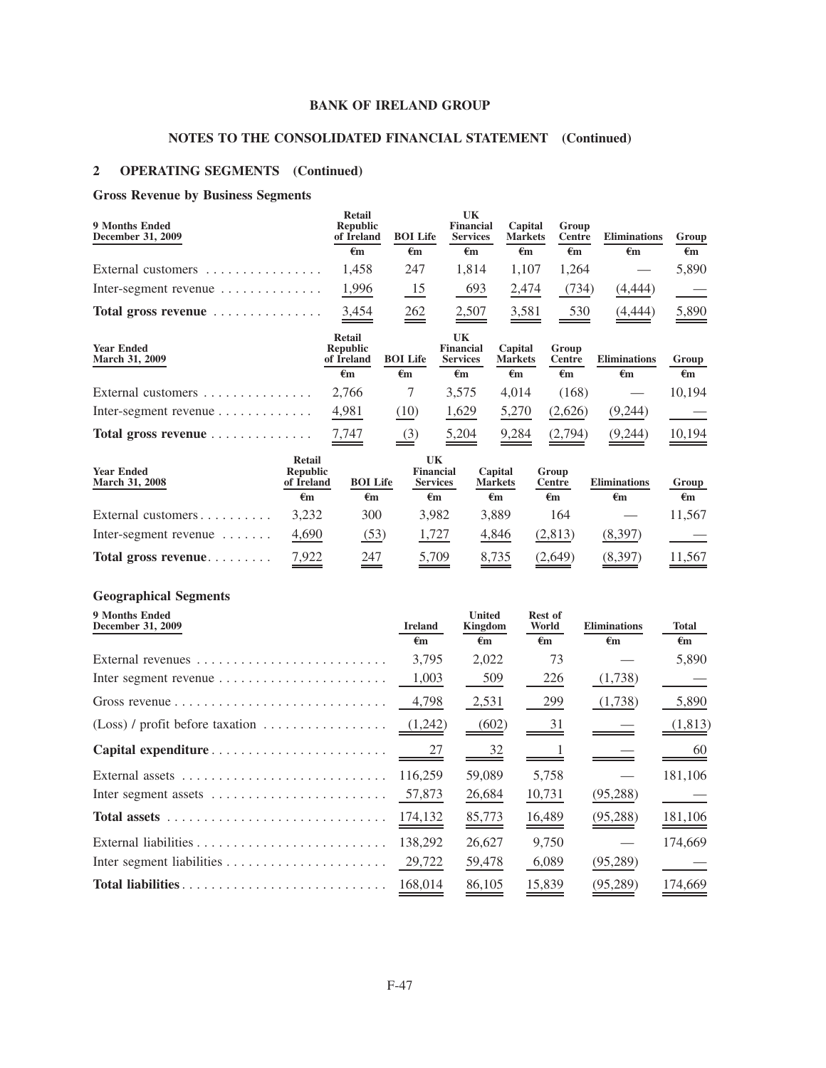# **NOTES TO THE CONSOLIDATED FINANCIAL STATEMENT (Continued)**

## **2 OPERATING SEGMENTS (Continued)**

## **Gross Revenue by Business Segments**

| 9 Months Ended<br>December 31, 2009               | Retail<br><b>Republic</b><br>of Ireland        | <b>BOI</b> Life    | UK<br><b>Financial</b><br><b>Services</b> | Capital<br><b>Markets</b> | Group<br>Centre        | <b>Eliminations</b> | Group              |
|---------------------------------------------------|------------------------------------------------|--------------------|-------------------------------------------|---------------------------|------------------------|---------------------|--------------------|
|                                                   | €m                                             | $\epsilon_{\rm m}$ | $\epsilon_{\rm m}$                        | €m                        | $\epsilon_{\rm m}$     | $\epsilon_{\rm m}$  | $\epsilon_{\rm m}$ |
| External customers                                | 1,458                                          | 247                | 1,814                                     | 1,107                     | 1,264                  |                     | 5,890              |
| Inter-segment revenue $\dots\dots\dots\dots\dots$ | 1,996                                          | $\frac{15}{2}$     | 693                                       | 2,474                     | (734)                  | (4, 444)            |                    |
| Total gross revenue                               | $\frac{3,454}{ }$                              | 262                | 2,507                                     | 3,581                     | 530                    | (4, 444)            | 5,890              |
| <b>Year Ended</b><br>March 31, 2009               | <b>Retail</b><br><b>Republic</b><br>of Ireland | <b>BOI</b> Life    | UK<br>Financial<br><b>Services</b>        | Capital<br><b>Markets</b> | Group<br><b>Centre</b> | <b>Eliminations</b> | Group              |
|                                                   | $\epsilon_{m}$                                 | $\epsilon$ m       | $\epsilon_{\rm m}$                        | $\epsilon_{m}$            | $\epsilon_{\rm m}$     | $\epsilon_{\rm m}$  | €m                 |
| External customers                                | 2,766                                          | 7                  | 3,575                                     | 4,014                     | (168)                  |                     | 10,194             |
| Inter-segment revenue $\dots \dots \dots$         | 4,981                                          | (10)               | 1,629                                     | 5,270                     | (2,626)                | (9,244)             |                    |
| Total gross revenue                               | 7,747                                          | (3)                | 5,204                                     | 9,284                     | (2,794)                | (9,244)             | 10,194             |

| <b>Year Ended</b><br>March 31, 2008 | <b>Retail</b><br><b>Republic</b><br>of Ireland | <b>BOI</b> Life | UK<br><b>Financial</b><br><b>Services</b> | Capital<br><b>Markets</b> | Group<br>Centre | <b>Eliminations</b> | Group  |
|-------------------------------------|------------------------------------------------|-----------------|-------------------------------------------|---------------------------|-----------------|---------------------|--------|
|                                     | $\epsilon_{\rm m}$                             | €m              | €m                                        | $\epsilon_{\rm m}$        | €m              | €m                  | €m     |
| External customers                  | 3.232                                          | 300             | 3.982                                     | 3.889                     | 164             |                     | 11,567 |
| Inter-segment revenue $\dots\dots$  | 4,690                                          | (53)            | 1.727                                     | 4.846                     | (2,813)         | (8,397)             |        |
| Total gross revenue                 | $\frac{7,922}{2}$                              | 247             | 5,709<br>___                              | 8,735                     | (2,649)         | (8,397)             | 11,567 |

## **Geographical Segments**

| 9 Months Ended<br>December 31, 2009                                           | <b>Ireland</b><br>€m | <b>United</b><br>Kingdom<br>$\epsilon_{\rm m}$ | <b>Rest of</b><br>World<br>$\epsilon$ m | <b>Eliminations</b><br>€m | Total<br>$\epsilon_{\rm m}$ |
|-------------------------------------------------------------------------------|----------------------|------------------------------------------------|-----------------------------------------|---------------------------|-----------------------------|
| External revenues                                                             | 3.795                | 2,022                                          | 73                                      |                           | 5,890                       |
| Inter segment revenue $\dots \dots \dots \dots \dots \dots \dots$             | 1,003                | 509                                            | 226                                     | (1,738)                   |                             |
|                                                                               | 4,798                | 2,531                                          | 299                                     | (1,738)                   | 5,890                       |
| (Loss) / profit before taxation                                               | (1,242)              | (602)                                          | $\frac{31}{}$                           |                           | (1, 813)                    |
|                                                                               | 27                   | 32                                             |                                         |                           | 60                          |
| External assets $\dots \dots \dots \dots \dots \dots \dots \dots \dots \dots$ | 116.259              | 59,089                                         | 5,758                                   |                           | 181,106                     |
| Inter segment assets $\dots \dots \dots \dots \dots \dots \dots \dots$        | 57,873               | 26,684                                         | 10,731                                  | (95, 288)                 |                             |
| Total assets $\ldots \ldots \ldots \ldots \ldots \ldots \ldots \ldots \ldots$ | 174,132              | 85,773                                         | 16,489                                  | (95, 288)                 | 181,106                     |
|                                                                               | 138,292              | 26,627                                         | 9,750                                   |                           | 174,669                     |
|                                                                               | 29,722               | 59,478                                         | 6,089                                   | (95,289)                  |                             |
| Total liabilities                                                             | 168,014              | 86,105                                         | 15,839                                  | (95, 289)                 | 174,669                     |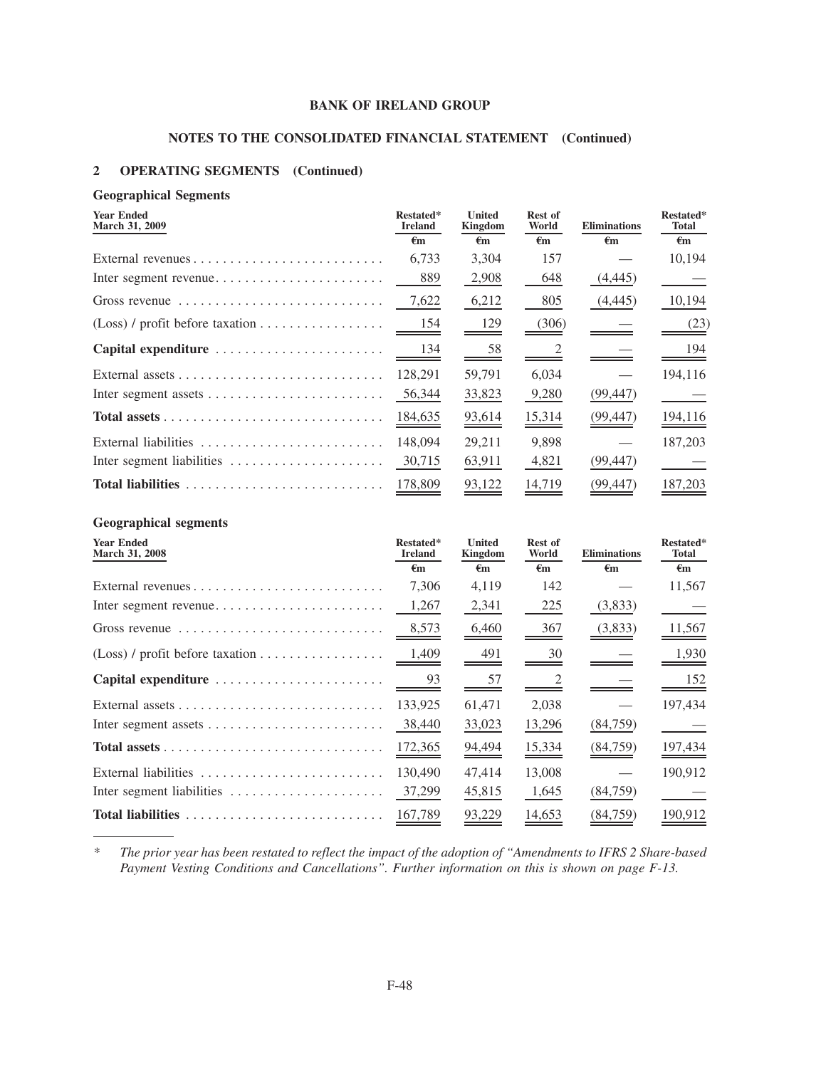## **NOTES TO THE CONSOLIDATED FINANCIAL STATEMENT (Continued)**

## **2 OPERATING SEGMENTS (Continued)**

## **Geographical Segments**

| <b>Year Ended</b><br>March 31, 2009                                    | Restated*<br><b>Ireland</b><br>€m | <b>United</b><br>Kingdom<br>$\epsilon_{\rm m}$ | Rest of<br>World<br>€m | <b>Eliminations</b><br>$\epsilon_{\rm m}$ | Restated*<br><b>Total</b><br>$\epsilon$ m |
|------------------------------------------------------------------------|-----------------------------------|------------------------------------------------|------------------------|-------------------------------------------|-------------------------------------------|
|                                                                        | 6,733                             | 3,304                                          | 157                    |                                           | 10,194                                    |
|                                                                        | 889                               | 2,908                                          | 648                    | (4, 445)                                  |                                           |
| Gross revenue                                                          | 7,622                             | 6,212                                          | 805                    | (4,445)                                   | 10,194                                    |
|                                                                        | 154                               | <u>129</u>                                     | (306)                  |                                           | (23)                                      |
| Capital expenditure                                                    | $\frac{134}{2}$                   | 58                                             |                        |                                           | 194                                       |
|                                                                        | 128,291                           | 59,791                                         | 6,034                  |                                           | 194,116                                   |
| Inter segment assets $\dots \dots \dots \dots \dots \dots \dots \dots$ | 56,344                            | 33,823                                         | 9,280                  | (99, 447)                                 |                                           |
|                                                                        | 184,635                           | 93,614                                         | 15,314                 | (99, 447)                                 | 194,116                                   |
| External liabilities                                                   | 148,094                           | 29,211                                         | 9,898                  |                                           | 187,203                                   |
| Inter segment liabilities                                              | 30,715                            | 63,911                                         | 4,821                  | (99, 447)                                 |                                           |
|                                                                        | 178,809                           | 93,122                                         | 14,719                 | (99,447)                                  | 187,203                                   |

## **Geographical segments**

| <b>Year Ended</b><br>March 31, 2008                                         | Restated*<br><b>Ireland</b><br>$\epsilon_{\rm m}$ | <b>United</b><br><b>Kingdom</b><br>$\epsilon_{\rm m}$ | <b>Rest of</b><br>World<br>€m | <b>Eliminations</b><br>$\epsilon_{\rm m}$ | Restated*<br><b>Total</b><br>$\epsilon_{\rm m}$ |
|-----------------------------------------------------------------------------|---------------------------------------------------|-------------------------------------------------------|-------------------------------|-------------------------------------------|-------------------------------------------------|
|                                                                             | 7.306                                             | 4,119                                                 | 142                           |                                           | 11,567                                          |
|                                                                             | 1,267                                             | 2,341                                                 | 225                           | (3,833)                                   |                                                 |
| Gross revenue $\dots \dots \dots \dots \dots \dots \dots \dots \dots \dots$ | 8,573                                             | 6,460                                                 | 367                           | (3,833)                                   | 11,567                                          |
|                                                                             | 1,409                                             | 491                                                   | 30                            |                                           | 1,930                                           |
| Capital expenditure                                                         | 93                                                | 57                                                    |                               |                                           | 152                                             |
|                                                                             | 133,925                                           | 61,471                                                | 2,038                         |                                           | 197,434                                         |
| Inter segment assets $\dots \dots \dots \dots \dots \dots \dots \dots$      | 38,440                                            | 33,023                                                | 13,296                        | (84,759)                                  |                                                 |
|                                                                             | 172,365                                           | 94,494                                                | 15,334                        | (84,759)                                  | 197,434                                         |
| External liabilities                                                        | 130,490                                           | 47.414                                                | 13,008                        |                                           | 190,912                                         |
| Inter segment liabilities                                                   | 37,299                                            | 45,815                                                | 1,645                         | (84,759)                                  |                                                 |
| Total liabilities                                                           | 167,789                                           | 93,229                                                | 14,653                        | (84,759)                                  | 190.912                                         |

*\* The prior year has been restated to reflect the impact of the adoption of "Amendments to IFRS 2 Share-based Payment Vesting Conditions and Cancellations". Further information on this is shown on page F-13.*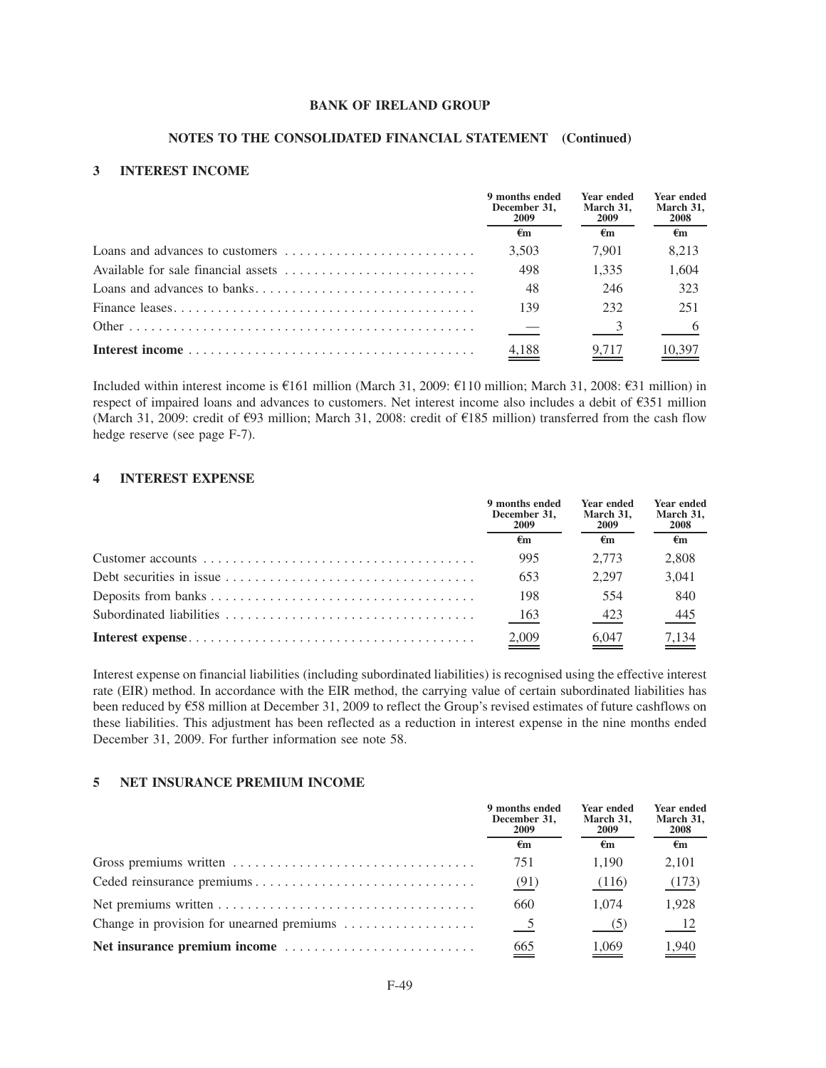#### **NOTES TO THE CONSOLIDATED FINANCIAL STATEMENT (Continued)**

### **3 INTEREST INCOME**

| 9 months ended<br>December 31.<br><b>2009</b> | <b>Year ended</b><br>March 31.<br>-2009 | <b>Year ended</b><br>March 31,<br><b>2008</b> |
|-----------------------------------------------|-----------------------------------------|-----------------------------------------------|
| €m                                            | €m                                      | $\epsilon_{\rm m}$                            |
| 3.503                                         | 7.901                                   | 8.213                                         |
| 498                                           | 1.335                                   | 1,604                                         |
| 48                                            | 246                                     | 323                                           |
| 139                                           | 232                                     | 251                                           |
| $\overline{\phantom{a}}$                      |                                         |                                               |
| $\frac{4,188}{ }$                             | 9,717                                   | $\frac{10,397}{2}$                            |

Included within interest income is  $\epsilon$ 161 million (March 31, 2009:  $\epsilon$ 110 million; March 31, 2008:  $\epsilon$ 31 million) in respect of impaired loans and advances to customers. Net interest income also includes a debit of  $\epsilon$ 351 million (March 31, 2009: credit of  $\epsilon$ 93 million; March 31, 2008: credit of  $\epsilon$ 185 million) transferred from the cash flow hedge reserve (see page F-7).

## **4 INTEREST EXPENSE**

| 9 months ended<br>December 31.<br>2009 | <b>Year ended</b><br>March 31,<br>2009 | <b>Year ended</b><br>March 31,<br><b>2008</b> |
|----------------------------------------|----------------------------------------|-----------------------------------------------|
| €m                                     | €m                                     | €m                                            |
| 995                                    | 2.773                                  | 2.808                                         |
| 653                                    | 2.297                                  | 3.041                                         |
| 198                                    | 554                                    | 840                                           |
| 163                                    | 423                                    | 445                                           |
| 2,009                                  | 6,047                                  | 7,134                                         |

Interest expense on financial liabilities (including subordinated liabilities) is recognised using the effective interest rate (EIR) method. In accordance with the EIR method, the carrying value of certain subordinated liabilities has been reduced by  $\epsilon$ 58 million at December 31, 2009 to reflect the Group's revised estimates of future cashflows on these liabilities. This adjustment has been reflected as a reduction in interest expense in the nine months ended December 31, 2009. For further information see note 58.

#### **5 NET INSURANCE PREMIUM INCOME**

| 9 months ended<br>December 31,<br>2009 | Year ended<br>March 31,<br>2009 | Year ended<br>March 31,<br>2008 |
|----------------------------------------|---------------------------------|---------------------------------|
| €m                                     | €m                              | €m                              |
| 751                                    | 1.190                           | 2,101                           |
| (91)                                   | (116)                           | (173)                           |
| 660                                    | 1.074                           | 1.928                           |
| $\overline{5}$                         |                                 |                                 |
| $\underline{665}$                      | 1,069                           | 1,940                           |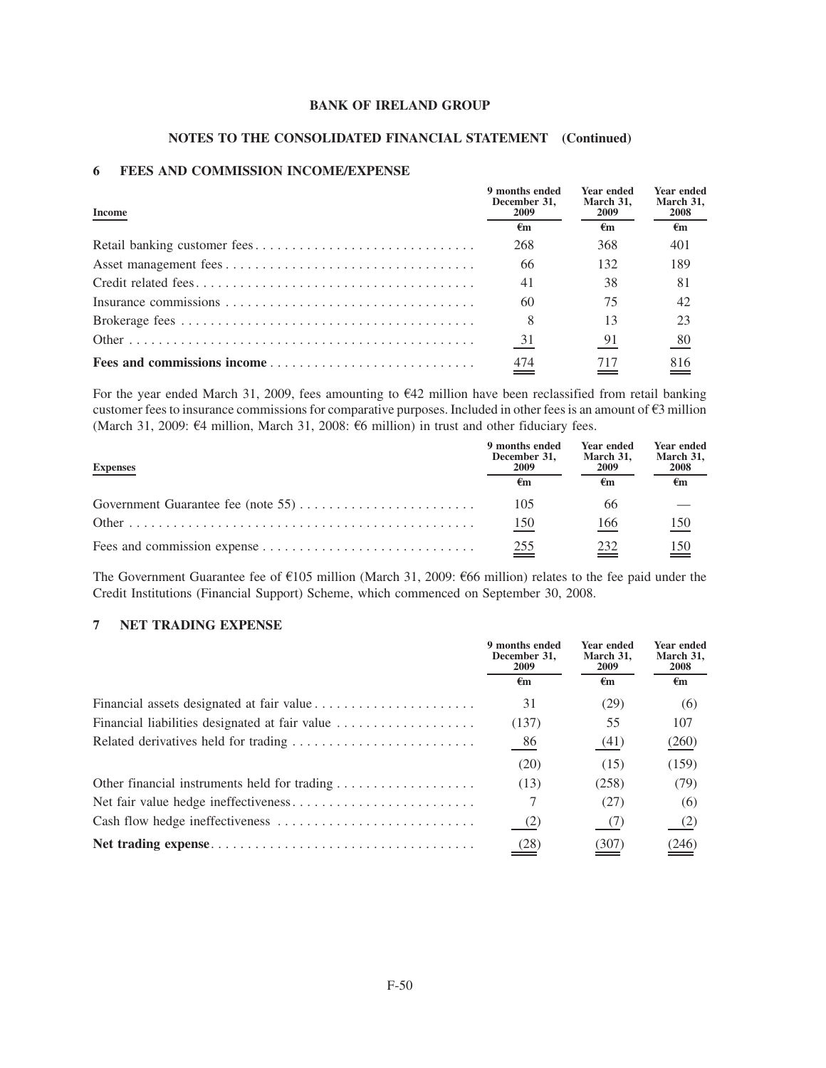## **NOTES TO THE CONSOLIDATED FINANCIAL STATEMENT (Continued)**

## **6 FEES AND COMMISSION INCOME/EXPENSE**

| Income | 9 months ended<br>December 31.<br><b>2009</b> | <b>Year ended</b><br>March 31.<br><b>2009</b> | <b>Year ended</b><br>March 31,<br><b>2008</b> |
|--------|-----------------------------------------------|-----------------------------------------------|-----------------------------------------------|
|        | €m                                            | €m                                            | $\epsilon_{\rm m}$                            |
|        | 268                                           | 368                                           | 401                                           |
|        | 66                                            | 132                                           | 189                                           |
|        | 41                                            | 38                                            | 81                                            |
|        | 60                                            | 75                                            | 42                                            |
|        | 8                                             | 13                                            | 23                                            |
|        | 31                                            | 91                                            | 80                                            |
|        | 474                                           | 717                                           | 816                                           |

For the year ended March 31, 2009, fees amounting to  $E42$  million have been reclassified from retail banking customer fees to insurance commissions for comparative purposes. Included in other fees is an amount of  $\epsilon$ 3 million (March 31, 2009:  $64$  million, March 31, 2008:  $66$  million) in trust and other fiduciary fees.

| <b>Expenses</b> | 9 months ended<br>December 31.<br>2009 | <b>Year ended</b><br>March 31,<br>2009 | <b>Year ended</b><br>March 31,<br>2008 |
|-----------------|----------------------------------------|----------------------------------------|----------------------------------------|
|                 | €m                                     | €m                                     | €m                                     |
|                 | 105                                    | 66                                     |                                        |
|                 | 150                                    | 166                                    | $\underline{150}$                      |
|                 | $\stackrel{255}{\equiv}$               | 232                                    | $\stackrel{150}{=}$                    |

The Government Guarantee fee of  $E105$  million (March 31, 2009:  $E66$  million) relates to the fee paid under the Credit Institutions (Financial Support) Scheme, which commenced on September 30, 2008.

## **7 NET TRADING EXPENSE**

|                                                | 9 months ended<br>December 31,<br>2009 | Year ended<br>March 31,<br><b>2009</b> | Year ended<br>March 31,<br>2008 |
|------------------------------------------------|----------------------------------------|----------------------------------------|---------------------------------|
|                                                | €m                                     | €m                                     | $\epsilon_{\rm m}$              |
|                                                | 31                                     | (29)                                   | (6)                             |
| Financial liabilities designated at fair value | (137)                                  | 55                                     | 107                             |
|                                                | 86                                     | (41)                                   | (260)                           |
|                                                | (20)                                   | (15)                                   | (159)                           |
| Other financial instruments held for trading   | (13)                                   | (258)                                  | (79)                            |
|                                                |                                        | (27)                                   | (6)                             |
|                                                | (2)                                    | - (7)                                  | $^{(2)}$                        |
|                                                | (28)                                   | (307)                                  | (246)                           |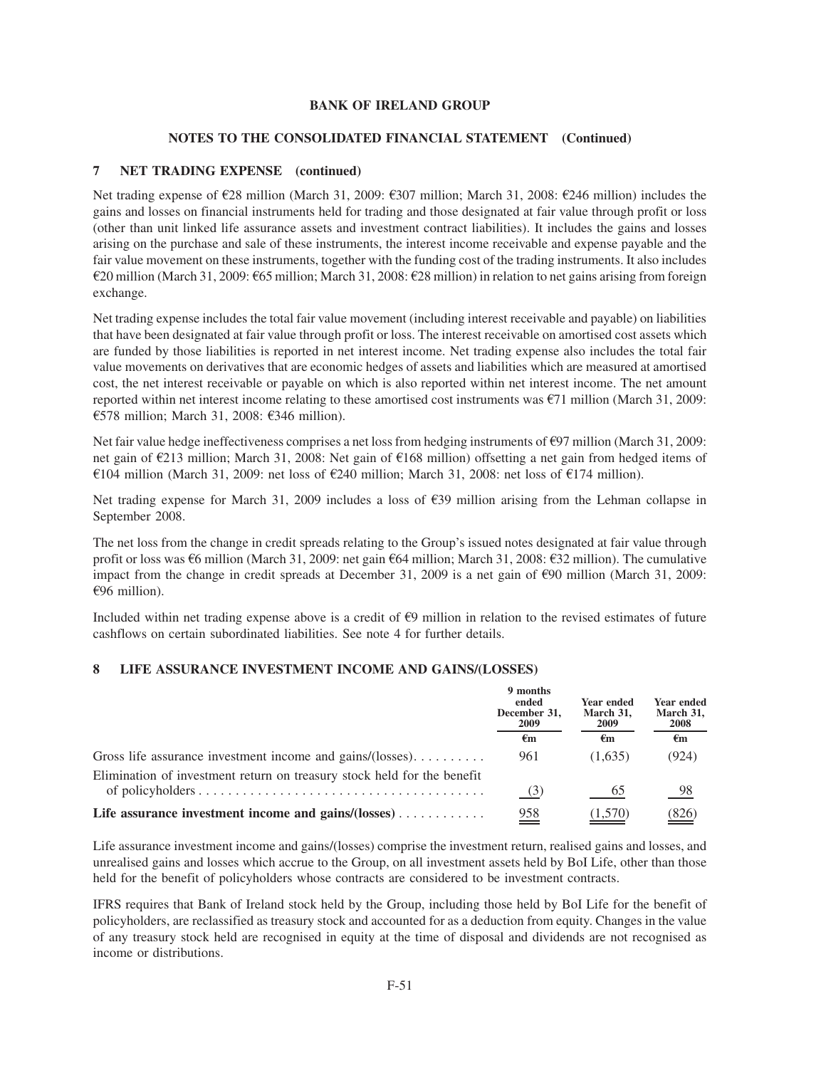### **NOTES TO THE CONSOLIDATED FINANCIAL STATEMENT (Continued)**

## **7 NET TRADING EXPENSE (continued)**

Net trading expense of  $\epsilon$ 28 million (March 31, 2009:  $\epsilon$ 307 million; March 31, 2008:  $\epsilon$ 246 million) includes the gains and losses on financial instruments held for trading and those designated at fair value through profit or loss (other than unit linked life assurance assets and investment contract liabilities). It includes the gains and losses arising on the purchase and sale of these instruments, the interest income receivable and expense payable and the fair value movement on these instruments, together with the funding cost of the trading instruments. It also includes  $\epsilon$ 20 million (March 31, 2009:  $\epsilon$ 65 million; March 31, 2008:  $\epsilon$ 28 million) in relation to net gains arising from foreign exchange.

Net trading expense includes the total fair value movement (including interest receivable and payable) on liabilities that have been designated at fair value through profit or loss. The interest receivable on amortised cost assets which are funded by those liabilities is reported in net interest income. Net trading expense also includes the total fair value movements on derivatives that are economic hedges of assets and liabilities which are measured at amortised cost, the net interest receivable or payable on which is also reported within net interest income. The net amount reported within net interest income relating to these amortised cost instruments was  $\epsilon$ 71 million (March 31, 2009: €578 million; March 31, 2008: €346 million).

Net fair value hedge ineffectiveness comprises a net loss from hedging instruments of  $\epsilon$ 97 million (March 31, 2009: net gain of €213 million; March 31, 2008: Net gain of €168 million) offsetting a net gain from hedged items of  $\epsilon$ 104 million (March 31, 2009: net loss of  $\epsilon$ 240 million; March 31, 2008: net loss of  $\epsilon$ 174 million).

Net trading expense for March 31, 2009 includes a loss of  $\epsilon$ 39 million arising from the Lehman collapse in September 2008.

The net loss from the change in credit spreads relating to the Group's issued notes designated at fair value through profit or loss was  $\epsilon$ 6 million (March 31, 2009: net gain  $\epsilon$ 64 million; March 31, 2008:  $\epsilon$ 32 million). The cumulative impact from the change in credit spreads at December 31, 2009 is a net gain of  $\epsilon$ 90 million (March 31, 2009:  $€96$  million).

Included within net trading expense above is a credit of  $\epsilon$ 9 million in relation to the revised estimates of future cashflows on certain subordinated liabilities. See note 4 for further details.

### **8 LIFE ASSURANCE INVESTMENT INCOME AND GAINS/(LOSSES)**

|                                                                         | 9 months<br>ended<br>December 31,<br>2009<br>€m | Year ended<br>March 31,<br>2009 | Year ended<br>March 31,<br>2008 |
|-------------------------------------------------------------------------|-------------------------------------------------|---------------------------------|---------------------------------|
|                                                                         |                                                 | €m                              | €m                              |
| Gross life assurance investment income and gains/ $(losses)$            | 961                                             | (1.635)                         | (924)                           |
| Elimination of investment return on treasury stock held for the benefit | (3)                                             | 65                              | 98                              |
| Life assurance investment income and gains/ $(losses)$                  | 958                                             | 1,570                           | (826)                           |

Life assurance investment income and gains/(losses) comprise the investment return, realised gains and losses, and unrealised gains and losses which accrue to the Group, on all investment assets held by BoI Life, other than those held for the benefit of policyholders whose contracts are considered to be investment contracts.

IFRS requires that Bank of Ireland stock held by the Group, including those held by BoI Life for the benefit of policyholders, are reclassified as treasury stock and accounted for as a deduction from equity. Changes in the value of any treasury stock held are recognised in equity at the time of disposal and dividends are not recognised as income or distributions.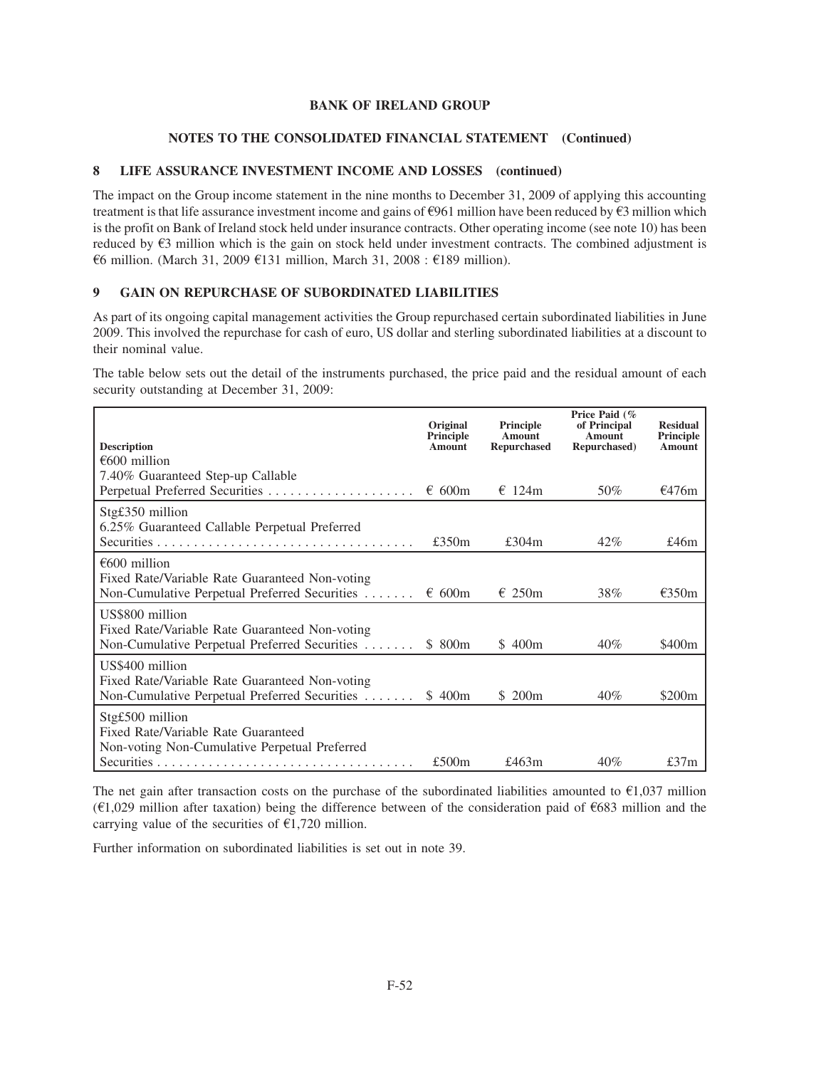## **NOTES TO THE CONSOLIDATED FINANCIAL STATEMENT (Continued)**

## **8 LIFE ASSURANCE INVESTMENT INCOME AND LOSSES (continued)**

The impact on the Group income statement in the nine months to December 31, 2009 of applying this accounting treatment is that life assurance investment income and gains of  $\epsilon$ 961 million have been reduced by  $\epsilon$ 3 million which is the profit on Bank of Ireland stock held under insurance contracts. Other operating income (see note 10) has been reduced by  $\epsilon$ 3 million which is the gain on stock held under investment contracts. The combined adjustment is €6 million. (March 31, 2009 €131 million, March 31, 2008 : €189 million).

## **9 GAIN ON REPURCHASE OF SUBORDINATED LIABILITIES**

As part of its ongoing capital management activities the Group repurchased certain subordinated liabilities in June 2009. This involved the repurchase for cash of euro, US dollar and sterling subordinated liabilities at a discount to their nominal value.

The table below sets out the detail of the instruments purchased, the price paid and the residual amount of each security outstanding at December 31, 2009:

| <b>Description</b>                                                                                                        | Original<br>Principle<br>Amount | Principle<br>Amount<br><b>Repurchased</b> | Price Paid (%<br>of Principal<br>Amount<br>Repurchased) | <b>Residual</b><br>Principle<br>Amount |
|---------------------------------------------------------------------------------------------------------------------------|---------------------------------|-------------------------------------------|---------------------------------------------------------|----------------------------------------|
| $\epsilon$ 600 million                                                                                                    |                                 |                                           |                                                         |                                        |
| 7.40% Guaranteed Step-up Callable                                                                                         | $\epsilon$ 600m                 | $\epsilon$ 124m                           | 50%                                                     | €476m                                  |
| Stg£350 million<br>6.25% Guaranteed Callable Perpetual Preferred                                                          |                                 |                                           |                                                         |                                        |
|                                                                                                                           | £350 $m$                        | £304 $m$                                  | $42\%$                                                  | £46 $m$                                |
| $\epsilon$ 600 million<br>Fixed Rate/Variable Rate Guaranteed Non-voting<br>Non-Cumulative Perpetual Preferred Securities | $\epsilon$ 600m                 | $\epsilon$ 250m                           | 38%                                                     | $\epsilon$ 350m                        |
| US\$800 million<br>Fixed Rate/Variable Rate Guaranteed Non-voting<br>Non-Cumulative Perpetual Preferred Securities        | \$ 800 <sub>m</sub>             | \$400m                                    | $40\%$                                                  | \$400 <sub>m</sub>                     |
| US\$400 million<br>Fixed Rate/Variable Rate Guaranteed Non-voting<br>Non-Cumulative Perpetual Preferred Securities        | \$400m                          | \$ 200 <sub>m</sub>                       | 40%                                                     | \$200 <sub>m</sub>                     |
| Stg£500 million<br>Fixed Rate/Variable Rate Guaranteed<br>Non-voting Non-Cumulative Perpetual Preferred                   |                                 |                                           |                                                         |                                        |
|                                                                                                                           | £500m                           | £463 $m$                                  | 40%                                                     | £37 $m$                                |

The net gain after transaction costs on the purchase of the subordinated liabilities amounted to  $\epsilon$ 1,037 million ( $\epsilon$ 1,029 million after taxation) being the difference between of the consideration paid of  $\epsilon$ 683 million and the carrying value of the securities of  $\epsilon$ 1,720 million.

Further information on subordinated liabilities is set out in note 39.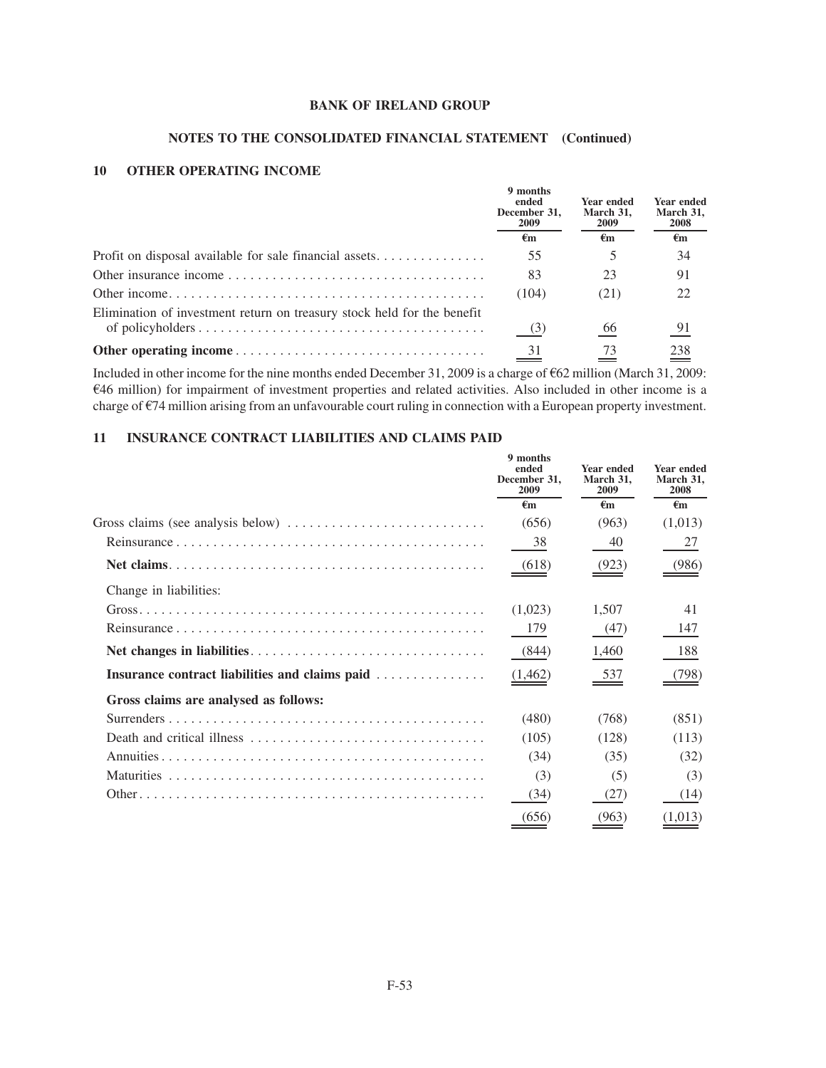## **NOTES TO THE CONSOLIDATED FINANCIAL STATEMENT (Continued)**

## **10 OTHER OPERATING INCOME**

|                                                                         | 9 months<br>ended<br>December 31,<br><b>2009</b> | <b>Year ended</b><br>March 31.<br><b>2009</b><br>€m | Year ended<br>March 31,<br>2008 |
|-------------------------------------------------------------------------|--------------------------------------------------|-----------------------------------------------------|---------------------------------|
|                                                                         | €m                                               |                                                     | €m                              |
| Profit on disposal available for sale financial assets                  | 55                                               |                                                     | 34                              |
|                                                                         | 83                                               | 23                                                  | 91                              |
|                                                                         | (104)                                            | (21)                                                | 22                              |
| Elimination of investment return on treasury stock held for the benefit |                                                  |                                                     |                                 |
|                                                                         | (3)                                              | 66                                                  | 91                              |
|                                                                         | 31                                               | 73                                                  | 238                             |

Included in other income for the nine months ended December 31, 2009 is a charge of  $662$  million (March 31, 2009:  $646$  million) for impairment of investment properties and related activities. Also included in other income is a charge of  $E$ 74 million arising from an unfavourable court ruling in connection with a European property investment.

## **11 INSURANCE CONTRACT LIABILITIES AND CLAIMS PAID**

|                                                                                           | 9 months<br>ended<br>December 31.<br>2009 | Year ended<br>March 31,<br>2009 | <b>Year ended</b><br>March 31,<br>2008 |
|-------------------------------------------------------------------------------------------|-------------------------------------------|---------------------------------|----------------------------------------|
|                                                                                           | $\epsilon_{\rm m}$                        | €m                              | $\epsilon$ m                           |
| Gross claims (see analysis below) $\dots \dots \dots \dots \dots \dots \dots \dots \dots$ | (656)                                     | (963)                           | (1,013)                                |
|                                                                                           | 38                                        | 40                              | 27                                     |
|                                                                                           | (618)                                     | (923)                           | (986)                                  |
| Change in liabilities:                                                                    |                                           |                                 |                                        |
|                                                                                           | (1,023)                                   | 1,507                           | 41                                     |
|                                                                                           | 179                                       | (47)                            | 147                                    |
|                                                                                           | (844)                                     | 1,460                           | 188                                    |
| Insurance contract liabilities and claims paid                                            | (1, 462)                                  | 537                             | (798)                                  |
| Gross claims are analysed as follows:                                                     |                                           |                                 |                                        |
|                                                                                           | (480)                                     | (768)                           | (851)                                  |
|                                                                                           | (105)                                     | (128)                           | (113)                                  |
|                                                                                           | (34)                                      | (35)                            | (32)                                   |
|                                                                                           | (3)                                       | (5)                             | (3)                                    |
|                                                                                           | (34)                                      | (27)                            | (14)                                   |
|                                                                                           | (656)                                     | (963)                           | (1,013)                                |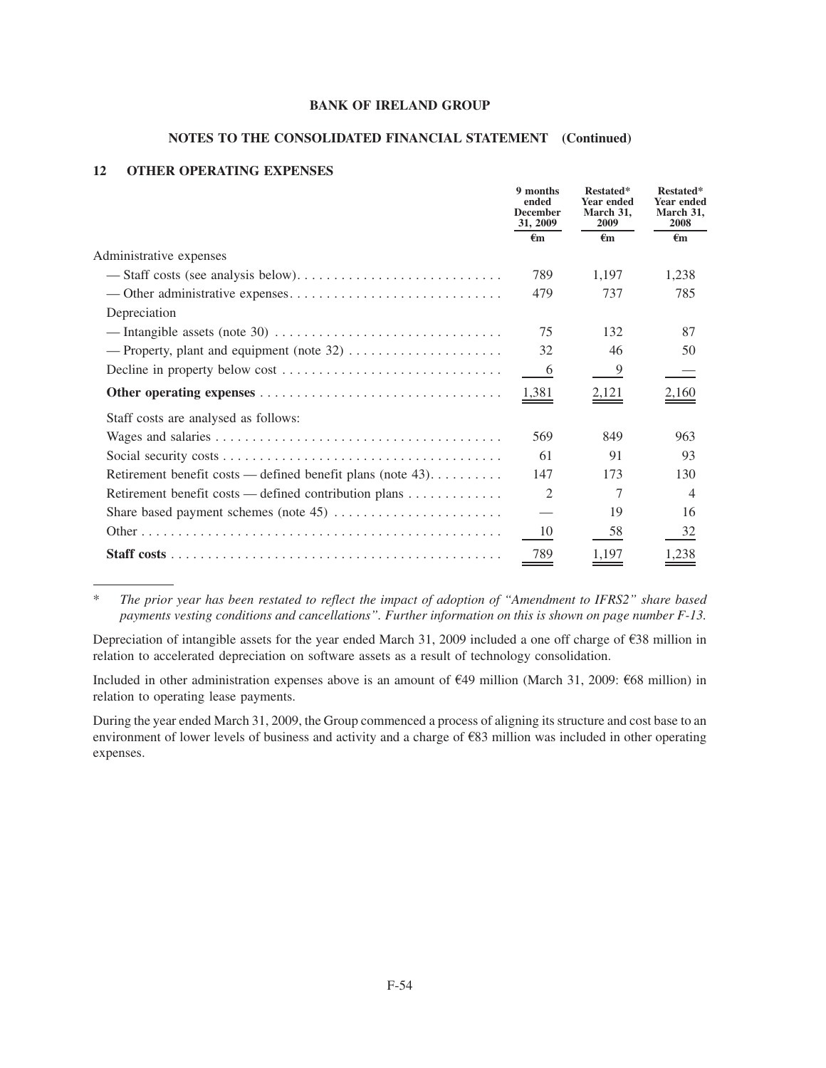## **NOTES TO THE CONSOLIDATED FINANCIAL STATEMENT (Continued)**

## **12 OTHER OPERATING EXPENSES**

|                                                                                                   | 9 months<br>ended<br><b>December</b><br>31, 2009 | Restated*<br>Year ended<br>March 31.<br>2009 | Restated*<br><b>Year ended</b><br>March 31.<br>2008 |
|---------------------------------------------------------------------------------------------------|--------------------------------------------------|----------------------------------------------|-----------------------------------------------------|
|                                                                                                   | $\epsilon_{\rm m}$                               | €m                                           | $\epsilon_{\rm m}$                                  |
| Administrative expenses                                                                           |                                                  |                                              |                                                     |
|                                                                                                   | 789                                              | 1,197                                        | 1,238                                               |
|                                                                                                   | 479                                              | 737                                          | 785                                                 |
| Depreciation                                                                                      |                                                  |                                              |                                                     |
| — Intangible assets (note 30) $\dots \dots \dots \dots \dots \dots \dots \dots \dots \dots \dots$ | 75                                               | 132                                          | 87                                                  |
|                                                                                                   | 32                                               | 46                                           | 50                                                  |
| Decline in property below cost $\dots \dots \dots \dots \dots \dots \dots \dots \dots \dots$      | 6                                                | 9                                            |                                                     |
|                                                                                                   | 1,381                                            | 2,121                                        | $\underline{2,160}$                                 |
| Staff costs are analysed as follows:                                                              |                                                  |                                              |                                                     |
|                                                                                                   | 569                                              | 849                                          | 963                                                 |
|                                                                                                   | 61                                               | 91                                           | 93                                                  |
| Retirement benefit costs — defined benefit plans (note 43).                                       | 147                                              | 173                                          | 130                                                 |
| Retirement benefit costs — defined contribution plans                                             | $\mathfrak{D}$                                   | 7                                            | $\overline{4}$                                      |
|                                                                                                   |                                                  | 19                                           | 16                                                  |
|                                                                                                   | 10                                               | 58                                           | 32                                                  |
|                                                                                                   | 789                                              | 1,197                                        | ,238                                                |

\* *The prior year has been restated to reflect the impact of adoption of "Amendment to IFRS2" share based payments vesting conditions and cancellations". Further information on this is shown on page number F-13.*

Depreciation of intangible assets for the year ended March 31, 2009 included a one off charge of  $\epsilon$ 38 million in relation to accelerated depreciation on software assets as a result of technology consolidation.

Included in other administration expenses above is an amount of  $\epsilon$ 49 million (March 31, 2009:  $\epsilon$ 68 million) in relation to operating lease payments.

During the year ended March 31, 2009, the Group commenced a process of aligning its structure and cost base to an environment of lower levels of business and activity and a charge of  $E$ 83 million was included in other operating expenses.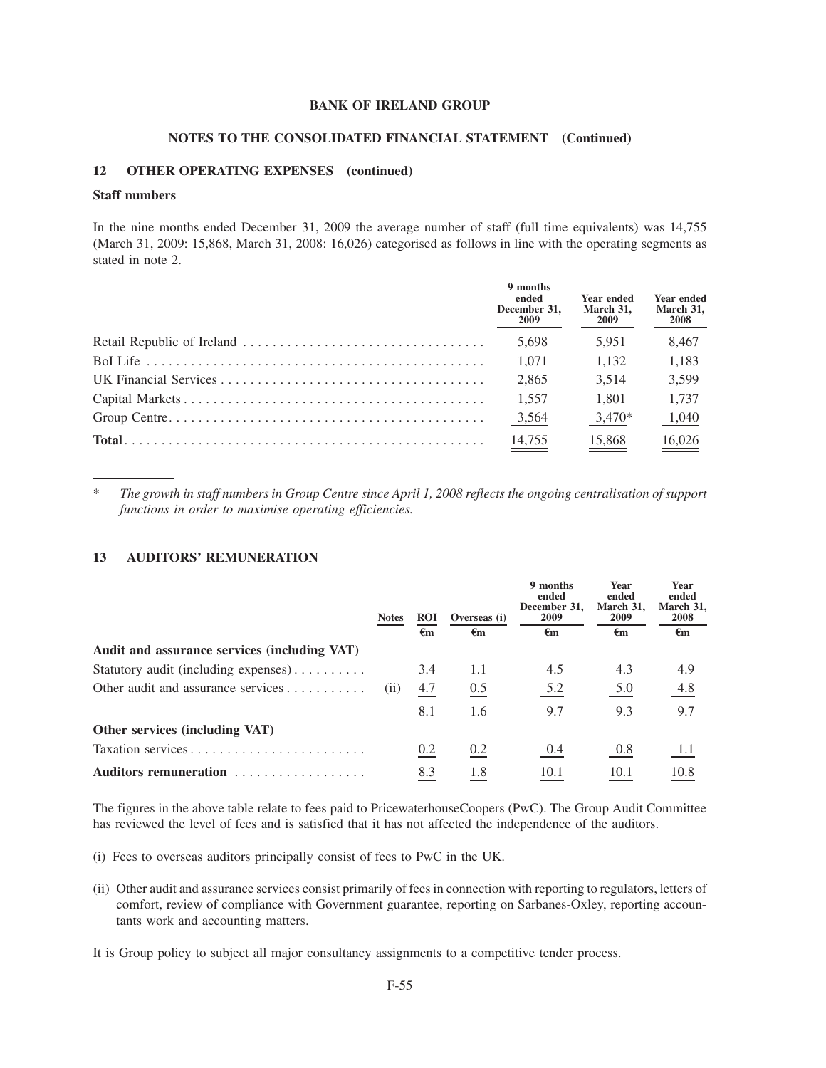#### **NOTES TO THE CONSOLIDATED FINANCIAL STATEMENT (Continued)**

## **12 OTHER OPERATING EXPENSES (continued)**

### **Staff numbers**

In the nine months ended December 31, 2009 the average number of staff (full time equivalents) was 14,755 (March 31, 2009: 15,868, March 31, 2008: 16,026) categorised as follows in line with the operating segments as stated in note 2.

| 9 months<br>ended<br>December 31.<br>2009 | <b>Year ended</b><br>March 31.<br><b>2009</b> | <b>Year ended</b><br>March 31,<br>2008 |
|-------------------------------------------|-----------------------------------------------|----------------------------------------|
| 5.698                                     | 5.951                                         | 8,467                                  |
| 1.071                                     | 1.132                                         | 1,183                                  |
| 2.865                                     | 3.514                                         | 3,599                                  |
| 1.557                                     | 1.801                                         | 1.737                                  |
| 3,564                                     | $3,470*$                                      | 1,040                                  |
| $\frac{14,755}{2}$                        | 15,868                                        | 16,026                                 |

\* *The growth in staff numbers in Group Centre since April 1, 2008 reflects the ongoing centralisation of support functions in order to maximise operating efficiencies.*

## **13 AUDITORS' REMUNERATION**

|                                              | <b>Notes</b> | <b>ROI</b>     | Overseas (i) | 9 months<br>ended<br>December 31.<br>2009 | <b>Year</b><br>ended<br>March 31.<br>2009 | <b>Year</b><br>ended<br>March 31,<br>2008 |
|----------------------------------------------|--------------|----------------|--------------|-------------------------------------------|-------------------------------------------|-------------------------------------------|
|                                              |              | $\epsilon_{m}$ | €m           | €m                                        | €m                                        | €m                                        |
| Audit and assurance services (including VAT) |              |                |              |                                           |                                           |                                           |
| Statutory audit (including expenses)         |              | 3.4            | 1.1          | 4.5                                       | 4.3                                       | 4.9                                       |
| Other audit and assurance services           | (11)         | 4.7            | 0.5          | 5.2                                       | 5.0                                       | 4.8                                       |
|                                              |              | 8.1            | 1.6          | 9.7                                       | 9.3                                       | 9.7                                       |
| Other services (including VAT)               |              |                |              |                                           |                                           |                                           |
|                                              |              | 0.2            | 0.2          | 0.4                                       | 0.8                                       | 1.1                                       |
| Auditors remuneration                        |              | 8.3            | 1.8          | 10.1                                      | 10.1                                      | 10.8                                      |

The figures in the above table relate to fees paid to PricewaterhouseCoopers (PwC). The Group Audit Committee has reviewed the level of fees and is satisfied that it has not affected the independence of the auditors.

- (i) Fees to overseas auditors principally consist of fees to PwC in the UK.
- (ii) Other audit and assurance services consist primarily of fees in connection with reporting to regulators, letters of comfort, review of compliance with Government guarantee, reporting on Sarbanes-Oxley, reporting accountants work and accounting matters.

It is Group policy to subject all major consultancy assignments to a competitive tender process.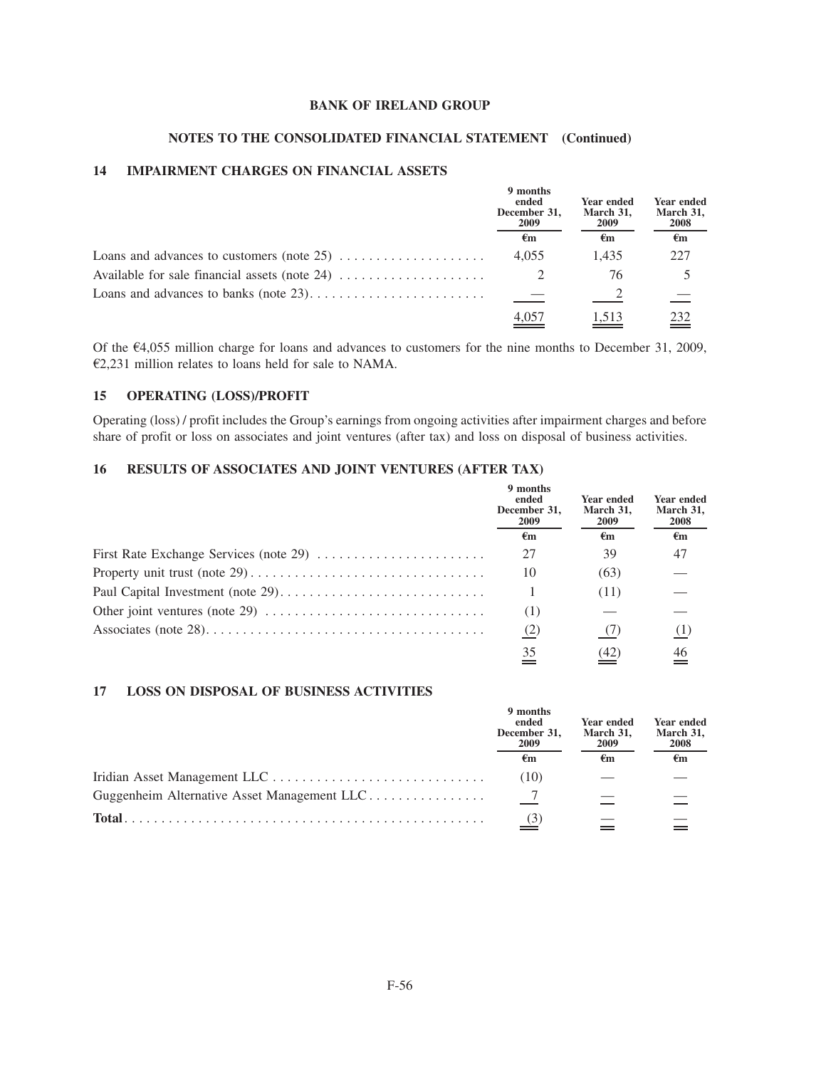## **NOTES TO THE CONSOLIDATED FINANCIAL STATEMENT (Continued)**

## **14 IMPAIRMENT CHARGES ON FINANCIAL ASSETS**

|                                             | 9 months<br>ended<br>December 31,<br>2009 | <b>Year ended</b><br>March 31,<br>2009 | Year ended<br>March 31,<br>2008 |
|---------------------------------------------|-------------------------------------------|----------------------------------------|---------------------------------|
|                                             | €m                                        | €m                                     | €m                              |
| Loans and advances to customers (note $25)$ | 4.055                                     | 1.435                                  | 227                             |
|                                             |                                           | 76                                     |                                 |
|                                             |                                           |                                        |                                 |
|                                             |                                           | 1,513                                  | 232                             |

Of the  $\epsilon$ 4,055 million charge for loans and advances to customers for the nine months to December 31, 2009,  $E2,231$  million relates to loans held for sale to NAMA.

## **15 OPERATING (LOSS)/PROFIT**

Operating (loss) / profit includes the Group's earnings from ongoing activities after impairment charges and before share of profit or loss on associates and joint ventures (after tax) and loss on disposal of business activities.

## **16 RESULTS OF ASSOCIATES AND JOINT VENTURES (AFTER TAX)**

|                                                                                              | 9 months<br>ended<br>December 31.<br>2009<br>€m | <b>Year ended</b><br>March 31,<br>2009 | Year ended<br>March 31,<br><b>2008</b> |
|----------------------------------------------------------------------------------------------|-------------------------------------------------|----------------------------------------|----------------------------------------|
|                                                                                              |                                                 | €m                                     | $\epsilon_{\rm m}$                     |
|                                                                                              | 27                                              | 39                                     | 47                                     |
|                                                                                              | 10                                              | (63)                                   |                                        |
|                                                                                              |                                                 | (11)                                   |                                        |
| Other joint ventures (note 29) $\dots \dots \dots \dots \dots \dots \dots \dots \dots \dots$ | (1)                                             |                                        |                                        |
|                                                                                              | (2)                                             |                                        | (1)                                    |
|                                                                                              | 35                                              |                                        |                                        |

### **17 LOSS ON DISPOSAL OF BUSINESS ACTIVITIES**

|                                             | 9 months<br>ended<br>December 31.<br>2009 | <b>Year ended</b><br>March 31,<br>2009 | <b>Year ended</b><br>March 31,<br>2008 |
|---------------------------------------------|-------------------------------------------|----------------------------------------|----------------------------------------|
|                                             | €m                                        | €m                                     | €m                                     |
|                                             | (10)                                      |                                        |                                        |
| Guggenheim Alternative Asset Management LLC |                                           |                                        |                                        |
| Total.                                      | $\frac{(3)}{2}$                           |                                        |                                        |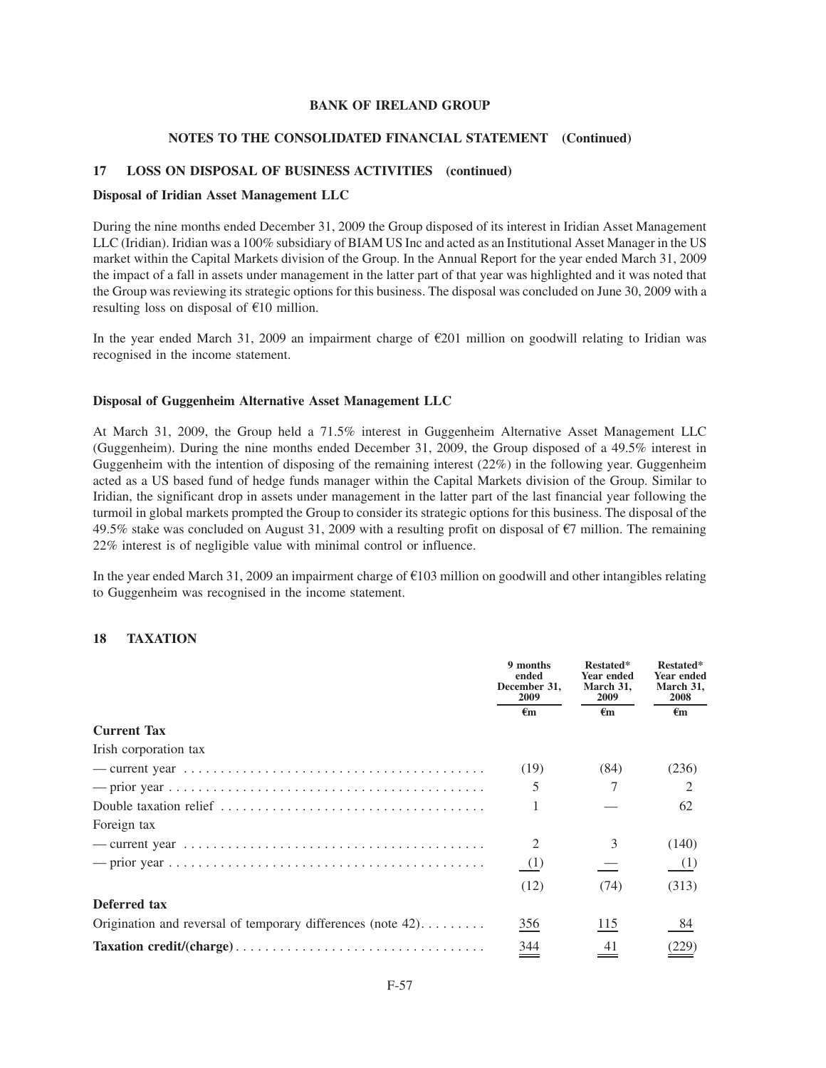#### **NOTES TO THE CONSOLIDATED FINANCIAL STATEMENT (Continued)**

### **17 LOSS ON DISPOSAL OF BUSINESS ACTIVITIES (continued)**

#### **Disposal of Iridian Asset Management LLC**

During the nine months ended December 31, 2009 the Group disposed of its interest in Iridian Asset Management LLC (Iridian). Iridian was a 100% subsidiary of BIAM US Inc and acted as an Institutional Asset Manager in the US market within the Capital Markets division of the Group. In the Annual Report for the year ended March 31, 2009 the impact of a fall in assets under management in the latter part of that year was highlighted and it was noted that the Group was reviewing its strategic options for this business. The disposal was concluded on June 30, 2009 with a resulting loss on disposal of  $E10$  million.

In the year ended March 31, 2009 an impairment charge of  $\epsilon$ 201 million on goodwill relating to Iridian was recognised in the income statement.

#### **Disposal of Guggenheim Alternative Asset Management LLC**

At March 31, 2009, the Group held a 71.5% interest in Guggenheim Alternative Asset Management LLC (Guggenheim). During the nine months ended December 31, 2009, the Group disposed of a 49.5% interest in Guggenheim with the intention of disposing of the remaining interest (22%) in the following year. Guggenheim acted as a US based fund of hedge funds manager within the Capital Markets division of the Group. Similar to Iridian, the significant drop in assets under management in the latter part of the last financial year following the turmoil in global markets prompted the Group to consider its strategic options for this business. The disposal of the 49.5% stake was concluded on August 31, 2009 with a resulting profit on disposal of  $\epsilon$ 7 million. The remaining 22% interest is of negligible value with minimal control or influence.

In the year ended March 31, 2009 an impairment charge of  $E103$  million on goodwill and other intangibles relating to Guggenheim was recognised in the income statement.

### **18 TAXATION**

|                                                                                                      | 9 months<br>ended<br>December 31,<br><b>2009</b> | Restated*<br>Year ended<br>March 31,<br><b>2009</b> | Restated*<br>Year ended<br>March 31,<br>2008 |
|------------------------------------------------------------------------------------------------------|--------------------------------------------------|-----------------------------------------------------|----------------------------------------------|
|                                                                                                      | $\epsilon_{\rm m}$                               | €m                                                  | $\epsilon_{\rm m}$                           |
| <b>Current Tax</b>                                                                                   |                                                  |                                                     |                                              |
| Irish corporation tax                                                                                |                                                  |                                                     |                                              |
| — current year $\dots \dots \dots \dots \dots \dots \dots \dots \dots \dots \dots \dots \dots \dots$ | (19)                                             | (84)                                                | (236)                                        |
|                                                                                                      | 5                                                | 7                                                   | 2                                            |
| Double taxation relief $\dots \dots \dots \dots \dots \dots \dots \dots \dots \dots \dots \dots$     |                                                  |                                                     | 62                                           |
| Foreign tax                                                                                          |                                                  |                                                     |                                              |
|                                                                                                      | 2                                                | 3                                                   | (140)                                        |
|                                                                                                      | (1)                                              |                                                     | (1)                                          |
|                                                                                                      | (12)                                             | (74)                                                | (313)                                        |
| Deferred tax                                                                                         |                                                  |                                                     |                                              |
| Origination and reversal of temporary differences (note $42$ )                                       | 356                                              | 115                                                 | 84                                           |
|                                                                                                      | $\frac{344}{1}$                                  | 41                                                  |                                              |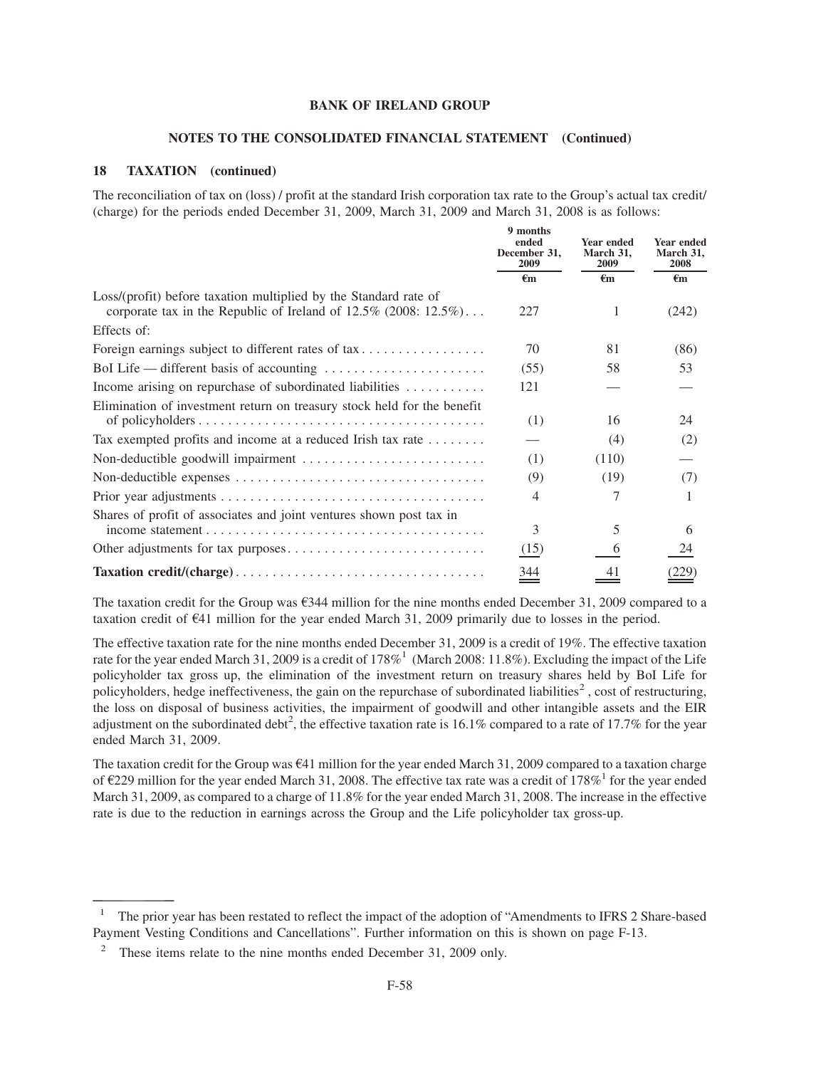#### **NOTES TO THE CONSOLIDATED FINANCIAL STATEMENT (Continued)**

### **18 TAXATION (continued)**

The reconciliation of tax on (loss) / profit at the standard Irish corporation tax rate to the Group's actual tax credit/ (charge) for the periods ended December 31, 2009, March 31, 2009 and March 31, 2008 is as follows:

|                                                                                                                                            | 9 months<br>ended<br>December 31.<br>2009 | Year ended<br>March 31,<br>2009 | Year ended<br>March 31,<br>2008 |
|--------------------------------------------------------------------------------------------------------------------------------------------|-------------------------------------------|---------------------------------|---------------------------------|
|                                                                                                                                            | $\epsilon$ m                              | $\epsilon$ m                    | $\epsilon$ m                    |
| Loss/(profit) before taxation multiplied by the Standard rate of<br>corporate tax in the Republic of Ireland of $12.5\%$ (2008: $12.5\%$ ) | 227                                       | 1                               | (242)                           |
| Effects of:                                                                                                                                |                                           |                                 |                                 |
| Foreign earnings subject to different rates of tax                                                                                         | 70                                        | 81                              | (86)                            |
|                                                                                                                                            | (55)                                      | 58                              | 53                              |
| Income arising on repurchase of subordinated liabilities                                                                                   | 121                                       |                                 |                                 |
| Elimination of investment return on treasury stock held for the benefit                                                                    | (1)                                       | 16                              | 24                              |
| Tax exempted profits and income at a reduced Irish tax rate                                                                                |                                           | (4)                             | (2)                             |
|                                                                                                                                            | (1)                                       | (110)                           |                                 |
|                                                                                                                                            | (9)                                       | (19)                            | (7)                             |
|                                                                                                                                            | 4                                         |                                 |                                 |
| Shares of profit of associates and joint ventures shown post tax in                                                                        |                                           |                                 |                                 |
|                                                                                                                                            | 3                                         | 5                               | 6                               |
|                                                                                                                                            | (15)                                      | 6                               | 24                              |
|                                                                                                                                            | 344                                       | 41                              |                                 |

The taxation credit for the Group was  $\epsilon$ 344 million for the nine months ended December 31, 2009 compared to a taxation credit of  $\epsilon$ 41 million for the year ended March 31, 2009 primarily due to losses in the period.

The effective taxation rate for the nine months ended December 31, 2009 is a credit of 19%. The effective taxation rate for the year ended March 31, 2009 is a credit of 178%<sup>1</sup> (March 2008: 11.8%). Excluding the impact of the Life policyholder tax gross up, the elimination of the investment return on treasury shares held by BoI Life for policyholders, hedge ineffectiveness, the gain on the repurchase of subordinated liabilities<sup>2</sup>, cost of restructuring, the loss on disposal of business activities, the impairment of goodwill and other intangible assets and the EIR adjustment on the subordinated debt<sup>2</sup>, the effective taxation rate is 16.1% compared to a rate of 17.7% for the year ended March 31, 2009.

The taxation credit for the Group was  $\epsilon$ 41 million for the year ended March 31, 2009 compared to a taxation charge of  $\epsilon$ 229 million for the year ended March 31, 2008. The effective tax rate was a credit of 178%<sup>1</sup> for the vear ended March 31, 2009, as compared to a charge of 11.8% for the year ended March 31, 2008. The increase in the effective rate is due to the reduction in earnings across the Group and the Life policyholder tax gross-up.

<sup>&</sup>lt;sup>1</sup> The prior year has been restated to reflect the impact of the adoption of "Amendments to IFRS 2 Share-based Payment Vesting Conditions and Cancellations". Further information on this is shown on page F-13.

These items relate to the nine months ended December 31, 2009 only.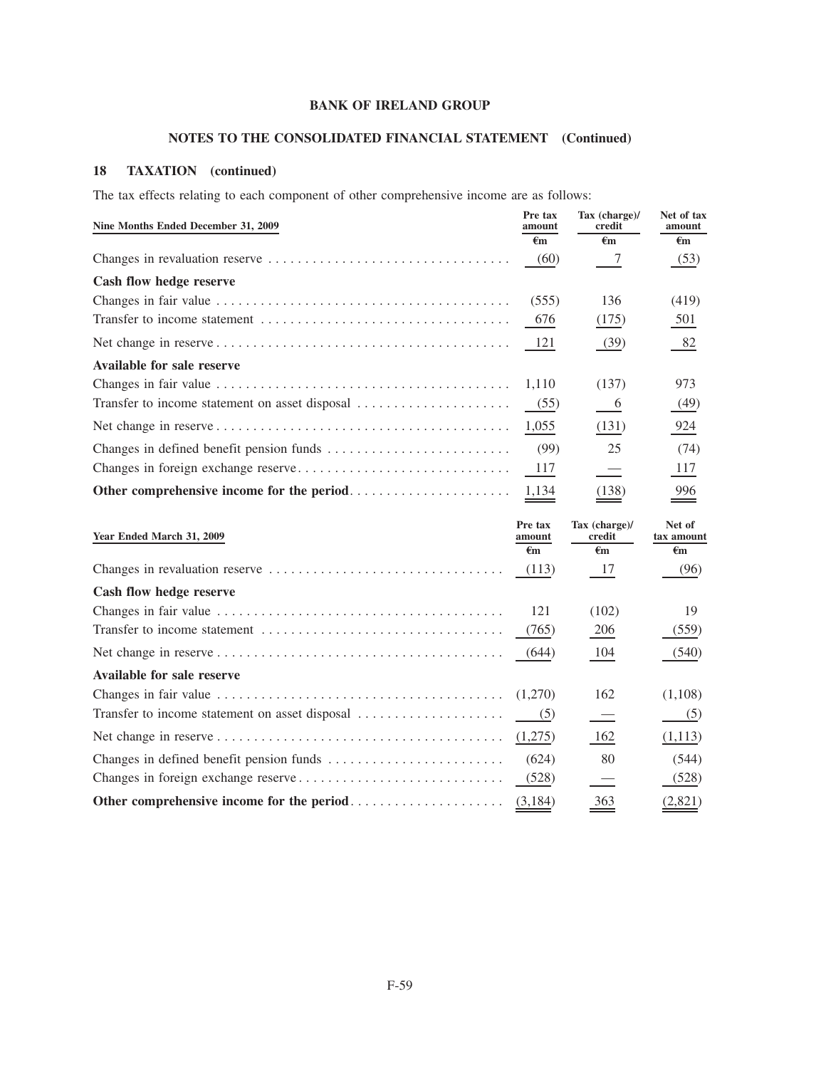# **NOTES TO THE CONSOLIDATED FINANCIAL STATEMENT (Continued)**

## **18 TAXATION (continued)**

The tax effects relating to each component of other comprehensive income are as follows:

| Nine Months Ended December 31, 2009 | Pre tax<br>amount | Tax (charge)/<br>credit | Net of tax<br>amount |
|-------------------------------------|-------------------|-------------------------|----------------------|
|                                     | $\epsilon$ m      | €m                      | €m                   |
|                                     | (60)              |                         | (53)                 |
| Cash flow hedge reserve             |                   |                         |                      |
|                                     | (555)             | 136                     | (419)                |
|                                     | 676               | (175)                   | 501                  |
|                                     |                   | (39)                    | 82                   |
| Available for sale reserve          |                   |                         |                      |
|                                     | 1.110             | (137)                   | 973                  |
|                                     | (55)              | $-6$                    | (49)                 |
|                                     | 1,055             | (131)                   | 924                  |
|                                     | (99)              | 25                      | (74)                 |
|                                     | 117               |                         | 117                  |
|                                     |                   | (138)                   | 996                  |

| Year Ended March 31, 2009                                                                  | Pre tax<br>amount | Tax (charge)/<br>credit  | Net of<br>tax amount |
|--------------------------------------------------------------------------------------------|-------------------|--------------------------|----------------------|
|                                                                                            | €m                | $\epsilon$ m             | $\epsilon_{\rm m}$   |
|                                                                                            | (113)             | 17                       | (96)                 |
| Cash flow hedge reserve                                                                    |                   |                          |                      |
|                                                                                            | 121               | (102)                    | 19                   |
| Transfer to income statement $\dots \dots \dots \dots \dots \dots \dots \dots \dots$ (765) |                   | 206                      | (559)                |
|                                                                                            | (644)             | 104                      | (540)                |
| Available for sale reserve                                                                 |                   |                          |                      |
|                                                                                            |                   | 162                      | (1,108)              |
|                                                                                            |                   | $\overline{\phantom{0}}$ | (5)                  |
|                                                                                            | (1,275)           | 162                      | (1,113)              |
|                                                                                            | (624)             | 80                       | (544)                |
|                                                                                            | (528)             |                          | (528)                |
|                                                                                            |                   | 363                      | (2,821)              |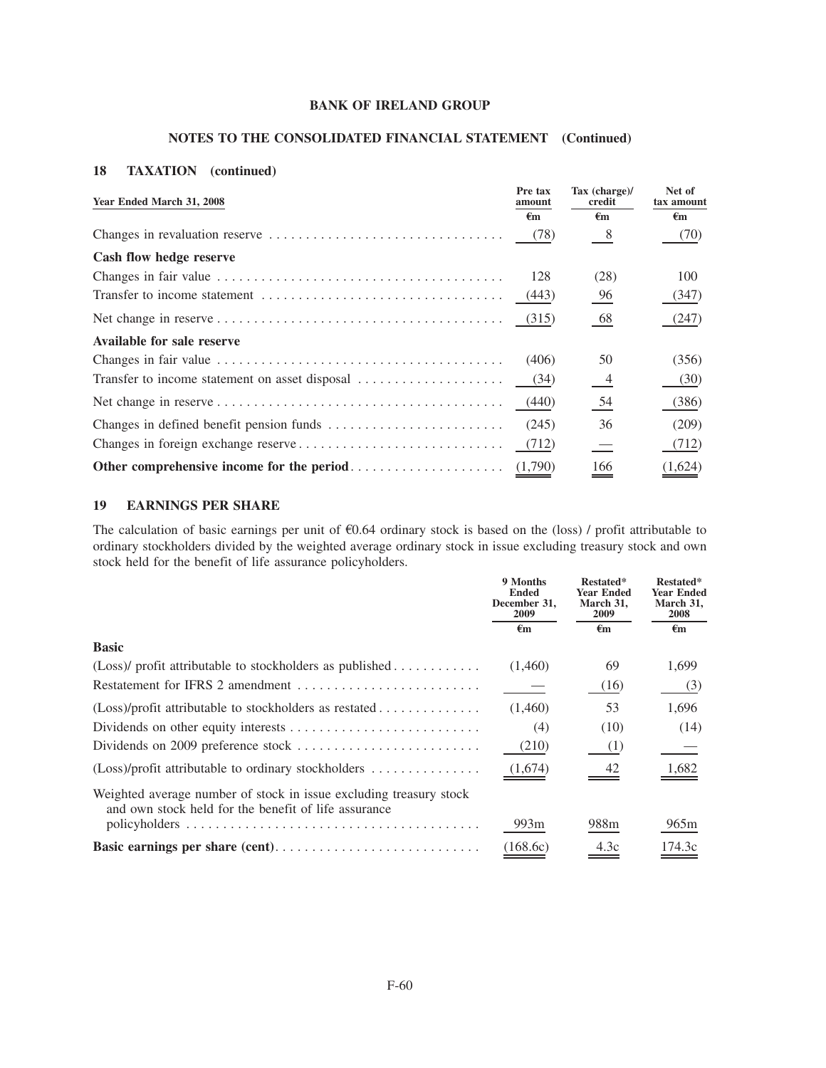## **NOTES TO THE CONSOLIDATED FINANCIAL STATEMENT (Continued)**

## **18 TAXATION (continued)**

| Year Ended March 31, 2008                      | Pre tax<br>amount<br>€m | Tax (charge)/<br>credit<br>€m | Net of<br>tax amount<br>€m |
|------------------------------------------------|-------------------------|-------------------------------|----------------------------|
|                                                | (78)                    | 8 <sup>8</sup>                | (70)                       |
| Cash flow hedge reserve                        |                         |                               |                            |
|                                                | 128                     | (28)                          | 100                        |
|                                                |                         | 96                            | (347)                      |
|                                                | (315)                   | 68                            | (247)                      |
| Available for sale reserve                     |                         |                               |                            |
|                                                | (406)                   | 50                            | (356)                      |
| Transfer to income statement on asset disposal | (34)                    | $\frac{4}{1}$                 | (30)                       |
|                                                | (440)                   | $\underline{54}$              | (386)                      |
|                                                | (245)                   | 36                            | (209)                      |
|                                                | (712)                   | $\overline{\phantom{a}}$      | (712)                      |
|                                                |                         | 166                           | (1,624)                    |

## **19 EARNINGS PER SHARE**

The calculation of basic earnings per unit of  $60.64$  ordinary stock is based on the (loss) / profit attributable to ordinary stockholders divided by the weighted average ordinary stock in issue excluding treasury stock and own stock held for the benefit of life assurance policyholders.

|                                                                                                                            | 9 Months<br><b>Ended</b><br>December 31,<br>2009 | Restated*<br><b>Year Ended</b><br>March 31,<br>2009 | Restated*<br>Year Ended<br>March 31,<br>2008 |
|----------------------------------------------------------------------------------------------------------------------------|--------------------------------------------------|-----------------------------------------------------|----------------------------------------------|
|                                                                                                                            | €m                                               | €m                                                  | $\epsilon_{\rm m}$                           |
| <b>Basic</b>                                                                                                               |                                                  |                                                     |                                              |
| (Loss)/ profit attributable to stockholders as published                                                                   | (1,460)                                          | 69                                                  | 1,699                                        |
|                                                                                                                            |                                                  | (16)                                                | (3)                                          |
|                                                                                                                            | (1,460)                                          | 53                                                  | 1,696                                        |
|                                                                                                                            | (4)                                              | (10)                                                | (14)                                         |
|                                                                                                                            | (210)                                            | (1)                                                 |                                              |
| (Loss)/profit attributable to ordinary stockholders                                                                        | (1,674)                                          | 42                                                  | <u>1,682</u>                                 |
| Weighted average number of stock in issue excluding treasury stock<br>and own stock held for the benefit of life assurance |                                                  |                                                     |                                              |
|                                                                                                                            | 993 <sub>m</sub>                                 | 988 <sub>m</sub>                                    | 965m                                         |
|                                                                                                                            | (168.6c)                                         | 4.3c                                                | 174.3c                                       |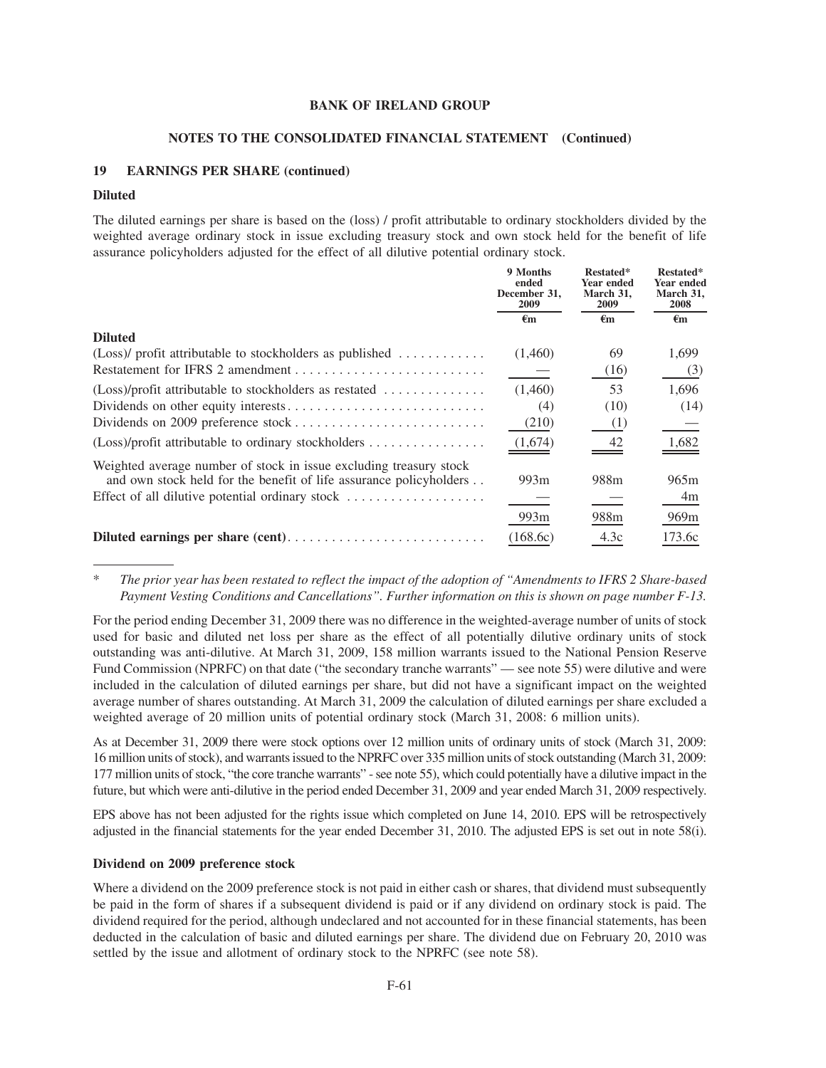#### **NOTES TO THE CONSOLIDATED FINANCIAL STATEMENT (Continued)**

## **19 EARNINGS PER SHARE (continued)**

#### **Diluted**

The diluted earnings per share is based on the (loss) / profit attributable to ordinary stockholders divided by the weighted average ordinary stock in issue excluding treasury stock and own stock held for the benefit of life assurance policyholders adjusted for the effect of all dilutive potential ordinary stock.

|                                                                    | 9 Months<br>ended<br>December 31,<br>2009 | Restated*<br>Year ended<br>March 31,<br>2009 | Restated*<br>Year ended<br>March 31,<br><b>2008</b> |
|--------------------------------------------------------------------|-------------------------------------------|----------------------------------------------|-----------------------------------------------------|
|                                                                    | $\epsilon_{\rm m}$                        | $\epsilon_{\rm m}$                           | $\epsilon_{\rm m}$                                  |
| <b>Diluted</b>                                                     |                                           |                                              |                                                     |
| (Loss)/ profit attributable to stockholders as published           | (1,460)                                   | 69                                           | 1,699                                               |
|                                                                    |                                           | (16)                                         | (3)                                                 |
| (Loss)/profit attributable to stockholders as restated             | (1,460)                                   | 53                                           | 1,696                                               |
|                                                                    | (4)                                       | (10)                                         | (14)                                                |
|                                                                    | (210)                                     | (1)                                          |                                                     |
| (Loss)/profit attributable to ordinary stockholders                | (1,674)                                   | 42                                           | 1,682                                               |
| Weighted average number of stock in issue excluding treasury stock |                                           |                                              |                                                     |
| and own stock held for the benefit of life assurance policyholders | 993m                                      | 988 <sub>m</sub>                             | 965m                                                |
| Effect of all dilutive potential ordinary stock                    |                                           |                                              | 4m                                                  |
|                                                                    | 993m                                      | 988m                                         | 969 <sub>m</sub>                                    |
|                                                                    | (168.6c)                                  | 4.3c                                         | 173.6c                                              |

\* *The prior year has been restated to reflect the impact of the adoption of "Amendments to IFRS 2 Share-based Payment Vesting Conditions and Cancellations". Further information on this is shown on page number F-13.*

For the period ending December 31, 2009 there was no difference in the weighted-average number of units of stock used for basic and diluted net loss per share as the effect of all potentially dilutive ordinary units of stock outstanding was anti-dilutive. At March 31, 2009, 158 million warrants issued to the National Pension Reserve Fund Commission (NPRFC) on that date ("the secondary tranche warrants" — see note 55) were dilutive and were included in the calculation of diluted earnings per share, but did not have a significant impact on the weighted average number of shares outstanding. At March 31, 2009 the calculation of diluted earnings per share excluded a weighted average of 20 million units of potential ordinary stock (March 31, 2008: 6 million units).

As at December 31, 2009 there were stock options over 12 million units of ordinary units of stock (March 31, 2009: 16 million units of stock), and warrants issued to the NPRFC over 335 million units of stock outstanding (March 31, 2009: 177 million units of stock, "the core tranche warrants" - see note 55), which could potentially have a dilutive impact in the future, but which were anti-dilutive in the period ended December 31, 2009 and year ended March 31, 2009 respectively.

EPS above has not been adjusted for the rights issue which completed on June 14, 2010. EPS will be retrospectively adjusted in the financial statements for the year ended December 31, 2010. The adjusted EPS is set out in note 58(i).

#### **Dividend on 2009 preference stock**

Where a dividend on the 2009 preference stock is not paid in either cash or shares, that dividend must subsequently be paid in the form of shares if a subsequent dividend is paid or if any dividend on ordinary stock is paid. The dividend required for the period, although undeclared and not accounted for in these financial statements, has been deducted in the calculation of basic and diluted earnings per share. The dividend due on February 20, 2010 was settled by the issue and allotment of ordinary stock to the NPRFC (see note 58).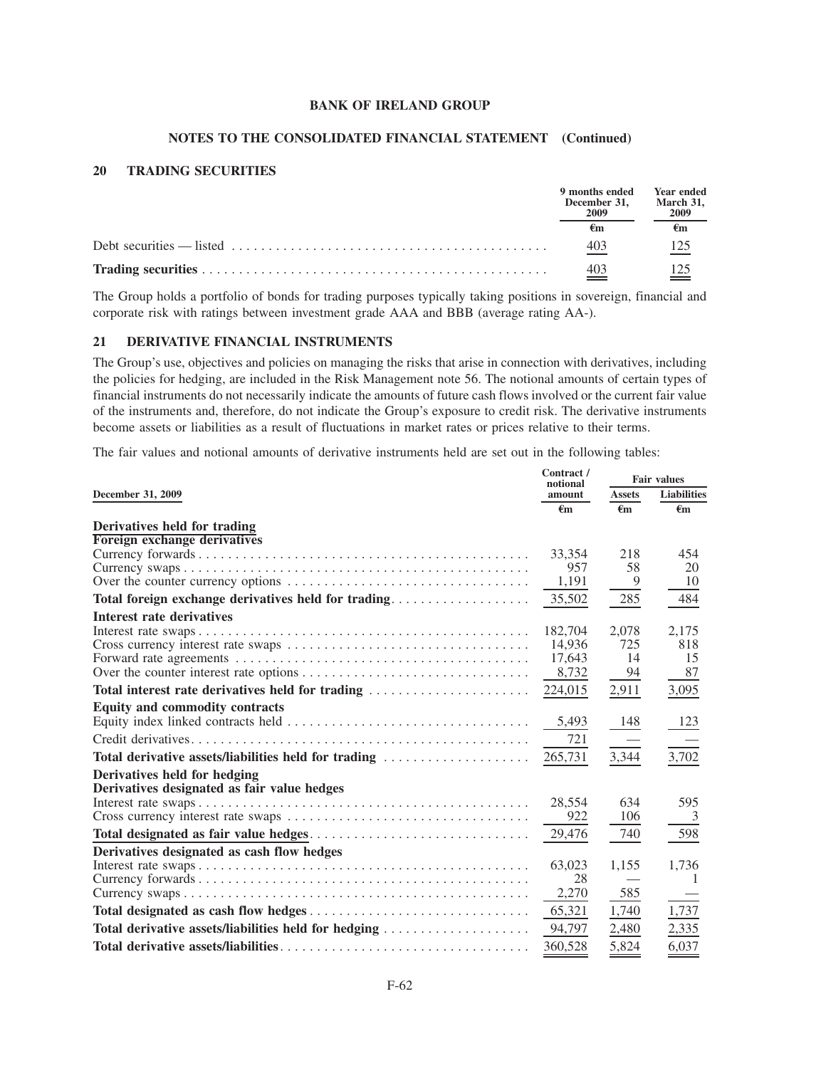#### **NOTES TO THE CONSOLIDATED FINANCIAL STATEMENT (Continued)**

### **20 TRADING SECURITIES**

|                                                                                                                            | 9 months ended<br>December 31.<br>2009 | <b>Year ended</b><br>March 31,<br>2009 |
|----------------------------------------------------------------------------------------------------------------------------|----------------------------------------|----------------------------------------|
|                                                                                                                            |                                        |                                        |
| Debt securities — listed $\dots \dots \dots \dots \dots \dots \dots \dots \dots \dots \dots \dots \dots \dots \dots \dots$ | 403                                    | 125                                    |
|                                                                                                                            | 403                                    |                                        |

The Group holds a portfolio of bonds for trading purposes typically taking positions in sovereign, financial and corporate risk with ratings between investment grade AAA and BBB (average rating AA-).

#### **21 DERIVATIVE FINANCIAL INSTRUMENTS**

The Group's use, objectives and policies on managing the risks that arise in connection with derivatives, including the policies for hedging, are included in the Risk Management note 56. The notional amounts of certain types of financial instruments do not necessarily indicate the amounts of future cash flows involved or the current fair value of the instruments and, therefore, do not indicate the Group's exposure to credit risk. The derivative instruments become assets or liabilities as a result of fluctuations in market rates or prices relative to their terms.

The fair values and notional amounts of derivative instruments held are set out in the following tables:

|                                                      |                    |               | <b>Fair values</b> |  |
|------------------------------------------------------|--------------------|---------------|--------------------|--|
| December 31, 2009                                    | notional<br>amount | <b>Assets</b> | <b>Liabilities</b> |  |
|                                                      | $\epsilon$ m       | $\epsilon$ m  | $\epsilon$ m       |  |
| Derivatives held for trading                         |                    |               |                    |  |
| Foreign exchange derivatives                         |                    |               |                    |  |
|                                                      | 33,354             | 218           | 454                |  |
|                                                      | 957                | 58            | 20                 |  |
|                                                      | 1,191              | 9             | 10                 |  |
| Total foreign exchange derivatives held for trading  | 35,502             | 285           | 484                |  |
| Interest rate derivatives                            |                    |               |                    |  |
|                                                      | 182,704            | 2,078         | 2,175              |  |
|                                                      | 14.936             | 725           | 818                |  |
|                                                      | 17,643             | 14            | 15                 |  |
|                                                      | 8,732              | 94            | 87                 |  |
| Total interest rate derivatives held for trading     | 224,015            | 2,911         | 3,095              |  |
| <b>Equity and commodity contracts</b>                |                    |               |                    |  |
|                                                      | 5,493              | 148           | 123                |  |
|                                                      | 721                |               |                    |  |
| Total derivative assets/liabilities held for trading | 265,731            | 3,344         | 3,702              |  |
| Derivatives held for hedging                         |                    |               |                    |  |
| Derivatives designated as fair value hedges          |                    |               |                    |  |
|                                                      | 28,554             | 634           | 595                |  |
|                                                      | 922                | 106           | 3                  |  |
|                                                      | 29,476             | 740           | 598                |  |
| Derivatives designated as cash flow hedges           |                    |               |                    |  |
|                                                      | 63,023             | 1,155         | 1,736              |  |
|                                                      | 28                 |               |                    |  |
|                                                      | 2,270              | 585           |                    |  |
|                                                      | 65,321             | 1,740         | 1,737              |  |
| Total derivative assets/liabilities held for hedging | 94,797             | 2,480         | 2,335              |  |
|                                                      | 360.528            | 5,824         | 6,037              |  |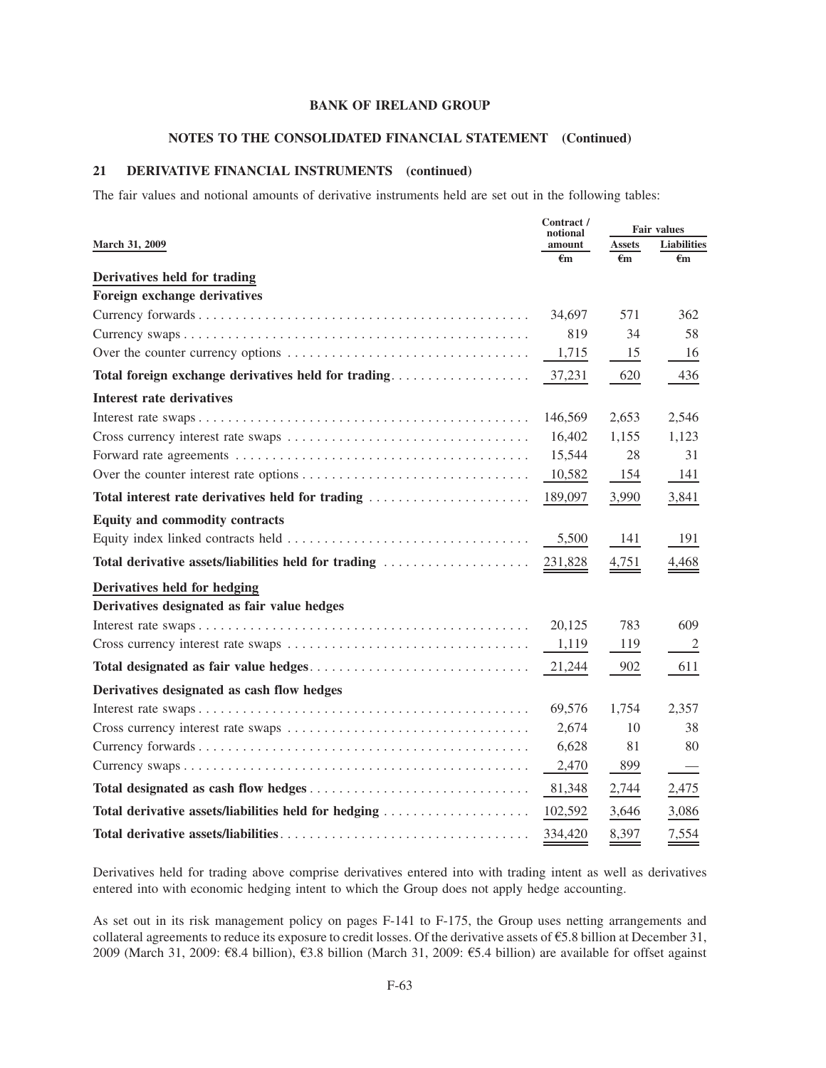## **NOTES TO THE CONSOLIDATED FINANCIAL STATEMENT (Continued)**

## **21 DERIVATIVE FINANCIAL INSTRUMENTS (continued)**

The fair values and notional amounts of derivative instruments held are set out in the following tables:

|                                                      |                    | <b>Fair values</b> |                                |
|------------------------------------------------------|--------------------|--------------------|--------------------------------|
| <b>March 31, 2009</b>                                | notional<br>amount | <b>Assets</b>      | Liabilities                    |
|                                                      | €m                 | €m                 | $\epsilon$ m                   |
| Derivatives held for trading                         |                    |                    |                                |
| Foreign exchange derivatives                         |                    |                    |                                |
|                                                      | 34,697             | 571                | 362                            |
|                                                      | 819                | 34                 | 58                             |
|                                                      | 1,715              | 15                 | 16                             |
|                                                      | 37,231             | 620                | 436                            |
| <b>Interest rate derivatives</b>                     |                    |                    |                                |
|                                                      | 146,569            | 2,653              | 2,546                          |
|                                                      | 16,402             | 1,155              | 1,123                          |
|                                                      | 15,544             | 28                 | 31                             |
|                                                      | 10,582             | 154                | 141                            |
| Total interest rate derivatives held for trading     | 189,097            | 3,990              | 3,841                          |
| <b>Equity and commodity contracts</b>                |                    |                    |                                |
|                                                      | 5,500              | 141                | 191                            |
| Total derivative assets/liabilities held for trading | 231,828            | 4,751              | 4,468                          |
| Derivatives held for hedging                         |                    |                    |                                |
| Derivatives designated as fair value hedges          |                    |                    |                                |
|                                                      | 20,125             | 783                | 609                            |
|                                                      | 1,119              | 119                | 2                              |
|                                                      | 21,244             | 902                | 611                            |
| Derivatives designated as cash flow hedges           |                    |                    |                                |
|                                                      | 69,576             | 1,754              | 2,357                          |
|                                                      | 2,674              | 10                 | 38                             |
|                                                      | 6,628              | 81                 | 80                             |
|                                                      | 2,470              | 899                | $\overbrace{\phantom{123331}}$ |
|                                                      | 81,348             | 2,744              | 2,475                          |
| Total derivative assets/liabilities held for hedging | 102,592            | 3,646              | 3,086                          |
|                                                      | 334,420            | 8,397              | 7,554                          |

Derivatives held for trading above comprise derivatives entered into with trading intent as well as derivatives entered into with economic hedging intent to which the Group does not apply hedge accounting.

As set out in its risk management policy on pages F-141 to F-175, the Group uses netting arrangements and collateral agreements to reduce its exposure to credit losses. Of the derivative assets of  $\epsilon$ 5.8 billion at December 31, 2009 (March 31, 2009:  $\mathcal{R}8.4$  billion),  $\mathcal{R}3.8$  billion (March 31, 2009:  $\mathcal{L}5.4$  billion) are available for offset against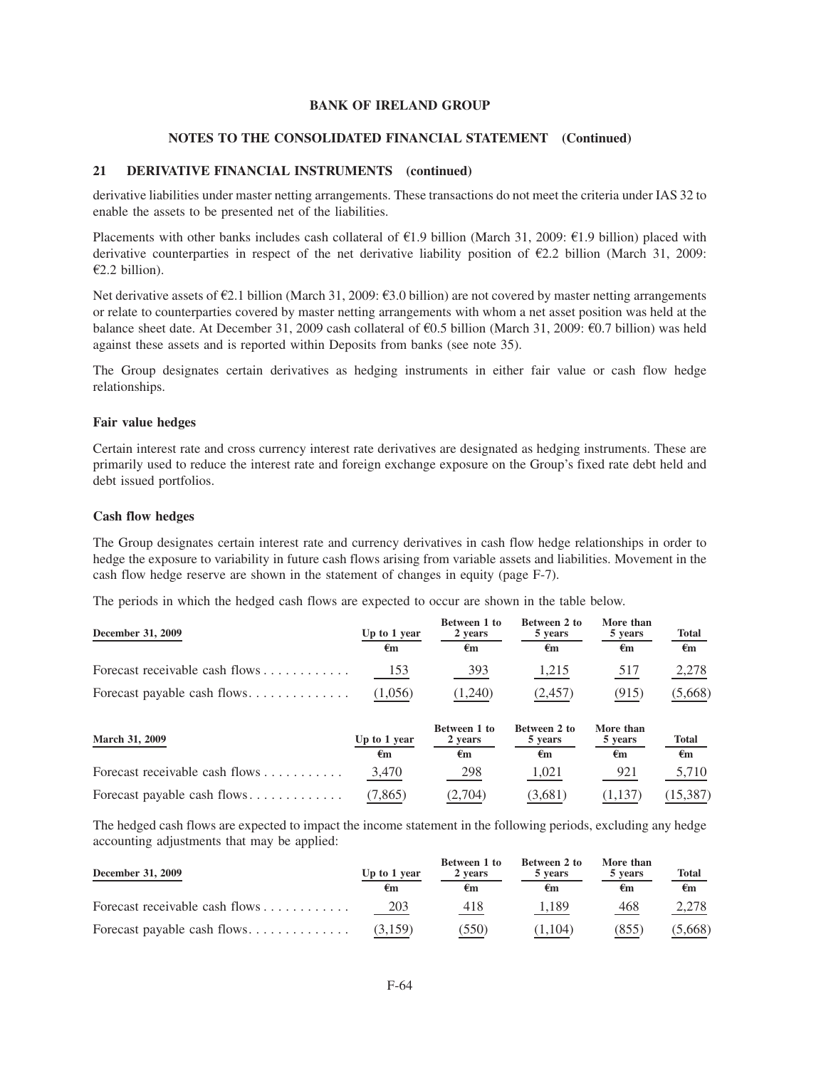#### **NOTES TO THE CONSOLIDATED FINANCIAL STATEMENT (Continued)**

### **21 DERIVATIVE FINANCIAL INSTRUMENTS (continued)**

derivative liabilities under master netting arrangements. These transactions do not meet the criteria under IAS 32 to enable the assets to be presented net of the liabilities.

Placements with other banks includes cash collateral of  $E1.9$  billion (March 31, 2009:  $E1.9$  billion) placed with derivative counterparties in respect of the net derivative liability position of  $\epsilon$ 2.2 billion (March 31, 2009:  $£2.2$  billion).

Net derivative assets of  $\epsilon$ 2.1 billion (March 31, 2009:  $\epsilon$ 3.0 billion) are not covered by master netting arrangements or relate to counterparties covered by master netting arrangements with whom a net asset position was held at the balance sheet date. At December 31, 2009 cash collateral of  $\epsilon$ 0.5 billion (March 31, 2009:  $\epsilon$ 0.7 billion) was held against these assets and is reported within Deposits from banks (see note 35).

The Group designates certain derivatives as hedging instruments in either fair value or cash flow hedge relationships.

#### **Fair value hedges**

Certain interest rate and cross currency interest rate derivatives are designated as hedging instruments. These are primarily used to reduce the interest rate and foreign exchange exposure on the Group's fixed rate debt held and debt issued portfolios.

#### **Cash flow hedges**

The Group designates certain interest rate and currency derivatives in cash flow hedge relationships in order to hedge the exposure to variability in future cash flows arising from variable assets and liabilities. Movement in the cash flow hedge reserve are shown in the statement of changes in equity (page F-7).

The periods in which the hedged cash flows are expected to occur are shown in the table below.

| December 31, 2009              | Up to 1 year<br>€m | Between 1 to<br>2 years<br>€m | Between 2 to<br>5 years<br>€m | More than<br>5 years<br>€m | <b>Total</b><br>€m |
|--------------------------------|--------------------|-------------------------------|-------------------------------|----------------------------|--------------------|
| Forecast receivable cash flows | 153                | 393                           | 1,215                         | 517                        | 2,278              |
| Forecast payable cash flows    | (1,056)            | 1,240)                        | (2,457)                       | (915)                      | (5,668)            |

| <b>March 31, 2009</b>          | Up to 1 year<br>€m | Between 1 to<br>2 years<br>€m | Between 2 to<br>5 years<br>€m | More than<br>5 years<br>€m | <b>Total</b><br>€m |
|--------------------------------|--------------------|-------------------------------|-------------------------------|----------------------------|--------------------|
| Forecast receivable cash flows | 3.470              | 298                           | 1.021                         | 921                        | 5,710              |
|                                | (7, 865)           | (2.704)                       | (3.681)                       | (1,137)                    | (15, 387)          |

The hedged cash flows are expected to impact the income statement in the following periods, excluding any hedge accounting adjustments that may be applied:

| December 31, 2009                                  | Up to 1 year<br>ŧm | Between 1 to<br>2 years<br>€m | Between 2 to<br>5 years<br>€m | More than<br>5 years<br>€m | <u>Total</u><br>€m |
|----------------------------------------------------|--------------------|-------------------------------|-------------------------------|----------------------------|--------------------|
| Forecast receivable cash flows $\dots \dots \dots$ | 203                | 418                           | 1,189                         | 468                        | 2,278              |
| Forecast payable cash flows                        | (3.159)            | (550)                         | (1.104)                       | (855)                      | (5,668)            |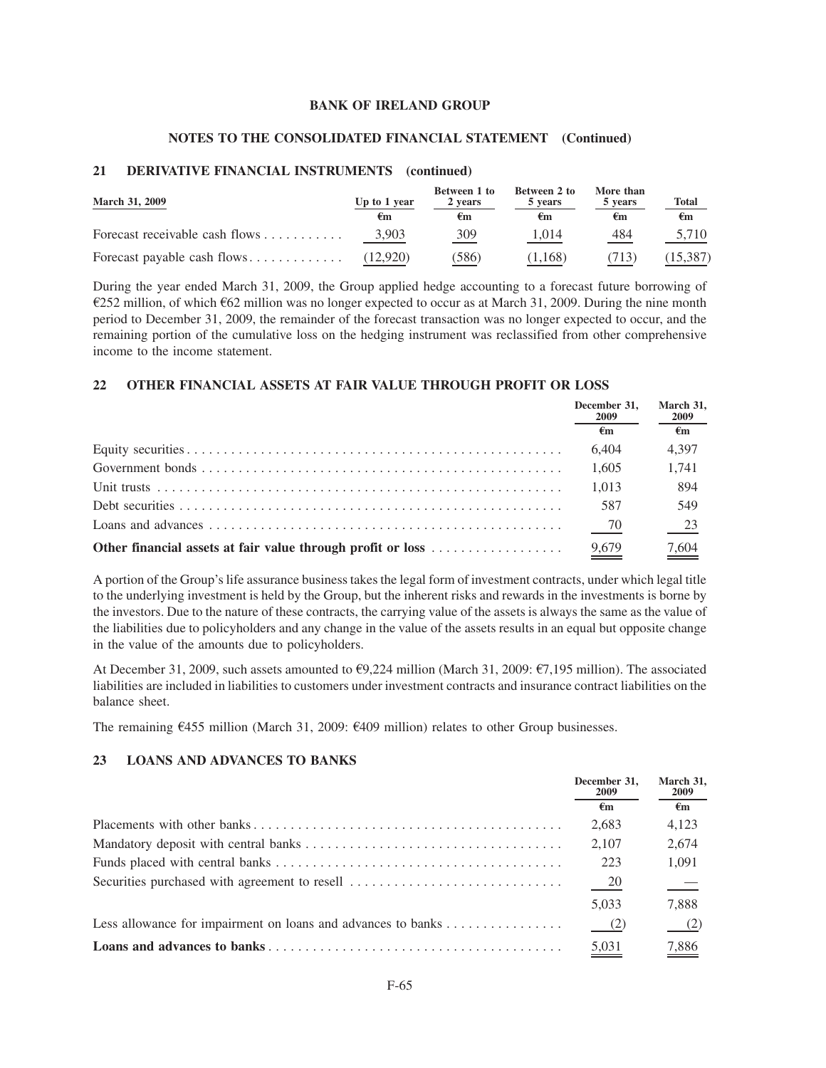### **NOTES TO THE CONSOLIDATED FINANCIAL STATEMENT (Continued)**

## **21 DERIVATIVE FINANCIAL INSTRUMENTS (continued)**

| <b>March 31, 2009</b>                              | Up to 1 year | Between 1 to<br>2 years | Between 2 to<br>5 years | More than<br>5 years | <b>Total</b> |
|----------------------------------------------------|--------------|-------------------------|-------------------------|----------------------|--------------|
|                                                    | €m           | ŧm                      | €m                      | €m                   | €m           |
| Forecast receivable cash flows $\dots \dots \dots$ | 3,903        | 309                     | 1.014                   | 484                  | 5,710        |
| Forecast payable cash flows                        | (12.920)     | 586)                    | (1.168)                 | 713)                 | (15, 387)    |

During the year ended March 31, 2009, the Group applied hedge accounting to a forecast future borrowing of  $\epsilon$ 252 million, of which  $\epsilon$ 62 million was no longer expected to occur as at March 31, 2009. During the nine month period to December 31, 2009, the remainder of the forecast transaction was no longer expected to occur, and the remaining portion of the cumulative loss on the hedging instrument was reclassified from other comprehensive income to the income statement.

## **22 OTHER FINANCIAL ASSETS AT FAIR VALUE THROUGH PROFIT OR LOSS**

|                                                             | December 31,<br>2009 | March 31.<br>2009 |
|-------------------------------------------------------------|----------------------|-------------------|
|                                                             | €m                   | €m                |
|                                                             | 6.404                | 4.397             |
|                                                             | 1.605                | 1.741             |
|                                                             | 1.013                | 894               |
|                                                             | 587                  | 549               |
|                                                             | 70                   | $\frac{23}{2}$    |
| Other financial assets at fair value through profit or loss | 9.679                | 7.604             |

A portion of the Group's life assurance business takes the legal form of investment contracts, under which legal title to the underlying investment is held by the Group, but the inherent risks and rewards in the investments is borne by the investors. Due to the nature of these contracts, the carrying value of the assets is always the same as the value of the liabilities due to policyholders and any change in the value of the assets results in an equal but opposite change in the value of the amounts due to policyholders.

At December 31, 2009, such assets amounted to  $\epsilon$ 9,224 million (March 31, 2009:  $\epsilon$ 7,195 million). The associated liabilities are included in liabilities to customers under investment contracts and insurance contract liabilities on the balance sheet.

The remaining  $\epsilon$ 455 million (March 31, 2009:  $\epsilon$ 409 million) relates to other Group businesses.

### **23 LOANS AND ADVANCES TO BANKS**

|                                                                                        | December 31.<br>2009 | March 31,<br><b>2009</b> |
|----------------------------------------------------------------------------------------|----------------------|--------------------------|
|                                                                                        | €m                   | $\epsilon_{\rm m}$       |
|                                                                                        | 2,683                | 4,123                    |
|                                                                                        | 2,107                | 2,674                    |
|                                                                                        | 223                  | 1,091                    |
|                                                                                        | 20                   | $\frac{1}{1}$            |
|                                                                                        | 5,033                | 7,888                    |
| Less allowance for impairment on loans and advances to banks $\dots \dots \dots \dots$ | $^{(2)}$             |                          |
|                                                                                        | $\frac{5,031}{2}$    | $\frac{7,886}{ }$        |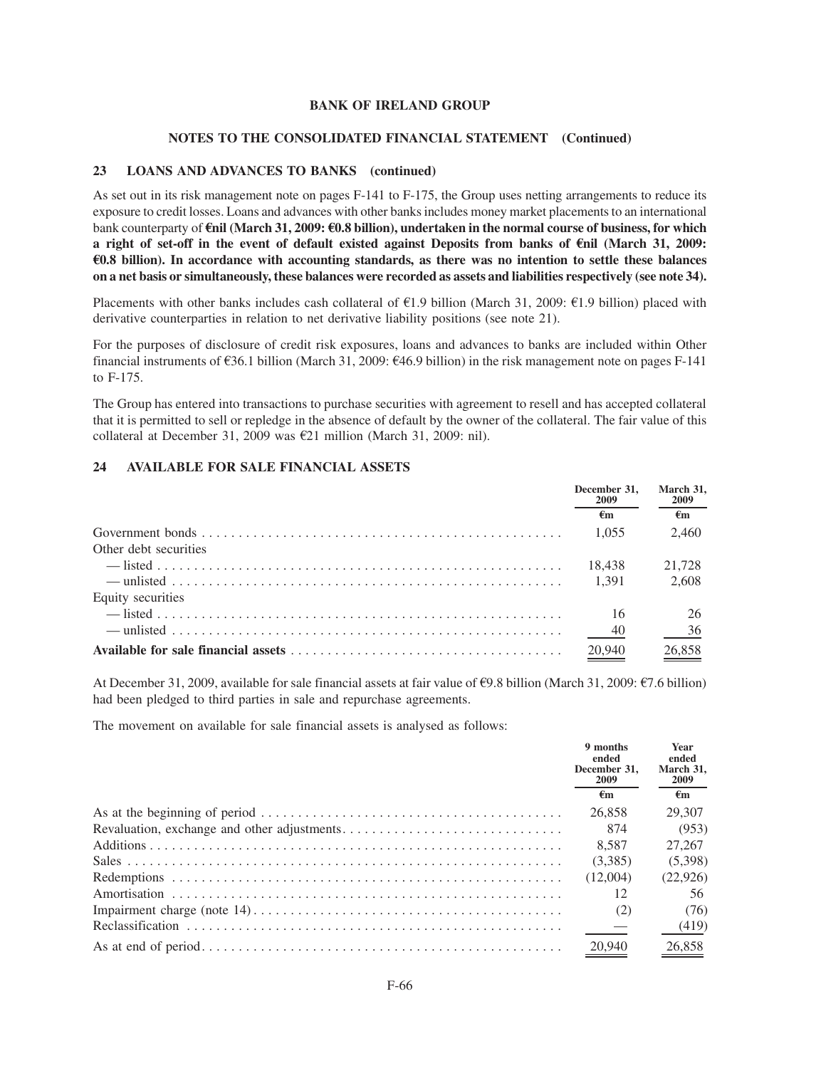#### **NOTES TO THE CONSOLIDATED FINANCIAL STATEMENT (Continued)**

### **23 LOANS AND ADVANCES TO BANKS (continued)**

As set out in its risk management note on pages F-141 to F-175, the Group uses netting arrangements to reduce its exposure to credit losses. Loans and advances with other banks includes money market placements to an international bank counterparty of E**nil (March 31, 2009:** E**0.8 billion), undertaken in the normal course of business, for which a right of set-off in the event of default existed against Deposits from banks of** E**nil (March 31, 2009:** E**0.8 billion). In accordance with accounting standards, as there was no intention to settle these balances on a net basis or simultaneously, these balances were recorded as assets and liabilities respectively (see note 34).**

Placements with other banks includes cash collateral of  $\epsilon$ 1.9 billion (March 31, 2009:  $\epsilon$ 1.9 billion) placed with derivative counterparties in relation to net derivative liability positions (see note 21).

For the purposes of disclosure of credit risk exposures, loans and advances to banks are included within Other financial instruments of  $\epsilon$ 36.1 billion (March 31, 2009:  $\epsilon$ 46.9 billion) in the risk management note on pages F-141 to F-175.

The Group has entered into transactions to purchase securities with agreement to resell and has accepted collateral that it is permitted to sell or repledge in the absence of default by the owner of the collateral. The fair value of this collateral at December 31, 2009 was  $E21$  million (March 31, 2009: nil).

## **24 AVAILABLE FOR SALE FINANCIAL ASSETS**

|                       | December 31.<br>2009 | March 31,<br>2009 |
|-----------------------|----------------------|-------------------|
|                       | €m                   | €m                |
|                       | 1.055                | 2.460             |
| Other debt securities |                      |                   |
|                       | 18.438               | 21.728            |
|                       | 1.391                | 2.608             |
| Equity securities     |                      |                   |
|                       | 16                   | 26                |
|                       | $-40$                | 36                |
|                       | 20,940               | 26.858            |

At December 31, 2009, available for sale financial assets at fair value of  $\epsilon$ 9.8 billion (March 31, 2009:  $\epsilon$ 7.6 billion) had been pledged to third parties in sale and repurchase agreements.

The movement on available for sale financial assets is analysed as follows:

| 9 months<br>ended<br>December 31.<br>2009 | Year<br>ended<br>March 31.<br><b>2009</b> |
|-------------------------------------------|-------------------------------------------|
| €m                                        | €m                                        |
| 26.858                                    | 29.307                                    |
| 874                                       | (953)                                     |
| 8.587                                     | 27,267                                    |
| (3.385)                                   | (5,398)                                   |
| (12.004)                                  | (22,926)                                  |
| 12                                        | 56                                        |
| (2)                                       | (76)                                      |
|                                           | (419)                                     |
| 20,940                                    | 26,858                                    |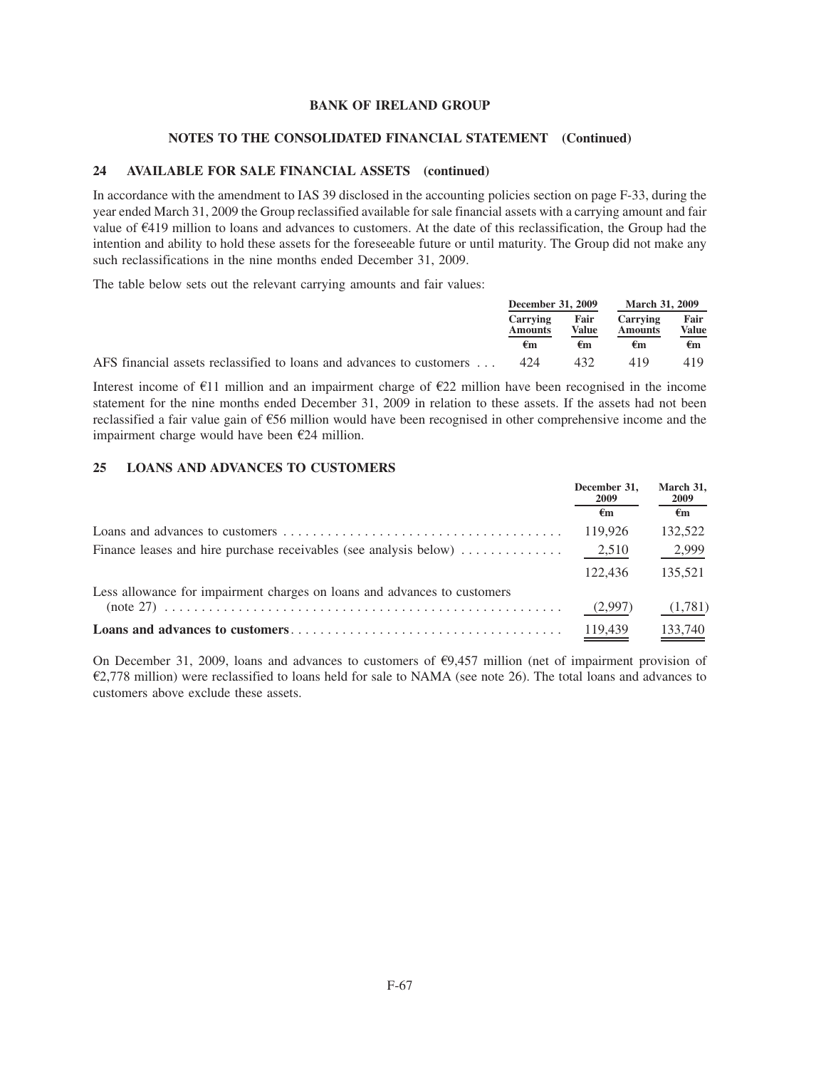#### **NOTES TO THE CONSOLIDATED FINANCIAL STATEMENT (Continued)**

## **24 AVAILABLE FOR SALE FINANCIAL ASSETS (continued)**

In accordance with the amendment to IAS 39 disclosed in the accounting policies section on page F-33, during the year ended March 31, 2009 the Group reclassified available for sale financial assets with a carrying amount and fair value of  $E$ 419 million to loans and advances to customers. At the date of this reclassification, the Group had the intention and ability to hold these assets for the foreseeable future or until maturity. The Group did not make any such reclassifications in the nine months ended December 31, 2009.

The table below sets out the relevant carrying amounts and fair values:

|                                                                              | December 31, 2009                 |               | <b>March 31, 2009</b>             |               |
|------------------------------------------------------------------------------|-----------------------------------|---------------|-----------------------------------|---------------|
|                                                                              | <b>Carrying</b><br><b>Amounts</b> | Fair<br>Value | <b>Carrying</b><br><b>Amounts</b> | Fair<br>Value |
|                                                                              | €m                                | €m            | €m                                | €m            |
| AFS financial assets reclassified to loans and advances to customers $\dots$ | 424                               | 432           | 419                               | 419           |

Interest income of  $E11$  million and an impairment charge of  $E22$  million have been recognised in the income statement for the nine months ended December 31, 2009 in relation to these assets. If the assets had not been reclassified a fair value gain of  $\epsilon$ 56 million would have been recognised in other comprehensive income and the impairment charge would have been  $E24$  million.

## **25 LOANS AND ADVANCES TO CUSTOMERS**

|                                                                                             | December 31,<br>2009 | March 31,<br><b>2009</b> |
|---------------------------------------------------------------------------------------------|----------------------|--------------------------|
|                                                                                             | €m                   | €m                       |
|                                                                                             | 119,926              | 132,522                  |
| Finance leases and hire purchase receivables (see analysis below) $\dots \dots \dots \dots$ | 2,510                | 2,999                    |
|                                                                                             | 122.436              | 135.521                  |
| Less allowance for impairment charges on loans and advances to customers                    |                      |                          |
|                                                                                             | (2,997)              | (1,781)                  |
|                                                                                             | 119,439              | 133,740                  |

On December 31, 2009, loans and advances to customers of  $\epsilon$ 9,457 million (net of impairment provision of  $E$ 2,778 million) were reclassified to loans held for sale to NAMA (see note 26). The total loans and advances to customers above exclude these assets.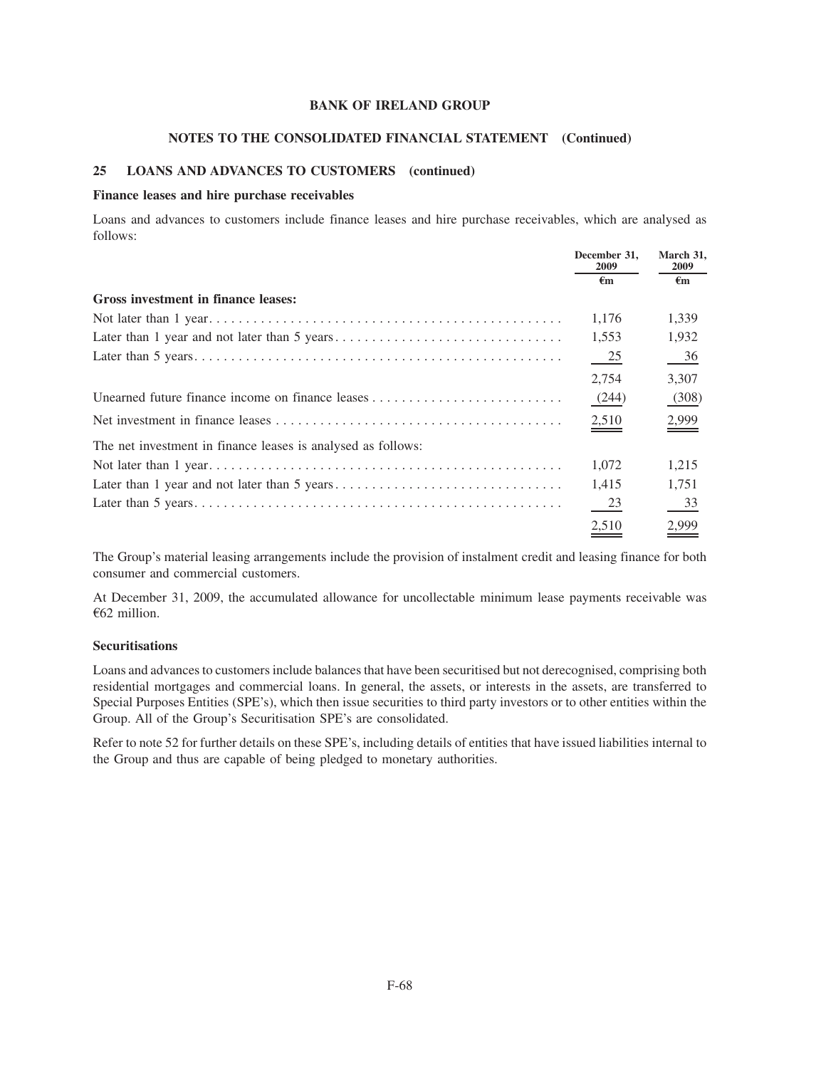#### **NOTES TO THE CONSOLIDATED FINANCIAL STATEMENT (Continued)**

## **25 LOANS AND ADVANCES TO CUSTOMERS (continued)**

#### **Finance leases and hire purchase receivables**

Loans and advances to customers include finance leases and hire purchase receivables, which are analysed as follows:

|                                                              | December 31,<br>2009 | March 31.<br><b>2009</b> |
|--------------------------------------------------------------|----------------------|--------------------------|
|                                                              | €m                   | €m                       |
| Gross investment in finance leases:                          |                      |                          |
|                                                              | 1,176                | 1,339                    |
|                                                              | 1,553                | 1,932                    |
|                                                              | $\frac{25}{2}$       | $\frac{36}{2}$           |
|                                                              | 2,754                | 3,307                    |
| Unearned future finance income on finance leases             | (244)                | (308)                    |
|                                                              | 2,510                | 2,999                    |
| The net investment in finance leases is analysed as follows: |                      |                          |
|                                                              | 1,072                | 1,215                    |
|                                                              | 1,415                | 1,751                    |
|                                                              | 23                   | 33                       |
|                                                              | 2,510                | 2,999                    |

The Group's material leasing arrangements include the provision of instalment credit and leasing finance for both consumer and commercial customers.

At December 31, 2009, the accumulated allowance for uncollectable minimum lease payments receivable was  $662$  million.

## **Securitisations**

Loans and advances to customers include balances that have been securitised but not derecognised, comprising both residential mortgages and commercial loans. In general, the assets, or interests in the assets, are transferred to Special Purposes Entities (SPE's), which then issue securities to third party investors or to other entities within the Group. All of the Group's Securitisation SPE's are consolidated.

Refer to note 52 for further details on these SPE's, including details of entities that have issued liabilities internal to the Group and thus are capable of being pledged to monetary authorities.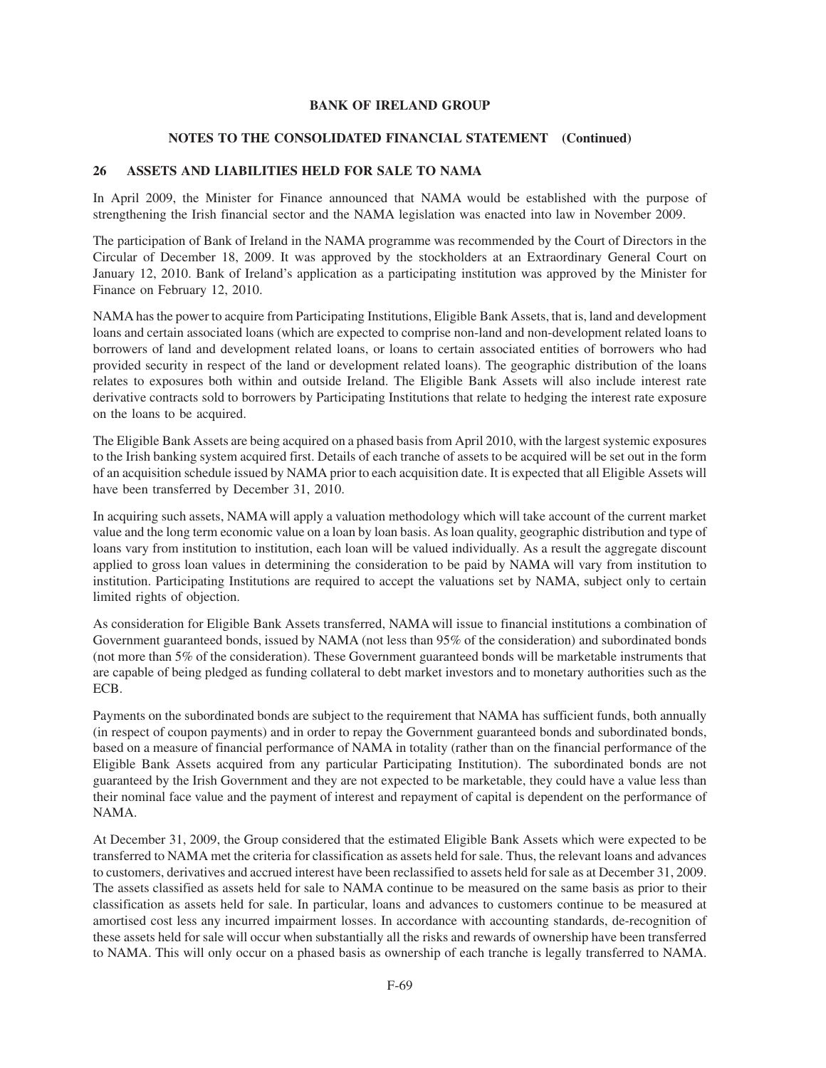#### **NOTES TO THE CONSOLIDATED FINANCIAL STATEMENT (Continued)**

## **26 ASSETS AND LIABILITIES HELD FOR SALE TO NAMA**

In April 2009, the Minister for Finance announced that NAMA would be established with the purpose of strengthening the Irish financial sector and the NAMA legislation was enacted into law in November 2009.

The participation of Bank of Ireland in the NAMA programme was recommended by the Court of Directors in the Circular of December 18, 2009. It was approved by the stockholders at an Extraordinary General Court on January 12, 2010. Bank of Ireland's application as a participating institution was approved by the Minister for Finance on February 12, 2010.

NAMA has the power to acquire from Participating Institutions, Eligible Bank Assets, that is, land and development loans and certain associated loans (which are expected to comprise non-land and non-development related loans to borrowers of land and development related loans, or loans to certain associated entities of borrowers who had provided security in respect of the land or development related loans). The geographic distribution of the loans relates to exposures both within and outside Ireland. The Eligible Bank Assets will also include interest rate derivative contracts sold to borrowers by Participating Institutions that relate to hedging the interest rate exposure on the loans to be acquired.

The Eligible Bank Assets are being acquired on a phased basis from April 2010, with the largest systemic exposures to the Irish banking system acquired first. Details of each tranche of assets to be acquired will be set out in the form of an acquisition schedule issued by NAMA prior to each acquisition date. It is expected that all Eligible Assets will have been transferred by December 31, 2010.

In acquiring such assets, NAMA will apply a valuation methodology which will take account of the current market value and the long term economic value on a loan by loan basis. As loan quality, geographic distribution and type of loans vary from institution to institution, each loan will be valued individually. As a result the aggregate discount applied to gross loan values in determining the consideration to be paid by NAMA will vary from institution to institution. Participating Institutions are required to accept the valuations set by NAMA, subject only to certain limited rights of objection.

As consideration for Eligible Bank Assets transferred, NAMA will issue to financial institutions a combination of Government guaranteed bonds, issued by NAMA (not less than 95% of the consideration) and subordinated bonds (not more than 5% of the consideration). These Government guaranteed bonds will be marketable instruments that are capable of being pledged as funding collateral to debt market investors and to monetary authorities such as the ECB.

Payments on the subordinated bonds are subject to the requirement that NAMA has sufficient funds, both annually (in respect of coupon payments) and in order to repay the Government guaranteed bonds and subordinated bonds, based on a measure of financial performance of NAMA in totality (rather than on the financial performance of the Eligible Bank Assets acquired from any particular Participating Institution). The subordinated bonds are not guaranteed by the Irish Government and they are not expected to be marketable, they could have a value less than their nominal face value and the payment of interest and repayment of capital is dependent on the performance of NAMA.

At December 31, 2009, the Group considered that the estimated Eligible Bank Assets which were expected to be transferred to NAMA met the criteria for classification as assets held for sale. Thus, the relevant loans and advances to customers, derivatives and accrued interest have been reclassified to assets held for sale as at December 31, 2009. The assets classified as assets held for sale to NAMA continue to be measured on the same basis as prior to their classification as assets held for sale. In particular, loans and advances to customers continue to be measured at amortised cost less any incurred impairment losses. In accordance with accounting standards, de-recognition of these assets held for sale will occur when substantially all the risks and rewards of ownership have been transferred to NAMA. This will only occur on a phased basis as ownership of each tranche is legally transferred to NAMA.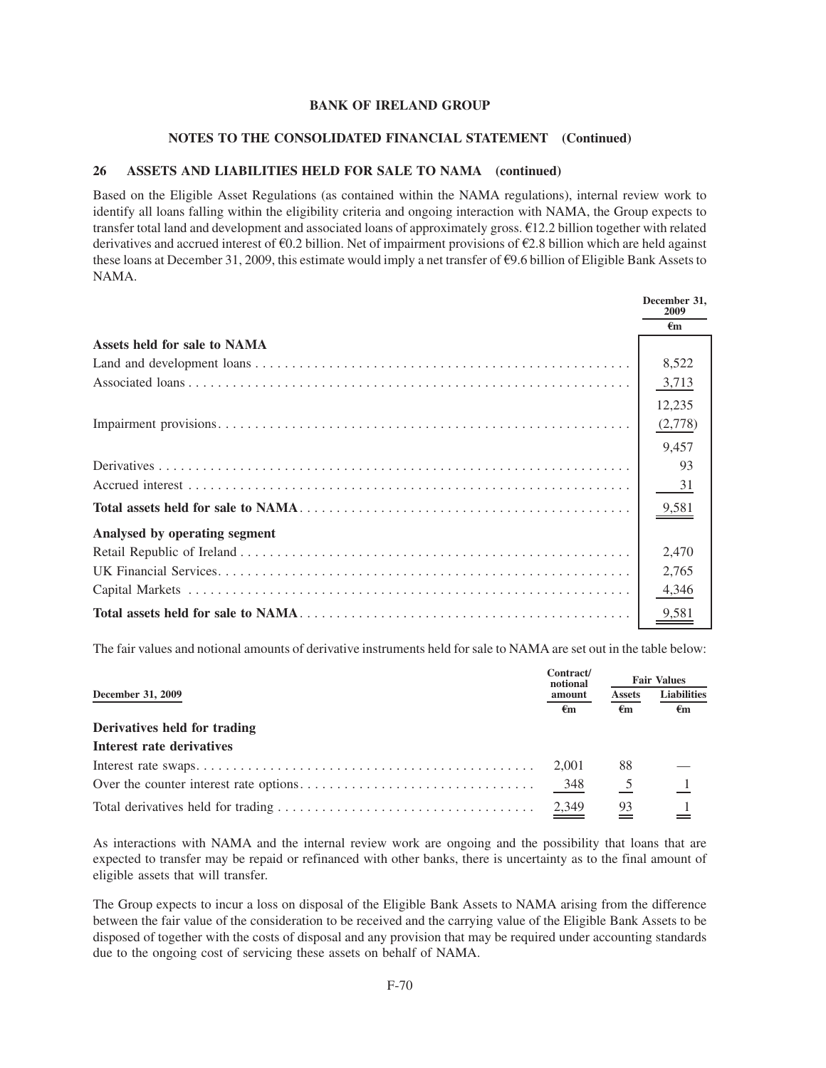#### **NOTES TO THE CONSOLIDATED FINANCIAL STATEMENT (Continued)**

### **26 ASSETS AND LIABILITIES HELD FOR SALE TO NAMA (continued)**

Based on the Eligible Asset Regulations (as contained within the NAMA regulations), internal review work to identify all loans falling within the eligibility criteria and ongoing interaction with NAMA, the Group expects to transfer total land and development and associated loans of approximately gross.  $\epsilon$ 12.2 billion together with related derivatives and accrued interest of  $60.2$  billion. Net of impairment provisions of  $62.8$  billion which are held against these loans at December 31, 2009, this estimate would imply a net transfer of  $\epsilon$ 9.6 billion of Eligible Bank Assets to NAMA.

|                               | December 31,<br>2009 |
|-------------------------------|----------------------|
|                               | €m                   |
| Assets held for sale to NAMA  |                      |
|                               | 8,522                |
|                               | 3,713                |
|                               | 12,235               |
|                               | (2,778)              |
|                               | 9,457                |
|                               | 93                   |
|                               | 31                   |
|                               | 9,581                |
| Analysed by operating segment |                      |
|                               | 2,470                |
|                               | 2,765                |
|                               | 4,346                |
|                               | 9,581                |

The fair values and notional amounts of derivative instruments held for sale to NAMA are set out in the table below:

|                                  |                    | <b>Fair Values</b> |                    |  |
|----------------------------------|--------------------|--------------------|--------------------|--|
| December 31, 2009                | notional<br>amount | <b>Assets</b>      | <b>Liabilities</b> |  |
| Derivatives held for trading     | $\epsilon$ m       | $\epsilon$ m       | €m                 |  |
| <b>Interest rate derivatives</b> |                    |                    |                    |  |
|                                  | 2.001              | 88                 |                    |  |
|                                  | 348                |                    | -1                 |  |
|                                  | $\frac{2,349}{2}$  | 93                 |                    |  |

As interactions with NAMA and the internal review work are ongoing and the possibility that loans that are expected to transfer may be repaid or refinanced with other banks, there is uncertainty as to the final amount of eligible assets that will transfer.

The Group expects to incur a loss on disposal of the Eligible Bank Assets to NAMA arising from the difference between the fair value of the consideration to be received and the carrying value of the Eligible Bank Assets to be disposed of together with the costs of disposal and any provision that may be required under accounting standards due to the ongoing cost of servicing these assets on behalf of NAMA.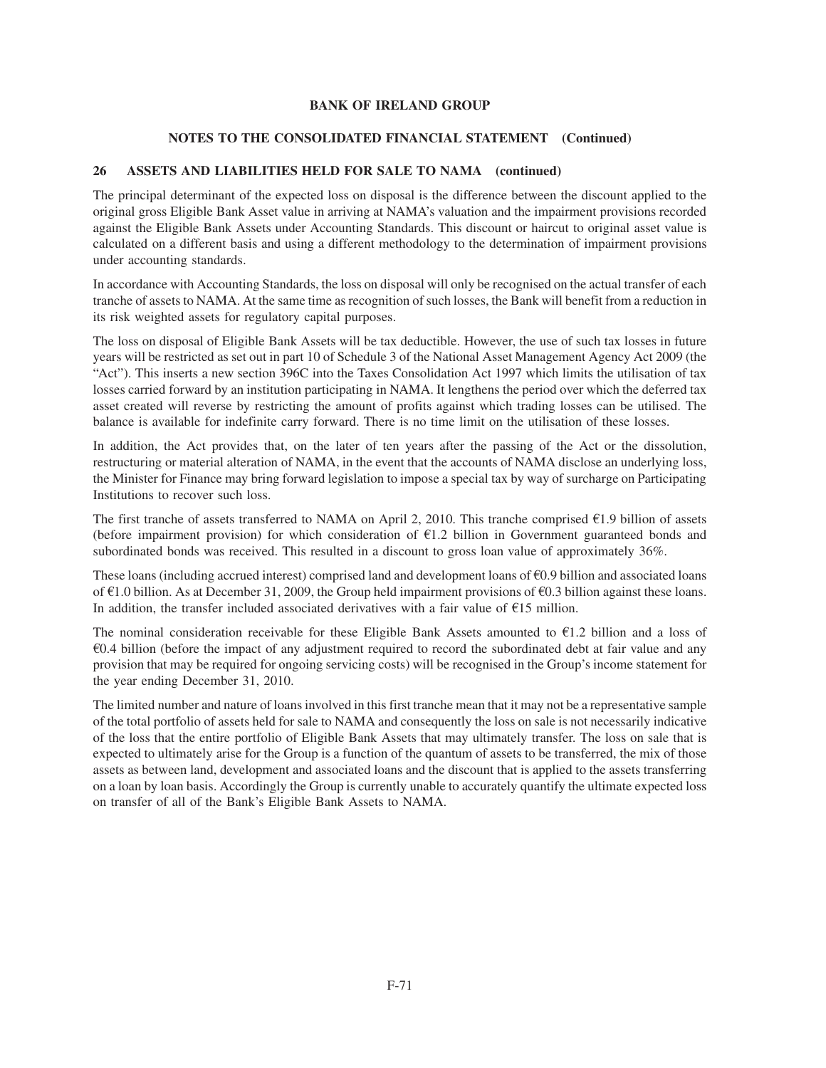## **NOTES TO THE CONSOLIDATED FINANCIAL STATEMENT (Continued)**

## **26 ASSETS AND LIABILITIES HELD FOR SALE TO NAMA (continued)**

The principal determinant of the expected loss on disposal is the difference between the discount applied to the original gross Eligible Bank Asset value in arriving at NAMA's valuation and the impairment provisions recorded against the Eligible Bank Assets under Accounting Standards. This discount or haircut to original asset value is calculated on a different basis and using a different methodology to the determination of impairment provisions under accounting standards.

In accordance with Accounting Standards, the loss on disposal will only be recognised on the actual transfer of each tranche of assets to NAMA. At the same time as recognition of such losses, the Bank will benefit from a reduction in its risk weighted assets for regulatory capital purposes.

The loss on disposal of Eligible Bank Assets will be tax deductible. However, the use of such tax losses in future years will be restricted as set out in part 10 of Schedule 3 of the National Asset Management Agency Act 2009 (the "Act"). This inserts a new section 396C into the Taxes Consolidation Act 1997 which limits the utilisation of tax losses carried forward by an institution participating in NAMA. It lengthens the period over which the deferred tax asset created will reverse by restricting the amount of profits against which trading losses can be utilised. The balance is available for indefinite carry forward. There is no time limit on the utilisation of these losses.

In addition, the Act provides that, on the later of ten years after the passing of the Act or the dissolution, restructuring or material alteration of NAMA, in the event that the accounts of NAMA disclose an underlying loss, the Minister for Finance may bring forward legislation to impose a special tax by way of surcharge on Participating Institutions to recover such loss.

The first tranche of assets transferred to NAMA on April 2, 2010. This tranche comprised  $E1.9$  billion of assets (before impairment provision) for which consideration of  $E1.2$  billion in Government guaranteed bonds and subordinated bonds was received. This resulted in a discount to gross loan value of approximately 36%.

These loans (including accrued interest) comprised land and development loans of  $\epsilon$ 0.9 billion and associated loans of  $\epsilon$ 1.0 billion. As at December 31, 2009, the Group held impairment provisions of  $\epsilon$ 0.3 billion against these loans. In addition, the transfer included associated derivatives with a fair value of  $E15$  million.

The nominal consideration receivable for these Eligible Bank Assets amounted to  $\epsilon$ 1.2 billion and a loss of  $60.4$  billion (before the impact of any adjustment required to record the subordinated debt at fair value and any provision that may be required for ongoing servicing costs) will be recognised in the Group's income statement for the year ending December 31, 2010.

The limited number and nature of loans involved in this first tranche mean that it may not be a representative sample of the total portfolio of assets held for sale to NAMA and consequently the loss on sale is not necessarily indicative of the loss that the entire portfolio of Eligible Bank Assets that may ultimately transfer. The loss on sale that is expected to ultimately arise for the Group is a function of the quantum of assets to be transferred, the mix of those assets as between land, development and associated loans and the discount that is applied to the assets transferring on a loan by loan basis. Accordingly the Group is currently unable to accurately quantify the ultimate expected loss on transfer of all of the Bank's Eligible Bank Assets to NAMA.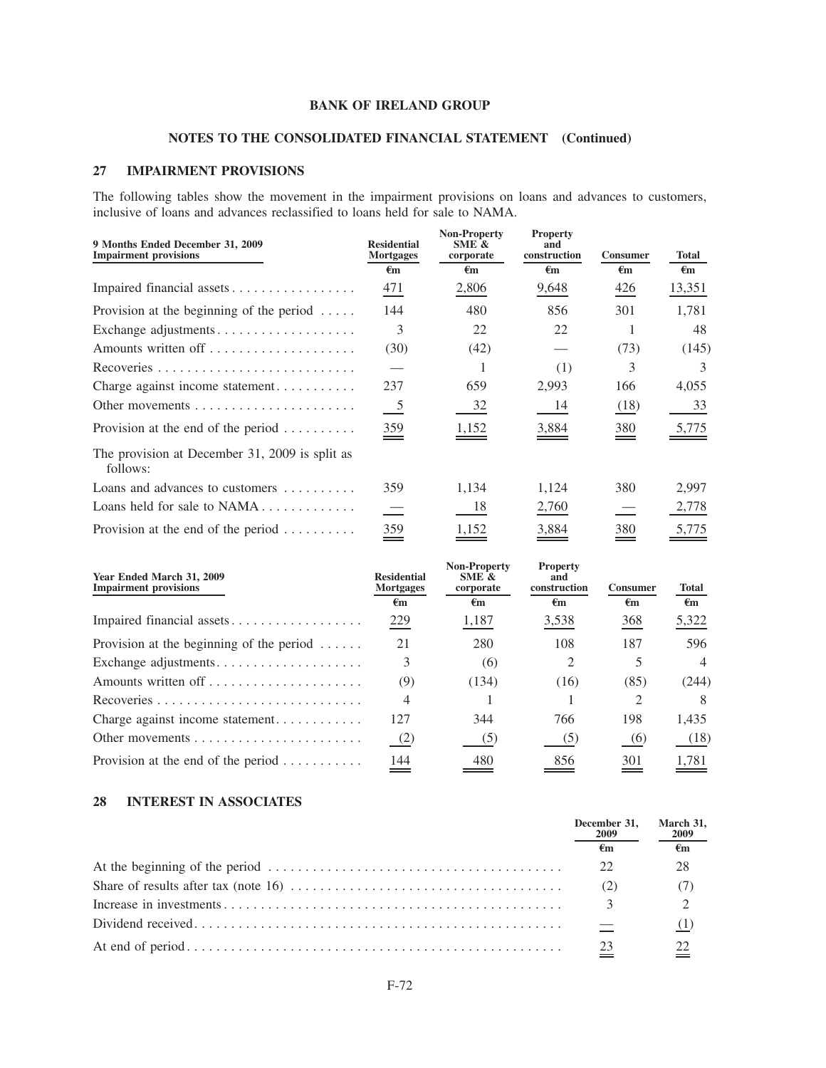# **NOTES TO THE CONSOLIDATED FINANCIAL STATEMENT (Continued)**

## **27 IMPAIRMENT PROVISIONS**

The following tables show the movement in the impairment provisions on loans and advances to customers, inclusive of loans and advances reclassified to loans held for sale to NAMA.

| 9 Months Ended December 31, 2009<br><b>Impairment provisions</b> | <b>Residential</b><br><b>Mortgages</b><br>$\epsilon_{\rm m}$ | <b>Non-Property</b><br>SME &<br>corporate<br>$\epsilon_{\rm m}$ | <b>Property</b><br>and<br>construction<br>$\epsilon$ m | <b>Consumer</b><br>$\epsilon$ m | <b>Total</b><br>€m |
|------------------------------------------------------------------|--------------------------------------------------------------|-----------------------------------------------------------------|--------------------------------------------------------|---------------------------------|--------------------|
| Impaired financial assets                                        | 471                                                          | 2,806                                                           | 9,648                                                  | 426                             | 13,351             |
| Provision at the beginning of the period $\dots$ .               | 144                                                          | 480                                                             | 856                                                    | 301                             | 1,781              |
| Exchange adjustments                                             | 3                                                            | 22                                                              | 22                                                     |                                 | 48                 |
|                                                                  | (30)                                                         | (42)                                                            |                                                        | (73)                            | (145)              |
|                                                                  |                                                              |                                                                 | (1)                                                    | 3                               | 3                  |
| Charge against income statement                                  | 237                                                          | 659                                                             | 2,993                                                  | 166                             | 4,055              |
| Other movements $\dots \dots \dots \dots \dots \dots \dots$      | $\overline{\phantom{0}}$                                     | 32                                                              | 14                                                     | (18)                            | 33                 |
| Provision at the end of the period $\dots \dots$                 | $\frac{359}{2}$                                              | 1,152                                                           | 3,884                                                  | 380                             | 5,775              |
| The provision at December 31, 2009 is split as<br>follows:       |                                                              |                                                                 |                                                        |                                 |                    |
| Loans and advances to customers $\dots\dots\dots$                | 359                                                          | 1,134                                                           | 1,124                                                  | 380                             | 2,997              |
| Loans held for sale to $NAMA$                                    |                                                              | 18                                                              | 2,760                                                  |                                 | 2,778              |
| Provision at the end of the period $\dots \dots$                 | 359                                                          | 1,152                                                           | 3,884                                                  | 380                             | 5,775              |

| Year Ended March 31, 2009<br><b>Impairment provisions</b> | <b>Residential</b><br><b>Mortgages</b> | <b>Non-Property</b><br>SME &<br>corporate | <b>Property</b><br>and<br>construction | <b>Consumer</b> | <b>Total</b>       |
|-----------------------------------------------------------|----------------------------------------|-------------------------------------------|----------------------------------------|-----------------|--------------------|
|                                                           | €m                                     | $\epsilon_{\rm m}$                        | €m                                     | €m              | $\epsilon_{\rm m}$ |
| Impaired financial assets                                 | 229                                    | 1,187                                     | 3,538                                  | 368             | 5,322              |
| Provision at the beginning of the period $\dots$ .        | 21                                     | 280                                       | 108                                    | 187             | 596                |
| Exchange adjustments                                      | 3                                      | (6)                                       | 2                                      | 5               | $\overline{4}$     |
|                                                           | (9)                                    | (134)                                     | (16)                                   | (85)            | (244)              |
|                                                           | 4                                      |                                           |                                        | $\mathfrak{D}$  | 8                  |
| Charge against income statement                           | 127                                    | 344                                       | 766                                    | 198             | 1,435              |
|                                                           | (2)                                    | (5)                                       | (5)                                    | (6)             | (18)               |
| Provision at the end of the period $\dots \dots \dots$    | 144                                    | 480                                       | 856                                    | 301             | 1,781              |

## **28 INTEREST IN ASSOCIATES**

| December 31, March 31,<br>2009 | 2009         |  |
|--------------------------------|--------------|--|
| €m                             | $\epsilon$ m |  |
| 22                             | 28           |  |
|                                |              |  |
|                                |              |  |
|                                |              |  |
| - 23                           |              |  |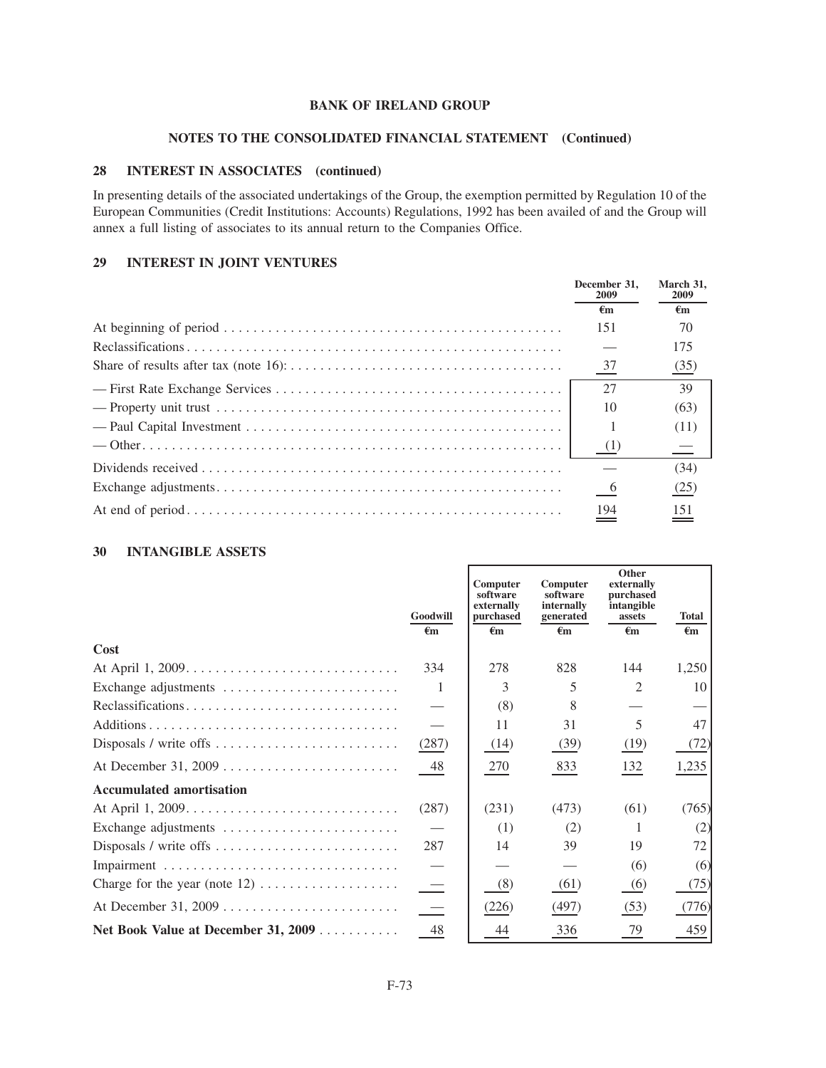### **NOTES TO THE CONSOLIDATED FINANCIAL STATEMENT (Continued)**

## **28 INTEREST IN ASSOCIATES (continued)**

In presenting details of the associated undertakings of the Group, the exemption permitted by Regulation 10 of the European Communities (Credit Institutions: Accounts) Regulations, 1992 has been availed of and the Group will annex a full listing of associates to its annual return to the Companies Office.

## **29 INTEREST IN JOINT VENTURES**

|                                                                                                                   | December 31.<br>2009 | March 31,<br><b>2009</b> |
|-------------------------------------------------------------------------------------------------------------------|----------------------|--------------------------|
|                                                                                                                   | €m                   | €m                       |
|                                                                                                                   | 151                  | 70                       |
|                                                                                                                   |                      | 175                      |
|                                                                                                                   | $\frac{37}{2}$       | (35)                     |
|                                                                                                                   | 27                   | 39                       |
| — Property unit trust $\dots \dots \dots \dots \dots \dots \dots \dots \dots \dots \dots \dots \dots \dots \dots$ | 10                   | (63)                     |
|                                                                                                                   |                      | (11)                     |
|                                                                                                                   | (1)                  | $\equiv$                 |
|                                                                                                                   |                      | (34)                     |
|                                                                                                                   | $6\overline{6}$      | (25)                     |
|                                                                                                                   | 194                  |                          |

## **30 INTANGIBLE ASSETS**

|                                     | Goodwill<br>€m           | Computer<br>software<br>externally<br>purchased<br>$\epsilon$ m | <b>Computer</b><br>software<br>internally<br>generated<br>$\epsilon$ m | Other<br>externally<br>purchased<br>intangible<br>assets<br>$\epsilon$ m | <b>Total</b><br>$\epsilon$ m |
|-------------------------------------|--------------------------|-----------------------------------------------------------------|------------------------------------------------------------------------|--------------------------------------------------------------------------|------------------------------|
| Cost                                |                          |                                                                 |                                                                        |                                                                          |                              |
|                                     | 334                      | 278                                                             | 828                                                                    | 144                                                                      | 1,250                        |
| Exchange adjustments                | -1                       | 3                                                               | 5                                                                      | $\mathfrak{D}$                                                           | 10                           |
| Reclassifications                   |                          | (8)                                                             | 8                                                                      |                                                                          |                              |
|                                     |                          | 11                                                              | 31                                                                     | 5                                                                        | 47                           |
|                                     | (287)                    | (14)                                                            | (39)                                                                   | (19)                                                                     | (72)                         |
|                                     | 48                       | 270                                                             | 833                                                                    | 132                                                                      | 1,235                        |
| <b>Accumulated amortisation</b>     |                          |                                                                 |                                                                        |                                                                          |                              |
|                                     | (287)                    | (231)                                                           | (473)                                                                  | (61)                                                                     | (765)                        |
| Exchange adjustments                |                          | (1)                                                             | (2)                                                                    |                                                                          | (2)                          |
|                                     | 287                      | 14                                                              | 39                                                                     | 19                                                                       | 72                           |
|                                     |                          |                                                                 |                                                                        | (6)                                                                      | (6)                          |
|                                     | $\equiv$                 | (8)                                                             | (61)                                                                   | (6)                                                                      | (75)                         |
|                                     | $\overline{\phantom{a}}$ | (226)                                                           | (497)                                                                  | (53)                                                                     | (776)                        |
| Net Book Value at December 31, 2009 | 48                       | 44                                                              | 336                                                                    | 79                                                                       | 459                          |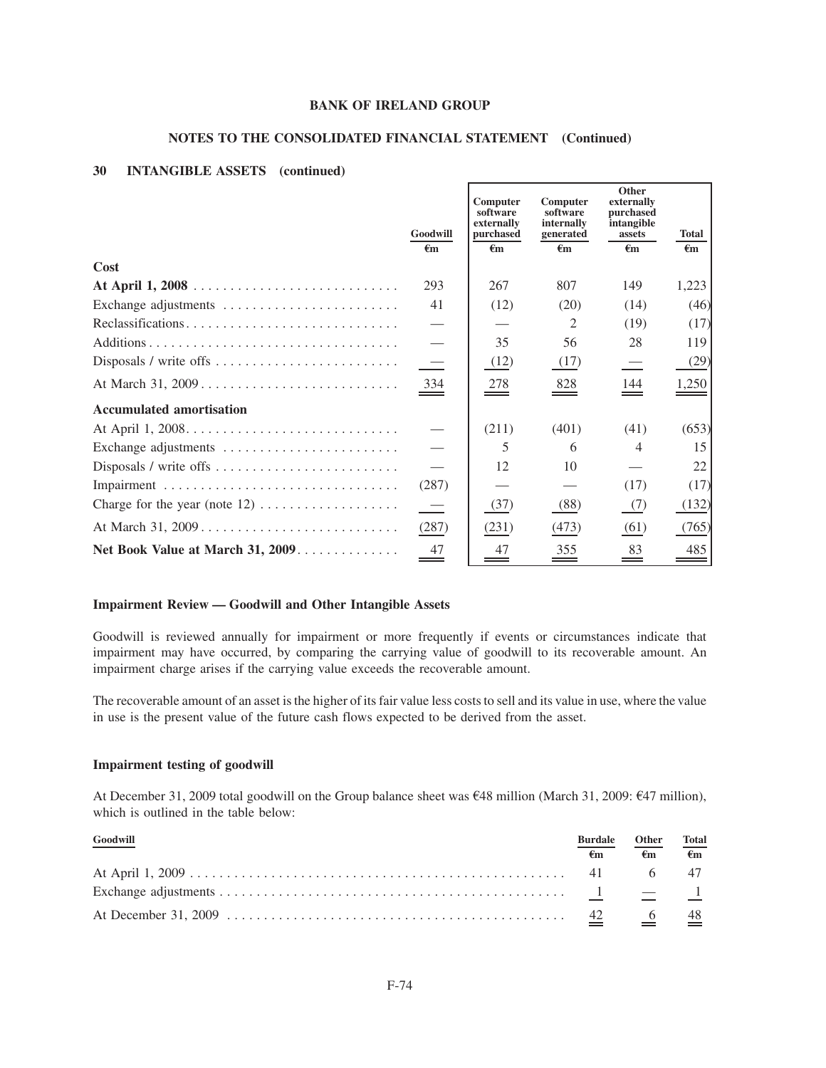## **NOTES TO THE CONSOLIDATED FINANCIAL STATEMENT (Continued)**

### **30 INTANGIBLE ASSETS (continued)**

|                                  | Goodwill<br>€m           | Computer<br>software<br>externally<br>purchased<br>$\epsilon$ m | Computer<br>software<br>internally<br>generated<br>€m | Other<br>externally<br>purchased<br>intangible<br>assets<br>$\epsilon$ m | <b>Total</b><br>$\epsilon$ m |
|----------------------------------|--------------------------|-----------------------------------------------------------------|-------------------------------------------------------|--------------------------------------------------------------------------|------------------------------|
| Cost                             |                          |                                                                 |                                                       |                                                                          |                              |
|                                  | 293                      | 267                                                             | 807                                                   | 149                                                                      | 1,223                        |
| Exchange adjustments             | 41                       | (12)                                                            | (20)                                                  | (14)                                                                     | (46)                         |
| Reclassifications                |                          |                                                                 | 2                                                     | (19)                                                                     | (17)                         |
|                                  |                          | 35                                                              | 56                                                    | 28                                                                       | 119                          |
|                                  | $\equiv$                 | (12)                                                            | (17)                                                  | $\overline{\phantom{0}}$                                                 | (29)                         |
| At March 31, 2009                | $\frac{334}{1}$          | $\frac{278}{2}$                                                 | $\frac{828}{1}$                                       | 144                                                                      | 1,250                        |
| <b>Accumulated amortisation</b>  |                          |                                                                 |                                                       |                                                                          |                              |
|                                  |                          | (211)                                                           | (401)                                                 | (41)                                                                     | (653)                        |
| Exchange adjustments             |                          | 5                                                               | 6                                                     | 4                                                                        | 15                           |
|                                  |                          | 12                                                              | 10                                                    |                                                                          | 22                           |
|                                  | (287)                    |                                                                 |                                                       | (17)                                                                     | (17)                         |
|                                  | $\overline{\phantom{a}}$ | (37)                                                            | (88)                                                  | (7)                                                                      | (132)                        |
| At March 31, 2009                | (287)                    | (231)                                                           | (473)                                                 | (61)                                                                     | (765)                        |
| Net Book Value at March 31, 2009 | 47                       | 47                                                              | 355                                                   | 83<br>=                                                                  | 485                          |

#### **Impairment Review — Goodwill and Other Intangible Assets**

Goodwill is reviewed annually for impairment or more frequently if events or circumstances indicate that impairment may have occurred, by comparing the carrying value of goodwill to its recoverable amount. An impairment charge arises if the carrying value exceeds the recoverable amount.

The recoverable amount of an asset is the higher of its fair value less costs to sell and its value in use, where the value in use is the present value of the future cash flows expected to be derived from the asset.

## **Impairment testing of goodwill**

At December 31, 2009 total goodwill on the Group balance sheet was  $648$  million (March 31, 2009:  $647$  million), which is outlined in the table below:

| $\sqrt{\frac{Goodwill}{} }$ | <b>Burdale</b> | <b>Other</b> | <b>Total</b> |
|-----------------------------|----------------|--------------|--------------|
|                             | €m             | €m           | $\epsilon$ m |
|                             |                |              |              |
|                             |                |              |              |
|                             |                |              |              |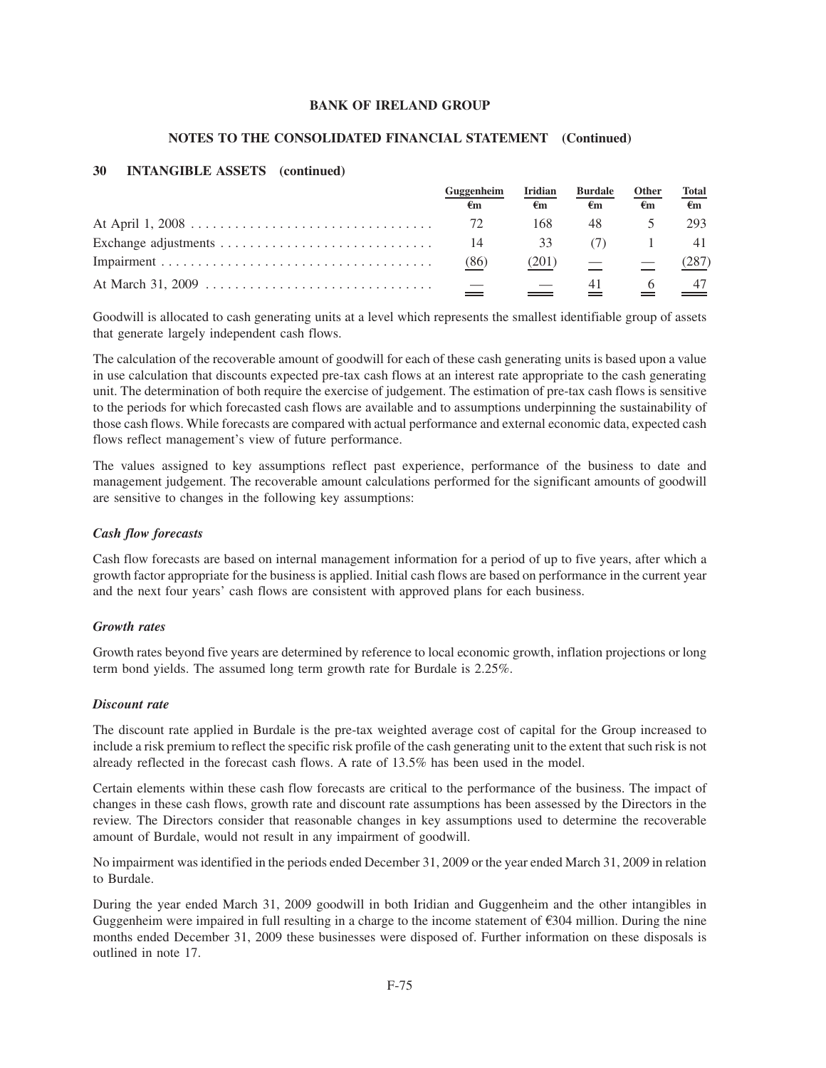#### **NOTES TO THE CONSOLIDATED FINANCIAL STATEMENT (Continued)**

## **30 INTANGIBLE ASSETS (continued)**

| Guggenheim | <b>Iridian</b> | <b>Burdale</b>                                    | Other | <b>Total</b>                 |
|------------|----------------|---------------------------------------------------|-------|------------------------------|
| €m         | €m             | €m                                                | €m    | $\epsilon$ m                 |
| 72         | 168            | 48                                                |       | 293                          |
| 14         | 33             | (7)                                               |       | -41                          |
| (86)       | (201)          | $\frac{1}{2}$ and $\frac{1}{2}$ and $\frac{1}{2}$ |       | (287)                        |
|            |                |                                                   |       | $\frac{6}{2}$ $\frac{47}{2}$ |

Goodwill is allocated to cash generating units at a level which represents the smallest identifiable group of assets that generate largely independent cash flows.

The calculation of the recoverable amount of goodwill for each of these cash generating units is based upon a value in use calculation that discounts expected pre-tax cash flows at an interest rate appropriate to the cash generating unit. The determination of both require the exercise of judgement. The estimation of pre-tax cash flows is sensitive to the periods for which forecasted cash flows are available and to assumptions underpinning the sustainability of those cash flows. While forecasts are compared with actual performance and external economic data, expected cash flows reflect management's view of future performance.

The values assigned to key assumptions reflect past experience, performance of the business to date and management judgement. The recoverable amount calculations performed for the significant amounts of goodwill are sensitive to changes in the following key assumptions:

#### *Cash flow forecasts*

Cash flow forecasts are based on internal management information for a period of up to five years, after which a growth factor appropriate for the business is applied. Initial cash flows are based on performance in the current year and the next four years' cash flows are consistent with approved plans for each business.

#### *Growth rates*

Growth rates beyond five years are determined by reference to local economic growth, inflation projections or long term bond yields. The assumed long term growth rate for Burdale is 2.25%.

#### *Discount rate*

The discount rate applied in Burdale is the pre-tax weighted average cost of capital for the Group increased to include a risk premium to reflect the specific risk profile of the cash generating unit to the extent that such risk is not already reflected in the forecast cash flows. A rate of 13.5% has been used in the model.

Certain elements within these cash flow forecasts are critical to the performance of the business. The impact of changes in these cash flows, growth rate and discount rate assumptions has been assessed by the Directors in the review. The Directors consider that reasonable changes in key assumptions used to determine the recoverable amount of Burdale, would not result in any impairment of goodwill.

No impairment was identified in the periods ended December 31, 2009 or the year ended March 31, 2009 in relation to Burdale.

During the year ended March 31, 2009 goodwill in both Iridian and Guggenheim and the other intangibles in Guggenheim were impaired in full resulting in a charge to the income statement of  $\epsilon$ 304 million. During the nine months ended December 31, 2009 these businesses were disposed of. Further information on these disposals is outlined in note 17.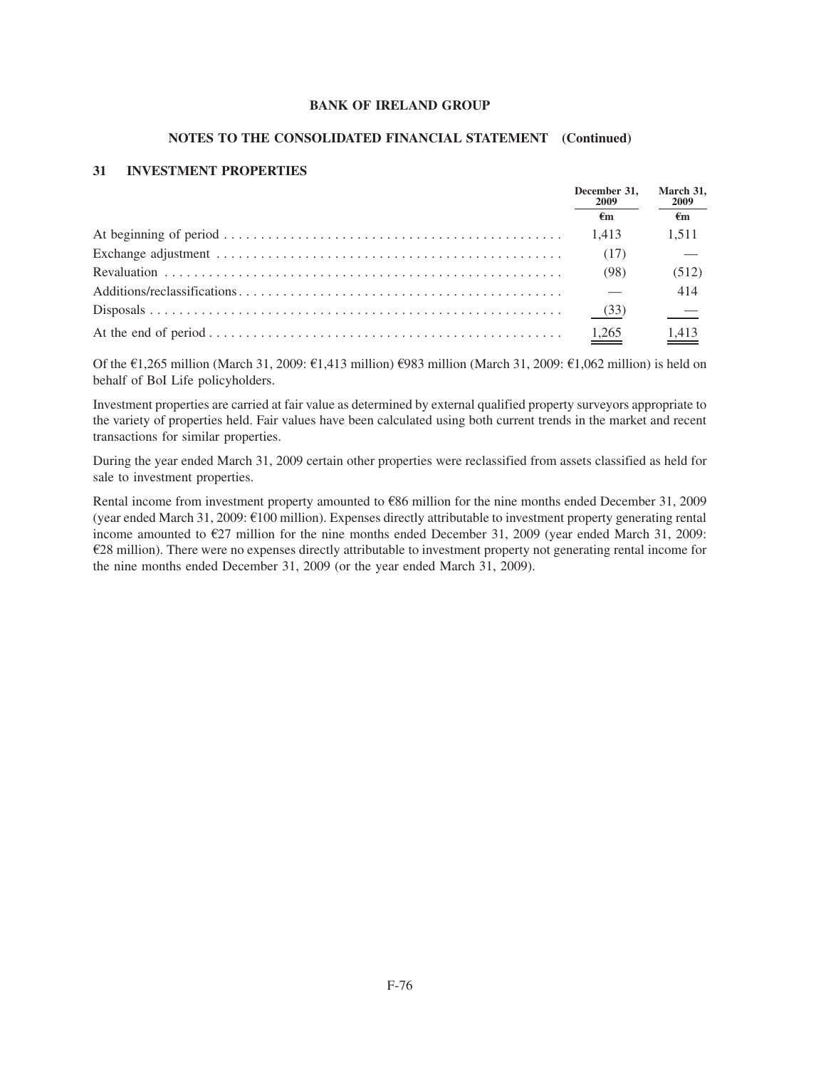#### **NOTES TO THE CONSOLIDATED FINANCIAL STATEMENT (Continued)**

### **31 INVESTMENT PROPERTIES**

|  | December 31.<br>2009<br>€m | March 31,<br><b>2009</b> |
|--|----------------------------|--------------------------|
|  |                            | €m                       |
|  | 1.413                      | 1,511                    |
|  | (17)                       |                          |
|  | (98)                       | (512)                    |
|  |                            | 414                      |
|  | (33)                       |                          |
|  | $\frac{1,265}{2}$          | $\frac{1,413}{ }$        |

Of the  $\epsilon$ 1,265 million (March 31, 2009:  $\epsilon$ 1,413 million)  $\epsilon$ 983 million (March 31, 2009:  $\epsilon$ 1,062 million) is held on behalf of BoI Life policyholders.

Investment properties are carried at fair value as determined by external qualified property surveyors appropriate to the variety of properties held. Fair values have been calculated using both current trends in the market and recent transactions for similar properties.

During the year ended March 31, 2009 certain other properties were reclassified from assets classified as held for sale to investment properties.

Rental income from investment property amounted to  $E86$  million for the nine months ended December 31, 2009 (year ended March 31, 2009:  $\epsilon$ 100 million). Expenses directly attributable to investment property generating rental income amounted to  $\epsilon$ 27 million for the nine months ended December 31, 2009 (year ended March 31, 2009:  $E$ 28 million). There were no expenses directly attributable to investment property not generating rental income for the nine months ended December 31, 2009 (or the year ended March 31, 2009).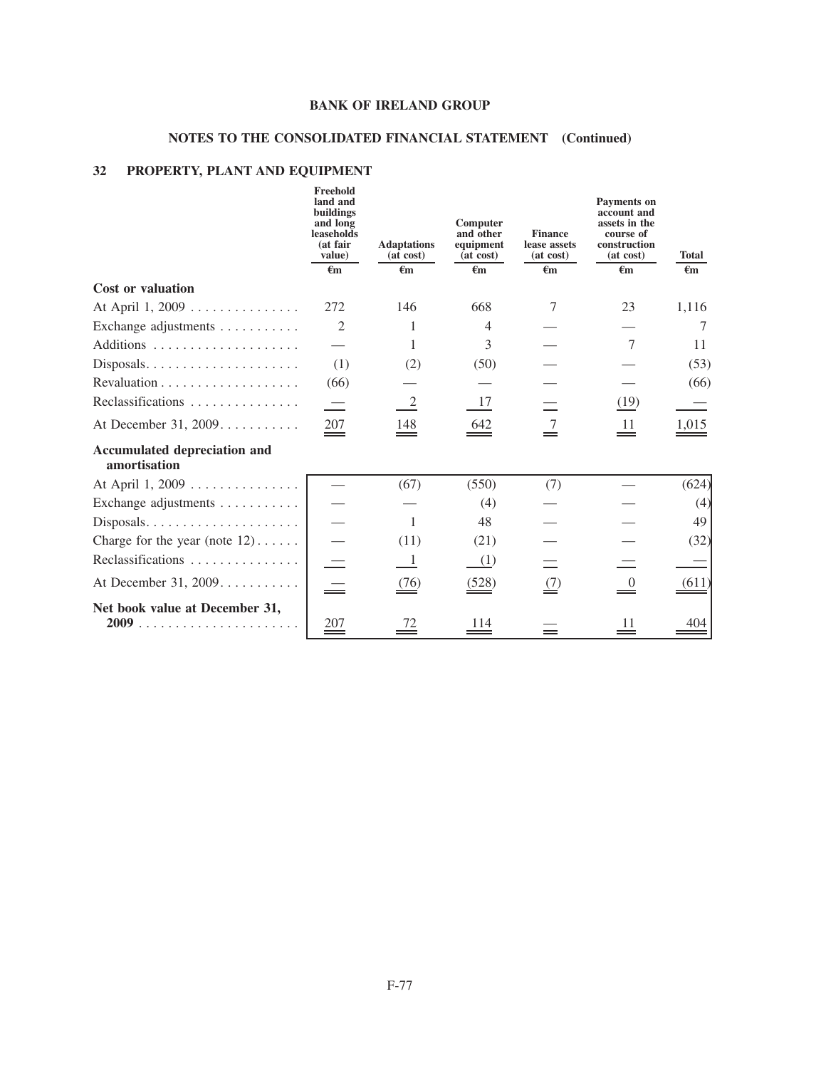# **NOTES TO THE CONSOLIDATED FINANCIAL STATEMENT (Continued)**

## **32 PROPERTY, PLANT AND EQUIPMENT**

|                                                     | Freehold<br>land and<br>buildings<br>and long<br>leaseholds<br>(at fair<br>value) | <b>Adaptations</b><br>(at cost) | Computer<br>and other<br>equipment<br>(at cost) | <b>Finance</b><br>lease assets<br>(at cost) | Payments on<br>account and<br>assets in the<br>course of<br>construction<br>(at cost) | <b>Total</b>        |
|-----------------------------------------------------|-----------------------------------------------------------------------------------|---------------------------------|-------------------------------------------------|---------------------------------------------|---------------------------------------------------------------------------------------|---------------------|
|                                                     | $\epsilon$ m                                                                      | €m                              | $\epsilon_{\rm m}$                              | $\epsilon$ m                                | $\epsilon$ m                                                                          | $\epsilon$ m        |
| <b>Cost or valuation</b>                            |                                                                                   |                                 |                                                 |                                             |                                                                                       |                     |
| At April 1, 2009                                    | 272                                                                               | 146                             | 668                                             | 7                                           | 23                                                                                    | 1,116               |
| Exchange adjustments                                | 2                                                                                 | 1                               | $\overline{4}$                                  |                                             |                                                                                       | 7                   |
|                                                     |                                                                                   | 1                               | 3                                               |                                             | 7                                                                                     | 11                  |
| $Disposals. \ldots \ldots \ldots \ldots \ldots$     | (1)                                                                               | (2)                             | (50)                                            |                                             |                                                                                       | (53)                |
| Revaluation $\ldots \ldots \ldots \ldots \ldots$    | (66)                                                                              |                                 |                                                 |                                             |                                                                                       | (66)                |
| Reclassifications                                   |                                                                                   | -2                              | 17                                              |                                             | (19)                                                                                  |                     |
| At December 31, 2009                                | 207                                                                               | $\frac{148}{2}$                 | $\underline{642}$                               | $\stackrel{7}{=}$                           | $\stackrel{11}{=}$                                                                    | $\underline{1,015}$ |
| <b>Accumulated depreciation and</b><br>amortisation |                                                                                   |                                 |                                                 |                                             |                                                                                       |                     |
| At April 1, 2009                                    |                                                                                   | (67)                            | (550)                                           | (7)                                         |                                                                                       | (624)               |
| Exchange adjustments                                |                                                                                   |                                 | (4)                                             |                                             |                                                                                       | (4)                 |
|                                                     |                                                                                   | 1                               | 48                                              |                                             |                                                                                       | 49                  |
| Charge for the year (note $12$ )                    |                                                                                   | (11)                            | (21)                                            |                                             |                                                                                       | (32)                |
| Reclassifications                                   |                                                                                   | - 1                             | (1)                                             |                                             |                                                                                       |                     |
| At December 31, 2009                                |                                                                                   | $\frac{(76)}{2}$                | (528)                                           | $\stackrel{(7)}{=}$                         | $\overset{0}{=}$                                                                      | (611)               |
| Net book value at December 31,                      | $\stackrel{207}{=}$                                                               | $\frac{72}{1}$                  | 114                                             |                                             | 11<br>$=$                                                                             | 404                 |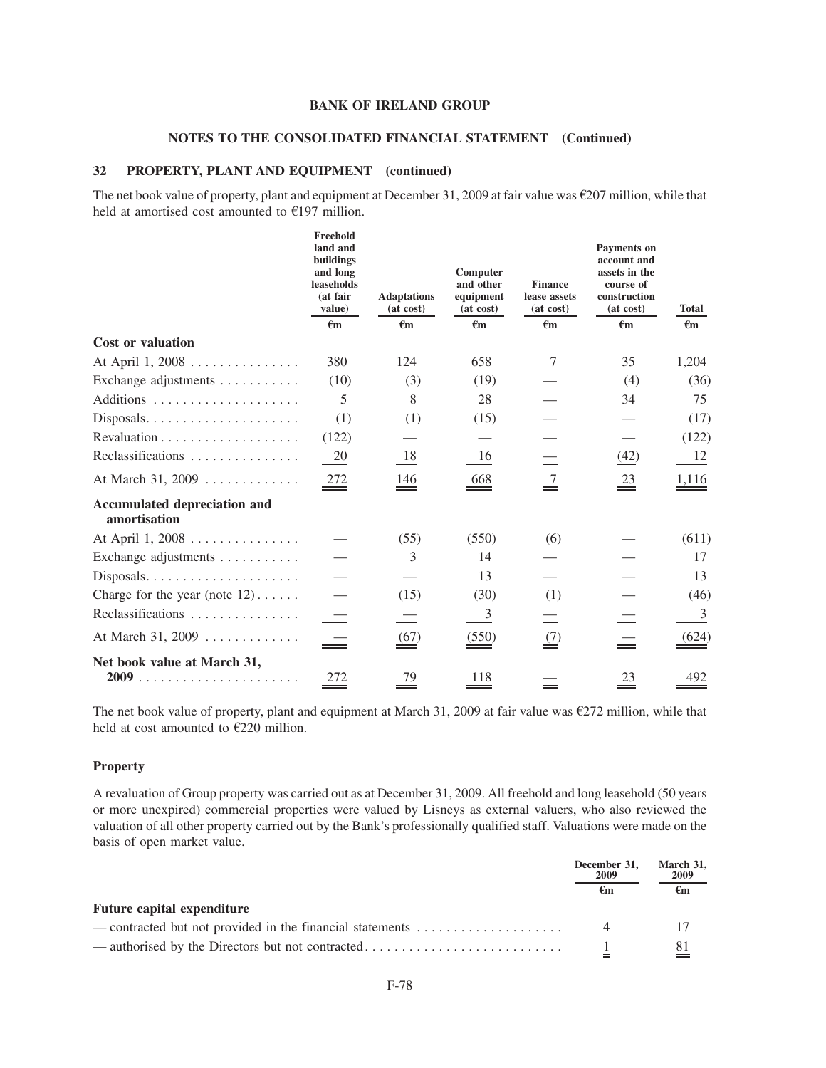#### **NOTES TO THE CONSOLIDATED FINANCIAL STATEMENT (Continued)**

#### **32 PROPERTY, PLANT AND EQUIPMENT (continued)**

The net book value of property, plant and equipment at December 31, 2009 at fair value was  $E207$  million, while that held at amortised cost amounted to  $E$ 197 million.

|                                                     | Freehold<br>land and<br>buildings<br>and long<br>leaseholds<br>(at fair<br>value) | <b>Adaptations</b><br>(at cost) | Computer<br>and other<br>equipment<br>(at cost) | <b>Finance</b><br>lease assets<br>(at cost) | Payments on<br>account and<br>assets in the<br>course of<br>construction<br>(at cost) | <b>Total</b>        |
|-----------------------------------------------------|-----------------------------------------------------------------------------------|---------------------------------|-------------------------------------------------|---------------------------------------------|---------------------------------------------------------------------------------------|---------------------|
|                                                     | $\epsilon_{m}$                                                                    | $\epsilon_{m}$                  | $\epsilon$ m                                    | $\epsilon$ m                                | $\epsilon$ m                                                                          | $\epsilon_{\rm m}$  |
| <b>Cost or valuation</b>                            |                                                                                   |                                 |                                                 |                                             |                                                                                       |                     |
| At April 1, 2008                                    | 380                                                                               | 124                             | 658                                             | 7                                           | 35                                                                                    | 1,204               |
| Exchange adjustments $\dots \dots$                  | (10)                                                                              | (3)                             | (19)                                            |                                             | (4)                                                                                   | (36)                |
|                                                     | 5                                                                                 | 8                               | 28                                              |                                             | 34                                                                                    | 75                  |
| Disposals                                           | (1)                                                                               | (1)                             | (15)                                            |                                             |                                                                                       | (17)                |
|                                                     | (122)                                                                             |                                 |                                                 |                                             |                                                                                       | (122)               |
| Reclassifications                                   | 20                                                                                | 18                              | 16                                              |                                             | (42)                                                                                  | 12                  |
| At March 31, 2009                                   | $\frac{272}{1}$                                                                   | 146<br>$\hspace{1.5cm} =$       | 668                                             | $\frac{7}{1}$                               | $\stackrel{23}{\equiv}$                                                               | 1,116               |
| <b>Accumulated depreciation and</b><br>amortisation |                                                                                   |                                 |                                                 |                                             |                                                                                       |                     |
| At April 1, 2008                                    |                                                                                   | (55)                            | (550)                                           | (6)                                         |                                                                                       | (611)               |
| Exchange adjustments                                |                                                                                   | 3                               | 14                                              |                                             |                                                                                       | 17                  |
| Disposals                                           |                                                                                   |                                 | 13                                              |                                             |                                                                                       | 13                  |
| Charge for the year (note $12)$                     |                                                                                   | (15)                            | (30)                                            | (1)                                         |                                                                                       | (46)                |
| Reclassifications                                   |                                                                                   |                                 | $\overline{3}$                                  |                                             |                                                                                       | 3                   |
| At March 31, 2009                                   | 二                                                                                 | $\frac{(67)}{2}$                | (550)                                           | $\stackrel{(7)}{=}$                         |                                                                                       | $\underline{(624)}$ |
| Net book value at March 31,                         | 272                                                                               | 79                              | 118                                             |                                             | 23                                                                                    | 492                 |

The net book value of property, plant and equipment at March 31, 2009 at fair value was  $\epsilon$ 272 million, while that held at cost amounted to  $E220$  million.

### **Property**

A revaluation of Group property was carried out as at December 31, 2009. All freehold and long leasehold (50 years or more unexpired) commercial properties were valued by Lisneys as external valuers, who also reviewed the valuation of all other property carried out by the Bank's professionally qualified staff. Valuations were made on the basis of open market value.

|                                                                                                 | December 31,<br>2009<br>€m | March 31,<br>2009 |
|-------------------------------------------------------------------------------------------------|----------------------------|-------------------|
|                                                                                                 |                            | €m                |
| <b>Future capital expenditure</b>                                                               |                            |                   |
| — contracted but not provided in the financial statements $\dots \dots \dots \dots \dots \dots$ |                            |                   |
|                                                                                                 |                            | $\frac{81}{}$     |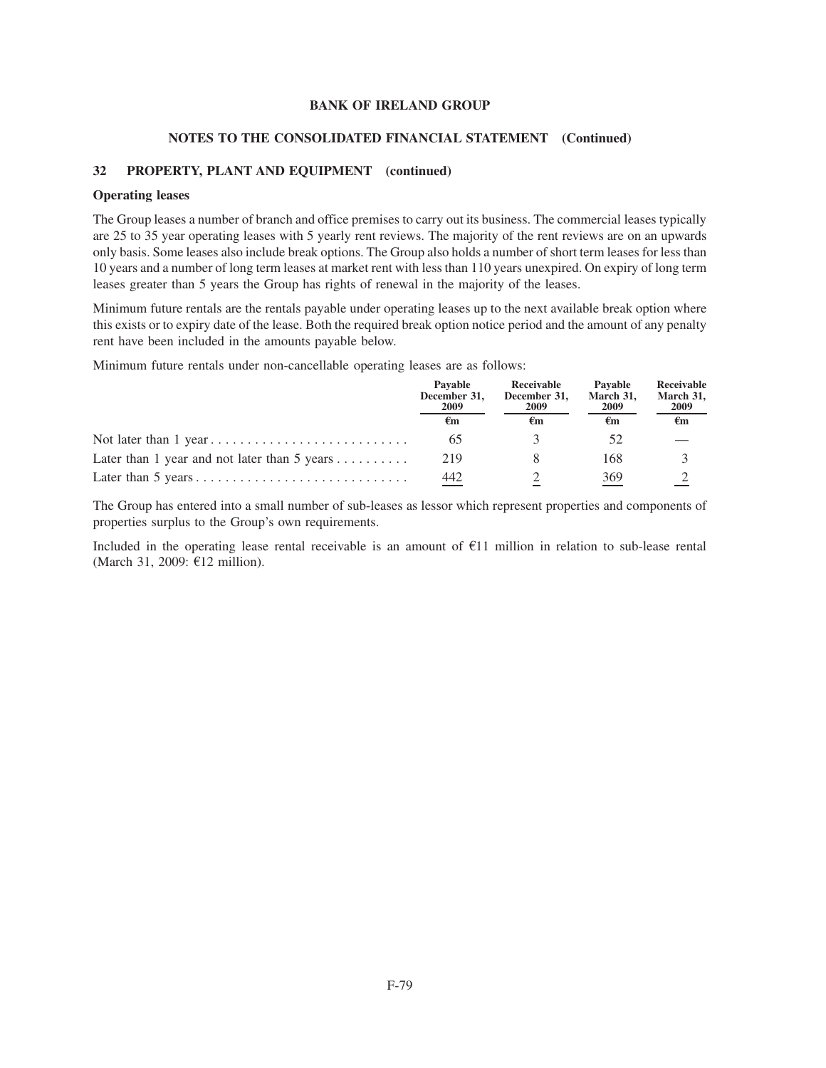#### **NOTES TO THE CONSOLIDATED FINANCIAL STATEMENT (Continued)**

### **32 PROPERTY, PLANT AND EQUIPMENT (continued)**

#### **Operating leases**

The Group leases a number of branch and office premises to carry out its business. The commercial leases typically are 25 to 35 year operating leases with 5 yearly rent reviews. The majority of the rent reviews are on an upwards only basis. Some leases also include break options. The Group also holds a number of short term leases for less than 10 years and a number of long term leases at market rent with less than 110 years unexpired. On expiry of long term leases greater than 5 years the Group has rights of renewal in the majority of the leases.

Minimum future rentals are the rentals payable under operating leases up to the next available break option where this exists or to expiry date of the lease. Both the required break option notice period and the amount of any penalty rent have been included in the amounts payable below.

Minimum future rentals under non-cancellable operating leases are as follows:

|                                                            | Pavable<br>December 31,<br>2009<br>€m | Receivable<br>December 31,<br>2009 | Pavable<br>March 31,<br>2009<br>€m | Receivable<br>March 31,<br>2009 |
|------------------------------------------------------------|---------------------------------------|------------------------------------|------------------------------------|---------------------------------|
|                                                            |                                       | €m                                 |                                    | $\epsilon_{\rm m}$              |
|                                                            | 65                                    |                                    |                                    |                                 |
| Later than 1 year and not later than 5 years $\dots \dots$ | 219                                   |                                    | 168                                |                                 |
|                                                            | 442                                   |                                    | 369                                |                                 |

The Group has entered into a small number of sub-leases as lessor which represent properties and components of properties surplus to the Group's own requirements.

Included in the operating lease rental receivable is an amount of  $E11$  million in relation to sub-lease rental (March 31, 2009:  $E12$  million).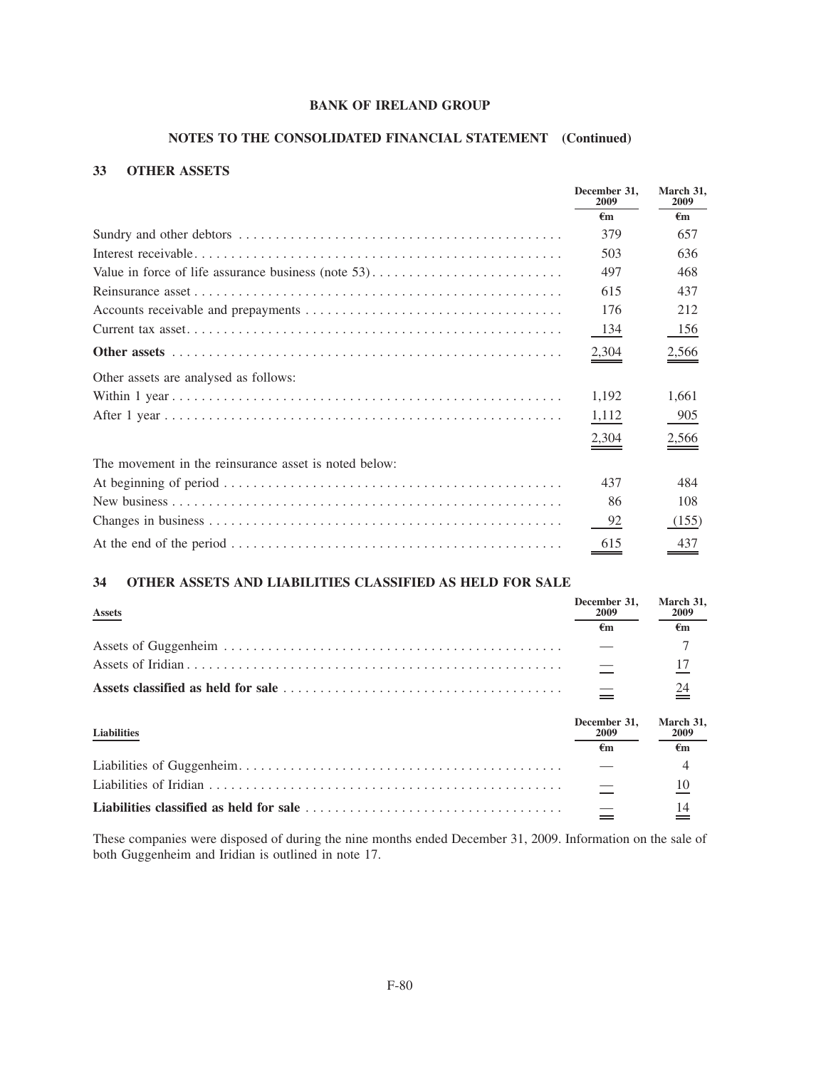## **NOTES TO THE CONSOLIDATED FINANCIAL STATEMENT (Continued)**

## **33 OTHER ASSETS**

|                                                       | December 31.<br>2009 | March 31,<br>2009  |
|-------------------------------------------------------|----------------------|--------------------|
|                                                       | €m                   | $\epsilon_{\rm m}$ |
|                                                       | 379                  | 657                |
|                                                       | 503                  | 636                |
|                                                       | 497                  | 468                |
|                                                       | 615                  | 437                |
|                                                       | 176                  | 212                |
|                                                       | 134                  | 156                |
|                                                       | 2,304                | $\frac{2,566}{2}$  |
| Other assets are analysed as follows:                 |                      |                    |
|                                                       | 1,192                | 1,661              |
|                                                       | 1,112                | 905                |
|                                                       | 2,304                | $\frac{2,566}{9}$  |
| The movement in the reinsurance asset is noted below: |                      |                    |
|                                                       | 437                  | 484                |
|                                                       | 86                   | 108                |
|                                                       | 92                   | (155)              |
|                                                       | 615                  | 437                |

### **34 OTHER ASSETS AND LIABILITIES CLASSIFIED AS HELD FOR SALE**

| <b>Assets</b>      | December 31,<br>2009       | March 31,<br>2009       |
|--------------------|----------------------------|-------------------------|
|                    | €m                         | €m                      |
|                    |                            |                         |
|                    |                            | 17                      |
|                    |                            | $\stackrel{24}{=}$      |
| <b>Liabilities</b> | December 31,<br>2009<br>€m | March 31,<br>2009<br>€m |
|                    |                            |                         |
|                    |                            | 4                       |
|                    |                            | 10                      |

These companies were disposed of during the nine months ended December 31, 2009. Information on the sale of both Guggenheim and Iridian is outlined in note 17.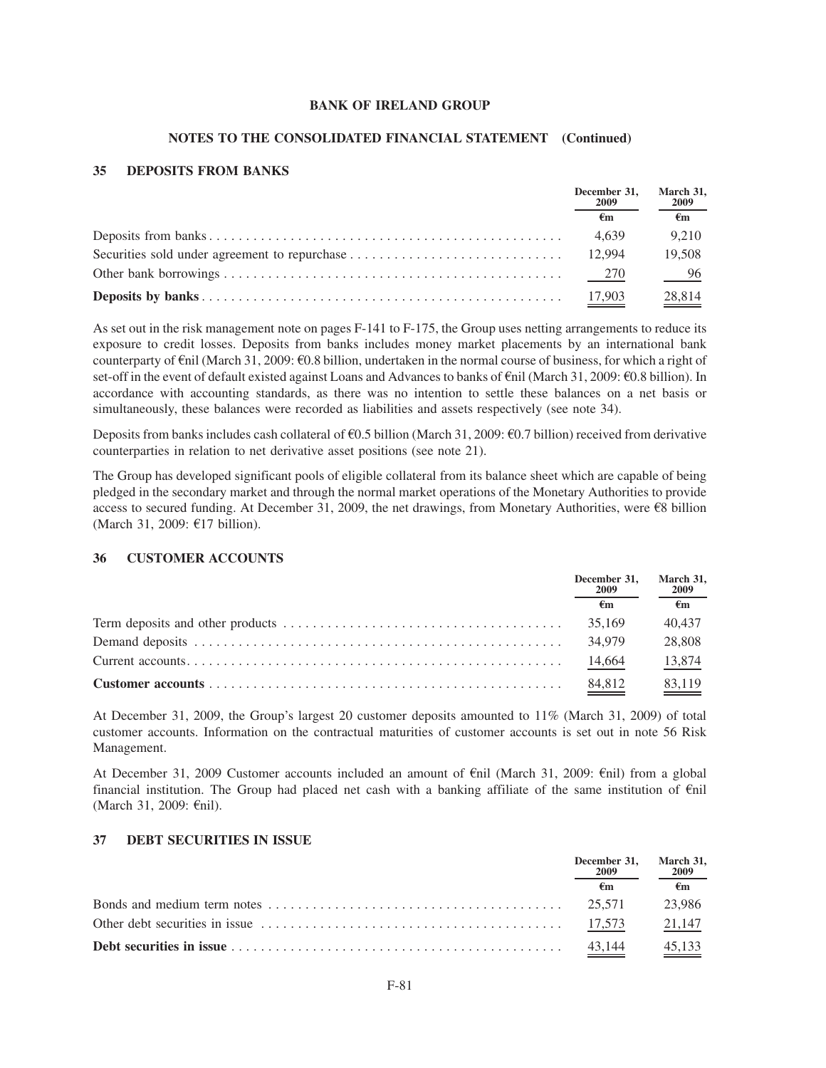#### **NOTES TO THE CONSOLIDATED FINANCIAL STATEMENT (Continued)**

### **35 DEPOSITS FROM BANKS**

|  | December 31,<br>2009<br>€m | March 31,<br>2009 |
|--|----------------------------|-------------------|
|  |                            | €m                |
|  | 4.639                      | 9.210             |
|  |                            | 19.508            |
|  |                            | $-96$             |
|  | 17,903                     | 28.814            |

As set out in the risk management note on pages F-141 to F-175, the Group uses netting arrangements to reduce its exposure to credit losses. Deposits from banks includes money market placements by an international bank counterparty of  $\epsilon$ nil (March 31, 2009:  $\epsilon$ 0.8 billion, undertaken in the normal course of business, for which a right of set-off in the event of default existed against Loans and Advances to banks of  $\epsilon$ nil (March 31, 2009:  $\epsilon$ 0.8 billion). In accordance with accounting standards, as there was no intention to settle these balances on a net basis or simultaneously, these balances were recorded as liabilities and assets respectively (see note 34).

Deposits from banks includes cash collateral of  $\epsilon$ 0.5 billion (March 31, 2009:  $\epsilon$ 0.7 billion) received from derivative counterparties in relation to net derivative asset positions (see note 21).

The Group has developed significant pools of eligible collateral from its balance sheet which are capable of being pledged in the secondary market and through the normal market operations of the Monetary Authorities to provide access to secured funding. At December 31, 2009, the net drawings, from Monetary Authorities, were  $\epsilon$ 8 billion (March 31, 2009:  $E17$  billion).

### **36 CUSTOMER ACCOUNTS**

|  | December 31,<br>2009<br>€m | March 31,<br>2009  |
|--|----------------------------|--------------------|
|  |                            | €m                 |
|  | 35,169                     | 40.437             |
|  | 34,979                     | 28,808             |
|  | 14,664                     | 13,874             |
|  | $\frac{84,812}{2}$         | $\frac{83,119}{2}$ |

At December 31, 2009, the Group's largest 20 customer deposits amounted to 11% (March 31, 2009) of total customer accounts. Information on the contractual maturities of customer accounts is set out in note 56 Risk Management.

At December 31, 2009 Customer accounts included an amount of  $\epsilon$ nil (March 31, 2009:  $\epsilon$ nil) from a global financial institution. The Group had placed net cash with a banking affiliate of the same institution of  $\epsilon$ nil (March 31, 2009:  $\epsilon$ nil).

#### **37 DEBT SECURITIES IN ISSUE**

| December 31, March 31,<br>2009 | 2009               |
|--------------------------------|--------------------|
|                                | €m                 |
|                                | 23.986             |
|                                | 21,147             |
| 43.144                         | $\frac{45,133}{2}$ |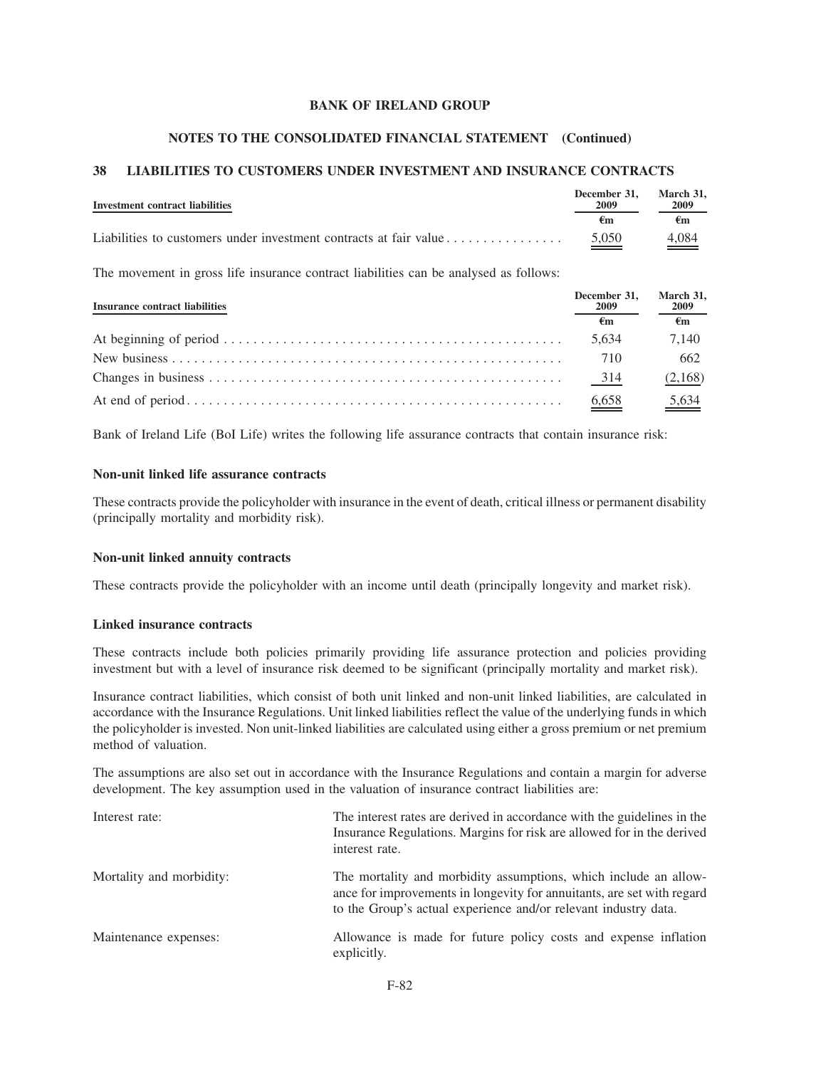#### **NOTES TO THE CONSOLIDATED FINANCIAL STATEMENT (Continued)**

### **38 LIABILITIES TO CUSTOMERS UNDER INVESTMENT AND INSURANCE CONTRACTS**

| Investment contract liabilities                                   | December 31.<br>2009 | March 31.<br>2009 |
|-------------------------------------------------------------------|----------------------|-------------------|
|                                                                   | €m                   | €m                |
| Liabilities to customers under investment contracts at fair value | $\frac{5,050}{ }$    | $\frac{4,084}{4}$ |

The movement in gross life insurance contract liabilities can be analysed as follows:

| <b>Insurance contract liabilities</b> | December 31.<br>2009         | March 31,<br>2009 |
|---------------------------------------|------------------------------|-------------------|
|                                       | €m                           | €m                |
|                                       | 5.634                        | 7.140             |
|                                       | 710                          | 662               |
|                                       | 314                          | (2,168)           |
|                                       | $\underline{\frac{6,658}{}}$ |                   |

Bank of Ireland Life (BoI Life) writes the following life assurance contracts that contain insurance risk:

### **Non-unit linked life assurance contracts**

These contracts provide the policyholder with insurance in the event of death, critical illness or permanent disability (principally mortality and morbidity risk).

#### **Non-unit linked annuity contracts**

These contracts provide the policyholder with an income until death (principally longevity and market risk).

#### **Linked insurance contracts**

These contracts include both policies primarily providing life assurance protection and policies providing investment but with a level of insurance risk deemed to be significant (principally mortality and market risk).

Insurance contract liabilities, which consist of both unit linked and non-unit linked liabilities, are calculated in accordance with the Insurance Regulations. Unit linked liabilities reflect the value of the underlying funds in which the policyholder is invested. Non unit-linked liabilities are calculated using either a gross premium or net premium method of valuation.

The assumptions are also set out in accordance with the Insurance Regulations and contain a margin for adverse development. The key assumption used in the valuation of insurance contract liabilities are:

| Interest rate:           | The interest rates are derived in accordance with the guidelines in the<br>Insurance Regulations. Margins for risk are allowed for in the derived<br>interest rate.                                           |
|--------------------------|---------------------------------------------------------------------------------------------------------------------------------------------------------------------------------------------------------------|
| Mortality and morbidity: | The mortality and morbidity assumptions, which include an allow-<br>ance for improvements in longevity for annuitants, are set with regard<br>to the Group's actual experience and/or relevant industry data. |
| Maintenance expenses:    | Allowance is made for future policy costs and expense inflation<br>explicitly.                                                                                                                                |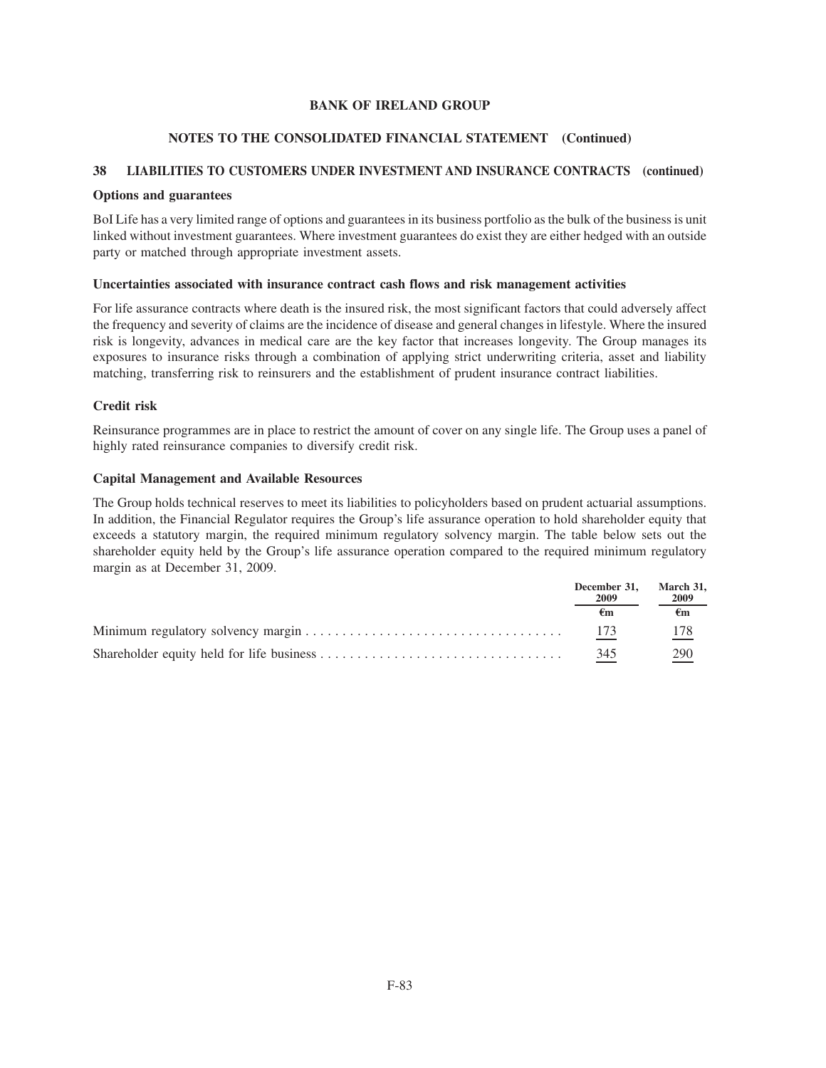### **NOTES TO THE CONSOLIDATED FINANCIAL STATEMENT (Continued)**

## **38 LIABILITIES TO CUSTOMERS UNDER INVESTMENT AND INSURANCE CONTRACTS (continued)**

### **Options and guarantees**

BoI Life has a very limited range of options and guarantees in its business portfolio as the bulk of the business is unit linked without investment guarantees. Where investment guarantees do exist they are either hedged with an outside party or matched through appropriate investment assets.

### **Uncertainties associated with insurance contract cash flows and risk management activities**

For life assurance contracts where death is the insured risk, the most significant factors that could adversely affect the frequency and severity of claims are the incidence of disease and general changes in lifestyle. Where the insured risk is longevity, advances in medical care are the key factor that increases longevity. The Group manages its exposures to insurance risks through a combination of applying strict underwriting criteria, asset and liability matching, transferring risk to reinsurers and the establishment of prudent insurance contract liabilities.

### **Credit risk**

Reinsurance programmes are in place to restrict the amount of cover on any single life. The Group uses a panel of highly rated reinsurance companies to diversify credit risk.

### **Capital Management and Available Resources**

The Group holds technical reserves to meet its liabilities to policyholders based on prudent actuarial assumptions. In addition, the Financial Regulator requires the Group's life assurance operation to hold shareholder equity that exceeds a statutory margin, the required minimum regulatory solvency margin. The table below sets out the shareholder equity held by the Group's life assurance operation compared to the required minimum regulatory margin as at December 31, 2009.

| December 31.<br>2009 | March 31.<br>2009 |
|----------------------|-------------------|
|                      | €m                |
| 173                  | 178               |
| 345                  | 290               |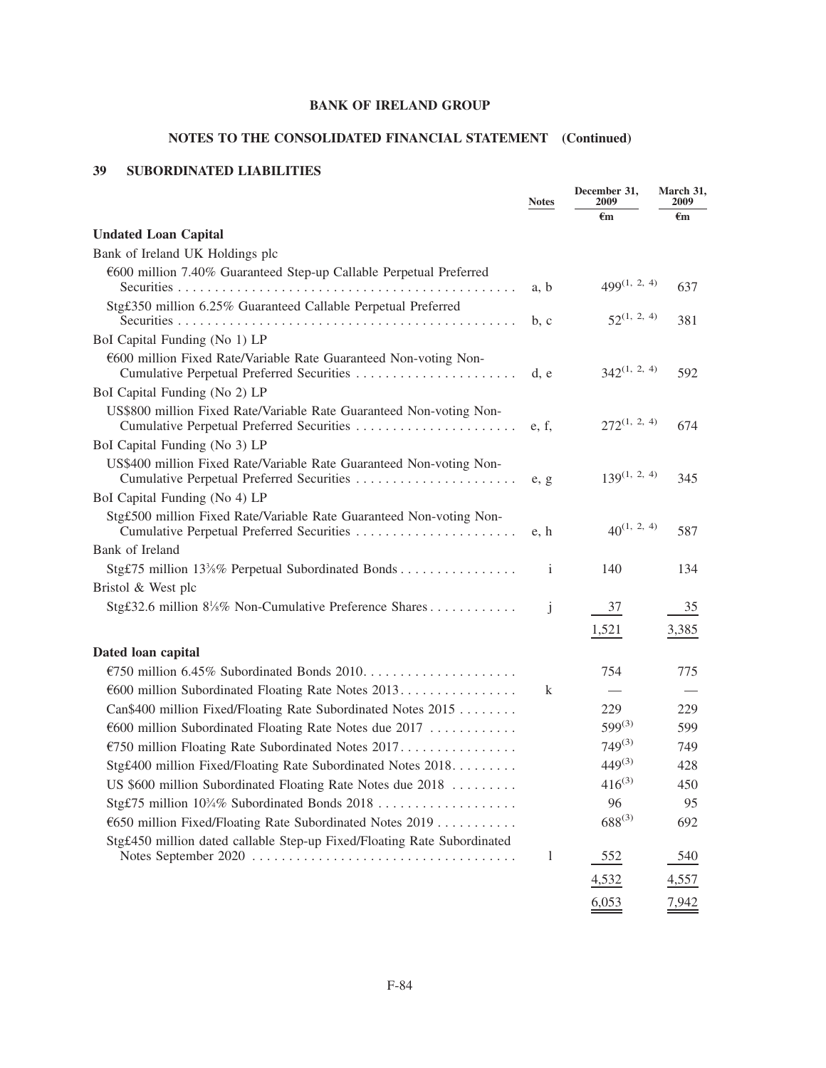# **NOTES TO THE CONSOLIDATED FINANCIAL STATEMENT (Continued)**

## **39 SUBORDINATED LIABILITIES**

|                                                                                                                   | <b>Notes</b> | December 31,<br>2009 | March 31,<br>2009        |
|-------------------------------------------------------------------------------------------------------------------|--------------|----------------------|--------------------------|
|                                                                                                                   |              | €m                   | €m                       |
| <b>Undated Loan Capital</b>                                                                                       |              |                      |                          |
| Bank of Ireland UK Holdings plc                                                                                   |              |                      |                          |
| €600 million 7.40% Guaranteed Step-up Callable Perpetual Preferred                                                |              | $499^{(1, 2, 4)}$    |                          |
|                                                                                                                   | a, b         |                      | 637                      |
| Stg£350 million 6.25% Guaranteed Callable Perpetual Preferred                                                     | b, c         | $52^{(1, 2, 4)}$     | 381                      |
| BoI Capital Funding (No 1) LP                                                                                     |              |                      |                          |
| €600 million Fixed Rate/Variable Rate Guaranteed Non-voting Non-                                                  | d, e         | $342^{(1, 2, 4)}$    | 592                      |
| BoI Capital Funding (No 2) LP                                                                                     |              |                      |                          |
| US\$800 million Fixed Rate/Variable Rate Guaranteed Non-voting Non-                                               | e, f,        | $272^{(1, 2, 4)}$    | 674                      |
| BoI Capital Funding (No 3) LP                                                                                     |              |                      |                          |
| US\$400 million Fixed Rate/Variable Rate Guaranteed Non-voting Non-                                               | e, g         | $139^{(1, 2, 4)}$    | 345                      |
| BoI Capital Funding (No 4) LP                                                                                     |              |                      |                          |
| Stgf.500 million Fixed Rate/Variable Rate Guaranteed Non-voting Non-<br>Cumulative Perpetual Preferred Securities | e, h         | $40^{(1, 2, 4)}$     | 587                      |
| Bank of Ireland                                                                                                   |              |                      |                          |
| Stg£75 million 133/8% Perpetual Subordinated Bonds                                                                | $\mathbf{i}$ | 140                  | 134                      |
| Bristol & West plc                                                                                                |              |                      |                          |
| Stgf32.6 million $8\frac{1}{8}\%$ Non-Cumulative Preference Shares                                                | j            | 37                   | 35                       |
|                                                                                                                   |              | 1,521                | 3,385                    |
| Dated loan capital                                                                                                |              |                      |                          |
|                                                                                                                   |              | 754                  | 775                      |
| €600 million Subordinated Floating Rate Notes 2013.                                                               | k            |                      | $\overline{\phantom{a}}$ |
| Can\$400 million Fixed/Floating Rate Subordinated Notes 2015                                                      |              | 229                  | 229                      |
| €600 million Subordinated Floating Rate Notes due 2017                                                            |              | $599^{(3)}$          | 599                      |
| €750 million Floating Rate Subordinated Notes 2017.                                                               |              | $749^{(3)}$          | 749                      |
| Stgf.400 million Fixed/Floating Rate Subordinated Notes 2018.                                                     |              | $449^{(3)}$          | 428                      |
| US \$600 million Subordinated Floating Rate Notes due 2018                                                        |              | $416^{(3)}$          | 450                      |
| Stg£75 million 10¼% Subordinated Bonds 2018                                                                       |              | 96                   | 95                       |
| €650 million Fixed/Floating Rate Subordinated Notes 2019                                                          |              | $688^{(3)}$          | 692                      |
| Stgf450 million dated callable Step-up Fixed/Floating Rate Subordinated                                           |              |                      |                          |
|                                                                                                                   | 1            | 552                  | 540                      |
|                                                                                                                   |              | 4,532                | 4,557                    |
|                                                                                                                   |              | 6,053                | 7,942                    |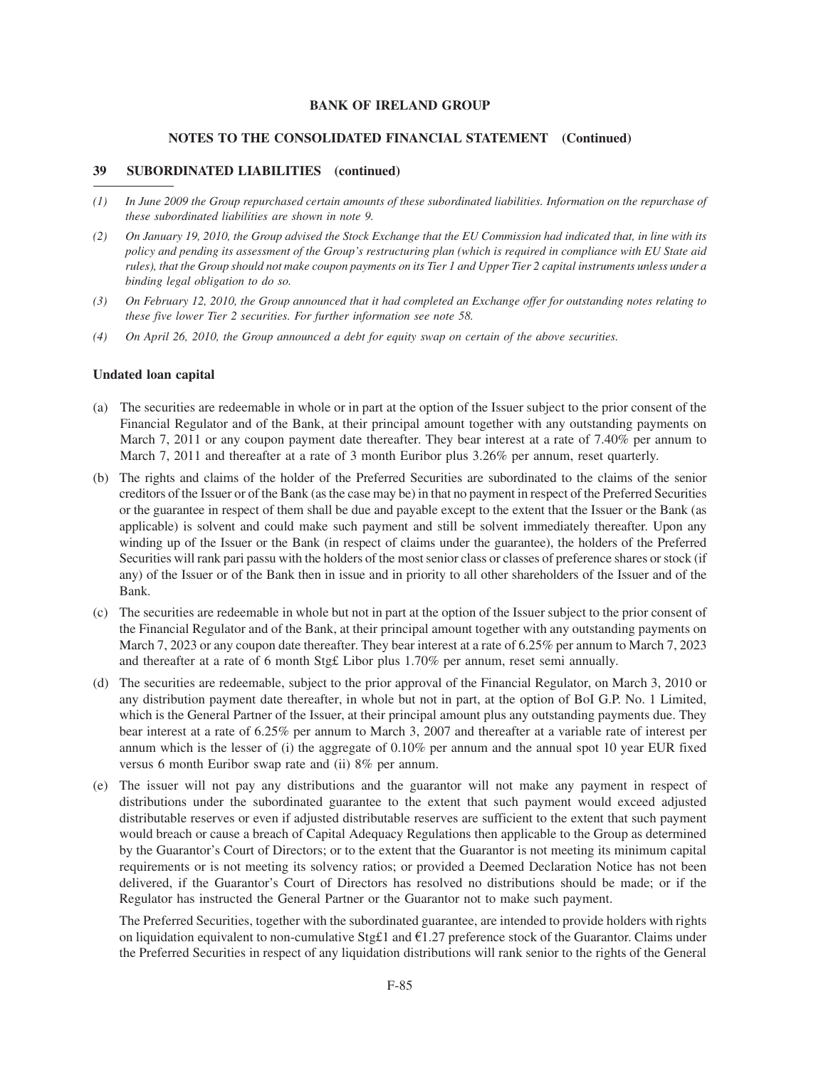#### **NOTES TO THE CONSOLIDATED FINANCIAL STATEMENT (Continued)**

#### **39 SUBORDINATED LIABILITIES (continued)**

- *(1) In June 2009 the Group repurchased certain amounts of these subordinated liabilities. Information on the repurchase of these subordinated liabilities are shown in note 9.*
- *(2) On January 19, 2010, the Group advised the Stock Exchange that the EU Commission had indicated that, in line with its policy and pending its assessment of the Group's restructuring plan (which is required in compliance with EU State aid rules), that the Group should not make coupon payments on its Tier 1 and Upper Tier 2 capital instruments unless under a binding legal obligation to do so.*
- *(3) On February 12, 2010, the Group announced that it had completed an Exchange offer for outstanding notes relating to these five lower Tier 2 securities. For further information see note 58.*
- *(4) On April 26, 2010, the Group announced a debt for equity swap on certain of the above securities.*

#### **Undated loan capital**

- (a) The securities are redeemable in whole or in part at the option of the Issuer subject to the prior consent of the Financial Regulator and of the Bank, at their principal amount together with any outstanding payments on March 7, 2011 or any coupon payment date thereafter. They bear interest at a rate of 7.40% per annum to March 7, 2011 and thereafter at a rate of 3 month Euribor plus 3.26% per annum, reset quarterly.
- (b) The rights and claims of the holder of the Preferred Securities are subordinated to the claims of the senior creditors of the Issuer or of the Bank (as the case may be) in that no payment in respect of the Preferred Securities or the guarantee in respect of them shall be due and payable except to the extent that the Issuer or the Bank (as applicable) is solvent and could make such payment and still be solvent immediately thereafter. Upon any winding up of the Issuer or the Bank (in respect of claims under the guarantee), the holders of the Preferred Securities will rank pari passu with the holders of the most senior class or classes of preference shares or stock (if any) of the Issuer or of the Bank then in issue and in priority to all other shareholders of the Issuer and of the Bank.
- (c) The securities are redeemable in whole but not in part at the option of the Issuer subject to the prior consent of the Financial Regulator and of the Bank, at their principal amount together with any outstanding payments on March 7, 2023 or any coupon date thereafter. They bear interest at a rate of 6.25% per annum to March 7, 2023 and thereafter at a rate of 6 month Stg£ Libor plus 1.70% per annum, reset semi annually.
- (d) The securities are redeemable, subject to the prior approval of the Financial Regulator, on March 3, 2010 or any distribution payment date thereafter, in whole but not in part, at the option of BoI G.P. No. 1 Limited, which is the General Partner of the Issuer, at their principal amount plus any outstanding payments due. They bear interest at a rate of 6.25% per annum to March 3, 2007 and thereafter at a variable rate of interest per annum which is the lesser of (i) the aggregate of 0.10% per annum and the annual spot 10 year EUR fixed versus 6 month Euribor swap rate and (ii) 8% per annum.
- (e) The issuer will not pay any distributions and the guarantor will not make any payment in respect of distributions under the subordinated guarantee to the extent that such payment would exceed adjusted distributable reserves or even if adjusted distributable reserves are sufficient to the extent that such payment would breach or cause a breach of Capital Adequacy Regulations then applicable to the Group as determined by the Guarantor's Court of Directors; or to the extent that the Guarantor is not meeting its minimum capital requirements or is not meeting its solvency ratios; or provided a Deemed Declaration Notice has not been delivered, if the Guarantor's Court of Directors has resolved no distributions should be made; or if the Regulator has instructed the General Partner or the Guarantor not to make such payment.

The Preferred Securities, together with the subordinated guarantee, are intended to provide holders with rights on liquidation equivalent to non-cumulative Stg£1 and  $E1.27$  preference stock of the Guarantor. Claims under the Preferred Securities in respect of any liquidation distributions will rank senior to the rights of the General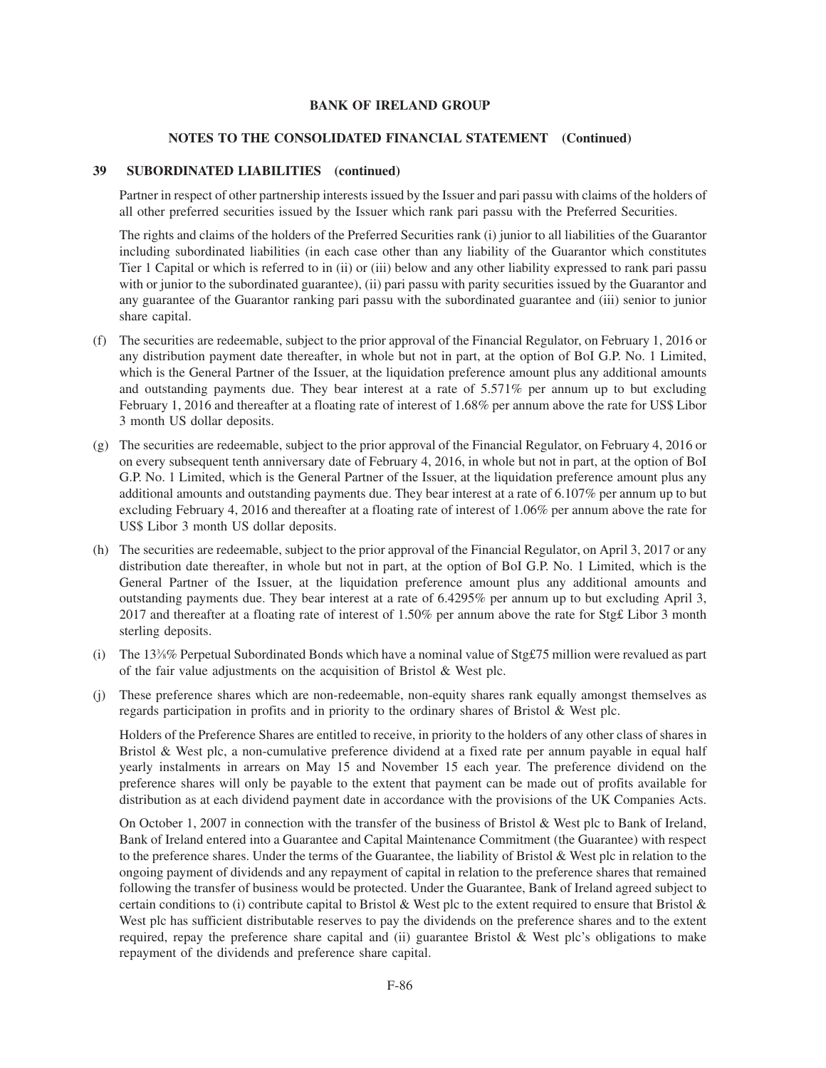### **NOTES TO THE CONSOLIDATED FINANCIAL STATEMENT (Continued)**

### **39 SUBORDINATED LIABILITIES (continued)**

Partner in respect of other partnership interests issued by the Issuer and pari passu with claims of the holders of all other preferred securities issued by the Issuer which rank pari passu with the Preferred Securities.

The rights and claims of the holders of the Preferred Securities rank (i) junior to all liabilities of the Guarantor including subordinated liabilities (in each case other than any liability of the Guarantor which constitutes Tier 1 Capital or which is referred to in (ii) or (iii) below and any other liability expressed to rank pari passu with or junior to the subordinated guarantee), (ii) pari passu with parity securities issued by the Guarantor and any guarantee of the Guarantor ranking pari passu with the subordinated guarantee and (iii) senior to junior share capital.

- (f) The securities are redeemable, subject to the prior approval of the Financial Regulator, on February 1, 2016 or any distribution payment date thereafter, in whole but not in part, at the option of BoI G.P. No. 1 Limited, which is the General Partner of the Issuer, at the liquidation preference amount plus any additional amounts and outstanding payments due. They bear interest at a rate of 5.571% per annum up to but excluding February 1, 2016 and thereafter at a floating rate of interest of 1.68% per annum above the rate for US\$ Libor 3 month US dollar deposits.
- (g) The securities are redeemable, subject to the prior approval of the Financial Regulator, on February 4, 2016 or on every subsequent tenth anniversary date of February 4, 2016, in whole but not in part, at the option of BoI G.P. No. 1 Limited, which is the General Partner of the Issuer, at the liquidation preference amount plus any additional amounts and outstanding payments due. They bear interest at a rate of 6.107% per annum up to but excluding February 4, 2016 and thereafter at a floating rate of interest of 1.06% per annum above the rate for US\$ Libor 3 month US dollar deposits.
- (h) The securities are redeemable, subject to the prior approval of the Financial Regulator, on April 3, 2017 or any distribution date thereafter, in whole but not in part, at the option of BoI G.P. No. 1 Limited, which is the General Partner of the Issuer, at the liquidation preference amount plus any additional amounts and outstanding payments due. They bear interest at a rate of 6.4295% per annum up to but excluding April 3, 2017 and thereafter at a floating rate of interest of 1.50% per annum above the rate for Stg£ Libor 3 month sterling deposits.
- (i) The 13%% Perpetual Subordinated Bonds which have a nominal value of Stg£75 million were revalued as part of the fair value adjustments on the acquisition of Bristol & West plc.
- (j) These preference shares which are non-redeemable, non-equity shares rank equally amongst themselves as regards participation in profits and in priority to the ordinary shares of Bristol & West plc.

Holders of the Preference Shares are entitled to receive, in priority to the holders of any other class of shares in Bristol & West plc, a non-cumulative preference dividend at a fixed rate per annum payable in equal half yearly instalments in arrears on May 15 and November 15 each year. The preference dividend on the preference shares will only be payable to the extent that payment can be made out of profits available for distribution as at each dividend payment date in accordance with the provisions of the UK Companies Acts.

On October 1, 2007 in connection with the transfer of the business of Bristol & West plc to Bank of Ireland, Bank of Ireland entered into a Guarantee and Capital Maintenance Commitment (the Guarantee) with respect to the preference shares. Under the terms of the Guarantee, the liability of Bristol & West plc in relation to the ongoing payment of dividends and any repayment of capital in relation to the preference shares that remained following the transfer of business would be protected. Under the Guarantee, Bank of Ireland agreed subject to certain conditions to (i) contribute capital to Bristol & West plc to the extent required to ensure that Bristol & West plc has sufficient distributable reserves to pay the dividends on the preference shares and to the extent required, repay the preference share capital and (ii) guarantee Bristol  $\&$  West plc's obligations to make repayment of the dividends and preference share capital.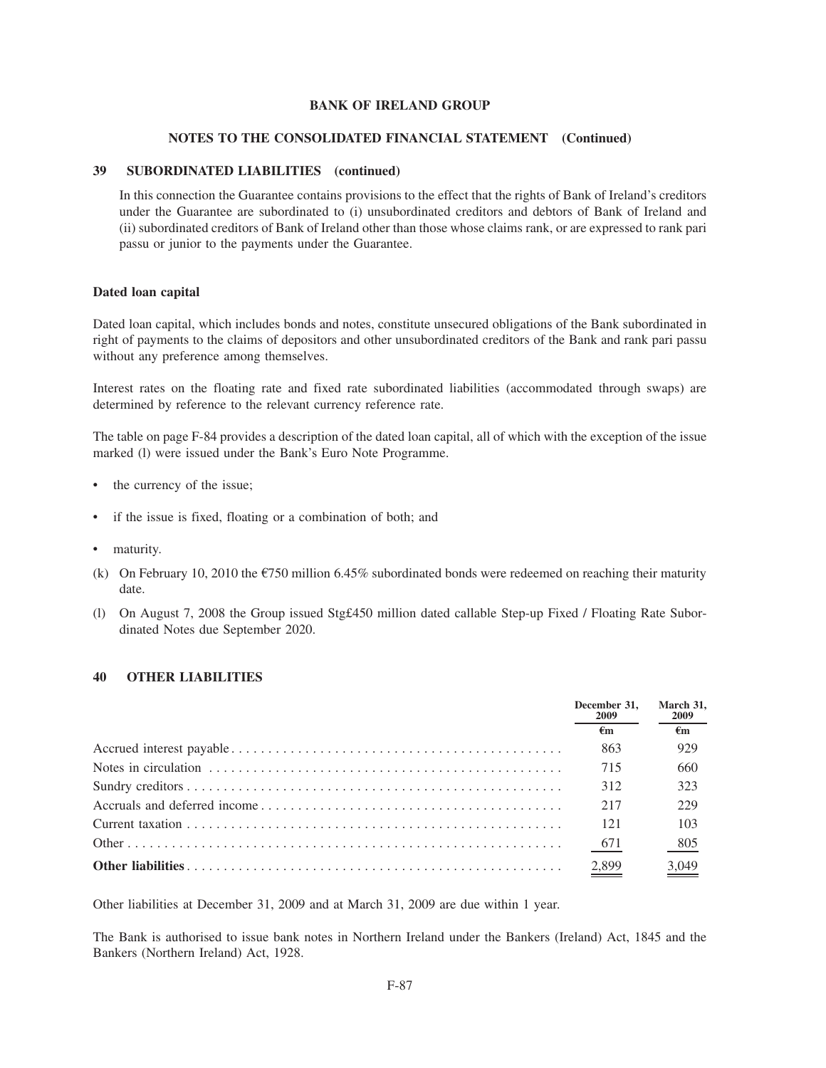#### **NOTES TO THE CONSOLIDATED FINANCIAL STATEMENT (Continued)**

### **39 SUBORDINATED LIABILITIES (continued)**

In this connection the Guarantee contains provisions to the effect that the rights of Bank of Ireland's creditors under the Guarantee are subordinated to (i) unsubordinated creditors and debtors of Bank of Ireland and (ii) subordinated creditors of Bank of Ireland other than those whose claims rank, or are expressed to rank pari passu or junior to the payments under the Guarantee.

#### **Dated loan capital**

Dated loan capital, which includes bonds and notes, constitute unsecured obligations of the Bank subordinated in right of payments to the claims of depositors and other unsubordinated creditors of the Bank and rank pari passu without any preference among themselves.

Interest rates on the floating rate and fixed rate subordinated liabilities (accommodated through swaps) are determined by reference to the relevant currency reference rate.

The table on page F-84 provides a description of the dated loan capital, all of which with the exception of the issue marked (l) were issued under the Bank's Euro Note Programme.

- the currency of the issue;
- if the issue is fixed, floating or a combination of both; and
- maturity.
- (k) On February 10, 2010 the  $\epsilon$ 750 million 6.45% subordinated bonds were redeemed on reaching their maturity date.
- (l) On August 7, 2008 the Group issued Stg£450 million dated callable Step-up Fixed / Floating Rate Subordinated Notes due September 2020.

### **40 OTHER LIABILITIES**

| December 31.<br><b>2009</b> | March 31,<br><b>2009</b> |  |
|-----------------------------|--------------------------|--|
| €m                          | $\epsilon_{\rm m}$       |  |
| 863                         | 929                      |  |
| 715                         | 660                      |  |
| 312                         | 323                      |  |
| 217                         | 229                      |  |
| 121                         | 103                      |  |
| 671                         | 805                      |  |
| 2,899                       | $\frac{3,049}{2}$        |  |

Other liabilities at December 31, 2009 and at March 31, 2009 are due within 1 year.

The Bank is authorised to issue bank notes in Northern Ireland under the Bankers (Ireland) Act, 1845 and the Bankers (Northern Ireland) Act, 1928.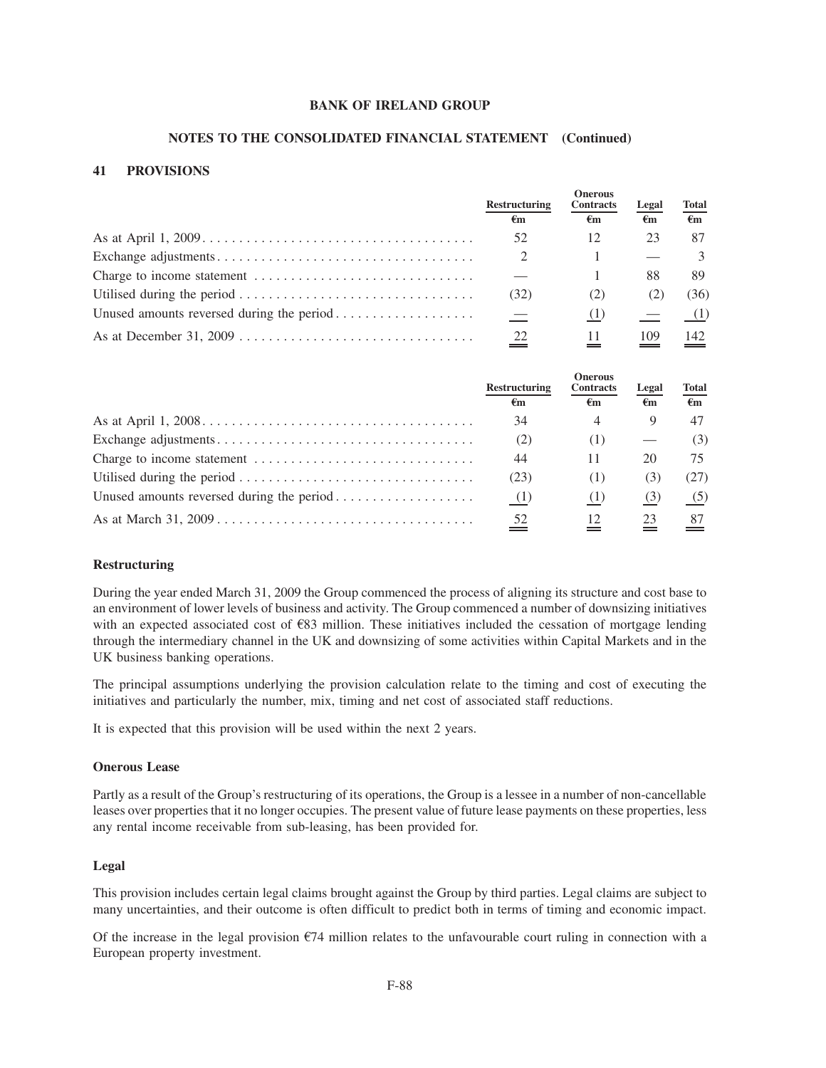#### **NOTES TO THE CONSOLIDATED FINANCIAL STATEMENT (Continued)**

### **41 PROVISIONS**

|                                                                                                    | <b>Restructuring</b> | <b>Onerous</b><br><b>Contracts</b> |                    | <b>Total</b>       |
|----------------------------------------------------------------------------------------------------|----------------------|------------------------------------|--------------------|--------------------|
|                                                                                                    | $\epsilon_{\rm m}$   | $\epsilon_{\rm m}$                 | $\epsilon_{\rm m}$ | $\epsilon_{\rm m}$ |
| As at April $1, 2009 \ldots \ldots \ldots \ldots \ldots \ldots \ldots \ldots \ldots \ldots \ldots$ | 52                   |                                    | 23                 | 87                 |
|                                                                                                    | 2                    |                                    |                    | $\mathcal{L}$      |
|                                                                                                    |                      |                                    | 88                 | 89.                |
|                                                                                                    | (32)                 | (Z)                                | (2)                | (36)               |
|                                                                                                    | $\hspace{0.1mm}$     |                                    |                    | (1)                |
|                                                                                                    | 22                   |                                    | 109                | 142.               |

|                                                                                             | <b>Restructuring</b><br>€m | <b>Onerous</b><br><b>Contracts</b><br>$\epsilon_{\rm m}$ | Legal<br>$\epsilon_{\rm m}$ | Total<br>$\epsilon_{\rm m}$ |
|---------------------------------------------------------------------------------------------|----------------------------|----------------------------------------------------------|-----------------------------|-----------------------------|
|                                                                                             | 34                         |                                                          |                             | 47                          |
|                                                                                             | (2)                        |                                                          |                             | (3)                         |
|                                                                                             | 44                         |                                                          | 20                          |                             |
| Utilised during the period $\ldots \ldots \ldots \ldots \ldots \ldots \ldots \ldots \ldots$ | (23)                       | (1)                                                      | (3)                         | (27)                        |
|                                                                                             | (1)                        |                                                          | (3)                         | (5)                         |
|                                                                                             | $\frac{52}{5}$             |                                                          | 23                          | 87                          |

### **Restructuring**

During the year ended March 31, 2009 the Group commenced the process of aligning its structure and cost base to an environment of lower levels of business and activity. The Group commenced a number of downsizing initiatives with an expected associated cost of  $\epsilon$ 83 million. These initiatives included the cessation of mortgage lending through the intermediary channel in the UK and downsizing of some activities within Capital Markets and in the UK business banking operations.

The principal assumptions underlying the provision calculation relate to the timing and cost of executing the initiatives and particularly the number, mix, timing and net cost of associated staff reductions.

It is expected that this provision will be used within the next 2 years.

### **Onerous Lease**

Partly as a result of the Group's restructuring of its operations, the Group is a lessee in a number of non-cancellable leases over properties that it no longer occupies. The present value of future lease payments on these properties, less any rental income receivable from sub-leasing, has been provided for.

#### **Legal**

This provision includes certain legal claims brought against the Group by third parties. Legal claims are subject to many uncertainties, and their outcome is often difficult to predict both in terms of timing and economic impact.

Of the increase in the legal provision  $E$ 74 million relates to the unfavourable court ruling in connection with a European property investment.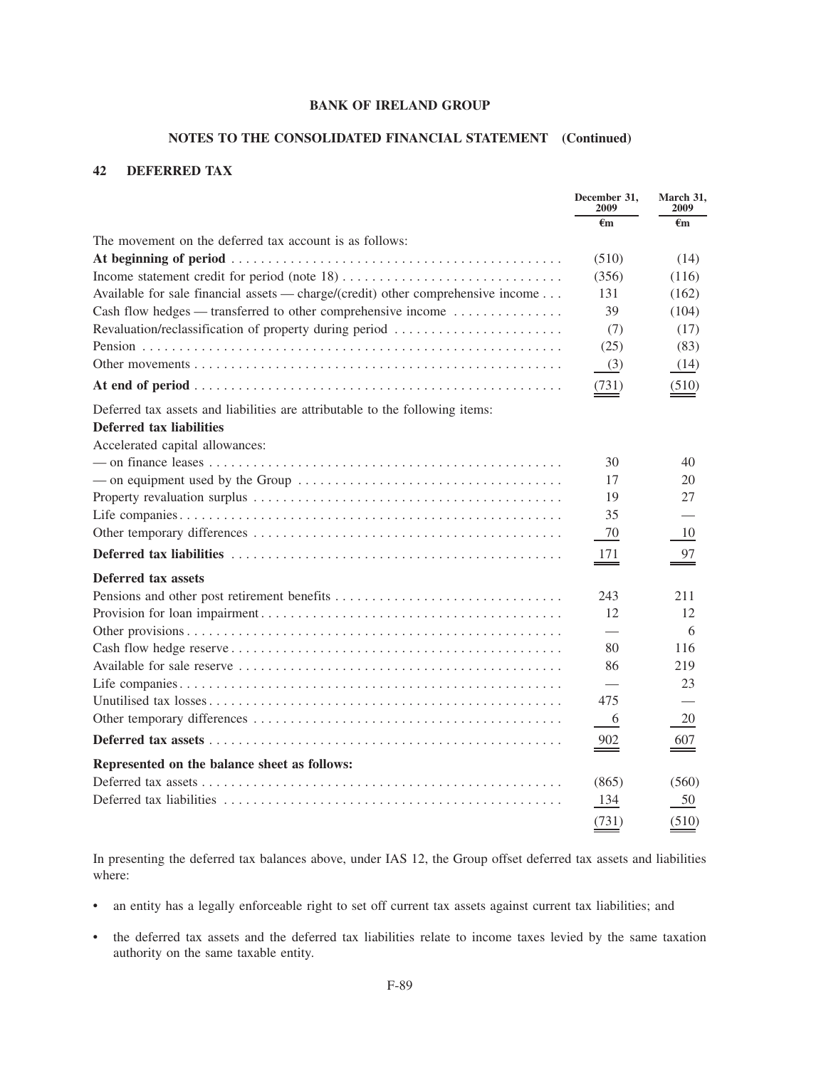### **NOTES TO THE CONSOLIDATED FINANCIAL STATEMENT (Continued)**

## **42 DEFERRED TAX**

|                                                                                  | December 31,<br>2009     | March 31.<br>2009 |
|----------------------------------------------------------------------------------|--------------------------|-------------------|
|                                                                                  | $\epsilon$ m             | $\epsilon_{m}$    |
| The movement on the deferred tax account is as follows:                          |                          |                   |
|                                                                                  | (510)                    | (14)              |
|                                                                                  | (356)                    | (116)             |
| Available for sale financial assets — charge/(credit) other comprehensive income | 131                      | (162)             |
| Cash flow hedges — transferred to other comprehensive income                     | 39                       | (104)             |
| Revaluation/reclassification of property during period                           | (7)                      | (17)              |
|                                                                                  | (25)                     | (83)              |
|                                                                                  | (3)                      | (14)              |
|                                                                                  | (731)                    | (510)             |
| Deferred tax assets and liabilities are attributable to the following items:     |                          |                   |
| <b>Deferred tax liabilities</b>                                                  |                          |                   |
| Accelerated capital allowances:                                                  |                          |                   |
|                                                                                  | 30                       | 40                |
|                                                                                  | 17                       | 20                |
|                                                                                  | 19                       | 27                |
|                                                                                  | 35                       |                   |
|                                                                                  | 70                       | 10                |
|                                                                                  | -171                     | 97                |
| Deferred tax assets                                                              |                          |                   |
|                                                                                  | 243                      | 211               |
|                                                                                  | 12                       | 12                |
|                                                                                  |                          | 6                 |
|                                                                                  | 80                       | 116               |
|                                                                                  | 86                       | 219               |
|                                                                                  | $\overline{\phantom{0}}$ | 23                |
|                                                                                  | 475                      |                   |
|                                                                                  | 6                        | 20                |
|                                                                                  | $\frac{902}{2}$          | 607               |
| Represented on the balance sheet as follows:                                     |                          |                   |
|                                                                                  | (865)                    | (560)             |
|                                                                                  | 134                      | 50                |
|                                                                                  | (731)                    | (510)             |

In presenting the deferred tax balances above, under IAS 12, the Group offset deferred tax assets and liabilities where:

- an entity has a legally enforceable right to set off current tax assets against current tax liabilities; and
- the deferred tax assets and the deferred tax liabilities relate to income taxes levied by the same taxation authority on the same taxable entity.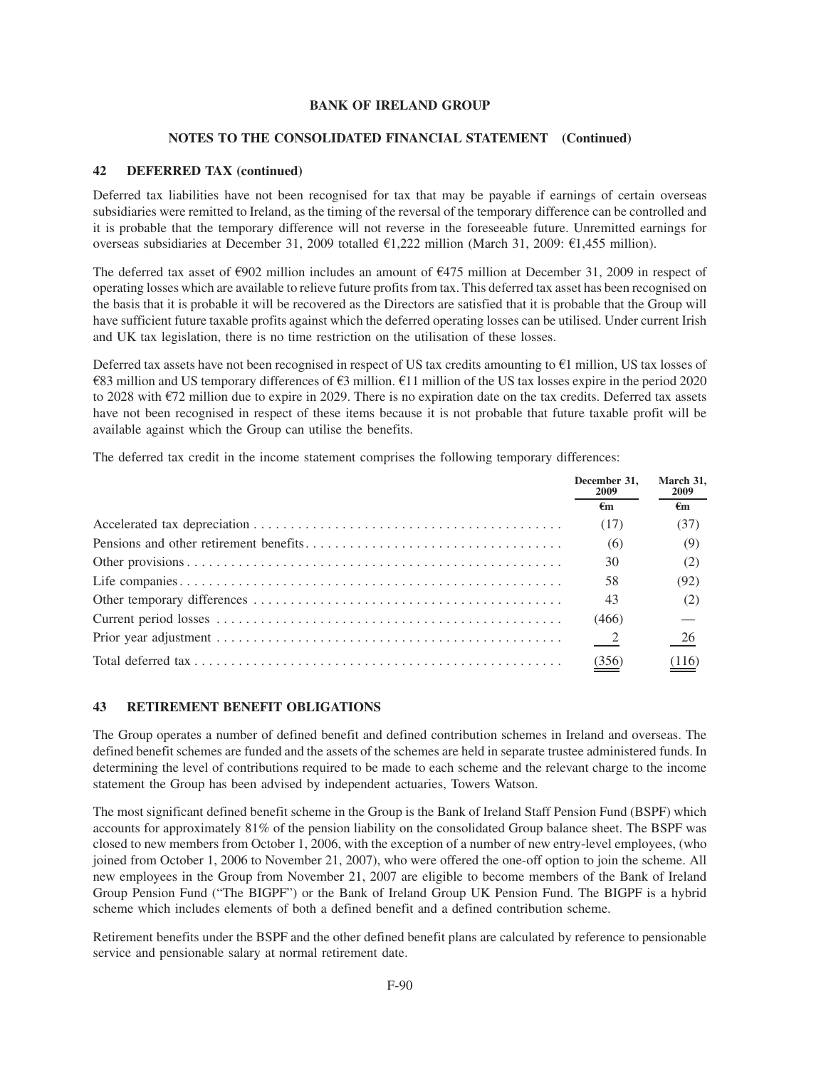### **NOTES TO THE CONSOLIDATED FINANCIAL STATEMENT (Continued)**

### **42 DEFERRED TAX (continued)**

Deferred tax liabilities have not been recognised for tax that may be payable if earnings of certain overseas subsidiaries were remitted to Ireland, as the timing of the reversal of the temporary difference can be controlled and it is probable that the temporary difference will not reverse in the foreseeable future. Unremitted earnings for overseas subsidiaries at December 31, 2009 totalled  $\text{\textsterling}1,222$  million (March 31, 2009:  $\text{\textsterling}1,455$  million).

The deferred tax asset of  $\epsilon$ 902 million includes an amount of  $\epsilon$ 475 million at December 31, 2009 in respect of operating losses which are available to relieve future profits from tax. This deferred tax asset has been recognised on the basis that it is probable it will be recovered as the Directors are satisfied that it is probable that the Group will have sufficient future taxable profits against which the deferred operating losses can be utilised. Under current Irish and UK tax legislation, there is no time restriction on the utilisation of these losses.

Deferred tax assets have not been recognised in respect of US tax credits amounting to  $E1$  million, US tax losses of  $\epsilon$ 83 million and US temporary differences of  $\epsilon$ 3 million.  $\epsilon$ 11 million of the US tax losses expire in the period 2020 to 2028 with  $E$ 72 million due to expire in 2029. There is no expiration date on the tax credits. Deferred tax assets have not been recognised in respect of these items because it is not probable that future taxable profit will be available against which the Group can utilise the benefits.

The deferred tax credit in the income statement comprises the following temporary differences:

| December 31.<br><b>2009</b> | March 31,<br><b>2009</b> |  |
|-----------------------------|--------------------------|--|
| €m                          | $\epsilon$ m             |  |
| (17)                        | (37)                     |  |
| (6)                         | (9)                      |  |
| 30                          | (2)                      |  |
| 58                          | (92)                     |  |
| 43                          | (2)                      |  |
| (466)                       |                          |  |
| $\frac{2}{2}$               | $\frac{26}{1}$           |  |
| (356)                       | (116)                    |  |

### **43 RETIREMENT BENEFIT OBLIGATIONS**

The Group operates a number of defined benefit and defined contribution schemes in Ireland and overseas. The defined benefit schemes are funded and the assets of the schemes are held in separate trustee administered funds. In determining the level of contributions required to be made to each scheme and the relevant charge to the income statement the Group has been advised by independent actuaries, Towers Watson.

The most significant defined benefit scheme in the Group is the Bank of Ireland Staff Pension Fund (BSPF) which accounts for approximately 81% of the pension liability on the consolidated Group balance sheet. The BSPF was closed to new members from October 1, 2006, with the exception of a number of new entry-level employees, (who joined from October 1, 2006 to November 21, 2007), who were offered the one-off option to join the scheme. All new employees in the Group from November 21, 2007 are eligible to become members of the Bank of Ireland Group Pension Fund ("The BIGPF") or the Bank of Ireland Group UK Pension Fund. The BIGPF is a hybrid scheme which includes elements of both a defined benefit and a defined contribution scheme.

Retirement benefits under the BSPF and the other defined benefit plans are calculated by reference to pensionable service and pensionable salary at normal retirement date.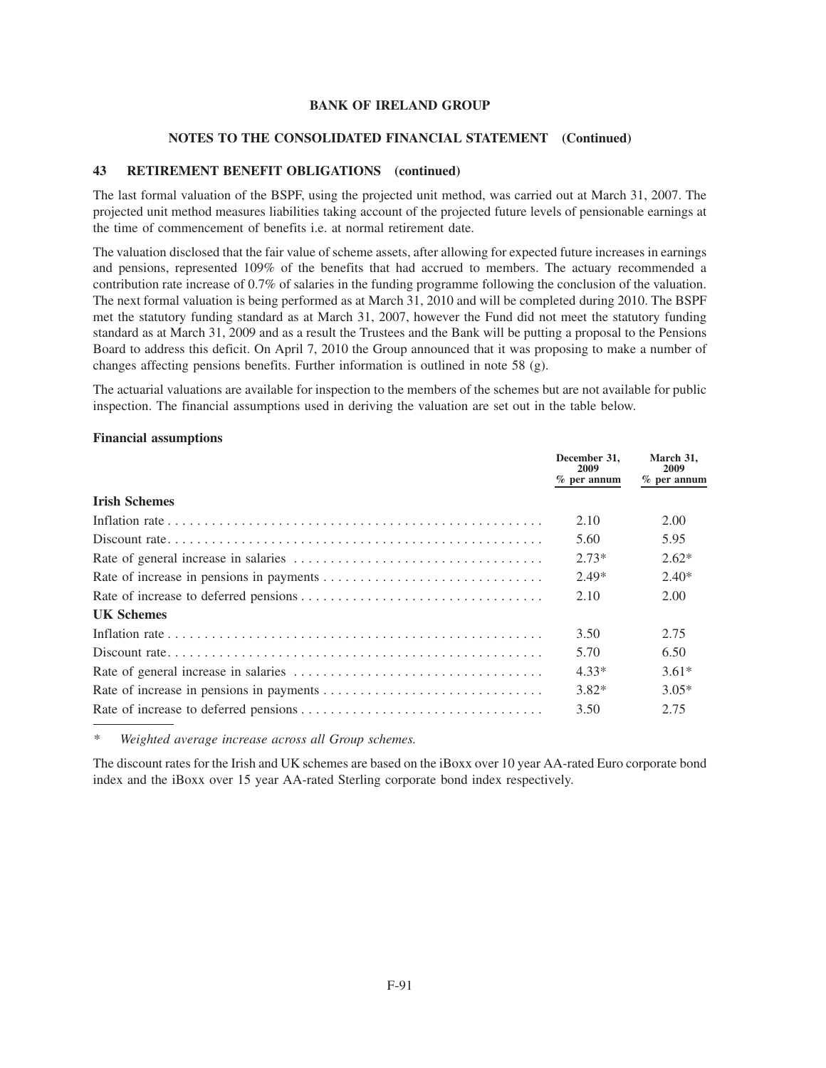#### **NOTES TO THE CONSOLIDATED FINANCIAL STATEMENT (Continued)**

### **43 RETIREMENT BENEFIT OBLIGATIONS (continued)**

The last formal valuation of the BSPF, using the projected unit method, was carried out at March 31, 2007. The projected unit method measures liabilities taking account of the projected future levels of pensionable earnings at the time of commencement of benefits i.e. at normal retirement date.

The valuation disclosed that the fair value of scheme assets, after allowing for expected future increases in earnings and pensions, represented 109% of the benefits that had accrued to members. The actuary recommended a contribution rate increase of 0.7% of salaries in the funding programme following the conclusion of the valuation. The next formal valuation is being performed as at March 31, 2010 and will be completed during 2010. The BSPF met the statutory funding standard as at March 31, 2007, however the Fund did not meet the statutory funding standard as at March 31, 2009 and as a result the Trustees and the Bank will be putting a proposal to the Pensions Board to address this deficit. On April 7, 2010 the Group announced that it was proposing to make a number of changes affecting pensions benefits. Further information is outlined in note 58 (g).

The actuarial valuations are available for inspection to the members of the schemes but are not available for public inspection. The financial assumptions used in deriving the valuation are set out in the table below.

#### **Financial assumptions**

|                      | December 31,<br>2009<br>$%$ per annum | March 31,<br>2009<br>$%$ per annum |
|----------------------|---------------------------------------|------------------------------------|
| <b>Irish Schemes</b> |                                       |                                    |
|                      | 2.10                                  | 2.00                               |
|                      | 5.60                                  | 5.95                               |
|                      | $2.73*$                               | $2.62*$                            |
|                      | $2.49*$                               | $2.40*$                            |
|                      | 2.10                                  | 2.00                               |
| <b>UK Schemes</b>    |                                       |                                    |
|                      | 3.50                                  | 2.75                               |
|                      | 5.70                                  | 6.50                               |
|                      | 4.33*                                 | $3.61*$                            |
|                      | $3.82*$                               | $3.05*$                            |
|                      | 3.50                                  | 2.75                               |

*\* Weighted average increase across all Group schemes.*

The discount rates for the Irish and UK schemes are based on the iBoxx over 10 year AA-rated Euro corporate bond index and the iBoxx over 15 year AA-rated Sterling corporate bond index respectively.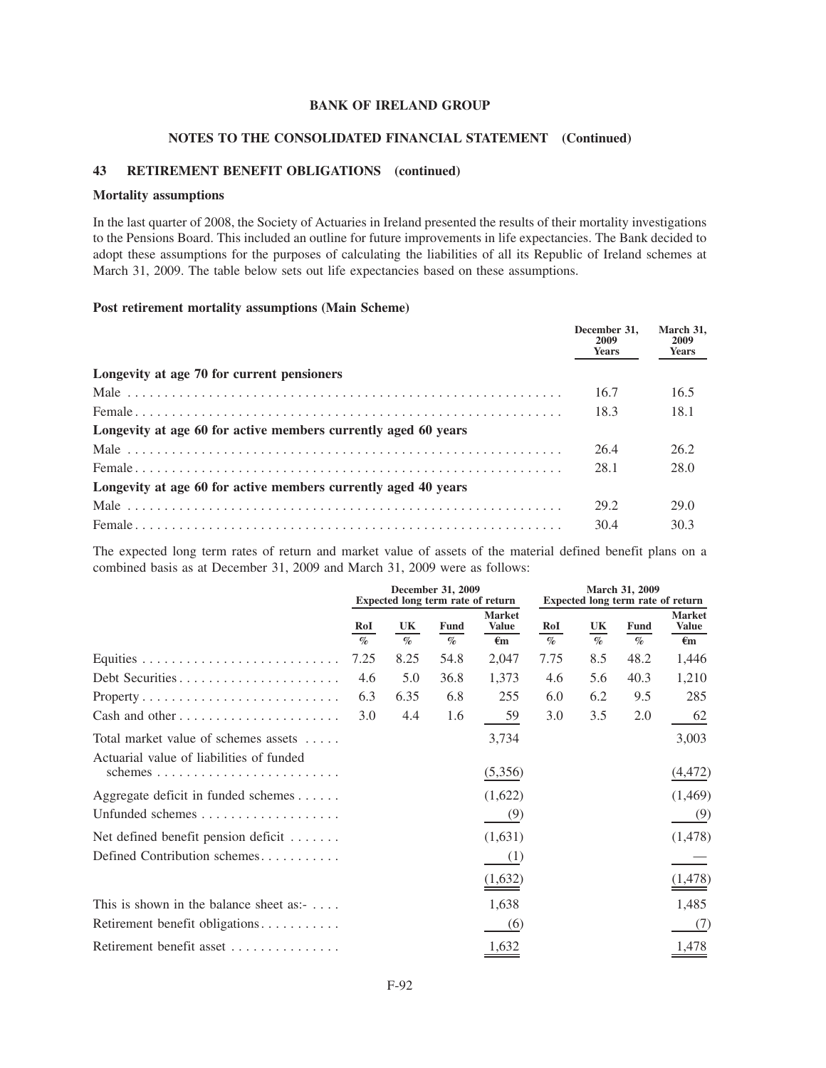#### **NOTES TO THE CONSOLIDATED FINANCIAL STATEMENT (Continued)**

### **43 RETIREMENT BENEFIT OBLIGATIONS (continued)**

#### **Mortality assumptions**

In the last quarter of 2008, the Society of Actuaries in Ireland presented the results of their mortality investigations to the Pensions Board. This included an outline for future improvements in life expectancies. The Bank decided to adopt these assumptions for the purposes of calculating the liabilities of all its Republic of Ireland schemes at March 31, 2009. The table below sets out life expectancies based on these assumptions.

### **Post retirement mortality assumptions (Main Scheme)**

|                                                                | December 31.<br>2009<br><b>Years</b> | March 31,<br>2009<br><b>Years</b> |
|----------------------------------------------------------------|--------------------------------------|-----------------------------------|
| Longevity at age 70 for current pensioners                     |                                      |                                   |
|                                                                | 16.7                                 | 16.5                              |
|                                                                | 18.3                                 | 18.1                              |
| Longevity at age 60 for active members currently aged 60 years |                                      |                                   |
|                                                                | 26.4                                 | 26.2                              |
|                                                                | 28.1                                 | 28.0                              |
| Longevity at age 60 for active members currently aged 40 years |                                      |                                   |
|                                                                | 29.2                                 | 29.0                              |
|                                                                | 30.4                                 | 30.3                              |

The expected long term rates of return and market value of assets of the material defined benefit plans on a combined basis as at December 31, 2009 and March 31, 2009 were as follows:

|                                                   |                             |      | December 31, 2009<br>March 31, 2009<br>Expected long term rate of return |                               | Expected long term rate of return |      |             |                               |
|---------------------------------------------------|-----------------------------|------|--------------------------------------------------------------------------|-------------------------------|-----------------------------------|------|-------------|-------------------------------|
|                                                   | RoI                         | UK   | <b>Fund</b>                                                              | <b>Market</b><br><b>Value</b> | RoI                               | UK   | <b>Fund</b> | <b>Market</b><br><b>Value</b> |
|                                                   | $\mathcal{O}_{\mathcal{O}}$ | $\%$ | $\%$                                                                     | $\epsilon_{\rm m}$            | $\%$                              | $\%$ | $\%$        | $\epsilon_{\rm m}$            |
|                                                   | 7.25                        | 8.25 | 54.8                                                                     | 2,047                         | 7.75                              | 8.5  | 48.2        | 1,446                         |
|                                                   | 4.6                         | 5.0  | 36.8                                                                     | 1,373                         | 4.6                               | 5.6  | 40.3        | 1,210                         |
|                                                   | 6.3                         | 6.35 | 6.8                                                                      | 255                           | 6.0                               | 6.2  | 9.5         | 285                           |
|                                                   | 3.0                         | 4.4  | 1.6                                                                      | 59                            | 3.0                               | 3.5  | 2.0         | 62                            |
| Total market value of schemes assets              |                             |      |                                                                          | 3,734                         |                                   |      |             | 3,003                         |
| Actuarial value of liabilities of funded          |                             |      |                                                                          | (5,356)                       |                                   |      |             | (4, 472)                      |
| Aggregate deficit in funded schemes               |                             |      |                                                                          | (1,622)                       |                                   |      |             | (1,469)                       |
|                                                   |                             |      |                                                                          | (9)                           |                                   |      |             | (9)                           |
| Net defined benefit pension deficit $\dots \dots$ |                             |      |                                                                          | (1,631)                       |                                   |      |             | (1,478)                       |
| Defined Contribution schemes                      |                             |      |                                                                          | (1)                           |                                   |      |             |                               |
|                                                   |                             |      |                                                                          | (1,632)                       |                                   |      |             | (1, 478)                      |
| This is shown in the balance sheet as:- $\dots$   |                             |      |                                                                          | 1,638                         |                                   |      |             | 1,485                         |
| Retirement benefit obligations                    |                             |      |                                                                          | (6)                           |                                   |      |             | (7)                           |
| Retirement benefit asset                          |                             |      |                                                                          | 1,632                         |                                   |      |             | 1,478                         |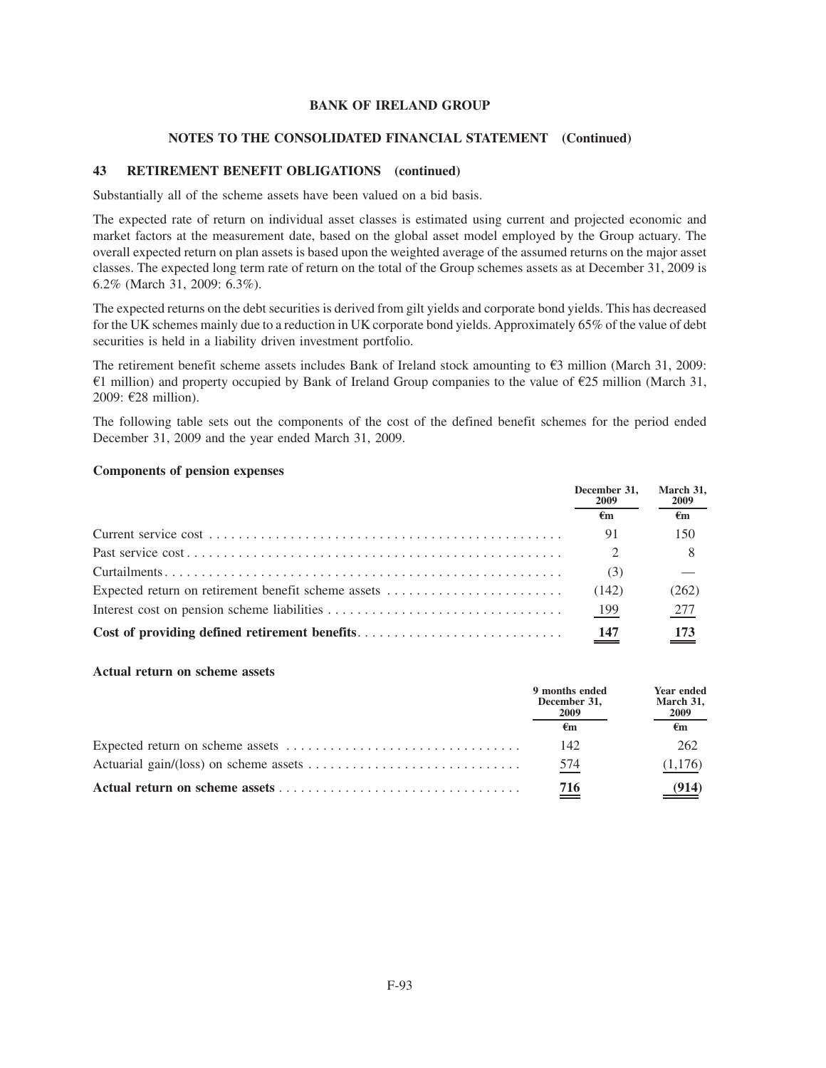#### **NOTES TO THE CONSOLIDATED FINANCIAL STATEMENT (Continued)**

### **43 RETIREMENT BENEFIT OBLIGATIONS (continued)**

Substantially all of the scheme assets have been valued on a bid basis.

The expected rate of return on individual asset classes is estimated using current and projected economic and market factors at the measurement date, based on the global asset model employed by the Group actuary. The overall expected return on plan assets is based upon the weighted average of the assumed returns on the major asset classes. The expected long term rate of return on the total of the Group schemes assets as at December 31, 2009 is 6.2% (March 31, 2009: 6.3%).

The expected returns on the debt securities is derived from gilt yields and corporate bond yields. This has decreased for the UK schemes mainly due to a reduction in UK corporate bond yields. Approximately 65% of the value of debt securities is held in a liability driven investment portfolio.

The retirement benefit scheme assets includes Bank of Ireland stock amounting to  $\mathfrak{S}3$  million (March 31, 2009:  $\epsilon$ 1 million) and property occupied by Bank of Ireland Group companies to the value of  $\epsilon$ 25 million (March 31, 2009:  $E28$  million).

The following table sets out the components of the cost of the defined benefit schemes for the period ended December 31, 2009 and the year ended March 31, 2009.

#### **Components of pension expenses**

|                                                     | December 31.<br>2009 | March 31,<br>2009 |
|-----------------------------------------------------|----------------------|-------------------|
|                                                     | €m                   | $\epsilon$ m      |
|                                                     | 91                   | 150               |
|                                                     |                      |                   |
|                                                     | (3)                  |                   |
| Expected return on retirement benefit scheme assets | (142)                | (262)             |
|                                                     | 199                  | 277               |
|                                                     |                      | 173               |

#### **Actual return on scheme assets**

| 9 months ended<br>December 31.<br>2009 | Year ended<br>March 31,<br>2009 |
|----------------------------------------|---------------------------------|
|                                        | €m                              |
| 142                                    | 262                             |
| 574                                    | (1,176)                         |
| 716                                    |                                 |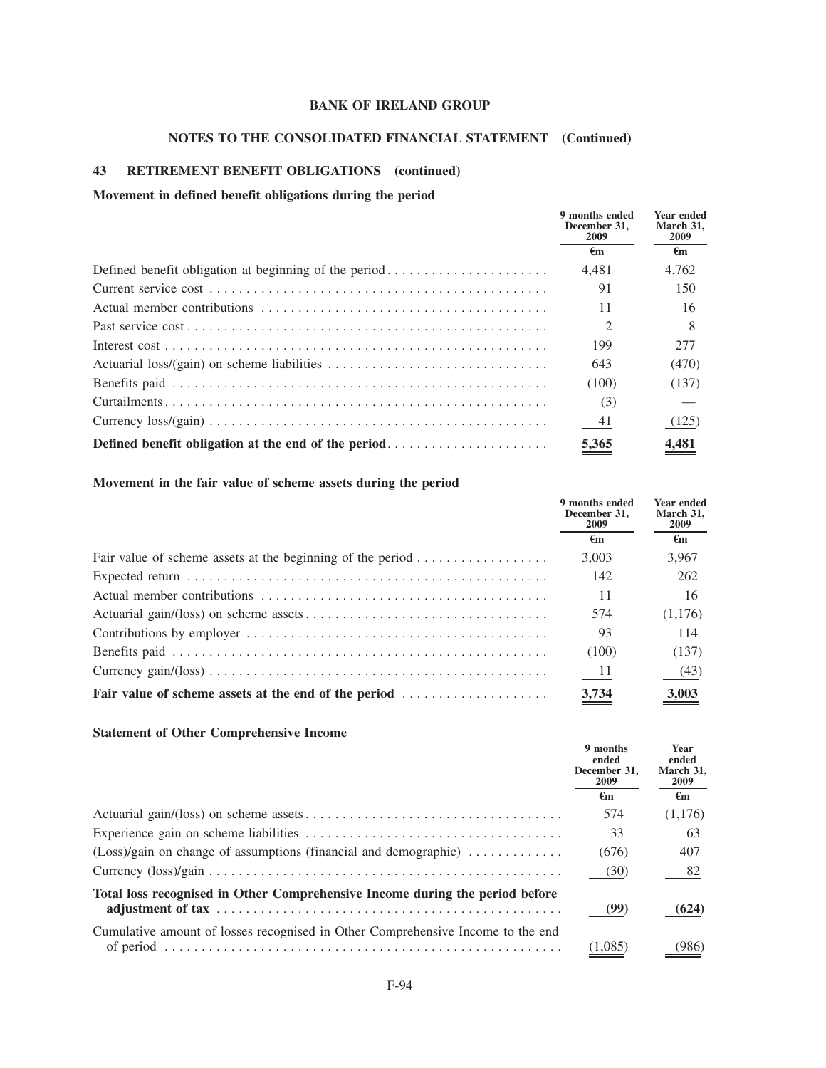# **NOTES TO THE CONSOLIDATED FINANCIAL STATEMENT (Continued)**

### **43 RETIREMENT BENEFIT OBLIGATIONS (continued)**

### **Movement in defined benefit obligations during the period**

|                                                                                                           | 9 months ended<br>December 31.<br>2009 | Year ended<br>March 31,<br>2009 |  |
|-----------------------------------------------------------------------------------------------------------|----------------------------------------|---------------------------------|--|
|                                                                                                           | €m                                     | €m                              |  |
|                                                                                                           | 4.481                                  | 4.762                           |  |
|                                                                                                           | 91                                     | 150                             |  |
|                                                                                                           | 11                                     | 16                              |  |
|                                                                                                           |                                        |                                 |  |
|                                                                                                           | 199                                    | 277                             |  |
| Actuarial loss/(gain) on scheme liabilities $\dots \dots \dots \dots \dots \dots \dots \dots \dots \dots$ | 643                                    | (470)                           |  |
|                                                                                                           | (100)                                  | (137)                           |  |
|                                                                                                           | (3)                                    |                                 |  |
|                                                                                                           | 41                                     | (125)                           |  |
| Defined benefit obligation at the end of the period                                                       | 5,365                                  | 4,481                           |  |

## **Movement in the fair value of scheme assets during the period**

|                                                                                      | 9 months ended<br>December 31.<br><b>2009</b> | <b>Year ended</b><br>March 31,<br><b>2009</b> |
|--------------------------------------------------------------------------------------|-----------------------------------------------|-----------------------------------------------|
|                                                                                      | €m                                            | $\epsilon$ m                                  |
| Fair value of scheme assets at the beginning of the period $\dots \dots \dots \dots$ | 3.003                                         | 3,967                                         |
|                                                                                      | 142                                           | 262                                           |
|                                                                                      | 11                                            | 16                                            |
|                                                                                      | 574                                           | (1,176)                                       |
|                                                                                      | 93                                            | 114                                           |
|                                                                                      | (100)                                         | (137)                                         |
|                                                                                      | - 11                                          | (43)                                          |
| Fair value of scheme assets at the end of the period                                 | 3,734                                         | 3,003                                         |

### **Statement of Other Comprehensive Income**

|                                                                                           | 9 months<br>ended<br>December 31.<br>2009 | Year<br>ended<br>March 31.<br>2009 |
|-------------------------------------------------------------------------------------------|-------------------------------------------|------------------------------------|
|                                                                                           | €m                                        | $\epsilon_{\mathbf{m}}$            |
|                                                                                           | 574                                       | (1,176)                            |
|                                                                                           | 33                                        | 63                                 |
| $(Loss)/gain$ on change of assumptions (financial and demographic) $\ldots \ldots \ldots$ | (676)                                     | 407                                |
|                                                                                           | (30)                                      | 82                                 |
| Total loss recognised in Other Comprehensive Income during the period before              | (99)                                      | (624)                              |
| Cumulative amount of losses recognised in Other Comprehensive Income to the end           | 1.085                                     | '986)                              |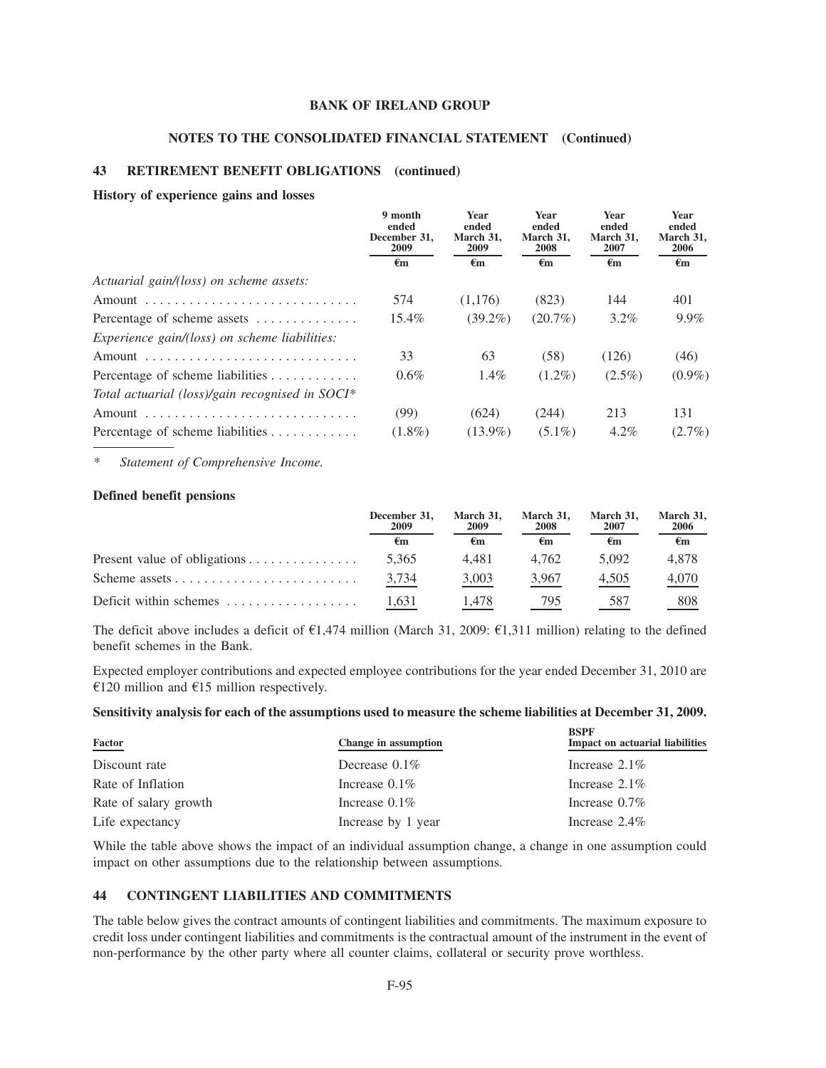#### **NOTES TO THE CONSOLIDATED FINANCIAL STATEMENT (Continued)**

#### **43 RETIREMENT BENEFIT OBLIGATIONS (continued)**

#### **History of experience gains and losses**

|                                                      | 9 month<br>ended<br>December 31,<br>2009 | <b>Year</b><br>ended<br>March 31,<br>2009 | Year<br>ended<br>March 31,<br>2008 | Year<br>ended<br>March 31,<br>2007 | Year<br>ended<br>March 31,<br>2006 |
|------------------------------------------------------|------------------------------------------|-------------------------------------------|------------------------------------|------------------------------------|------------------------------------|
|                                                      | €m                                       | $\epsilon_{\rm m}$                        | $\epsilon_{\rm m}$                 | $\epsilon_{\rm m}$                 | €m                                 |
| Actuarial gain/(loss) on scheme assets:              |                                          |                                           |                                    |                                    |                                    |
|                                                      | 574                                      | (1.176)                                   | (823)                              | 144                                | 401                                |
| Percentage of scheme assets                          | 15.4%                                    | $(39.2\%)$                                | $(20.7\%)$                         | $3.2\%$                            | 9.9%                               |
| <i>Experience gain/(loss) on scheme liabilities:</i> |                                          |                                           |                                    |                                    |                                    |
|                                                      | 33                                       | 63                                        | (58)                               | (126)                              | (46)                               |
| Percentage of scheme liabilities                     | $0.6\%$                                  | $1.4\%$                                   | $(1.2\%)$                          | $(2.5\%)$                          | $(0.9\%)$                          |
| Total actuarial (loss)/gain recognised in SOCI*      |                                          |                                           |                                    |                                    |                                    |
|                                                      | (99)                                     | (624)                                     | (244)                              | 213                                | 131                                |
| Percentage of scheme liabilities                     | $(1.8\%)$                                | $(13.9\%)$                                | $(5.1\%)$                          | $4.2\%$                            | $(2.7\%)$                          |

*\* Statement of Comprehensive Income.*

#### **Defined benefit pensions**

| December 31,<br>2009 | March 31,<br>2009 | March 31.<br>2008 | March 31,<br>2007 | March 31,<br>2006 |
|----------------------|-------------------|-------------------|-------------------|-------------------|
| €m                   | €m                | €m                | €m                | €m                |
| 5.365                | 4.481             | 4.762             | 5.092             | 4.878             |
| 3.734                | 3,003             | 3,967             | 4.505             | 4,070             |
| 1.631                | 1.478             | 795               | 587               | 808               |

The deficit above includes a deficit of  $\epsilon$ 1,474 million (March 31, 2009:  $\epsilon$ 1,311 million) relating to the defined benefit schemes in the Bank.

Expected employer contributions and expected employee contributions for the year ended December 31, 2010 are  $\epsilon$ 120 million and  $\epsilon$ 15 million respectively.

### **Sensitivity analysis for each of the assumptions used to measure the scheme liabilities at December 31, 2009.**

| Factor                | Change in assumption | <b>BSPF</b><br><b>Impact on actuarial liabilities</b> |
|-----------------------|----------------------|-------------------------------------------------------|
| Discount rate         | Decrease $0.1\%$     | Increase $2.1\%$                                      |
| Rate of Inflation     | Increase $0.1\%$     | Increase $2.1\%$                                      |
| Rate of salary growth | Increase $0.1\%$     | Increase $0.7\%$                                      |
| Life expectancy       | Increase by 1 year   | Increase $2.4\%$                                      |

While the table above shows the impact of an individual assumption change, a change in one assumption could impact on other assumptions due to the relationship between assumptions.

### **44 CONTINGENT LIABILITIES AND COMMITMENTS**

The table below gives the contract amounts of contingent liabilities and commitments. The maximum exposure to credit loss under contingent liabilities and commitments is the contractual amount of the instrument in the event of non-performance by the other party where all counter claims, collateral or security prove worthless.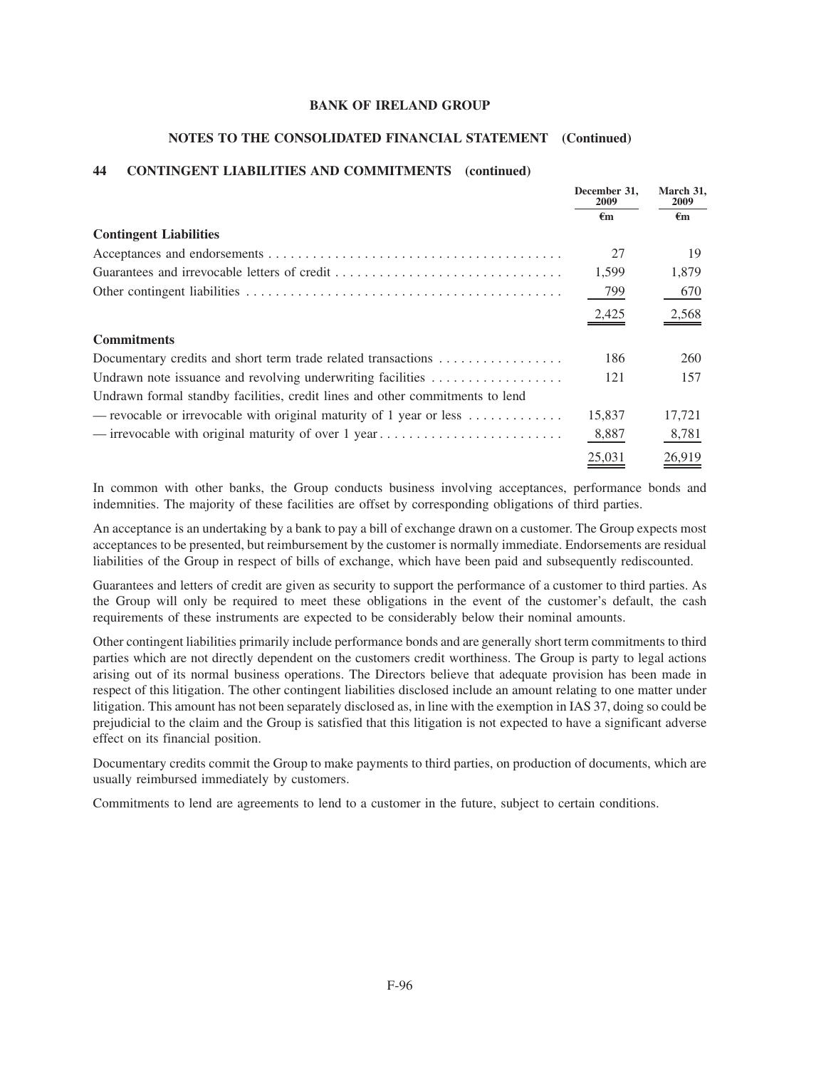#### **NOTES TO THE CONSOLIDATED FINANCIAL STATEMENT (Continued)**

### **44 CONTINGENT LIABILITIES AND COMMITMENTS (continued)**

|                                                                                              | December 31.<br>2009 | March 31.<br><b>2009</b> |
|----------------------------------------------------------------------------------------------|----------------------|--------------------------|
|                                                                                              | €m                   | €m                       |
| <b>Contingent Liabilities</b>                                                                |                      |                          |
|                                                                                              | 27                   | 19                       |
|                                                                                              | 1,599                | 1,879                    |
|                                                                                              | 799                  | 670                      |
|                                                                                              | 2,425                | 2,568                    |
| <b>Commitments</b>                                                                           |                      |                          |
| Documentary credits and short term trade related transactions                                | 186                  | 260                      |
| Undrawn note issuance and revolving underwriting facilities $\dots\dots\dots\dots\dots\dots$ | 121                  | 157                      |
| Undrawn formal standby facilities, credit lines and other commitments to lend                |                      |                          |
| — revocable or irrevocable with original maturity of 1 year or less $\dots \dots \dots$      | 15,837               | 17,721                   |
|                                                                                              | 8,887                | 8,781                    |
|                                                                                              | 25,031               | 26,919                   |

In common with other banks, the Group conducts business involving acceptances, performance bonds and indemnities. The majority of these facilities are offset by corresponding obligations of third parties.

An acceptance is an undertaking by a bank to pay a bill of exchange drawn on a customer. The Group expects most acceptances to be presented, but reimbursement by the customer is normally immediate. Endorsements are residual liabilities of the Group in respect of bills of exchange, which have been paid and subsequently rediscounted.

Guarantees and letters of credit are given as security to support the performance of a customer to third parties. As the Group will only be required to meet these obligations in the event of the customer's default, the cash requirements of these instruments are expected to be considerably below their nominal amounts.

Other contingent liabilities primarily include performance bonds and are generally short term commitments to third parties which are not directly dependent on the customers credit worthiness. The Group is party to legal actions arising out of its normal business operations. The Directors believe that adequate provision has been made in respect of this litigation. The other contingent liabilities disclosed include an amount relating to one matter under litigation. This amount has not been separately disclosed as, in line with the exemption in IAS 37, doing so could be prejudicial to the claim and the Group is satisfied that this litigation is not expected to have a significant adverse effect on its financial position.

Documentary credits commit the Group to make payments to third parties, on production of documents, which are usually reimbursed immediately by customers.

Commitments to lend are agreements to lend to a customer in the future, subject to certain conditions.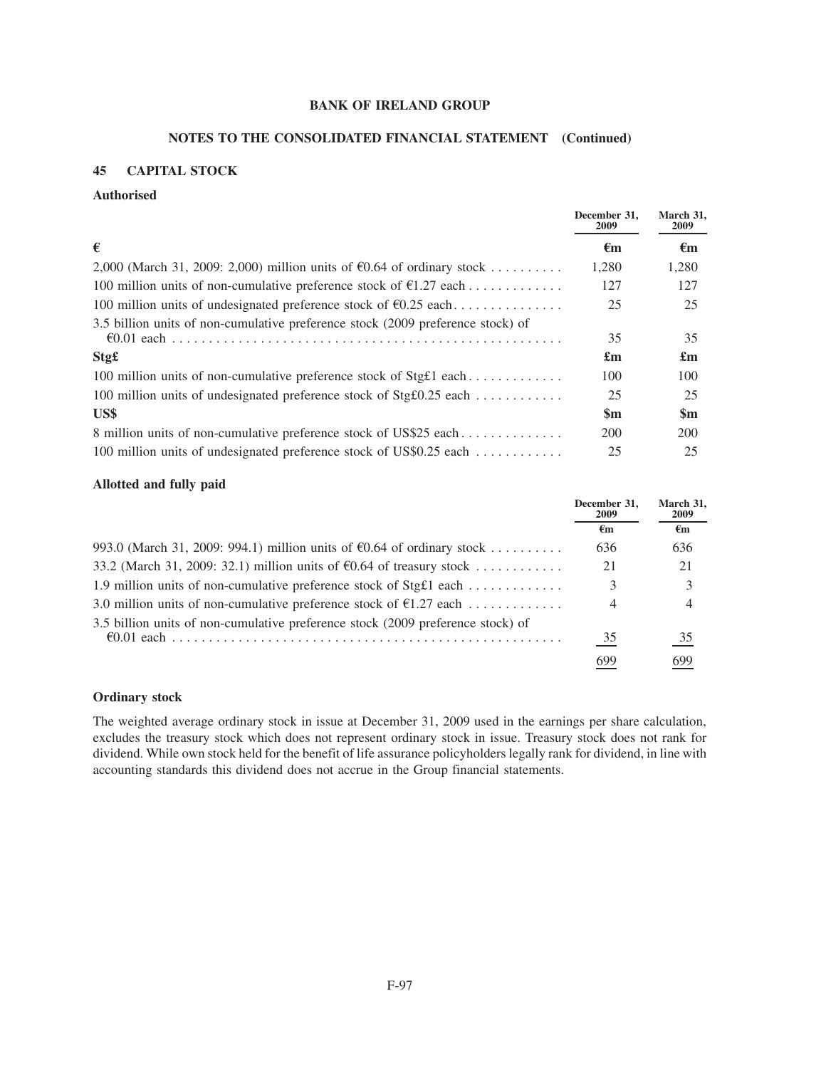### **NOTES TO THE CONSOLIDATED FINANCIAL STATEMENT (Continued)**

## **45 CAPITAL STOCK**

### **Authorised**

|                                                                                           | December 31.<br>2009      | March 31,<br>2009         |
|-------------------------------------------------------------------------------------------|---------------------------|---------------------------|
| €                                                                                         | €m                        | $\epsilon_{\rm m}$        |
| 2,000 (March 31, 2009: 2,000) million units of $\epsilon$ 0.64 of ordinary stock          | 1,280                     | 1,280                     |
| 100 million units of non-cumulative preference stock of $\epsilon$ 1.27 each              | 127                       | 127                       |
| 100 million units of undesignated preference stock of $\epsilon$ 0.25 each                | 25                        | 25                        |
| 3.5 billion units of non-cumulative preference stock (2009 preference stock) of           | 35                        | 35                        |
| Stg£                                                                                      | $\mathbf{f}_{\mathbf{m}}$ | $\mathbf{f}_{\mathbf{m}}$ |
| 100 million units of non-cumulative preference stock of Stg $f1$ each                     | 100                       | 100                       |
| 100 million units of undesignated preference stock of Stg $\text{\textsterling}0.25$ each | 25                        | 25                        |
| US\$                                                                                      | $\mathbf{Sm}$             | $\mathbf{Sm}$             |
| 8 million units of non-cumulative preference stock of US\$25 each                         | 200                       | 200                       |
| 100 million units of undesignated preference stock of US\$0.25 each                       | 25                        | 25                        |

### **Allotted and fully paid**

|                                                                                  | December 31,<br><b>2009</b> | March 31,<br><b>2009</b> |
|----------------------------------------------------------------------------------|-----------------------------|--------------------------|
|                                                                                  | €m                          | $\epsilon$ m             |
| 993.0 (March 31, 2009: 994.1) million units of $\epsilon$ 0.64 of ordinary stock | 636                         | 636                      |
| 33.2 (March 31, 2009: 32.1) million units of $\epsilon$ 0.64 of treasury stock   | 21                          | 21                       |
| 1.9 million units of non-cumulative preference stock of Stg£1 each               |                             | 3                        |
| 3.0 million units of non-cumulative preference stock of $\epsilon$ 1.27 each     | 4                           | 4                        |
| 3.5 billion units of non-cumulative preference stock (2009 preference stock) of  |                             |                          |
|                                                                                  | 35                          | $\frac{35}{1}$           |
|                                                                                  | 699                         | 699                      |

## **Ordinary stock**

The weighted average ordinary stock in issue at December 31, 2009 used in the earnings per share calculation, excludes the treasury stock which does not represent ordinary stock in issue. Treasury stock does not rank for dividend. While own stock held for the benefit of life assurance policyholders legally rank for dividend, in line with accounting standards this dividend does not accrue in the Group financial statements.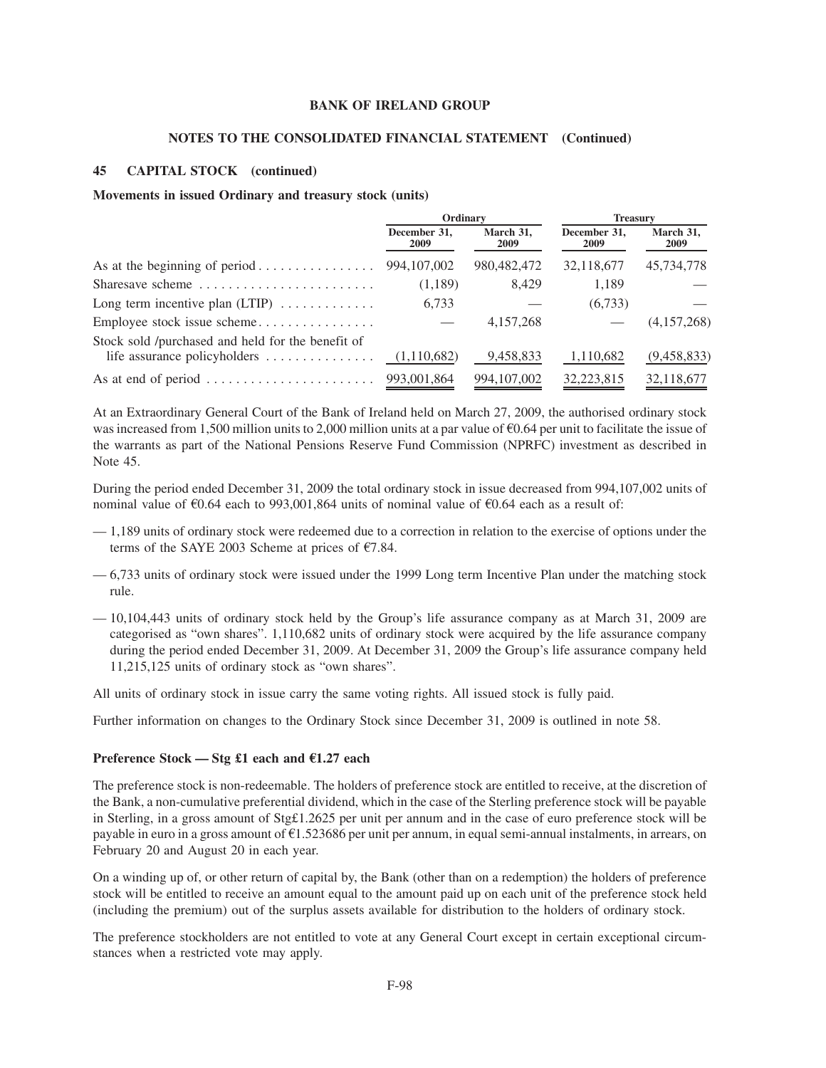#### **NOTES TO THE CONSOLIDATED FINANCIAL STATEMENT (Continued)**

### **45 CAPITAL STOCK (continued)**

#### **Movements in issued Ordinary and treasury stock (units)**

|                                                                                                               | Ordinary                    |                   | <b>Treasury</b>      |                   |
|---------------------------------------------------------------------------------------------------------------|-----------------------------|-------------------|----------------------|-------------------|
|                                                                                                               | December 31.<br><b>2009</b> | March 31,<br>2009 | December 31,<br>2009 | March 31,<br>2009 |
|                                                                                                               | 994, 107, 002               | 980, 482, 472     | 32,118,677           | 45,734,778        |
| Sharesave scheme                                                                                              | (1,189)                     | 8,429             | 1,189                |                   |
| Long term incentive plan $(LTIP)$                                                                             | 6,733                       |                   | (6,733)              |                   |
| Employee stock issue scheme                                                                                   |                             | 4, 157, 268       |                      | (4,157,268)       |
| Stock sold /purchased and held for the benefit of<br>life assurance policyholders $\dots\dots\dots\dots\dots$ | (1,110,682)                 | 9,458,833         | 1,110,682            | (9,458,833)       |
| As at end of period $\dots \dots \dots \dots \dots \dots \dots$                                               | 993,001,864                 | 994, 107, 002     | 32,223,815           | 32,118,677        |

At an Extraordinary General Court of the Bank of Ireland held on March 27, 2009, the authorised ordinary stock was increased from 1,500 million units to 2,000 million units at a par value of  $\epsilon$ 0.64 per unit to facilitate the issue of the warrants as part of the National Pensions Reserve Fund Commission (NPRFC) investment as described in Note 45.

During the period ended December 31, 2009 the total ordinary stock in issue decreased from 994,107,002 units of nominal value of  $\epsilon$ 0.64 each to 993,001,864 units of nominal value of  $\epsilon$ 0.64 each as a result of:

- 1,189 units of ordinary stock were redeemed due to a correction in relation to the exercise of options under the terms of the SAYE 2003 Scheme at prices of  $\epsilon$ 7.84.
- 6,733 units of ordinary stock were issued under the 1999 Long term Incentive Plan under the matching stock rule.
- 10,104,443 units of ordinary stock held by the Group's life assurance company as at March 31, 2009 are categorised as "own shares". 1,110,682 units of ordinary stock were acquired by the life assurance company during the period ended December 31, 2009. At December 31, 2009 the Group's life assurance company held 11,215,125 units of ordinary stock as "own shares".

All units of ordinary stock in issue carry the same voting rights. All issued stock is fully paid.

Further information on changes to the Ordinary Stock since December 31, 2009 is outlined in note 58.

#### **Preference Stock — Stg £1 each and** E**1.27 each**

The preference stock is non-redeemable. The holders of preference stock are entitled to receive, at the discretion of the Bank, a non-cumulative preferential dividend, which in the case of the Sterling preference stock will be payable in Sterling, in a gross amount of Stg£1.2625 per unit per annum and in the case of euro preference stock will be payable in euro in a gross amount of  $\epsilon$ 1.523686 per unit per annum, in equal semi-annual instalments, in arrears, on February 20 and August 20 in each year.

On a winding up of, or other return of capital by, the Bank (other than on a redemption) the holders of preference stock will be entitled to receive an amount equal to the amount paid up on each unit of the preference stock held (including the premium) out of the surplus assets available for distribution to the holders of ordinary stock.

The preference stockholders are not entitled to vote at any General Court except in certain exceptional circumstances when a restricted vote may apply.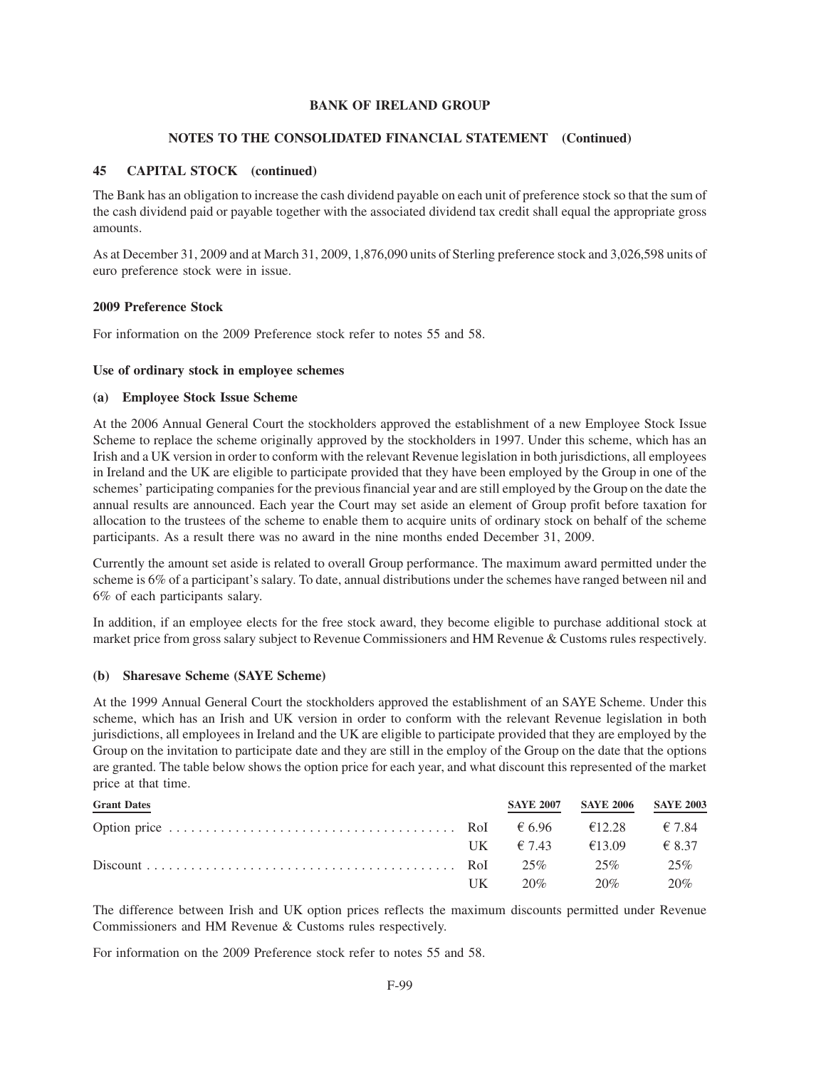### **NOTES TO THE CONSOLIDATED FINANCIAL STATEMENT (Continued)**

### **45 CAPITAL STOCK (continued)**

The Bank has an obligation to increase the cash dividend payable on each unit of preference stock so that the sum of the cash dividend paid or payable together with the associated dividend tax credit shall equal the appropriate gross amounts.

As at December 31, 2009 and at March 31, 2009, 1,876,090 units of Sterling preference stock and 3,026,598 units of euro preference stock were in issue.

### **2009 Preference Stock**

For information on the 2009 Preference stock refer to notes 55 and 58.

### **Use of ordinary stock in employee schemes**

#### **(a) Employee Stock Issue Scheme**

At the 2006 Annual General Court the stockholders approved the establishment of a new Employee Stock Issue Scheme to replace the scheme originally approved by the stockholders in 1997. Under this scheme, which has an Irish and a UK version in order to conform with the relevant Revenue legislation in both jurisdictions, all employees in Ireland and the UK are eligible to participate provided that they have been employed by the Group in one of the schemes' participating companies for the previous financial year and are still employed by the Group on the date the annual results are announced. Each year the Court may set aside an element of Group profit before taxation for allocation to the trustees of the scheme to enable them to acquire units of ordinary stock on behalf of the scheme participants. As a result there was no award in the nine months ended December 31, 2009.

Currently the amount set aside is related to overall Group performance. The maximum award permitted under the scheme is 6% of a participant's salary. To date, annual distributions under the schemes have ranged between nil and 6% of each participants salary.

In addition, if an employee elects for the free stock award, they become eligible to purchase additional stock at market price from gross salary subject to Revenue Commissioners and HM Revenue & Customs rules respectively.

### **(b) Sharesave Scheme (SAYE Scheme)**

At the 1999 Annual General Court the stockholders approved the establishment of an SAYE Scheme. Under this scheme, which has an Irish and UK version in order to conform with the relevant Revenue legislation in both jurisdictions, all employees in Ireland and the UK are eligible to participate provided that they are employed by the Group on the invitation to participate date and they are still in the employ of the Group on the date that the options are granted. The table below shows the option price for each year, and what discount this represented of the market price at that time.

| <b>Grant Dates</b> |    |                                | SAYE 2007 SAYE 2006 SAYE 2003 |     |
|--------------------|----|--------------------------------|-------------------------------|-----|
|                    |    |                                |                               |     |
|                    |    | $IJK = 67.43$ $613.09$ $68.37$ |                               |     |
|                    |    |                                |                               | 25% |
|                    | UK |                                | $20\%$ 20%                    | 20% |

The difference between Irish and UK option prices reflects the maximum discounts permitted under Revenue Commissioners and HM Revenue & Customs rules respectively.

For information on the 2009 Preference stock refer to notes 55 and 58.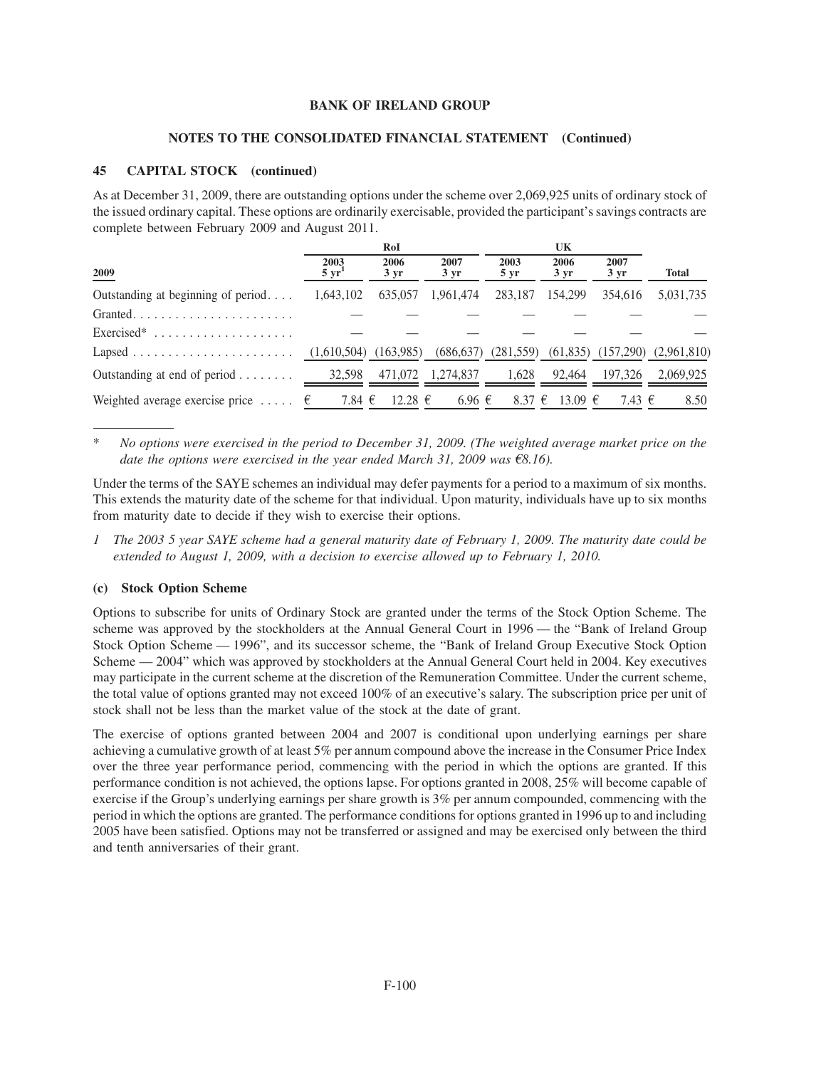### **NOTES TO THE CONSOLIDATED FINANCIAL STATEMENT (Continued)**

### **45 CAPITAL STOCK (continued)**

As at December 31, 2009, there are outstanding options under the scheme over 2,069,925 units of ordinary stock of the issued ordinary capital. These options are ordinarily exercisable, provided the participant's savings contracts are complete between February 2009 and August 2011.

|                                              |                          | RoI               |                     |                         | UK                     |                   |                                                              |
|----------------------------------------------|--------------------------|-------------------|---------------------|-------------------------|------------------------|-------------------|--------------------------------------------------------------|
| 2009                                         | 2003<br>$5 \text{ yr}^1$ | 2006<br>$3 \, yr$ | 2007<br>$3 \, yr$   | 2003<br>$5 \mathrm{yr}$ | 2006<br>$3 \text{ yr}$ | 2007<br>$3 \, yr$ | <b>Total</b>                                                 |
| Outstanding at beginning of period           | 1.643.102                | 635,057           | 1,961,474           | 283,187                 | 154,299                | 354.616           | 5,031,735                                                    |
| Granted                                      |                          |                   |                     |                         |                        |                   |                                                              |
|                                              |                          |                   |                     |                         |                        |                   |                                                              |
|                                              |                          |                   |                     |                         |                        |                   | $(686,637)$ $(281,559)$ $(61,835)$ $(157,290)$ $(2,961,810)$ |
| Outstanding at end of period $\ldots \ldots$ | 32,598                   |                   | 471,072 1,274,837   | 1.628                   | 92.464                 | 197.326           | 2.069.925                                                    |
| Weighted average exercise price $\epsilon$   | 7.84 $\in$               | 12.28 $\epsilon$  | $6.96 \text{ } \in$ | 8.37 $\epsilon$         | 13.09 $\epsilon$       | 7.43 €            | 8.50                                                         |

\* *No options were exercised in the period to December 31, 2009. (The weighted average market price on the date the options were exercised in the year ended March 31, 2009 was*  $\epsilon$ 8.16).

Under the terms of the SAYE schemes an individual may defer payments for a period to a maximum of six months. This extends the maturity date of the scheme for that individual. Upon maturity, individuals have up to six months from maturity date to decide if they wish to exercise their options.

*1 The 2003 5 year SAYE scheme had a general maturity date of February 1, 2009. The maturity date could be extended to August 1, 2009, with a decision to exercise allowed up to February 1, 2010.*

### **(c) Stock Option Scheme**

Options to subscribe for units of Ordinary Stock are granted under the terms of the Stock Option Scheme. The scheme was approved by the stockholders at the Annual General Court in 1996 — the "Bank of Ireland Group Stock Option Scheme — 1996", and its successor scheme, the "Bank of Ireland Group Executive Stock Option Scheme — 2004" which was approved by stockholders at the Annual General Court held in 2004. Key executives may participate in the current scheme at the discretion of the Remuneration Committee. Under the current scheme, the total value of options granted may not exceed 100% of an executive's salary. The subscription price per unit of stock shall not be less than the market value of the stock at the date of grant.

The exercise of options granted between 2004 and 2007 is conditional upon underlying earnings per share achieving a cumulative growth of at least 5% per annum compound above the increase in the Consumer Price Index over the three year performance period, commencing with the period in which the options are granted. If this performance condition is not achieved, the options lapse. For options granted in 2008, 25% will become capable of exercise if the Group's underlying earnings per share growth is 3% per annum compounded, commencing with the period in which the options are granted. The performance conditions for options granted in 1996 up to and including 2005 have been satisfied. Options may not be transferred or assigned and may be exercised only between the third and tenth anniversaries of their grant.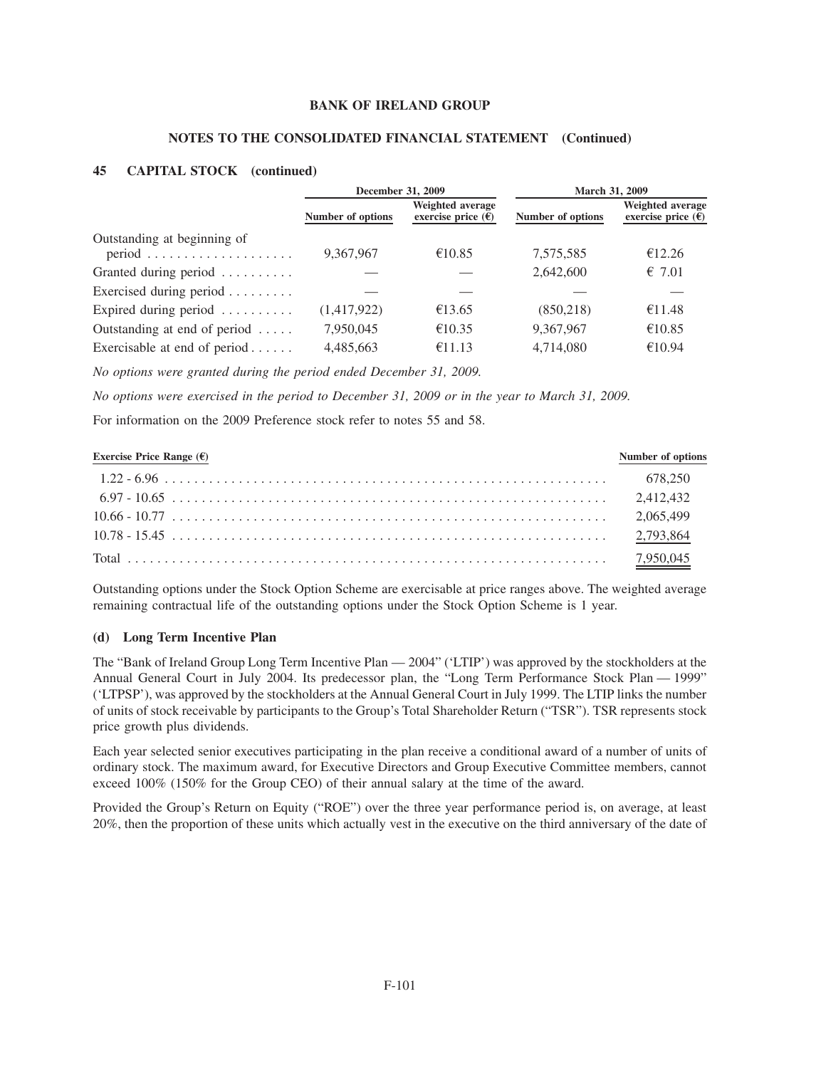#### **NOTES TO THE CONSOLIDATED FINANCIAL STATEMENT (Continued)**

#### **45 CAPITAL STOCK (continued)**

|                                                                                   | December 31, 2009 |                                                       | March 31, 2009    |                                                 |  |  |
|-----------------------------------------------------------------------------------|-------------------|-------------------------------------------------------|-------------------|-------------------------------------------------|--|--|
|                                                                                   | Number of options | Weighted average<br>exercise price $(\bar{\epsilon})$ | Number of options | Weighted average<br>exercise price $(\epsilon)$ |  |  |
| Outstanding at beginning of<br>$period \dots \dots \dots \dots \dots \dots \dots$ | 9.367.967         | €10.85                                                | 7,575,585         | €12.26                                          |  |  |
| Granted during period                                                             |                   |                                                       | 2,642,600         | $\epsilon$ 7.01                                 |  |  |
| Exercised during period                                                           |                   |                                                       |                   |                                                 |  |  |
| Expired during period $\dots \dots$                                               | (1,417,922)       | €13.65                                                | (850, 218)        | €11.48                                          |  |  |
| Outstanding at end of period $\dots$ .                                            | 7,950,045         | €10.35                                                | 9,367,967         | €10.85                                          |  |  |
| Exercisable at end of period $\dots$ .                                            | 4,485,663         | €11.13                                                | 4,714,080         | €10.94                                          |  |  |

*No options were granted during the period ended December 31, 2009.*

*No options were exercised in the period to December 31, 2009 or in the year to March 31, 2009.*

For information on the 2009 Preference stock refer to notes 55 and 58.

| Exercise Price Range $(\mathsf{E})$ | Number of options |
|-------------------------------------|-------------------|
|                                     |                   |
|                                     |                   |
|                                     |                   |
|                                     |                   |
|                                     |                   |

Outstanding options under the Stock Option Scheme are exercisable at price ranges above. The weighted average remaining contractual life of the outstanding options under the Stock Option Scheme is 1 year.

### **(d) Long Term Incentive Plan**

The "Bank of Ireland Group Long Term Incentive Plan — 2004" ('LTIP') was approved by the stockholders at the Annual General Court in July 2004. Its predecessor plan, the "Long Term Performance Stock Plan — 1999" ('LTPSP'), was approved by the stockholders at the Annual General Court in July 1999. The LTIP links the number of units of stock receivable by participants to the Group's Total Shareholder Return ("TSR"). TSR represents stock price growth plus dividends.

Each year selected senior executives participating in the plan receive a conditional award of a number of units of ordinary stock. The maximum award, for Executive Directors and Group Executive Committee members, cannot exceed 100% (150% for the Group CEO) of their annual salary at the time of the award.

Provided the Group's Return on Equity ("ROE") over the three year performance period is, on average, at least 20%, then the proportion of these units which actually vest in the executive on the third anniversary of the date of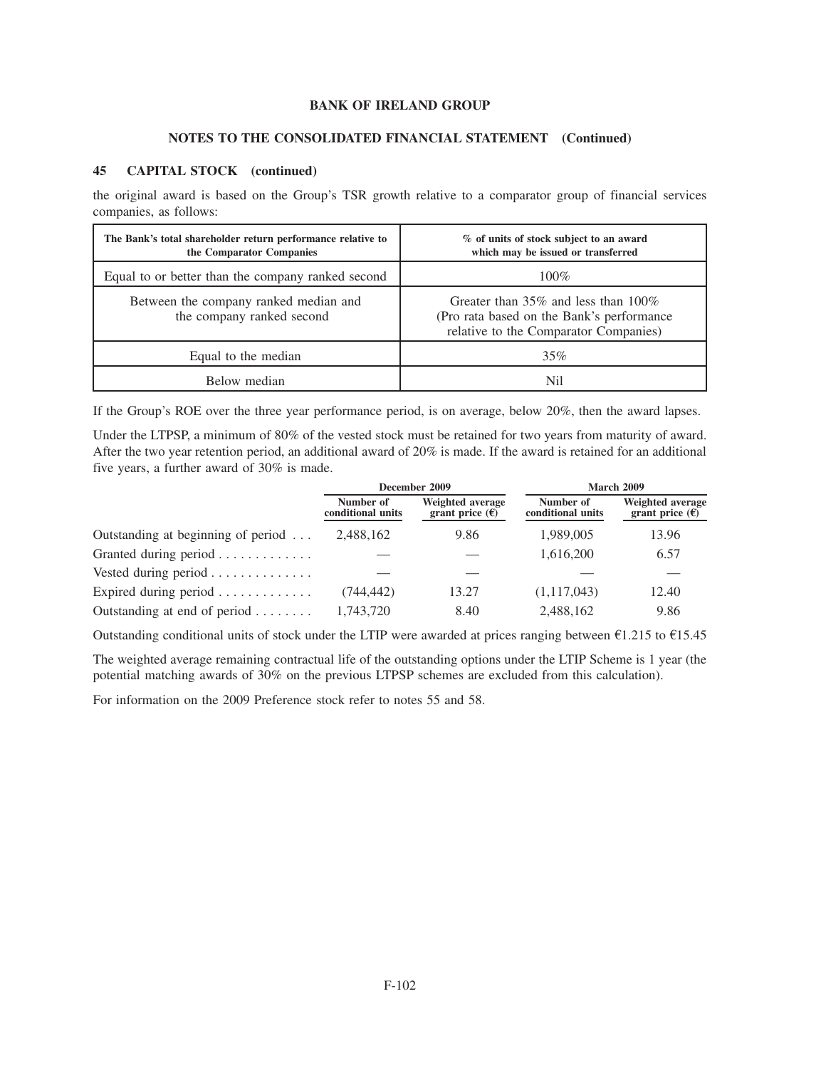### **NOTES TO THE CONSOLIDATED FINANCIAL STATEMENT (Continued)**

### **45 CAPITAL STOCK (continued)**

the original award is based on the Group's TSR growth relative to a comparator group of financial services companies, as follows:

| The Bank's total shareholder return performance relative to<br>the Comparator Companies | % of units of stock subject to an award<br>which may be issued or transferred                                                    |
|-----------------------------------------------------------------------------------------|----------------------------------------------------------------------------------------------------------------------------------|
| Equal to or better than the company ranked second                                       | $100\%$                                                                                                                          |
| Between the company ranked median and<br>the company ranked second                      | Greater than $35\%$ and less than $100\%$<br>(Pro rata based on the Bank's performance)<br>relative to the Comparator Companies) |
| Equal to the median                                                                     | 35%                                                                                                                              |
| Below median                                                                            | Nil                                                                                                                              |

If the Group's ROE over the three year performance period, is on average, below 20%, then the award lapses.

Under the LTPSP, a minimum of 80% of the vested stock must be retained for two years from maturity of award. After the two year retention period, an additional award of 20% is made. If the award is retained for an additional five years, a further award of 30% is made.

|                                            |                                | December 2009                                |                                | March 2009                                   |
|--------------------------------------------|--------------------------------|----------------------------------------------|--------------------------------|----------------------------------------------|
|                                            | Number of<br>conditional units | Weighted average<br>grant price $(\epsilon)$ | Number of<br>conditional units | Weighted average<br>grant price $(\epsilon)$ |
| Outstanding at beginning of period $\dots$ | 2,488,162                      | 9.86                                         | 1,989,005                      | 13.96                                        |
| Granted during period                      |                                |                                              | 1,616,200                      | 6.57                                         |
| Vested during period                       |                                |                                              |                                |                                              |
| Expired during period $\dots \dots \dots$  | (744,442)                      | 13.27                                        | (1,117,043)                    | 12.40                                        |
| Outstanding at end of period $\dots \dots$ | 1,743,720                      | 8.40                                         | 2,488,162                      | 9.86                                         |

Outstanding conditional units of stock under the LTIP were awarded at prices ranging between  $\epsilon$ 1.215 to  $\epsilon$ 15.45

The weighted average remaining contractual life of the outstanding options under the LTIP Scheme is 1 year (the potential matching awards of 30% on the previous LTPSP schemes are excluded from this calculation).

For information on the 2009 Preference stock refer to notes 55 and 58.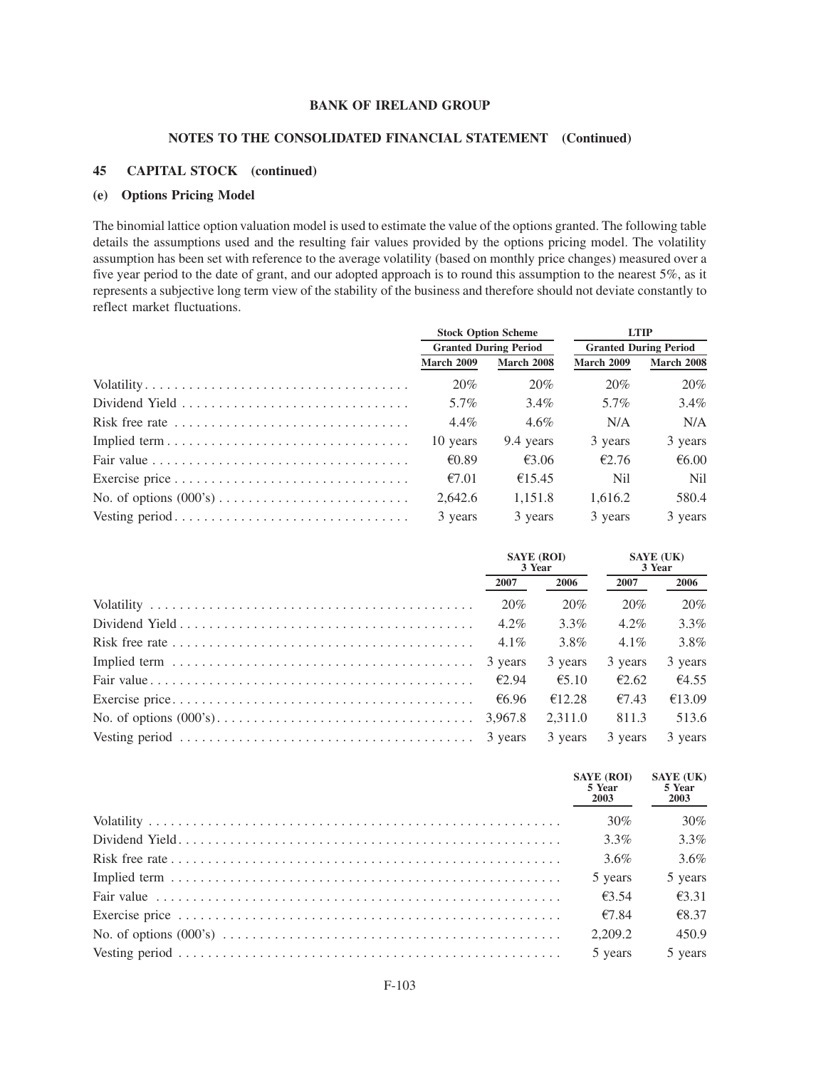### **NOTES TO THE CONSOLIDATED FINANCIAL STATEMENT (Continued)**

#### **45 CAPITAL STOCK (continued)**

#### **(e) Options Pricing Model**

The binomial lattice option valuation model is used to estimate the value of the options granted. The following table details the assumptions used and the resulting fair values provided by the options pricing model. The volatility assumption has been set with reference to the average volatility (based on monthly price changes) measured over a five year period to the date of grant, and our adopted approach is to round this assumption to the nearest 5%, as it represents a subjective long term view of the stability of the business and therefore should not deviate constantly to reflect market fluctuations.

|                                                                                    |                              | <b>Stock Option Scheme</b> | <b>LTIP</b>                  |                |  |
|------------------------------------------------------------------------------------|------------------------------|----------------------------|------------------------------|----------------|--|
|                                                                                    | <b>Granted During Period</b> |                            | <b>Granted During Period</b> |                |  |
|                                                                                    | <b>March 2009</b>            | <b>March 2008</b>          | <b>March 2009</b>            | March 2008     |  |
|                                                                                    | 20%                          | 20%                        | 20%                          | 20%            |  |
|                                                                                    | 5.7%                         | $3.4\%$                    | 5.7%                         | $3.4\%$        |  |
| Risk free rate $\ldots \ldots \ldots \ldots \ldots \ldots \ldots \ldots \ldots$    | $4.4\%$                      | $4.6\%$                    | N/A                          | N/A            |  |
|                                                                                    | 10 years                     | 9.4 years                  | 3 years                      | 3 years        |  |
| Fair value $\ldots \ldots \ldots \ldots \ldots \ldots \ldots \ldots \ldots \ldots$ | €0.89                        | €3.06                      | £2.76                        | € $6.00$       |  |
|                                                                                    | €7.01                        | €15.45                     | Nil                          | N <sub>i</sub> |  |
|                                                                                    | 2,642.6                      | 1.151.8                    | 1.616.2                      | 580.4          |  |
|                                                                                    | 3 years                      | 3 years                    | 3 years                      | 3 years        |  |

| <b>SAYE (ROI)</b><br>3 Year |         | <b>SAYE</b> (UK)<br>3 Year |         |
|-----------------------------|---------|----------------------------|---------|
| 2007                        | 2006    | 2007                       | 2006    |
| 20%                         | 20%     | 20%                        | 20%     |
| $4.2\%$                     | $3.3\%$ | $4.2\%$                    | $3.3\%$ |
| $4.1\%$                     | 3.8%    | $4.1\%$                    | 3.8%    |
| 3 years                     | 3 years | 3 years                    | 3 years |
| £2.94                       | €5.10   | £2.62                      | €4.55   |
| €6.96                       | €12.28  | €7.43                      | €13.09  |
| 3,967.8                     | 2.311.0 | 811.3                      | 513.6   |
| 3 years                     | 3 years | 3 years                    | 3 years |

| <b>SAYE (ROI)</b><br>5 Year<br>2003 | <b>SAYE (UK)</b><br>5 Year<br>2003 |
|-------------------------------------|------------------------------------|
| 30%                                 | 30%                                |
| $3.3\%$                             | $3.3\%$                            |
| $3.6\%$                             | 3.6%                               |
| 5 years                             | 5 years                            |
| $\epsilon$ 3.54                     | £3.31                              |
| €7.84                               | €8.37                              |
| 2.209.2                             | 450.9                              |
| 5 years                             | 5 years                            |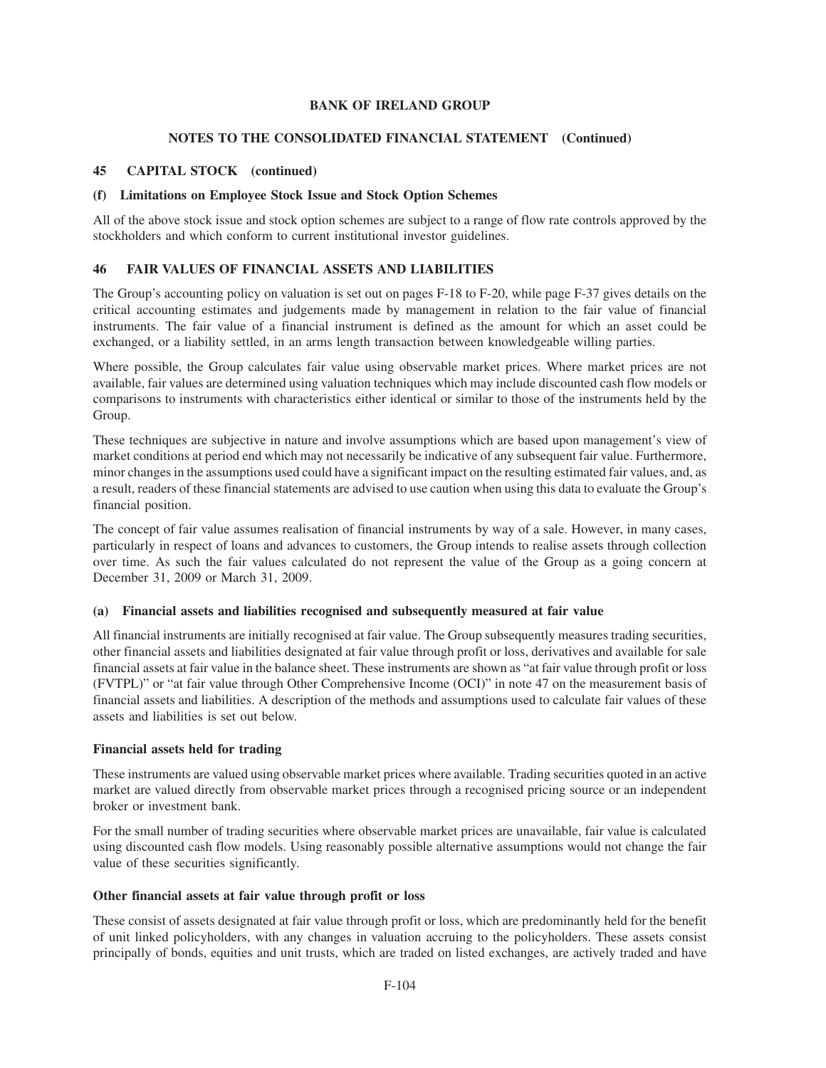### **NOTES TO THE CONSOLIDATED FINANCIAL STATEMENT (Continued)**

### **45 CAPITAL STOCK (continued)**

### **(f) Limitations on Employee Stock Issue and Stock Option Schemes**

All of the above stock issue and stock option schemes are subject to a range of flow rate controls approved by the stockholders and which conform to current institutional investor guidelines.

### **46 FAIR VALUES OF FINANCIAL ASSETS AND LIABILITIES**

The Group's accounting policy on valuation is set out on pages F-18 to F-20, while page F-37 gives details on the critical accounting estimates and judgements made by management in relation to the fair value of financial instruments. The fair value of a financial instrument is defined as the amount for which an asset could be exchanged, or a liability settled, in an arms length transaction between knowledgeable willing parties.

Where possible, the Group calculates fair value using observable market prices. Where market prices are not available, fair values are determined using valuation techniques which may include discounted cash flow models or comparisons to instruments with characteristics either identical or similar to those of the instruments held by the Group.

These techniques are subjective in nature and involve assumptions which are based upon management's view of market conditions at period end which may not necessarily be indicative of any subsequent fair value. Furthermore, minor changes in the assumptions used could have a significant impact on the resulting estimated fair values, and, as a result, readers of these financial statements are advised to use caution when using this data to evaluate the Group's financial position.

The concept of fair value assumes realisation of financial instruments by way of a sale. However, in many cases, particularly in respect of loans and advances to customers, the Group intends to realise assets through collection over time. As such the fair values calculated do not represent the value of the Group as a going concern at December 31, 2009 or March 31, 2009.

### **(a) Financial assets and liabilities recognised and subsequently measured at fair value**

All financial instruments are initially recognised at fair value. The Group subsequently measures trading securities, other financial assets and liabilities designated at fair value through profit or loss, derivatives and available for sale financial assets at fair value in the balance sheet. These instruments are shown as "at fair value through profit or loss (FVTPL)" or "at fair value through Other Comprehensive Income (OCI)" in note 47 on the measurement basis of financial assets and liabilities. A description of the methods and assumptions used to calculate fair values of these assets and liabilities is set out below.

### **Financial assets held for trading**

These instruments are valued using observable market prices where available. Trading securities quoted in an active market are valued directly from observable market prices through a recognised pricing source or an independent broker or investment bank.

For the small number of trading securities where observable market prices are unavailable, fair value is calculated using discounted cash flow models. Using reasonably possible alternative assumptions would not change the fair value of these securities significantly.

### **Other financial assets at fair value through profit or loss**

These consist of assets designated at fair value through profit or loss, which are predominantly held for the benefit of unit linked policyholders, with any changes in valuation accruing to the policyholders. These assets consist principally of bonds, equities and unit trusts, which are traded on listed exchanges, are actively traded and have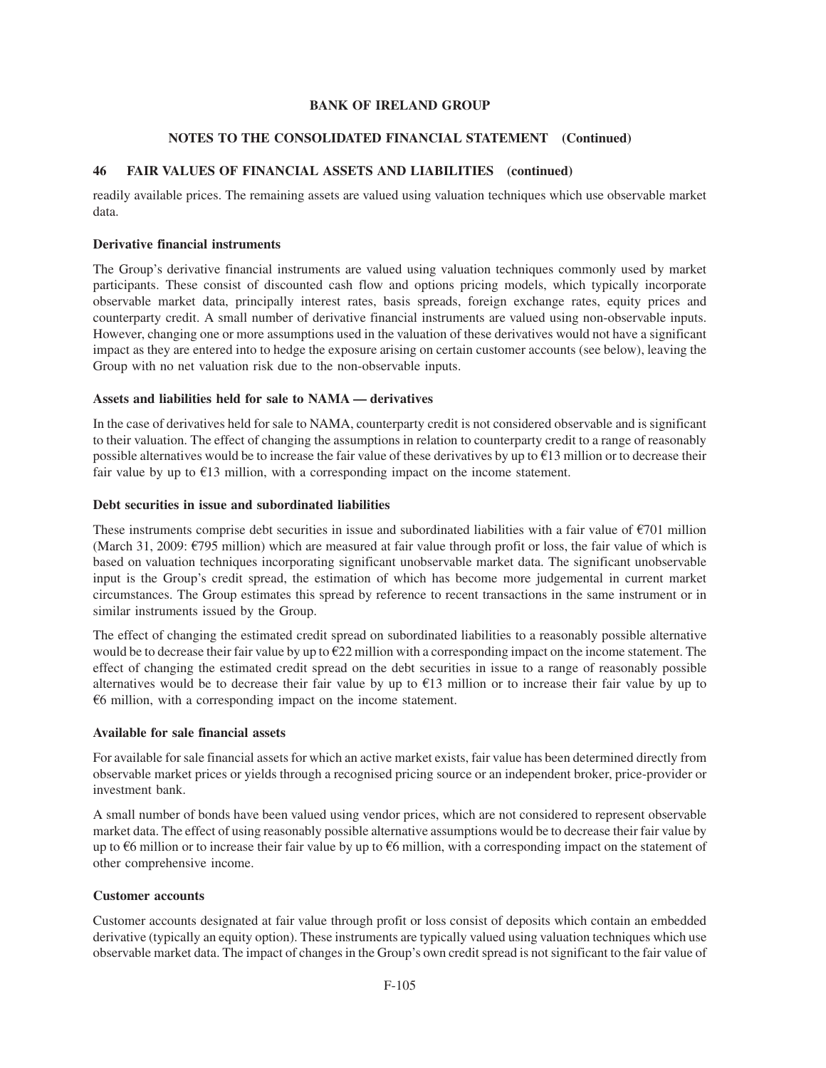### **NOTES TO THE CONSOLIDATED FINANCIAL STATEMENT (Continued)**

## **46 FAIR VALUES OF FINANCIAL ASSETS AND LIABILITIES (continued)**

readily available prices. The remaining assets are valued using valuation techniques which use observable market data.

### **Derivative financial instruments**

The Group's derivative financial instruments are valued using valuation techniques commonly used by market participants. These consist of discounted cash flow and options pricing models, which typically incorporate observable market data, principally interest rates, basis spreads, foreign exchange rates, equity prices and counterparty credit. A small number of derivative financial instruments are valued using non-observable inputs. However, changing one or more assumptions used in the valuation of these derivatives would not have a significant impact as they are entered into to hedge the exposure arising on certain customer accounts (see below), leaving the Group with no net valuation risk due to the non-observable inputs.

### **Assets and liabilities held for sale to NAMA — derivatives**

In the case of derivatives held for sale to NAMA, counterparty credit is not considered observable and is significant to their valuation. The effect of changing the assumptions in relation to counterparty credit to a range of reasonably possible alternatives would be to increase the fair value of these derivatives by up to  $\epsilon$ 13 million or to decrease their fair value by up to  $E13$  million, with a corresponding impact on the income statement.

### **Debt securities in issue and subordinated liabilities**

These instruments comprise debt securities in issue and subordinated liabilities with a fair value of  $\epsilon$ 701 million (March 31, 2009:  $\epsilon$ 795 million) which are measured at fair value through profit or loss, the fair value of which is based on valuation techniques incorporating significant unobservable market data. The significant unobservable input is the Group's credit spread, the estimation of which has become more judgemental in current market circumstances. The Group estimates this spread by reference to recent transactions in the same instrument or in similar instruments issued by the Group.

The effect of changing the estimated credit spread on subordinated liabilities to a reasonably possible alternative would be to decrease their fair value by up to  $E22$  million with a corresponding impact on the income statement. The effect of changing the estimated credit spread on the debt securities in issue to a range of reasonably possible alternatives would be to decrease their fair value by up to  $E13$  million or to increase their fair value by up to  $66$  million, with a corresponding impact on the income statement.

### **Available for sale financial assets**

For available for sale financial assets for which an active market exists, fair value has been determined directly from observable market prices or yields through a recognised pricing source or an independent broker, price-provider or investment bank.

A small number of bonds have been valued using vendor prices, which are not considered to represent observable market data. The effect of using reasonably possible alternative assumptions would be to decrease their fair value by up to  $\epsilon$ 6 million or to increase their fair value by up to  $\epsilon$ 6 million, with a corresponding impact on the statement of other comprehensive income.

### **Customer accounts**

Customer accounts designated at fair value through profit or loss consist of deposits which contain an embedded derivative (typically an equity option). These instruments are typically valued using valuation techniques which use observable market data. The impact of changes in the Group's own credit spread is not significant to the fair value of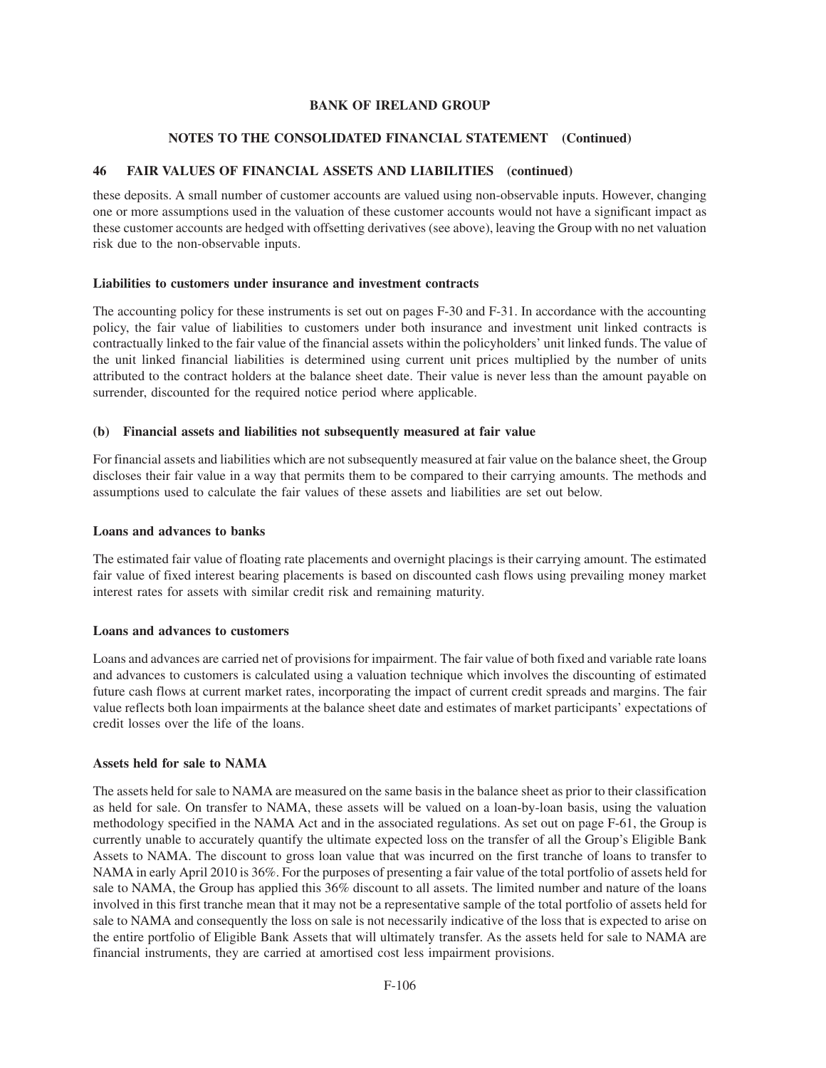### **NOTES TO THE CONSOLIDATED FINANCIAL STATEMENT (Continued)**

### **46 FAIR VALUES OF FINANCIAL ASSETS AND LIABILITIES (continued)**

these deposits. A small number of customer accounts are valued using non-observable inputs. However, changing one or more assumptions used in the valuation of these customer accounts would not have a significant impact as these customer accounts are hedged with offsetting derivatives (see above), leaving the Group with no net valuation risk due to the non-observable inputs.

### **Liabilities to customers under insurance and investment contracts**

The accounting policy for these instruments is set out on pages F-30 and F-31. In accordance with the accounting policy, the fair value of liabilities to customers under both insurance and investment unit linked contracts is contractually linked to the fair value of the financial assets within the policyholders' unit linked funds. The value of the unit linked financial liabilities is determined using current unit prices multiplied by the number of units attributed to the contract holders at the balance sheet date. Their value is never less than the amount payable on surrender, discounted for the required notice period where applicable.

### **(b) Financial assets and liabilities not subsequently measured at fair value**

For financial assets and liabilities which are not subsequently measured at fair value on the balance sheet, the Group discloses their fair value in a way that permits them to be compared to their carrying amounts. The methods and assumptions used to calculate the fair values of these assets and liabilities are set out below.

#### **Loans and advances to banks**

The estimated fair value of floating rate placements and overnight placings is their carrying amount. The estimated fair value of fixed interest bearing placements is based on discounted cash flows using prevailing money market interest rates for assets with similar credit risk and remaining maturity.

### **Loans and advances to customers**

Loans and advances are carried net of provisions for impairment. The fair value of both fixed and variable rate loans and advances to customers is calculated using a valuation technique which involves the discounting of estimated future cash flows at current market rates, incorporating the impact of current credit spreads and margins. The fair value reflects both loan impairments at the balance sheet date and estimates of market participants' expectations of credit losses over the life of the loans.

### **Assets held for sale to NAMA**

The assets held for sale to NAMA are measured on the same basis in the balance sheet as prior to their classification as held for sale. On transfer to NAMA, these assets will be valued on a loan-by-loan basis, using the valuation methodology specified in the NAMA Act and in the associated regulations. As set out on page F-61, the Group is currently unable to accurately quantify the ultimate expected loss on the transfer of all the Group's Eligible Bank Assets to NAMA. The discount to gross loan value that was incurred on the first tranche of loans to transfer to NAMA in early April 2010 is 36%. For the purposes of presenting a fair value of the total portfolio of assets held for sale to NAMA, the Group has applied this 36% discount to all assets. The limited number and nature of the loans involved in this first tranche mean that it may not be a representative sample of the total portfolio of assets held for sale to NAMA and consequently the loss on sale is not necessarily indicative of the loss that is expected to arise on the entire portfolio of Eligible Bank Assets that will ultimately transfer. As the assets held for sale to NAMA are financial instruments, they are carried at amortised cost less impairment provisions.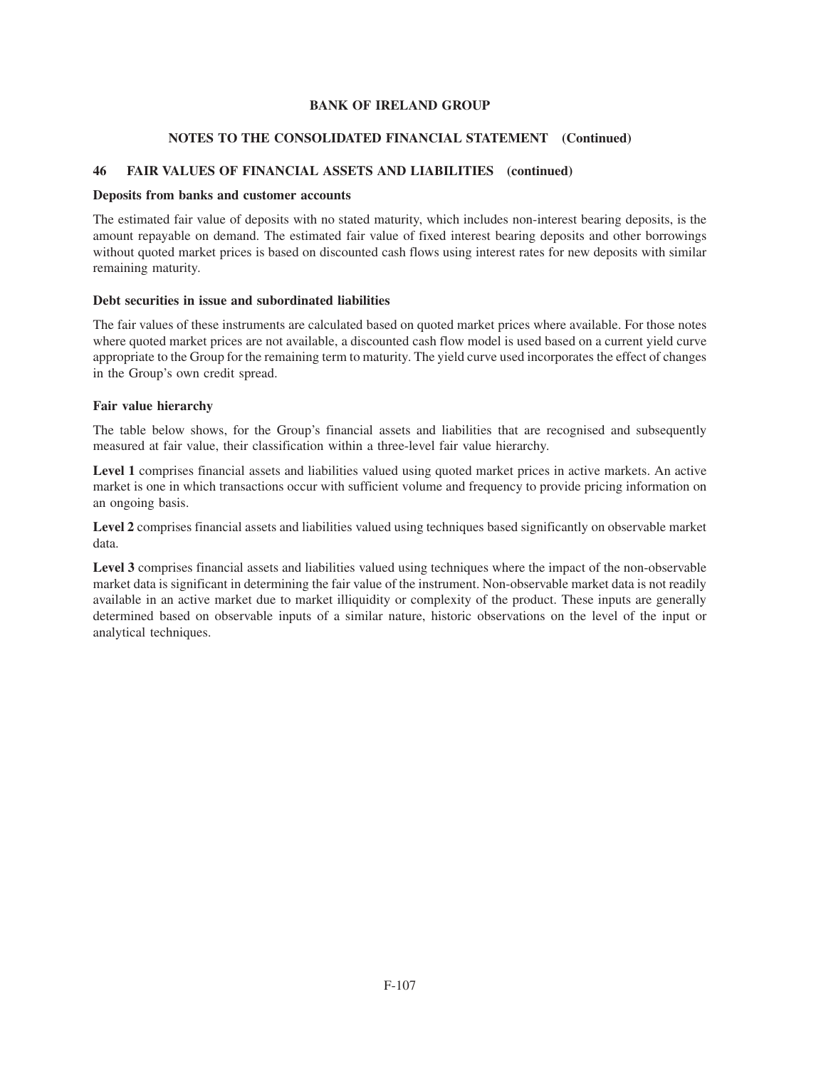### **NOTES TO THE CONSOLIDATED FINANCIAL STATEMENT (Continued)**

### **46 FAIR VALUES OF FINANCIAL ASSETS AND LIABILITIES (continued)**

### **Deposits from banks and customer accounts**

The estimated fair value of deposits with no stated maturity, which includes non-interest bearing deposits, is the amount repayable on demand. The estimated fair value of fixed interest bearing deposits and other borrowings without quoted market prices is based on discounted cash flows using interest rates for new deposits with similar remaining maturity.

### **Debt securities in issue and subordinated liabilities**

The fair values of these instruments are calculated based on quoted market prices where available. For those notes where quoted market prices are not available, a discounted cash flow model is used based on a current yield curve appropriate to the Group for the remaining term to maturity. The yield curve used incorporates the effect of changes in the Group's own credit spread.

### **Fair value hierarchy**

The table below shows, for the Group's financial assets and liabilities that are recognised and subsequently measured at fair value, their classification within a three-level fair value hierarchy.

**Level 1** comprises financial assets and liabilities valued using quoted market prices in active markets. An active market is one in which transactions occur with sufficient volume and frequency to provide pricing information on an ongoing basis.

Level 2 comprises financial assets and liabilities valued using techniques based significantly on observable market data.

**Level 3** comprises financial assets and liabilities valued using techniques where the impact of the non-observable market data is significant in determining the fair value of the instrument. Non-observable market data is not readily available in an active market due to market illiquidity or complexity of the product. These inputs are generally determined based on observable inputs of a similar nature, historic observations on the level of the input or analytical techniques.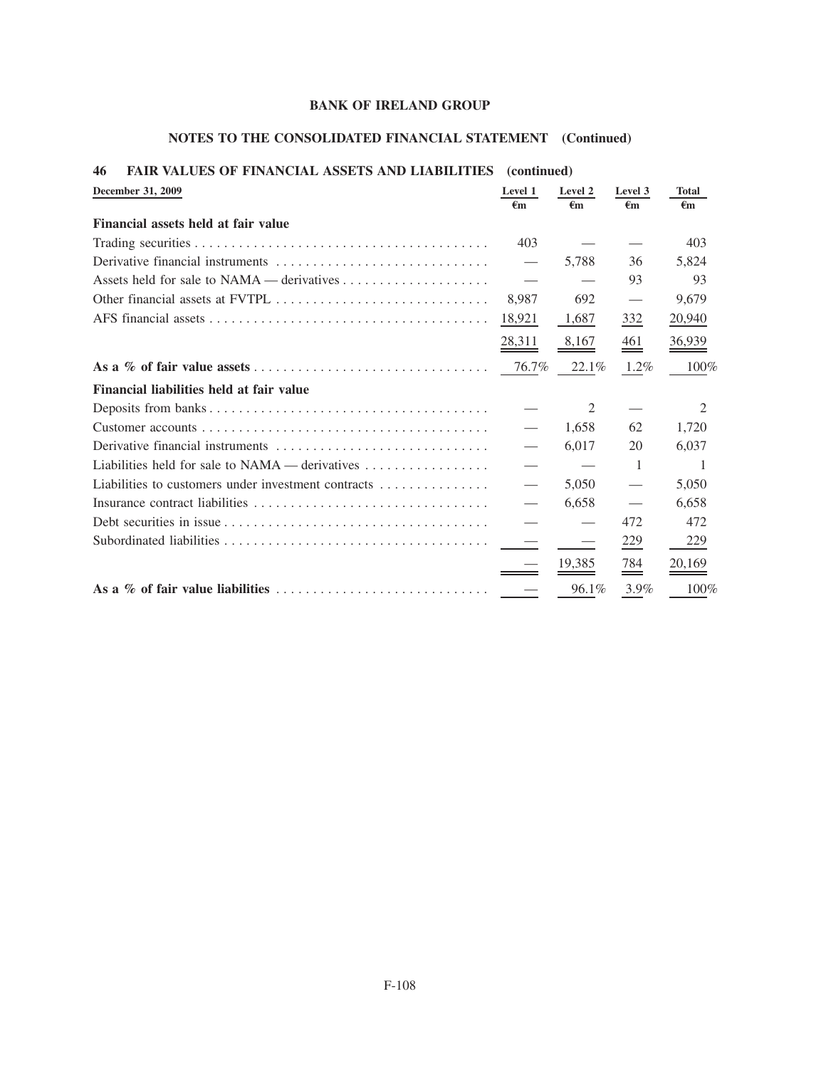# **NOTES TO THE CONSOLIDATED FINANCIAL STATEMENT (Continued)**

| →w<br><b>FAIR VALUES OF FINANCIAL ASSETS AND LIABILITIES</b> (COMMITTED)                                 |               |                         |                   |                    |
|----------------------------------------------------------------------------------------------------------|---------------|-------------------------|-------------------|--------------------|
| December 31, 2009                                                                                        | Level 1<br>€m | Level 2<br>$\epsilon$ m | Level 3<br>€m     | <b>Total</b><br>€m |
| Financial assets held at fair value                                                                      |               |                         |                   |                    |
|                                                                                                          | 403           |                         |                   | 403                |
| Derivative financial instruments $\dots \dots \dots \dots \dots \dots \dots \dots \dots \dots$           |               | 5,788                   | 36                | 5,824              |
|                                                                                                          |               |                         | 93                | 93                 |
|                                                                                                          | 8,987         | 692                     | $\hspace{0.05cm}$ | 9,679              |
|                                                                                                          | 18,921        | 1,687                   | 332               | 20,940             |
|                                                                                                          | 28,311        | 8,167                   | $\frac{461}{1}$   | 36,939             |
|                                                                                                          | 76.7%         | 22.1%                   | $1.2\%$           | 100%               |
| Financial liabilities held at fair value                                                                 |               |                         |                   |                    |
|                                                                                                          |               | 2                       |                   | 2                  |
|                                                                                                          |               | 1,658                   | 62                | 1,720              |
| Derivative financial instruments $\dots \dots \dots \dots \dots \dots \dots \dots \dots \dots$           |               | 6,017                   | 20                | 6,037              |
| Liabilities held for sale to NAMA — derivatives                                                          |               |                         | 1                 | ı.                 |
| Liabilities to customers under investment contracts                                                      |               | 5,050                   |                   | 5,050              |
|                                                                                                          |               | 6,658                   |                   | 6,658              |
| Debt securities in issue $\dots \dots \dots \dots \dots \dots \dots \dots \dots \dots \dots \dots \dots$ |               |                         | 472               | 472                |
|                                                                                                          |               |                         | 229               | 229                |
|                                                                                                          |               | 19,385                  | $\frac{784}{1}$   | 20,169             |
|                                                                                                          |               | 96.1%                   | 3.9%              | 100%               |

### **46 FAIR VALUES OF FINANCIAL ASSETS AND LIABILITIES (continued)**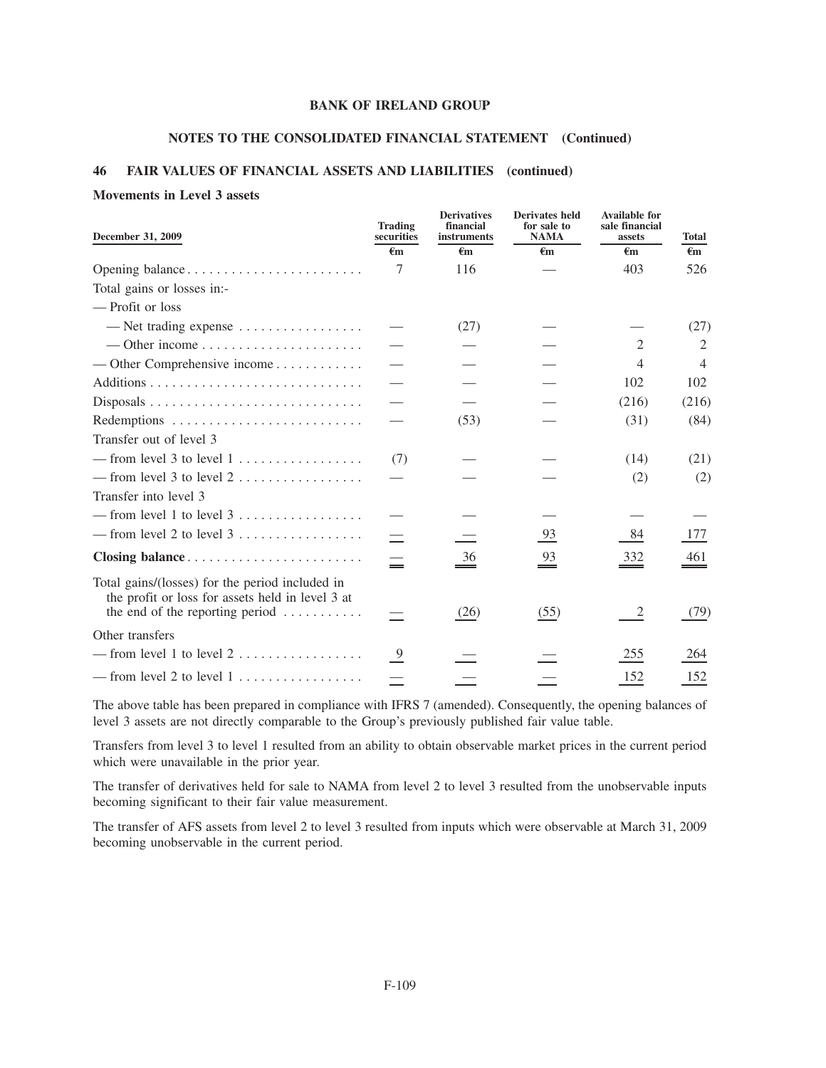## **NOTES TO THE CONSOLIDATED FINANCIAL STATEMENT (Continued)**

### **46 FAIR VALUES OF FINANCIAL ASSETS AND LIABILITIES (continued)**

#### **Movements in Level 3 assets**

| December 31, 2009                                                                                                                                          | <b>Trading</b><br>securities<br>$\epsilon$ m | <b>Derivatives</b><br>financial<br>instruments<br>$\epsilon$ m | <b>Derivates held</b><br>for sale to<br><b>NAMA</b><br>$\epsilon$ m | <b>Available for</b><br>sale financial<br>assets<br>$\epsilon$ m | <b>Total</b><br>$\epsilon$ m |
|------------------------------------------------------------------------------------------------------------------------------------------------------------|----------------------------------------------|----------------------------------------------------------------|---------------------------------------------------------------------|------------------------------------------------------------------|------------------------------|
| Opening balance                                                                                                                                            | 7                                            | 116                                                            |                                                                     | 403                                                              | 526                          |
| Total gains or losses in:-                                                                                                                                 |                                              |                                                                |                                                                     |                                                                  |                              |
|                                                                                                                                                            |                                              |                                                                |                                                                     |                                                                  |                              |
| — Profit or loss                                                                                                                                           |                                              |                                                                |                                                                     |                                                                  |                              |
| — Net trading expense $\dots \dots \dots \dots \dots$                                                                                                      |                                              | (27)                                                           |                                                                     |                                                                  | (27)                         |
|                                                                                                                                                            |                                              |                                                                |                                                                     | 2                                                                | 2                            |
|                                                                                                                                                            |                                              |                                                                |                                                                     | 4                                                                | $\overline{4}$               |
|                                                                                                                                                            |                                              |                                                                |                                                                     | 102                                                              | 102                          |
|                                                                                                                                                            |                                              |                                                                |                                                                     | (216)                                                            | (216)                        |
|                                                                                                                                                            |                                              | (53)                                                           |                                                                     | (31)                                                             | (84)                         |
| Transfer out of level 3                                                                                                                                    |                                              |                                                                |                                                                     |                                                                  |                              |
| -from level 3 to level $1, \ldots, \ldots, \ldots, \ldots$                                                                                                 | (7)                                          |                                                                |                                                                     | (14)                                                             | (21)                         |
| -from level 3 to level $2$                                                                                                                                 |                                              |                                                                |                                                                     | (2)                                                              | (2)                          |
| Transfer into level 3                                                                                                                                      |                                              |                                                                |                                                                     |                                                                  |                              |
|                                                                                                                                                            |                                              |                                                                |                                                                     |                                                                  |                              |
|                                                                                                                                                            |                                              |                                                                | <u>93</u>                                                           | 84                                                               | 177                          |
| Closing balance                                                                                                                                            | Ξ                                            | 36                                                             | $\stackrel{93}{=}$                                                  | 332                                                              | 461                          |
| Total gains/(losses) for the period included in<br>the profit or loss for assets held in level 3 at<br>the end of the reporting period $\dots \dots \dots$ |                                              | (26)                                                           | (55)                                                                | $\overline{c}$                                                   | (79)                         |
| Other transfers                                                                                                                                            |                                              |                                                                |                                                                     |                                                                  |                              |
| - from level 1 to level $2$                                                                                                                                | $\frac{9}{2}$                                |                                                                |                                                                     | 255                                                              | 264                          |
| -from level 2 to level $1, \ldots, \ldots, \ldots, \ldots$                                                                                                 |                                              |                                                                |                                                                     | 152                                                              | 152                          |

The above table has been prepared in compliance with IFRS 7 (amended). Consequently, the opening balances of level 3 assets are not directly comparable to the Group's previously published fair value table.

Transfers from level 3 to level 1 resulted from an ability to obtain observable market prices in the current period which were unavailable in the prior year.

The transfer of derivatives held for sale to NAMA from level 2 to level 3 resulted from the unobservable inputs becoming significant to their fair value measurement.

The transfer of AFS assets from level 2 to level 3 resulted from inputs which were observable at March 31, 2009 becoming unobservable in the current period.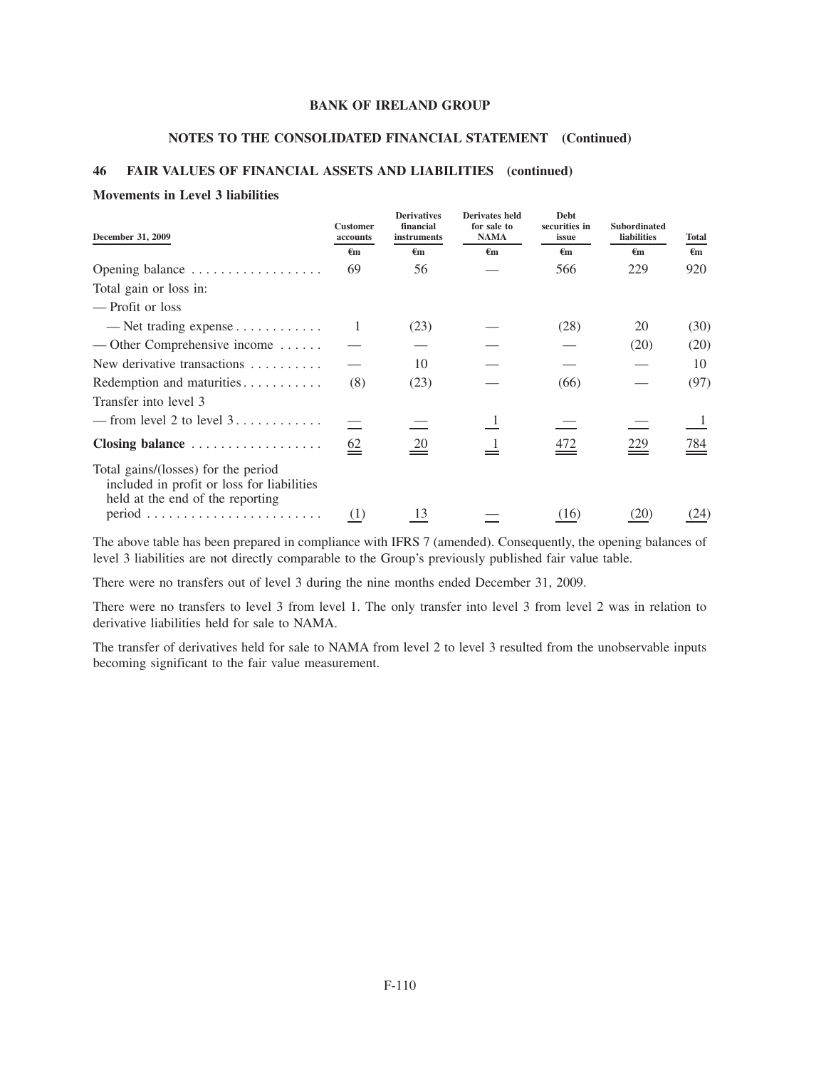### **NOTES TO THE CONSOLIDATED FINANCIAL STATEMENT (Continued)**

## **46 FAIR VALUES OF FINANCIAL ASSETS AND LIABILITIES (continued)**

#### **Movements in Level 3 liabilities**

| December 31, 2009                                                                                                     | <b>Customer</b><br>accounts | <b>Derivatives</b><br>financial<br>instruments | Derivates held<br>for sale to<br><b>NAMA</b> | <b>Debt</b><br>securities in<br>issue | <b>Subordinated</b><br><b>liabilities</b> | Total        |
|-----------------------------------------------------------------------------------------------------------------------|-----------------------------|------------------------------------------------|----------------------------------------------|---------------------------------------|-------------------------------------------|--------------|
|                                                                                                                       | €m                          | €m                                             | €m                                           | €m                                    | €m                                        | $\epsilon$ m |
| Opening balance                                                                                                       | 69                          | 56                                             |                                              | 566                                   | 229                                       | 920          |
| Total gain or loss in:                                                                                                |                             |                                                |                                              |                                       |                                           |              |
| — Profit or loss                                                                                                      |                             |                                                |                                              |                                       |                                           |              |
| — Net trading expense $\dots \dots \dots$                                                                             | 1                           | (23)                                           |                                              | (28)                                  | 20                                        | (30)         |
| — Other Comprehensive income $\dots$ .                                                                                |                             |                                                |                                              |                                       | (20)                                      | (20)         |
| New derivative transactions                                                                                           |                             | 10                                             |                                              |                                       |                                           | 10           |
| Redemption and maturities                                                                                             | (8)                         | (23)                                           |                                              | (66)                                  |                                           | (97)         |
| Transfer into level 3                                                                                                 |                             |                                                |                                              |                                       |                                           |              |
| -from level 2 to level $3, \ldots, \ldots, \ldots$                                                                    |                             |                                                |                                              |                                       |                                           |              |
| Closing balance                                                                                                       | $\underline{62}$            | 20                                             |                                              | 472                                   | 229                                       | 784          |
| Total gains/(losses) for the period<br>included in profit or loss for liabilities<br>held at the end of the reporting |                             |                                                |                                              |                                       |                                           |              |
|                                                                                                                       | (1)                         | 13                                             |                                              | (16)                                  | (20)                                      | (24)         |

The above table has been prepared in compliance with IFRS 7 (amended). Consequently, the opening balances of level 3 liabilities are not directly comparable to the Group's previously published fair value table.

There were no transfers out of level 3 during the nine months ended December 31, 2009.

There were no transfers to level 3 from level 1. The only transfer into level 3 from level 2 was in relation to derivative liabilities held for sale to NAMA.

The transfer of derivatives held for sale to NAMA from level 2 to level 3 resulted from the unobservable inputs becoming significant to the fair value measurement.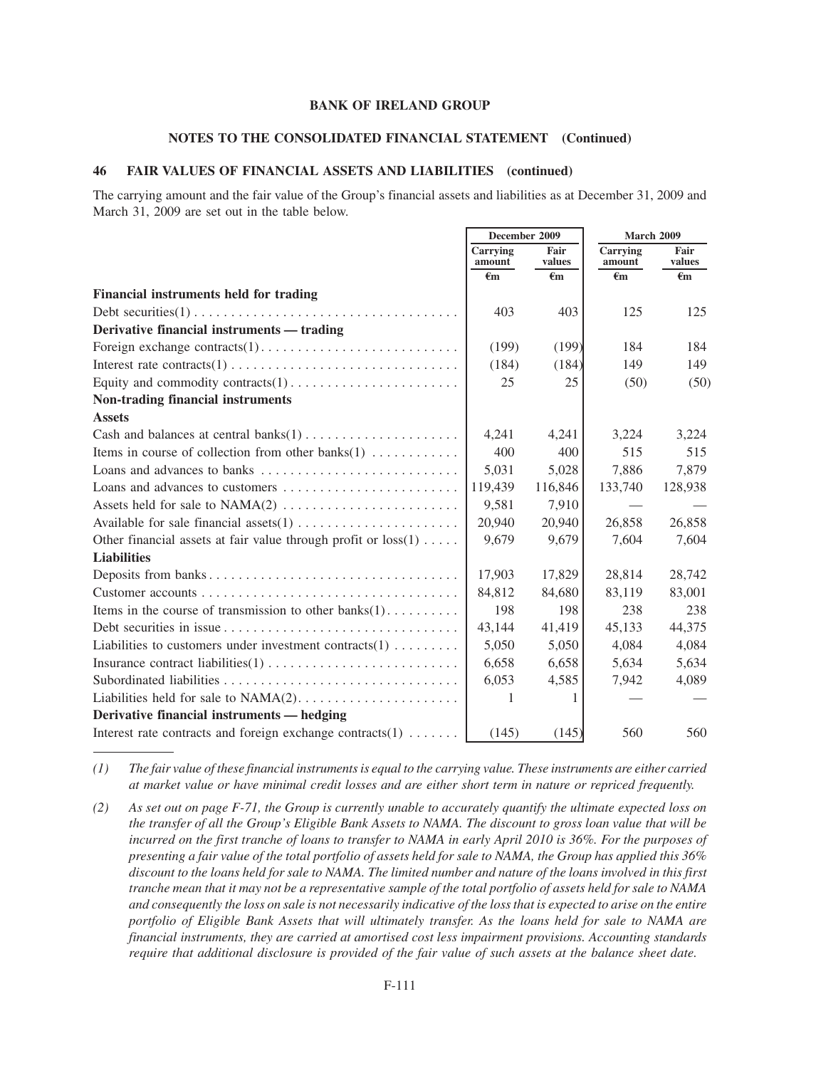#### **NOTES TO THE CONSOLIDATED FINANCIAL STATEMENT (Continued)**

### **46 FAIR VALUES OF FINANCIAL ASSETS AND LIABILITIES (continued)**

The carrying amount and the fair value of the Group's financial assets and liabilities as at December 31, 2009 and March 31, 2009 are set out in the table below.

|                                                                                     | December 2009      |                | <b>March 2009</b>  |                |
|-------------------------------------------------------------------------------------|--------------------|----------------|--------------------|----------------|
|                                                                                     | Carrying<br>amount | Fair<br>values | Carrying<br>amount | Fair<br>values |
|                                                                                     | $\epsilon$ m       | €m             | €m                 | €m             |
| Financial instruments held for trading                                              |                    |                |                    |                |
|                                                                                     | 403                | 403            | 125                | 125            |
| Derivative financial instruments — trading                                          |                    |                |                    |                |
|                                                                                     | (199)              | (199)          | 184                | 184            |
|                                                                                     | (184)              | (184)          | 149                | 149            |
|                                                                                     | 25                 | 25             | (50)               | (50)           |
| Non-trading financial instruments                                                   |                    |                |                    |                |
| <b>Assets</b>                                                                       |                    |                |                    |                |
|                                                                                     | 4.241              | 4,241          | 3,224              | 3,224          |
| Items in course of collection from other banks $(1)$                                | 400                | 400            | 515                | 515            |
| Loans and advances to banks $\dots \dots \dots \dots \dots \dots \dots \dots \dots$ | 5,031              | 5,028          | 7,886              | 7,879          |
| Loans and advances to customers                                                     | 119,439            | 116,846        | 133,740            | 128,938        |
|                                                                                     | 9,581              | 7,910          |                    |                |
|                                                                                     | 20,940             | 20,940         | 26,858             | 26,858         |
| Other financial assets at fair value through profit or loss(1)                      | 9,679              | 9,679          | 7,604              | 7.604          |
| <b>Liabilities</b>                                                                  |                    |                |                    |                |
| Deposits from banks                                                                 | 17,903             | 17,829         | 28,814             | 28,742         |
|                                                                                     | 84,812             | 84,680         | 83,119             | 83,001         |
| Items in the course of transmission to other banks $(1)$                            | 198                | 198            | 238                | 238            |
|                                                                                     | 43,144             | 41,419         | 45,133             | 44,375         |
| Liabilities to customers under investment contracts $(1)$                           | 5,050              | 5,050          | 4,084              | 4,084          |
|                                                                                     | 6,658              | 6,658          | 5,634              | 5,634          |
|                                                                                     | 6,053              | 4,585          | 7,942              | 4,089          |
|                                                                                     | 1                  |                |                    |                |
| Derivative financial instruments — hedging                                          |                    |                |                    |                |
| Interest rate contracts and foreign exchange contracts $(1)$                        | (145)              | (145)          | 560                | 560            |

*(1) The fair value of these financial instruments is equal to the carrying value. These instruments are either carried at market value or have minimal credit losses and are either short term in nature or repriced frequently.*

*(2) As set out on page F-71, the Group is currently unable to accurately quantify the ultimate expected loss on the transfer of all the Group's Eligible Bank Assets to NAMA. The discount to gross loan value that will be incurred on the first tranche of loans to transfer to NAMA in early April 2010 is 36%. For the purposes of presenting a fair value of the total portfolio of assets held for sale to NAMA, the Group has applied this 36% discount to the loans held for sale to NAMA. The limited number and nature of the loans involved in this first tranche mean that it may not be a representative sample of the total portfolio of assets held for sale to NAMA and consequently the loss on sale is not necessarily indicative of the loss that is expected to arise on the entire portfolio of Eligible Bank Assets that will ultimately transfer. As the loans held for sale to NAMA are financial instruments, they are carried at amortised cost less impairment provisions. Accounting standards require that additional disclosure is provided of the fair value of such assets at the balance sheet date.*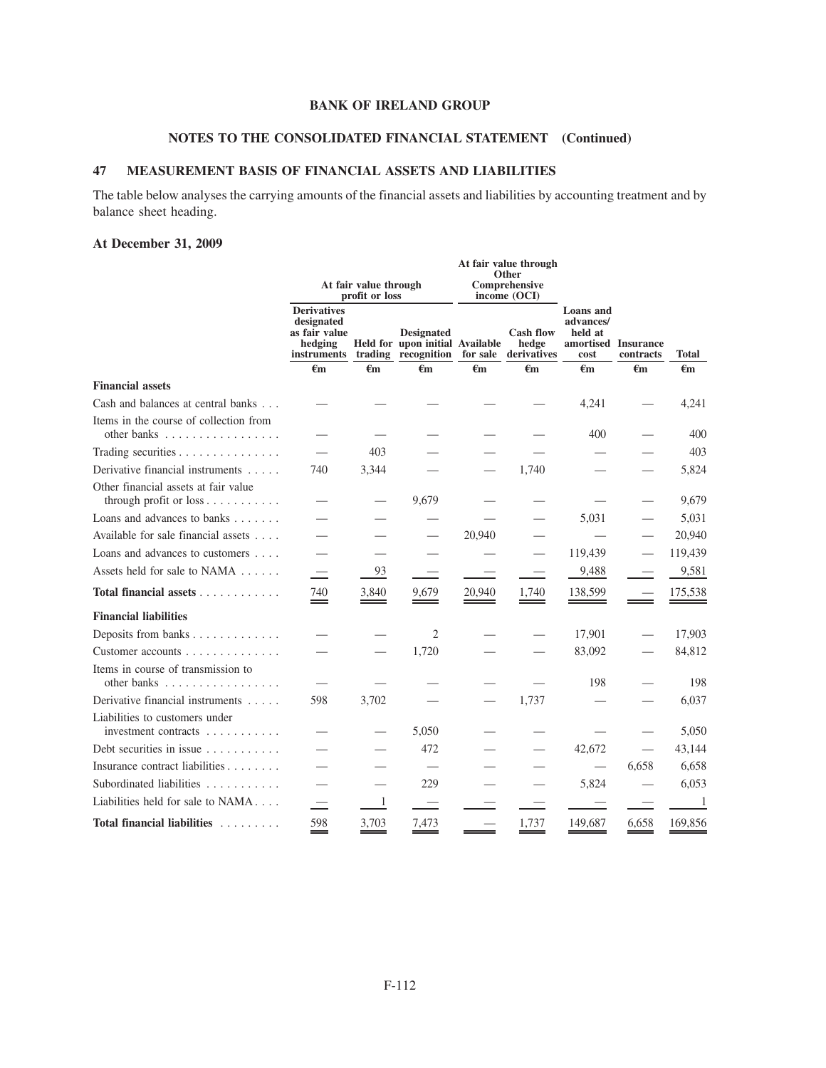# **NOTES TO THE CONSOLIDATED FINANCIAL STATEMENT (Continued)**

# **47 MEASUREMENT BASIS OF FINANCIAL ASSETS AND LIABILITIES**

The table below analyses the carrying amounts of the financial assets and liabilities by accounting treatment and by balance sheet heading.

# **At December 31, 2009**

|                                                                                  | At fair value through<br>Other<br>At fair value through<br>Comprehensive<br>profit or loss<br>income $(OCI)$ |                |                                                                             |          |                                          |                                                  |                                  |              |
|----------------------------------------------------------------------------------|--------------------------------------------------------------------------------------------------------------|----------------|-----------------------------------------------------------------------------|----------|------------------------------------------|--------------------------------------------------|----------------------------------|--------------|
|                                                                                  | <b>Derivatives</b><br>designated<br>as fair value<br>hedging<br>instruments                                  |                | <b>Designated</b><br>Held for upon initial Available<br>trading recognition | for sale | <b>Cash flow</b><br>hedge<br>derivatives | <b>Loans</b> and<br>advances/<br>held at<br>cost | amortised Insurance<br>contracts | Total        |
|                                                                                  | $\epsilon_{m}$                                                                                               | $\epsilon_{m}$ | €m                                                                          | €m       | €m                                       | €m                                               | $\epsilon$ m                     | €m           |
| <b>Financial assets</b>                                                          |                                                                                                              |                |                                                                             |          |                                          |                                                  |                                  |              |
| Cash and balances at central banks                                               |                                                                                                              |                |                                                                             |          |                                          | 4,241                                            |                                  | 4,241        |
| Items in the course of collection from<br>other banks                            |                                                                                                              |                |                                                                             |          |                                          | 400                                              |                                  | 400          |
| Trading securities                                                               |                                                                                                              | 403            |                                                                             |          |                                          |                                                  |                                  | 403          |
| Derivative financial instruments                                                 | 740                                                                                                          | 3,344          |                                                                             |          | 1.740                                    |                                                  |                                  | 5,824        |
| Other financial assets at fair value<br>through profit or loss                   |                                                                                                              |                | 9,679                                                                       |          |                                          |                                                  |                                  | 9,679        |
| Loans and advances to banks                                                      |                                                                                                              |                |                                                                             |          |                                          | 5,031                                            |                                  | 5,031        |
| Available for sale financial assets                                              |                                                                                                              |                |                                                                             | 20,940   |                                          |                                                  |                                  | 20,940       |
| Loans and advances to customers                                                  |                                                                                                              |                |                                                                             |          |                                          | 119,439                                          |                                  | 119,439      |
| Assets held for sale to NAMA                                                     |                                                                                                              | 93             |                                                                             |          |                                          | 9,488                                            |                                  | 9,581        |
| Total financial assets                                                           | 740                                                                                                          | 3,840          | 9,679                                                                       | 20,940   | 1,740                                    | 138,599                                          |                                  | 175,538      |
| <b>Financial liabilities</b>                                                     |                                                                                                              |                |                                                                             |          |                                          |                                                  |                                  |              |
| Deposits from banks                                                              |                                                                                                              |                | 2                                                                           |          |                                          | 17,901                                           |                                  | 17,903       |
| Customer accounts $\ldots$ , $\ldots$ , $\ldots$                                 |                                                                                                              |                | 1,720                                                                       |          |                                          | 83,092                                           |                                  | 84,812       |
| Items in course of transmission to<br>other banks $\ldots$ , $\ldots$ , $\ldots$ | $\overline{\phantom{0}}$                                                                                     |                |                                                                             |          |                                          | 198                                              |                                  | 198          |
| Derivative financial instruments                                                 | 598                                                                                                          | 3,702          |                                                                             |          | 1,737                                    |                                                  |                                  | 6,037        |
| Liabilities to customers under<br>investment contracts                           |                                                                                                              |                | 5,050                                                                       |          |                                          |                                                  |                                  | 5,050        |
| Debt securities in issue                                                         |                                                                                                              |                | 472                                                                         |          |                                          | 42,672                                           | $\qquad \qquad$                  | 43,144       |
| Insurance contract liabilities                                                   |                                                                                                              |                |                                                                             |          |                                          |                                                  | 6,658                            | 6,658        |
| Subordinated liabilities                                                         |                                                                                                              |                | 229                                                                         |          |                                          | 5,824                                            |                                  | 6,053        |
| Liabilities held for sale to NAMA                                                |                                                                                                              | 1              |                                                                             |          |                                          |                                                  |                                  | $\mathbf{1}$ |
| Total financial liabilities                                                      | 598                                                                                                          | 3,703          | 7,473                                                                       |          | 1,737                                    | 149,687                                          | 6,658                            | 169,856      |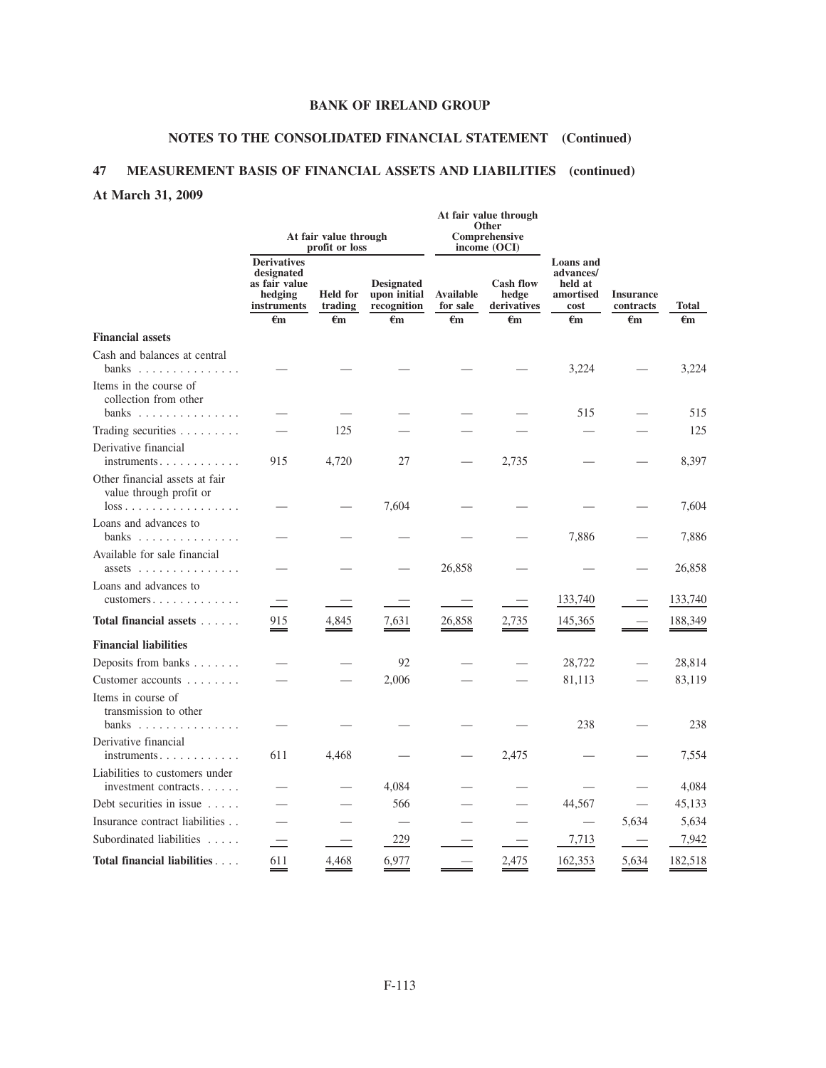# **NOTES TO THE CONSOLIDATED FINANCIAL STATEMENT (Continued)**

**At fair value through**

# **47 MEASUREMENT BASIS OF FINANCIAL ASSETS AND LIABILITIES (continued)**

# **At March 31, 2009**

|                                                                                     | At fair value through<br>profit or loss                                                     |                                            |                                                        | Other<br>Comprehensive<br>income (OCI)       |                                                          |                                                                        |                                               |                    |
|-------------------------------------------------------------------------------------|---------------------------------------------------------------------------------------------|--------------------------------------------|--------------------------------------------------------|----------------------------------------------|----------------------------------------------------------|------------------------------------------------------------------------|-----------------------------------------------|--------------------|
|                                                                                     | <b>Derivatives</b><br>designated<br>as fair value<br>hedging<br>instruments<br>$\epsilon$ m | <b>Held</b> for<br>trading<br>$\epsilon$ m | <b>Designated</b><br>upon initial<br>recognition<br>€m | <b>Available</b><br>for sale<br>$\epsilon$ m | <b>Cash flow</b><br>hedge<br>derivatives<br>$\epsilon$ m | Loans and<br>advances/<br>held at<br>amortised<br>cost<br>$\epsilon$ m | <b>Insurance</b><br>contracts<br>$\epsilon$ m | <b>Total</b><br>€m |
| <b>Financial assets</b>                                                             |                                                                                             |                                            |                                                        |                                              |                                                          |                                                                        |                                               |                    |
| Cash and balances at central<br>banks $\dots \dots \dots \dots \dots$               |                                                                                             |                                            |                                                        |                                              |                                                          | 3,224                                                                  |                                               | 3,224              |
| Items in the course of<br>collection from other                                     |                                                                                             |                                            |                                                        |                                              |                                                          | 515                                                                    |                                               | 515                |
| banks $\dots \dots \dots \dots \dots$                                               |                                                                                             | 125                                        |                                                        |                                              |                                                          |                                                                        |                                               | 125                |
| Trading securities<br>Derivative financial                                          |                                                                                             |                                            |                                                        |                                              |                                                          |                                                                        |                                               |                    |
| $instruments \ldots \ldots \ldots \ldots$                                           | 915                                                                                         | 4,720                                      | 27                                                     |                                              | 2,735                                                    |                                                                        |                                               | 8,397              |
| Other financial assets at fair<br>value through profit or<br>loss                   |                                                                                             |                                            | 7,604                                                  |                                              |                                                          |                                                                        |                                               | 7,604              |
| Loans and advances to<br>banks                                                      |                                                                                             |                                            |                                                        |                                              |                                                          | 7,886                                                                  |                                               | 7,886              |
| Available for sale financial<br>assets $\ldots$ ,,,,,,,,,,,,,,,,                    |                                                                                             |                                            |                                                        | 26,858                                       |                                                          |                                                                        |                                               | 26,858             |
| Loans and advances to<br>$cuts$ tomers $\ldots$ $\ldots$ $\ldots$ $\ldots$ $\ldots$ |                                                                                             |                                            |                                                        |                                              |                                                          | 133,740                                                                |                                               | 133,740            |
| Total financial assets                                                              | 915                                                                                         | 4,845                                      | 7,631                                                  | 26,858                                       | 2,735                                                    | 145,365                                                                |                                               | 188,349            |
| <b>Financial liabilities</b>                                                        |                                                                                             |                                            |                                                        |                                              |                                                          |                                                                        |                                               |                    |
| Deposits from banks                                                                 |                                                                                             |                                            | 92                                                     |                                              |                                                          | 28,722                                                                 |                                               | 28,814             |
| Customer accounts                                                                   |                                                                                             |                                            | 2,006                                                  |                                              |                                                          | 81,113                                                                 |                                               | 83,119             |
| Items in course of<br>transmission to other                                         |                                                                                             |                                            |                                                        |                                              |                                                          |                                                                        |                                               |                    |
| banks $\ldots \ldots \ldots \ldots$                                                 |                                                                                             |                                            |                                                        |                                              |                                                          | 238                                                                    |                                               | 238                |
| Derivative financial                                                                | 611                                                                                         | 4,468                                      |                                                        |                                              | 2,475                                                    |                                                                        |                                               | 7,554              |
| Liabilities to customers under<br>investment contracts                              |                                                                                             |                                            | 4,084                                                  |                                              |                                                          |                                                                        |                                               | 4,084              |
| Debt securities in issue $\ldots$ .                                                 |                                                                                             |                                            | 566                                                    |                                              |                                                          | 44,567                                                                 |                                               | 45,133             |
| Insurance contract liabilities                                                      |                                                                                             |                                            |                                                        |                                              |                                                          |                                                                        | 5,634                                         | 5,634              |
| Subordinated liabilities                                                            |                                                                                             |                                            | 229                                                    |                                              |                                                          | 7,713                                                                  |                                               | 7,942              |
| Total financial liabilities                                                         | 611                                                                                         | 4,468                                      | 6,977                                                  |                                              | 2,475                                                    | 162,353                                                                | 5,634                                         | 182,518            |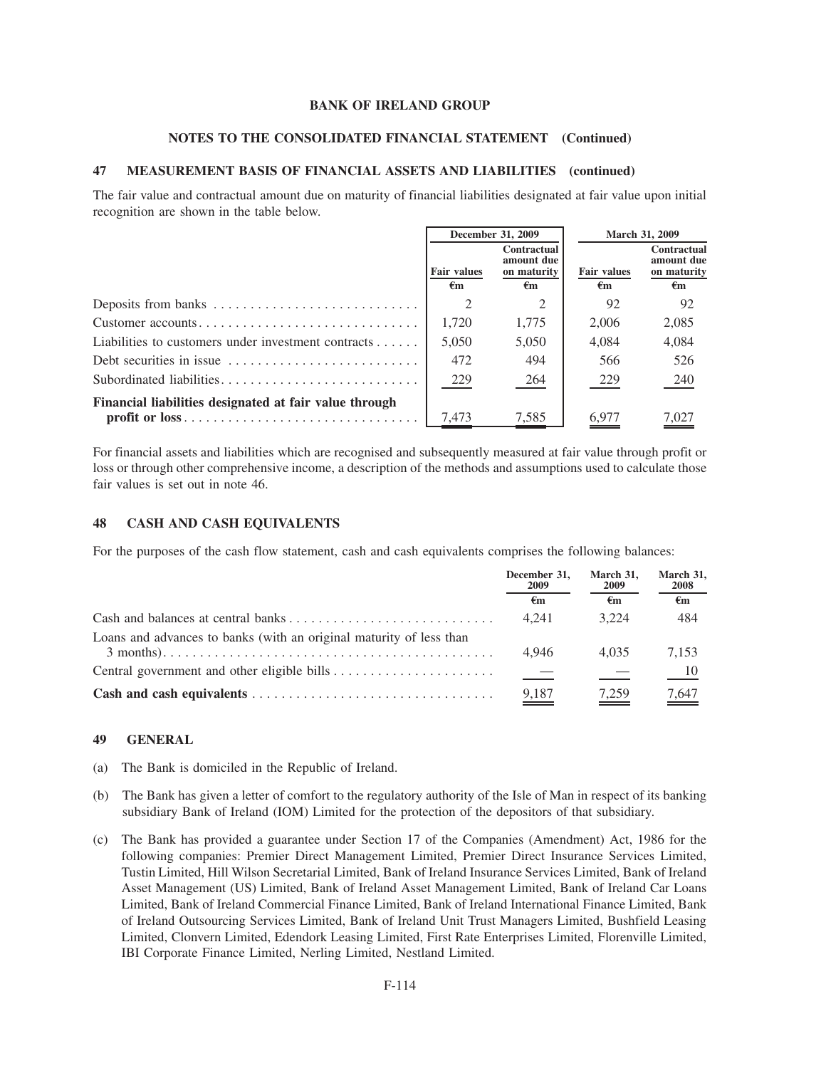## **NOTES TO THE CONSOLIDATED FINANCIAL STATEMENT (Continued)**

# **47 MEASUREMENT BASIS OF FINANCIAL ASSETS AND LIABILITIES (continued)**

The fair value and contractual amount due on maturity of financial liabilities designated at fair value upon initial recognition are shown in the table below.

|                                                        | December 31, 2009        |                                                | March 31, 2009           |                                                |
|--------------------------------------------------------|--------------------------|------------------------------------------------|--------------------------|------------------------------------------------|
|                                                        | <b>Fair values</b><br>€m | Contractual<br>amount due<br>on maturity<br>€m | <b>Fair values</b><br>€m | Contractual<br>amount due<br>on maturity<br>€m |
| Deposits from banks                                    |                          | $\mathcal{L}$                                  | 92                       | 92                                             |
| Customer accounts                                      | 1.720                    | 1,775                                          | 2,006                    | 2,085                                          |
| Liabilities to customers under investment contracts    | 5.050                    | 5,050                                          | 4.084                    | 4,084                                          |
|                                                        | 472                      | 494                                            | 566                      | 526                                            |
|                                                        | 229                      | 264                                            | 229                      | 240                                            |
| Financial liabilities designated at fair value through | 7,473                    | 7,585                                          | 6,977                    | <u>7,027</u>                                   |

For financial assets and liabilities which are recognised and subsequently measured at fair value through profit or loss or through other comprehensive income, a description of the methods and assumptions used to calculate those fair values is set out in note 46.

### **48 CASH AND CASH EQUIVALENTS**

For the purposes of the cash flow statement, cash and cash equivalents comprises the following balances:

|                                                                     | December 31,<br>2009 | March 31,<br>2009 | March 31.<br>2008  |  |
|---------------------------------------------------------------------|----------------------|-------------------|--------------------|--|
|                                                                     | €m                   | €m                | $\epsilon_{\rm m}$ |  |
|                                                                     | 4.241                | 3.224             | 484                |  |
| Loans and advances to banks (with an original maturity of less than | 4.946                | 4.035             | 7.153              |  |
|                                                                     |                      |                   | $\frac{10}{1}$     |  |
|                                                                     | 9,187                | 7,259             | 7,647              |  |

#### **49 GENERAL**

- (a) The Bank is domiciled in the Republic of Ireland.
- (b) The Bank has given a letter of comfort to the regulatory authority of the Isle of Man in respect of its banking subsidiary Bank of Ireland (IOM) Limited for the protection of the depositors of that subsidiary.
- (c) The Bank has provided a guarantee under Section 17 of the Companies (Amendment) Act, 1986 for the following companies: Premier Direct Management Limited, Premier Direct Insurance Services Limited, Tustin Limited, Hill Wilson Secretarial Limited, Bank of Ireland Insurance Services Limited, Bank of Ireland Asset Management (US) Limited, Bank of Ireland Asset Management Limited, Bank of Ireland Car Loans Limited, Bank of Ireland Commercial Finance Limited, Bank of Ireland International Finance Limited, Bank of Ireland Outsourcing Services Limited, Bank of Ireland Unit Trust Managers Limited, Bushfield Leasing Limited, Clonvern Limited, Edendork Leasing Limited, First Rate Enterprises Limited, Florenville Limited, IBI Corporate Finance Limited, Nerling Limited, Nestland Limited.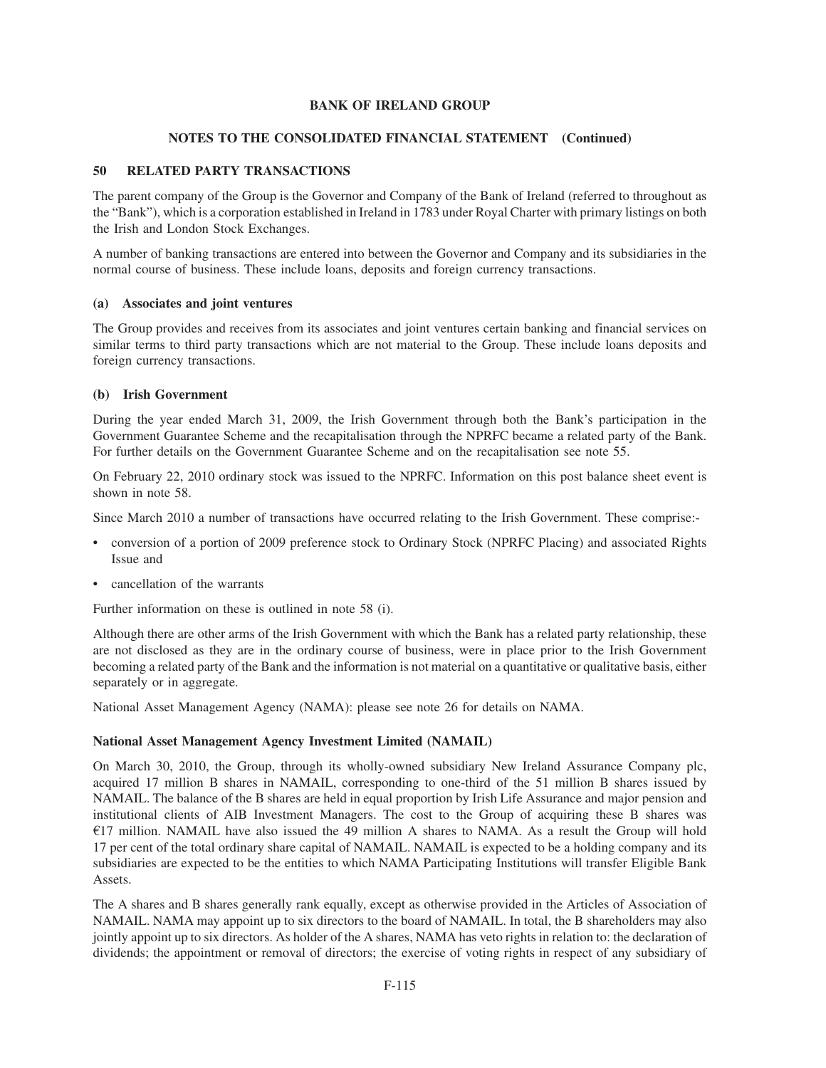# **NOTES TO THE CONSOLIDATED FINANCIAL STATEMENT (Continued)**

# **50 RELATED PARTY TRANSACTIONS**

The parent company of the Group is the Governor and Company of the Bank of Ireland (referred to throughout as the "Bank"), which is a corporation established in Ireland in 1783 under Royal Charter with primary listings on both the Irish and London Stock Exchanges.

A number of banking transactions are entered into between the Governor and Company and its subsidiaries in the normal course of business. These include loans, deposits and foreign currency transactions.

## **(a) Associates and joint ventures**

The Group provides and receives from its associates and joint ventures certain banking and financial services on similar terms to third party transactions which are not material to the Group. These include loans deposits and foreign currency transactions.

### **(b) Irish Government**

During the year ended March 31, 2009, the Irish Government through both the Bank's participation in the Government Guarantee Scheme and the recapitalisation through the NPRFC became a related party of the Bank. For further details on the Government Guarantee Scheme and on the recapitalisation see note 55.

On February 22, 2010 ordinary stock was issued to the NPRFC. Information on this post balance sheet event is shown in note 58.

Since March 2010 a number of transactions have occurred relating to the Irish Government. These comprise:-

- conversion of a portion of 2009 preference stock to Ordinary Stock (NPRFC Placing) and associated Rights Issue and
- cancellation of the warrants

Further information on these is outlined in note 58 (i).

Although there are other arms of the Irish Government with which the Bank has a related party relationship, these are not disclosed as they are in the ordinary course of business, were in place prior to the Irish Government becoming a related party of the Bank and the information is not material on a quantitative or qualitative basis, either separately or in aggregate.

National Asset Management Agency (NAMA): please see note 26 for details on NAMA.

# **National Asset Management Agency Investment Limited (NAMAIL)**

On March 30, 2010, the Group, through its wholly-owned subsidiary New Ireland Assurance Company plc, acquired 17 million B shares in NAMAIL, corresponding to one-third of the 51 million B shares issued by NAMAIL. The balance of the B shares are held in equal proportion by Irish Life Assurance and major pension and institutional clients of AIB Investment Managers. The cost to the Group of acquiring these B shares was  $E17$  million. NAMAIL have also issued the 49 million A shares to NAMA. As a result the Group will hold 17 per cent of the total ordinary share capital of NAMAIL. NAMAIL is expected to be a holding company and its subsidiaries are expected to be the entities to which NAMA Participating Institutions will transfer Eligible Bank Assets.

The A shares and B shares generally rank equally, except as otherwise provided in the Articles of Association of NAMAIL. NAMA may appoint up to six directors to the board of NAMAIL. In total, the B shareholders may also jointly appoint up to six directors. As holder of the A shares, NAMA has veto rights in relation to: the declaration of dividends; the appointment or removal of directors; the exercise of voting rights in respect of any subsidiary of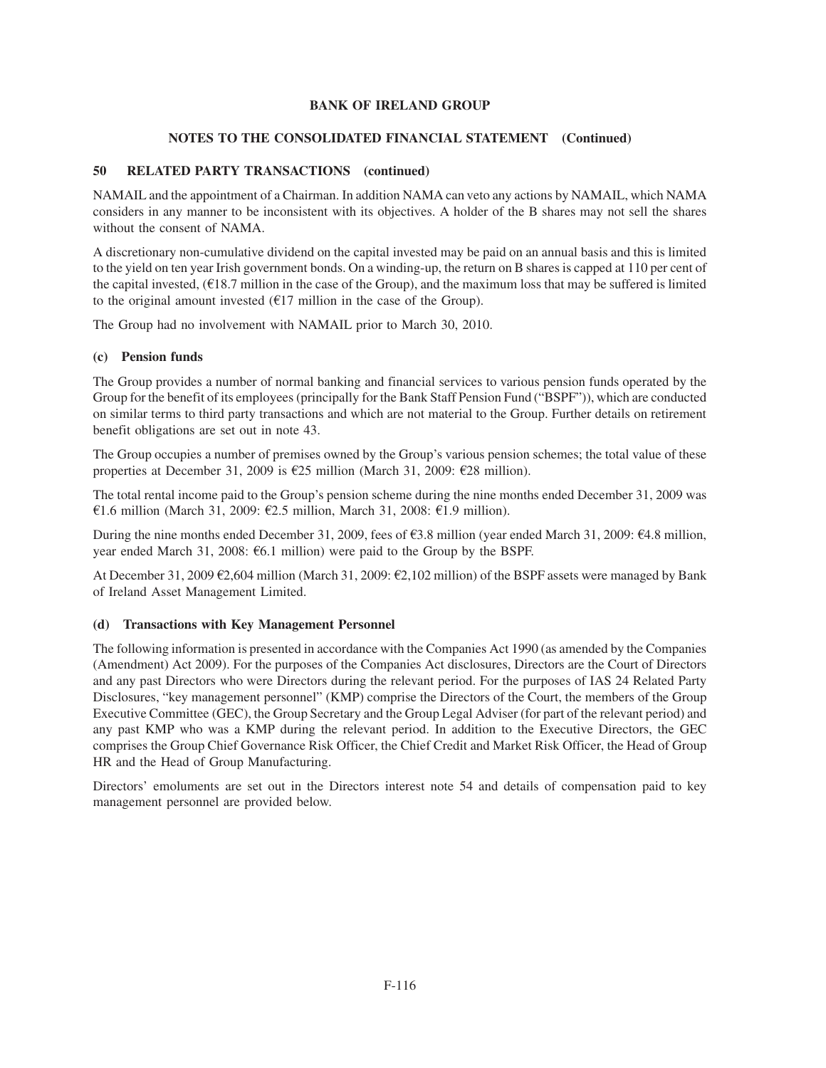# **NOTES TO THE CONSOLIDATED FINANCIAL STATEMENT (Continued)**

# **50 RELATED PARTY TRANSACTIONS (continued)**

NAMAIL and the appointment of a Chairman. In addition NAMA can veto any actions by NAMAIL, which NAMA considers in any manner to be inconsistent with its objectives. A holder of the B shares may not sell the shares without the consent of NAMA.

A discretionary non-cumulative dividend on the capital invested may be paid on an annual basis and this is limited to the yield on ten year Irish government bonds. On a winding-up, the return on B shares is capped at 110 per cent of the capital invested,  $(E18.7 \text{ million in the case of the Group})$ , and the maximum loss that may be suffered is limited to the original amount invested  $(\text{\textsterling}17 \text{ million in the case of the Group}).$ 

The Group had no involvement with NAMAIL prior to March 30, 2010.

# **(c) Pension funds**

The Group provides a number of normal banking and financial services to various pension funds operated by the Group for the benefit of its employees (principally for the Bank Staff Pension Fund ("BSPF")), which are conducted on similar terms to third party transactions and which are not material to the Group. Further details on retirement benefit obligations are set out in note 43.

The Group occupies a number of premises owned by the Group's various pension schemes; the total value of these properties at December 31, 2009 is  $E25$  million (March 31, 2009:  $E28$  million).

The total rental income paid to the Group's pension scheme during the nine months ended December 31, 2009 was €1.6 million (March 31, 2009: €2.5 million, March 31, 2008: €1.9 million).

During the nine months ended December 31, 2009, fees of  $\epsilon$ 3.8 million (year ended March 31, 2009:  $\epsilon$ 4.8 million, year ended March 31, 2008:  $\epsilon$ 6.1 million) were paid to the Group by the BSPF.

At December 31, 2009  $\epsilon$ 2,604 million (March 31, 2009:  $\epsilon$ 2,102 million) of the BSPF assets were managed by Bank of Ireland Asset Management Limited.

### **(d) Transactions with Key Management Personnel**

The following information is presented in accordance with the Companies Act 1990 (as amended by the Companies (Amendment) Act 2009). For the purposes of the Companies Act disclosures, Directors are the Court of Directors and any past Directors who were Directors during the relevant period. For the purposes of IAS 24 Related Party Disclosures, "key management personnel" (KMP) comprise the Directors of the Court, the members of the Group Executive Committee (GEC), the Group Secretary and the Group Legal Adviser (for part of the relevant period) and any past KMP who was a KMP during the relevant period. In addition to the Executive Directors, the GEC comprises the Group Chief Governance Risk Officer, the Chief Credit and Market Risk Officer, the Head of Group HR and the Head of Group Manufacturing.

Directors' emoluments are set out in the Directors interest note 54 and details of compensation paid to key management personnel are provided below.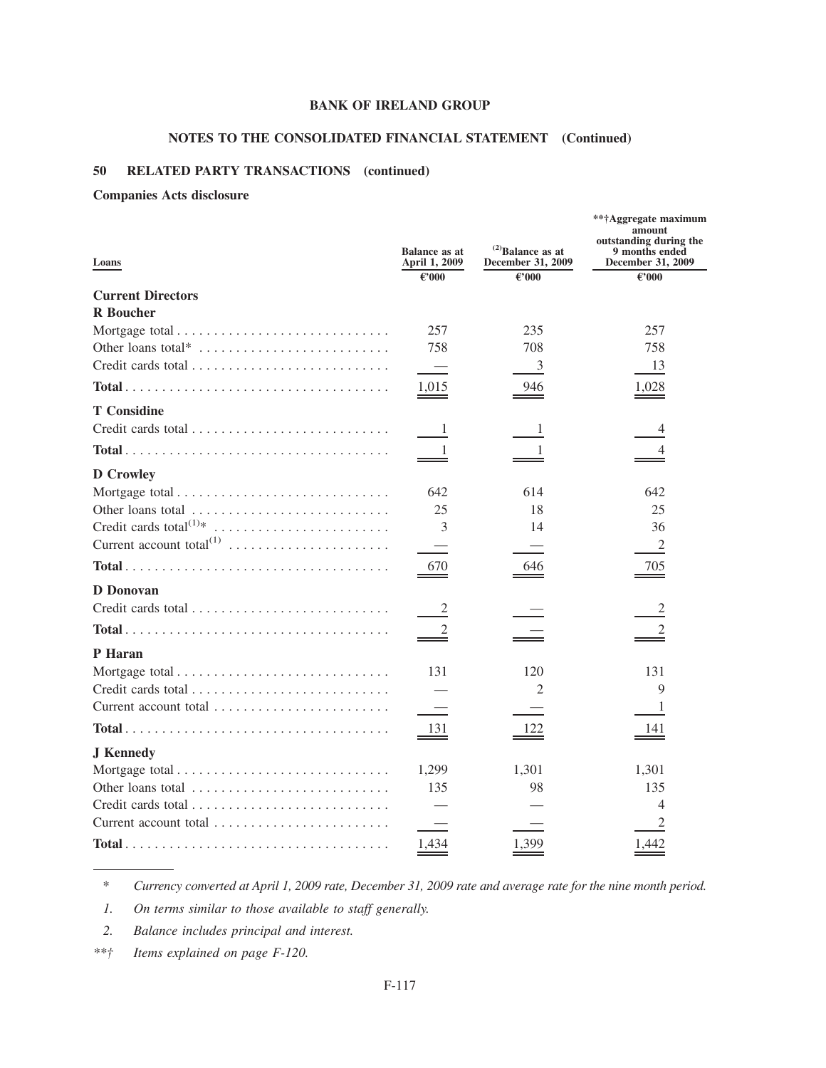# **NOTES TO THE CONSOLIDATED FINANCIAL STATEMENT (Continued)**

# **50 RELATED PARTY TRANSACTIONS (continued)**

# **Companies Acts disclosure**

| Loans                                                                  | <b>Balance as at</b><br>April 1, 2009 | $^{(2)}$ Balance as at<br>December 31, 2009 | **†Aggregate maximum<br>amount<br>outstanding during the<br>9 months ended<br>December 31, 2009 |
|------------------------------------------------------------------------|---------------------------------------|---------------------------------------------|-------------------------------------------------------------------------------------------------|
|                                                                        | $\epsilon$ '000                       | €'000                                       | €'000                                                                                           |
| <b>Current Directors</b>                                               |                                       |                                             |                                                                                                 |
| <b>R</b> Boucher                                                       |                                       |                                             |                                                                                                 |
|                                                                        | 257                                   | 235                                         | 257                                                                                             |
| Other loans total* $\dots \dots \dots \dots \dots \dots \dots \dots$   | 758                                   | 708                                         | 758                                                                                             |
|                                                                        | $\overline{\phantom{0}}$              | $\overline{3}$                              | 13                                                                                              |
|                                                                        | 1,015                                 | 946                                         | 1,028                                                                                           |
| <b>T</b> Considine                                                     |                                       |                                             |                                                                                                 |
|                                                                        | $\perp$                               | 1                                           | 4                                                                                               |
|                                                                        | 1                                     | 1                                           | 4                                                                                               |
| <b>D</b> Crowley                                                       |                                       |                                             |                                                                                                 |
|                                                                        | 642                                   | 614                                         | 642                                                                                             |
| Other loans total                                                      | 25                                    | 18                                          | 25                                                                                              |
|                                                                        | 3                                     | 14                                          | 36                                                                                              |
|                                                                        |                                       |                                             | $\mathfrak{2}$                                                                                  |
|                                                                        | 670                                   | 646                                         | 705                                                                                             |
| D Donovan                                                              |                                       |                                             |                                                                                                 |
|                                                                        | $\overline{2}$                        |                                             | $\overline{2}$                                                                                  |
|                                                                        | $\overline{2}$                        |                                             | 2                                                                                               |
| P Haran                                                                |                                       |                                             |                                                                                                 |
|                                                                        | 131                                   | 120                                         | 131                                                                                             |
|                                                                        |                                       | 2                                           | 9                                                                                               |
|                                                                        |                                       |                                             | 1                                                                                               |
|                                                                        | 131                                   | 122                                         | 141                                                                                             |
| <b>J</b> Kennedy                                                       |                                       |                                             |                                                                                                 |
|                                                                        | 1,299                                 | 1,301                                       | 1,301                                                                                           |
| Other loans total $\ldots \ldots \ldots \ldots \ldots \ldots \ldots$   | 135                                   | 98                                          | 135                                                                                             |
|                                                                        |                                       |                                             | 4                                                                                               |
| Current account total $\ldots, \ldots, \ldots, \ldots, \ldots, \ldots$ |                                       |                                             | 2                                                                                               |
|                                                                        | 1,434                                 | 1,399                                       | 1,442                                                                                           |

*\* Currency converted at April 1, 2009 rate, December 31, 2009 rate and average rate for the nine month period.*

*1. On terms similar to those available to staff generally.*

*2. Balance includes principal and interest.*

*\*\*† Items explained on page F-120.*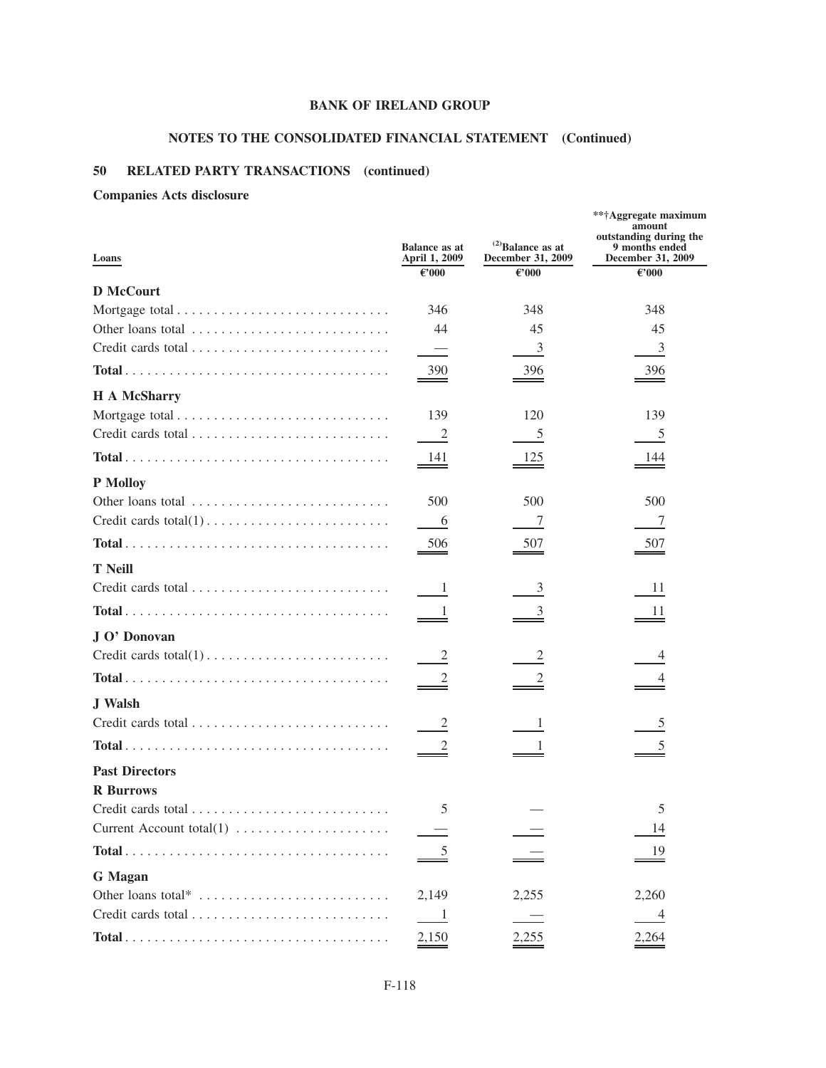# **NOTES TO THE CONSOLIDATED FINANCIAL STATEMENT (Continued)**

# **50 RELATED PARTY TRANSACTIONS (continued)**

# **Companies Acts disclosure**

| Loans                                                                                       | <b>Balance as at</b><br>April 1, 2009<br>$\epsilon$ '000 | $^{(2)}$ Balance as at<br>December 31, 2009<br>€'000 | **†Aggregate maximum<br>amount<br>outstanding during the<br>9 months ended<br>December 31, 2009<br>€'000 |
|---------------------------------------------------------------------------------------------|----------------------------------------------------------|------------------------------------------------------|----------------------------------------------------------------------------------------------------------|
| <b>D</b> McCourt                                                                            |                                                          |                                                      |                                                                                                          |
|                                                                                             | 346                                                      | 348                                                  | 348                                                                                                      |
|                                                                                             | 44                                                       | 45                                                   | 45                                                                                                       |
|                                                                                             | $\overline{\phantom{0}}$                                 | 3                                                    | $\mathfrak{Z}$                                                                                           |
|                                                                                             | 390                                                      | 396                                                  | 396                                                                                                      |
| <b>H</b> A McSharry                                                                         |                                                          |                                                      |                                                                                                          |
|                                                                                             | 139                                                      | 120                                                  | 139                                                                                                      |
|                                                                                             | $\overline{\phantom{0}}^2$                               | 5                                                    | 5                                                                                                        |
| $Total \dots \dots \dots \dots \dots \dots \dots \dots \dots \dots \dots \dots \dots \dots$ | 141                                                      | 125                                                  | <u>144</u>                                                                                               |
| P Molloy                                                                                    |                                                          |                                                      |                                                                                                          |
|                                                                                             | 500                                                      | 500                                                  | 500                                                                                                      |
|                                                                                             | 6                                                        | 7                                                    | 7                                                                                                        |
|                                                                                             | 506                                                      | 507                                                  | 507                                                                                                      |
| <b>T</b> Neill                                                                              |                                                          |                                                      |                                                                                                          |
|                                                                                             | $\blacksquare$                                           | 3                                                    | 11                                                                                                       |
|                                                                                             | $\frac{1}{2}$                                            | 3                                                    | 11                                                                                                       |
| J O' Donovan                                                                                |                                                          |                                                      |                                                                                                          |
|                                                                                             | $\overline{\phantom{a}}$                                 | 2                                                    | 4                                                                                                        |
|                                                                                             |                                                          |                                                      |                                                                                                          |
| <b>J</b> Walsh                                                                              |                                                          |                                                      |                                                                                                          |
|                                                                                             | $\overline{c}$                                           | 1                                                    | 5                                                                                                        |
| $Total \dots \dots \dots \dots \dots \dots \dots \dots \dots \dots \dots \dots \dots \dots$ |                                                          |                                                      |                                                                                                          |
| <b>Past Directors</b>                                                                       |                                                          |                                                      |                                                                                                          |
| <b>R</b> Burrows                                                                            |                                                          |                                                      |                                                                                                          |
|                                                                                             | 5                                                        |                                                      | 5                                                                                                        |
| Current Account total(1)                                                                    |                                                          |                                                      | 14                                                                                                       |
|                                                                                             |                                                          |                                                      | 19                                                                                                       |
| <b>G</b> Magan                                                                              |                                                          |                                                      |                                                                                                          |
| Other loans total*                                                                          | 2,149                                                    | 2,255                                                | 2,260                                                                                                    |
|                                                                                             | $\blacksquare$                                           |                                                      | $\overline{4}$                                                                                           |
|                                                                                             | 2,150                                                    | 2,255                                                | 2,264                                                                                                    |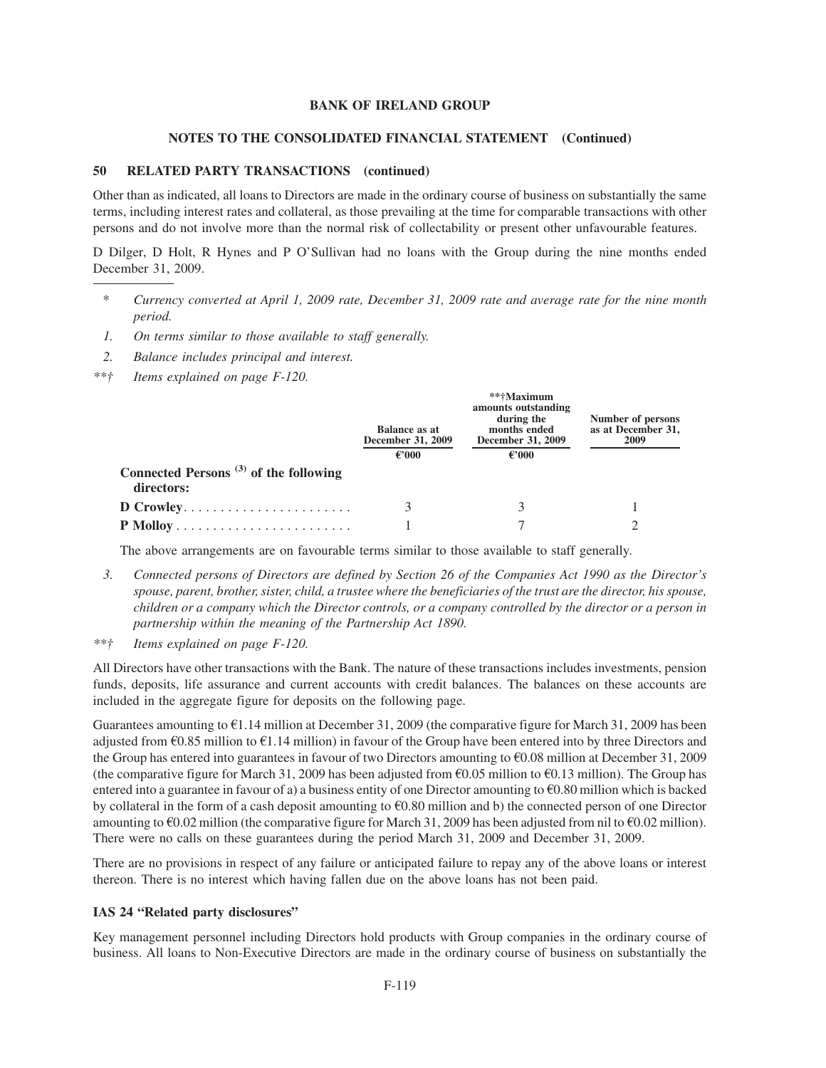#### **NOTES TO THE CONSOLIDATED FINANCIAL STATEMENT (Continued)**

#### **50 RELATED PARTY TRANSACTIONS (continued)**

Other than as indicated, all loans to Directors are made in the ordinary course of business on substantially the same terms, including interest rates and collateral, as those prevailing at the time for comparable transactions with other persons and do not involve more than the normal risk of collectability or present other unfavourable features.

D Dilger, D Holt, R Hynes and P O'Sullivan had no loans with the Group during the nine months ended December 31, 2009.

- *\* Currency converted at April 1, 2009 rate, December 31, 2009 rate and average rate for the nine month period.*
- *1. On terms similar to those available to staff generally.*
- *2. Balance includes principal and interest.*
- *\*\*† Items explained on page F-120.*

|                                                                              | Balance as at<br>December 31, 2009<br>$\epsilon$ '000 | **†Maximum<br>amounts outstanding<br>during the<br>months ended<br>December 31, 2009<br>€'000 | Number of persons<br>as at December 31,<br>2009 |
|------------------------------------------------------------------------------|-------------------------------------------------------|-----------------------------------------------------------------------------------------------|-------------------------------------------------|
| Connected Persons <sup><math>(3)</math></sup> of the following<br>directors: |                                                       |                                                                                               |                                                 |
| D Crowley                                                                    |                                                       |                                                                                               |                                                 |
|                                                                              |                                                       |                                                                                               |                                                 |

The above arrangements are on favourable terms similar to those available to staff generally.

- *3. Connected persons of Directors are defined by Section 26 of the Companies Act 1990 as the Director's spouse, parent, brother, sister, child, a trustee where the beneficiaries of the trust are the director, his spouse, children or a company which the Director controls, or a company controlled by the director or a person in partnership within the meaning of the Partnership Act 1890.*
- *\*\*† Items explained on page F-120.*

All Directors have other transactions with the Bank. The nature of these transactions includes investments, pension funds, deposits, life assurance and current accounts with credit balances. The balances on these accounts are included in the aggregate figure for deposits on the following page.

Guarantees amounting to  $\epsilon$ 1.14 million at December 31, 2009 (the comparative figure for March 31, 2009 has been adjusted from  $\epsilon$ 0.85 million to  $\epsilon$ 1.14 million) in favour of the Group have been entered into by three Directors and the Group has entered into guarantees in favour of two Directors amounting to  $\epsilon$ 0.08 million at December 31, 2009 (the comparative figure for March 31, 2009 has been adjusted from  $\epsilon$ 0.05 million to  $\epsilon$ 0.13 million). The Group has entered into a guarantee in favour of a) a business entity of one Director amounting to  $\epsilon$ 0.80 million which is backed by collateral in the form of a cash deposit amounting to  $\epsilon$ 0.80 million and b) the connected person of one Director amounting to  $\epsilon$ 0.02 million (the comparative figure for March 31, 2009 has been adjusted from nil to  $\epsilon$ 0.02 million). There were no calls on these guarantees during the period March 31, 2009 and December 31, 2009.

There are no provisions in respect of any failure or anticipated failure to repay any of the above loans or interest thereon. There is no interest which having fallen due on the above loans has not been paid.

# **IAS 24 "Related party disclosures"**

Key management personnel including Directors hold products with Group companies in the ordinary course of business. All loans to Non-Executive Directors are made in the ordinary course of business on substantially the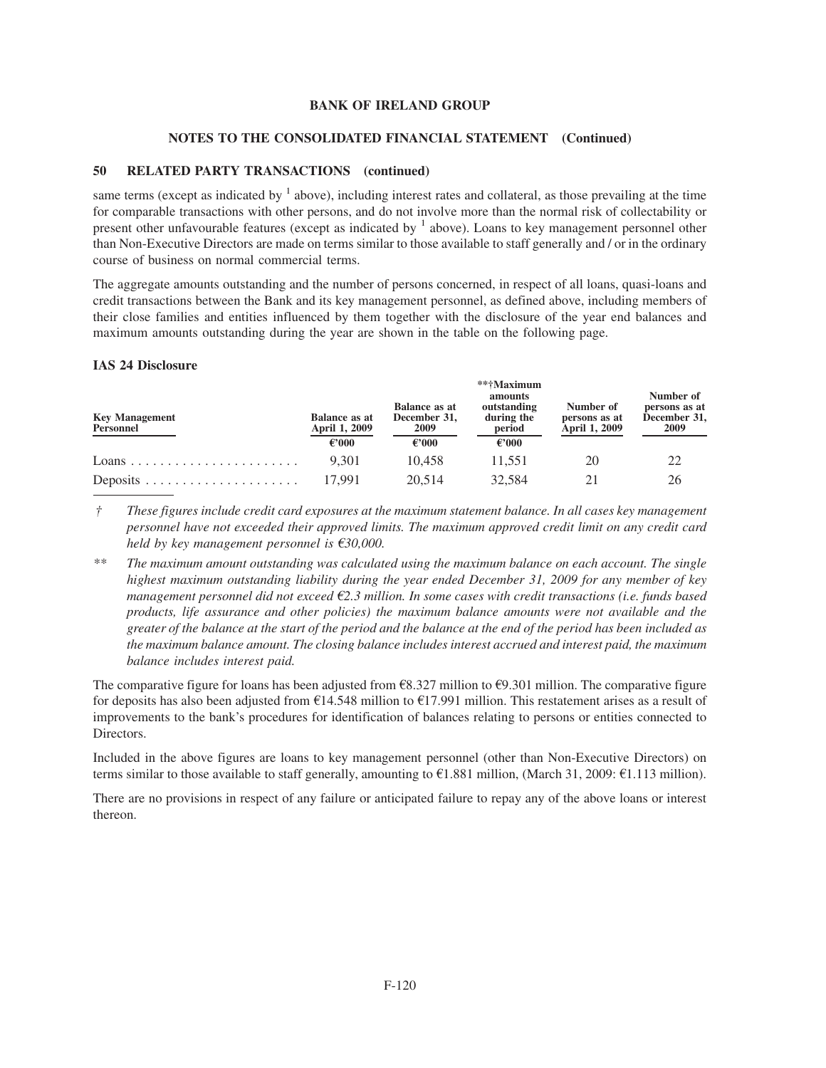### **NOTES TO THE CONSOLIDATED FINANCIAL STATEMENT (Continued)**

# **50 RELATED PARTY TRANSACTIONS (continued)**

same terms (except as indicated by  $<sup>1</sup>$  above), including interest rates and collateral, as those prevailing at the time</sup> for comparable transactions with other persons, and do not involve more than the normal risk of collectability or present other unfavourable features (except as indicated by  $<sup>1</sup>$  above). Loans to key management personnel other</sup> than Non-Executive Directors are made on terms similar to those available to staff generally and / or in the ordinary course of business on normal commercial terms.

The aggregate amounts outstanding and the number of persons concerned, in respect of all loans, quasi-loans and credit transactions between the Bank and its key management personnel, as defined above, including members of their close families and entities influenced by them together with the disclosure of the year end balances and maximum amounts outstanding during the year are shown in the table on the following page.

#### **IAS 24 Disclosure**

| <b>Key Management</b><br>Personnel | <b>Balance as at</b><br>April 1, 2009<br>$\epsilon$ '000 | <b>Balance as at</b><br>December 31,<br>2009<br>$\epsilon$ '000 | **†Maximum<br>amounts<br>outstanding<br>during the<br>period<br>$\epsilon$ '000 | Number of<br>persons as at<br>April 1, 2009 | Number of<br>persons as at<br>December 31,<br>2009 |
|------------------------------------|----------------------------------------------------------|-----------------------------------------------------------------|---------------------------------------------------------------------------------|---------------------------------------------|----------------------------------------------------|
|                                    | 9.301                                                    | 10.458                                                          | 11.551                                                                          | 20                                          |                                                    |
|                                    | 17.991                                                   | 20.514                                                          | 32,584                                                                          |                                             | 26                                                 |

*† These figures include credit card exposures at the maximum statement balance. In all cases key management personnel have not exceeded their approved limits. The maximum approved credit limit on any credit card held by key management personnel is* €30,000.

*\*\* The maximum amount outstanding was calculated using the maximum balance on each account. The single highest maximum outstanding liability during the year ended December 31, 2009 for any member of key management personnel did not exceed* €2.3 million. In some cases with credit transactions (i.e. funds based *products, life assurance and other policies) the maximum balance amounts were not available and the greater of the balance at the start of the period and the balance at the end of the period has been included as the maximum balance amount. The closing balance includes interest accrued and interest paid, the maximum balance includes interest paid.*

The comparative figure for loans has been adjusted from  $\epsilon$ 8.327 million to  $\epsilon$ 9.301 million. The comparative figure for deposits has also been adjusted from  $\epsilon$ 14.548 million to  $\epsilon$ 17.991 million. This restatement arises as a result of improvements to the bank's procedures for identification of balances relating to persons or entities connected to Directors.

Included in the above figures are loans to key management personnel (other than Non-Executive Directors) on terms similar to those available to staff generally, amounting to  $\epsilon$ 1.881 million, (March 31, 2009:  $\epsilon$ 1.113 million).

There are no provisions in respect of any failure or anticipated failure to repay any of the above loans or interest thereon.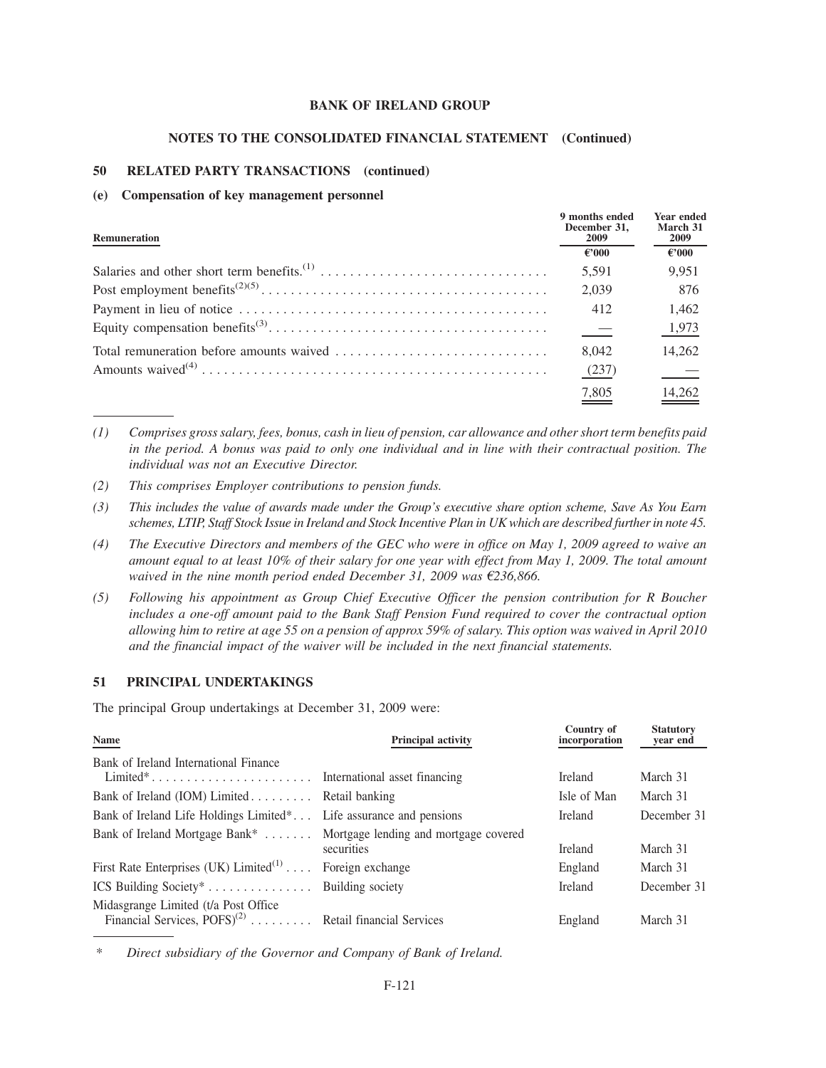#### **NOTES TO THE CONSOLIDATED FINANCIAL STATEMENT (Continued)**

# **50 RELATED PARTY TRANSACTIONS (continued)**

#### **(e) Compensation of key management personnel**

| <b>Remuneration</b> | 9 months ended<br>December 31.<br>2009 | <b>Year ended</b><br>March 31<br>2009 |
|---------------------|----------------------------------------|---------------------------------------|
|                     | $\epsilon$ '000                        | €'000                                 |
|                     | 5,591                                  | 9,951                                 |
|                     | 2,039                                  | 876                                   |
|                     | 412                                    | 1,462                                 |
|                     | $\equiv$                               | 1,973                                 |
|                     | 8.042                                  | 14,262                                |
|                     | (237)                                  |                                       |
|                     | 7,805                                  | <u>14,262</u>                         |

*(1) Comprises gross salary, fees, bonus, cash in lieu of pension, car allowance and other short term benefits paid in the period. A bonus was paid to only one individual and in line with their contractual position. The individual was not an Executive Director.*

- *(2) This comprises Employer contributions to pension funds.*
- *(3) This includes the value of awards made under the Group's executive share option scheme, Save As You Earn schemes, LTIP, Staff Stock Issue in Ireland and Stock Incentive Plan in UK which are described further in note 45.*
- *(4) The Executive Directors and members of the GEC who were in office on May 1, 2009 agreed to waive an amount equal to at least 10% of their salary for one year with effect from May 1, 2009. The total amount waived in the nine month period ended December 31, 2009 was*  $\epsilon$ 236,866.
- *(5) Following his appointment as Group Chief Executive Officer the pension contribution for R Boucher includes a one-off amount paid to the Bank Staff Pension Fund required to cover the contractual option allowing him to retire at age 55 on a pension of approx 59% of salary. This option was waived in April 2010 and the financial impact of the waiver will be included in the next financial statements.*

**Country of**

**Statutory** 

## **51 PRINCIPAL UNDERTAKINGS**

The principal Group undertakings at December 31, 2009 were:

| Name                                                                                                                         | <b>Principal activity</b> | Country of<br>incorporation | Statutory<br>year end |
|------------------------------------------------------------------------------------------------------------------------------|---------------------------|-----------------------------|-----------------------|
| Bank of Ireland International Finance<br>$Limited^* \dots \dots \dots \dots \dots \dots \dots$ International asset financing |                           | <b>Ireland</b>              | March 31              |
| Bank of Ireland (IOM) Limited Retail banking                                                                                 |                           | Isle of Man                 | March 31              |
| Bank of Ireland Life Holdings Limited <sup>*</sup> Life assurance and pensions                                               |                           | <b>Ireland</b>              | December 31           |
| Bank of Ireland Mortgage Bank*  Mortgage lending and mortgage covered                                                        | securities                | <b>Ireland</b>              | March 31              |
| First Rate Enterprises (UK) $Limited^{(1)} \dots$                                                                            | Foreign exchange          | England                     | March 31              |
| ICS Building Society <sup>*</sup> Building society                                                                           |                           | <b>Ireland</b>              | December 31           |
| Midasgrange Limited (t/a Post Office<br>Financial Services, $POFS$ <sup>(2)</sup> Retail financial Services                  |                           | England                     | March 31              |

*\* Direct subsidiary of the Governor and Company of Bank of Ireland.*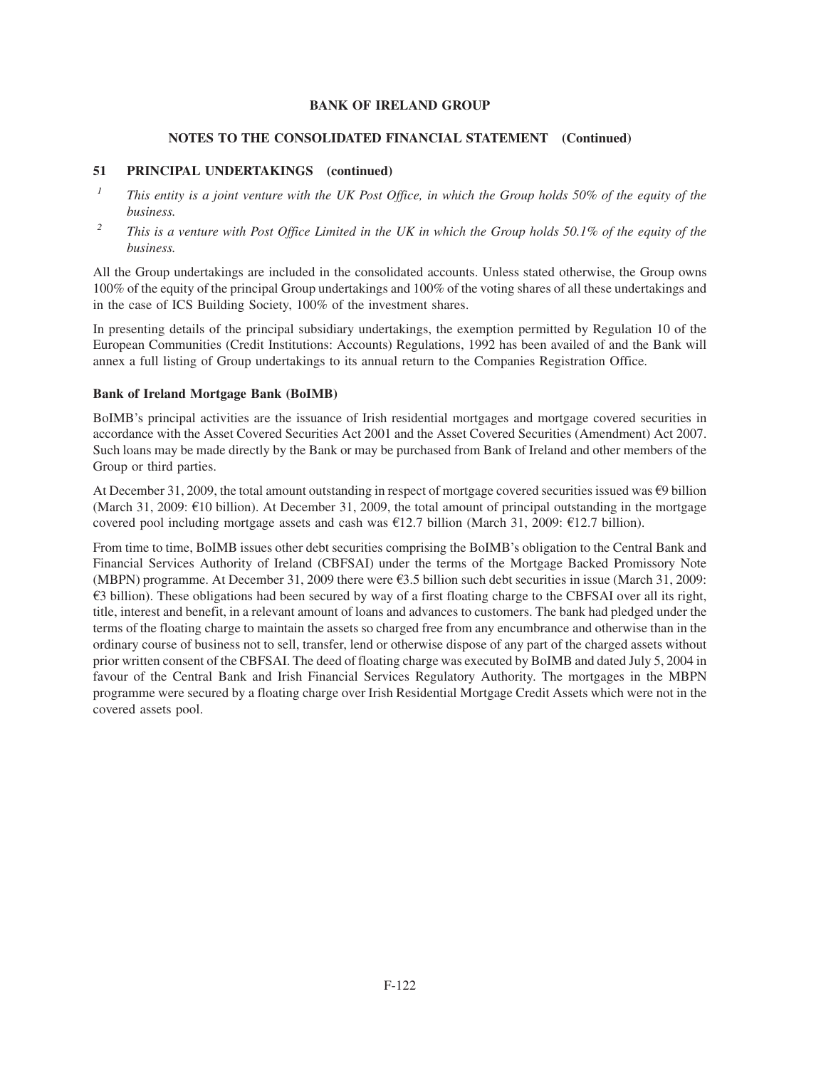# **NOTES TO THE CONSOLIDATED FINANCIAL STATEMENT (Continued)**

# **51 PRINCIPAL UNDERTAKINGS (continued)**

- *<sup>1</sup> This entity is a joint venture with the UK Post Office, in which the Group holds 50% of the equity of the business.*
- *<sup>2</sup> This is a venture with Post Office Limited in the UK in which the Group holds 50.1% of the equity of the business.*

All the Group undertakings are included in the consolidated accounts. Unless stated otherwise, the Group owns 100% of the equity of the principal Group undertakings and 100% of the voting shares of all these undertakings and in the case of ICS Building Society, 100% of the investment shares.

In presenting details of the principal subsidiary undertakings, the exemption permitted by Regulation 10 of the European Communities (Credit Institutions: Accounts) Regulations, 1992 has been availed of and the Bank will annex a full listing of Group undertakings to its annual return to the Companies Registration Office.

# **Bank of Ireland Mortgage Bank (BoIMB)**

BoIMB's principal activities are the issuance of Irish residential mortgages and mortgage covered securities in accordance with the Asset Covered Securities Act 2001 and the Asset Covered Securities (Amendment) Act 2007. Such loans may be made directly by the Bank or may be purchased from Bank of Ireland and other members of the Group or third parties.

At December 31, 2009, the total amount outstanding in respect of mortgage covered securities issued was  $\Theta$  billion (March 31, 2009:  $\epsilon$ 10 billion). At December 31, 2009, the total amount of principal outstanding in the mortgage covered pool including mortgage assets and cash was  $E12.7$  billion (March 31, 2009:  $E12.7$  billion).

From time to time, BoIMB issues other debt securities comprising the BoIMB's obligation to the Central Bank and Financial Services Authority of Ireland (CBFSAI) under the terms of the Mortgage Backed Promissory Note (MBPN) programme. At December 31, 2009 there were  $\epsilon$ 3.5 billion such debt securities in issue (March 31, 2009:  $\epsilon$ 3 billion). These obligations had been secured by way of a first floating charge to the CBFSAI over all its right, title, interest and benefit, in a relevant amount of loans and advances to customers. The bank had pledged under the terms of the floating charge to maintain the assets so charged free from any encumbrance and otherwise than in the ordinary course of business not to sell, transfer, lend or otherwise dispose of any part of the charged assets without prior written consent of the CBFSAI. The deed of floating charge was executed by BoIMB and dated July 5, 2004 in favour of the Central Bank and Irish Financial Services Regulatory Authority. The mortgages in the MBPN programme were secured by a floating charge over Irish Residential Mortgage Credit Assets which were not in the covered assets pool.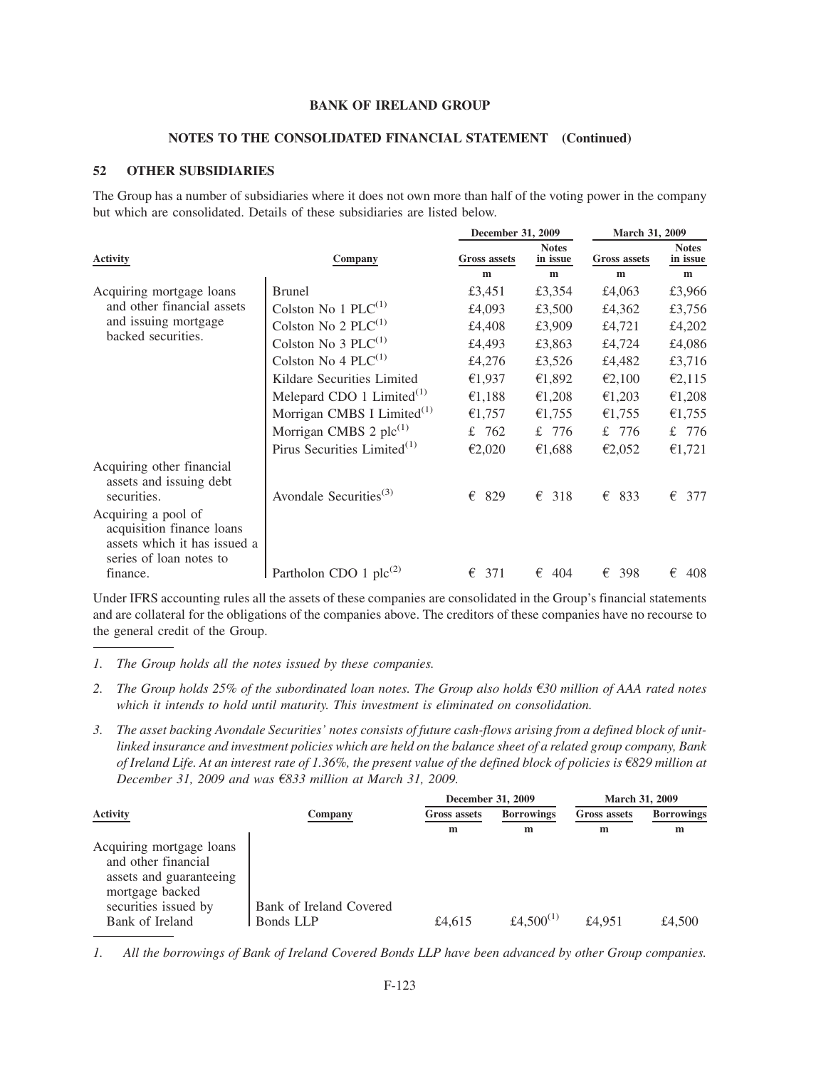#### **NOTES TO THE CONSOLIDATED FINANCIAL STATEMENT (Continued)**

### **52 OTHER SUBSIDIARIES**

The Group has a number of subsidiaries where it does not own more than half of the voting power in the company but which are consolidated. Details of these subsidiaries are listed below.

**December 31, 2009 March 31, 2009**

|                                                                                                             |                                         | December 31, 2009   |                          | <b>March 31, 2009</b> |                          |  |
|-------------------------------------------------------------------------------------------------------------|-----------------------------------------|---------------------|--------------------------|-----------------------|--------------------------|--|
| <b>Activity</b>                                                                                             | Company                                 | <b>Gross assets</b> | <b>Notes</b><br>in issue | <b>Gross assets</b>   | <b>Notes</b><br>in issue |  |
|                                                                                                             |                                         | m                   | m                        | m                     | m                        |  |
| Acquiring mortgage loans                                                                                    | <b>Brunel</b>                           | £3,451              | £3,354                   | £4,063                | £3,966                   |  |
| and other financial assets                                                                                  | Colston No 1 $PLC^{(1)}$                | £4,093              | £3,500                   | £4,362                | £3,756                   |  |
| and issuing mortgage                                                                                        | Colston No 2 $PLC^{(1)}$                | £4,408              | £3,909                   | £4,721                | £4,202                   |  |
| backed securities.                                                                                          | Colston No 3 $PLC^{(1)}$                | £4,493              | £3,863                   | £4,724                | £4,086                   |  |
|                                                                                                             | Colston No 4 $PLC^{(1)}$                | £4,276              | £3,526                   | £4,482                | £3,716                   |  |
|                                                                                                             | Kildare Securities Limited              | €1,937              | €1,892                   | €2,100                | €2,115                   |  |
|                                                                                                             | Melepard CDO 1 $Limited$ <sup>(1)</sup> | €1,188              | €1,208                   | €1,203                | €1,208                   |  |
|                                                                                                             | Morrigan CMBS I Limited $^{(1)}$        | €1,757              | €1,755                   | €1,755                | €1,755                   |  |
|                                                                                                             | Morrigan CMBS 2 $\text{plc}^{(1)}$      | 762<br>£            | £ 776                    | £ 776                 | £ 776                    |  |
|                                                                                                             | Pirus Securities Limited $(1)$          | €2,020              | €1,688                   | €2,052                | €1,721                   |  |
| Acquiring other financial<br>assets and issuing debt<br>securities.                                         | Avondale Securities <sup>(3)</sup>      | €<br>829            | 318<br>€                 | €<br>833              | €<br>377                 |  |
| Acquiring a pool of<br>acquisition finance loans<br>assets which it has issued a<br>series of loan notes to |                                         |                     |                          |                       |                          |  |
| finance.                                                                                                    | Partholon CDO 1 $\text{plc}^{(2)}$      | €<br>371            | €<br>404                 | €<br>398              | €<br>408                 |  |

Under IFRS accounting rules all the assets of these companies are consolidated in the Group's financial statements and are collateral for the obligations of the companies above. The creditors of these companies have no recourse to the general credit of the Group.

- *1. The Group holds all the notes issued by these companies.*
- 2. The Group holds 25% of the subordinated loan notes. The Group also holds €30 million of AAA rated notes *which it intends to hold until maturity. This investment is eliminated on consolidation.*
- *3. The asset backing Avondale Securities' notes consists of future cash-flows arising from a defined block of unitlinked insurance and investment policies which are held on the balance sheet of a related group company, Bank of Ireland Life. At an interest rate of 1.36%, the present value of the defined block of policies is*  $\epsilon$ 829 million at *December 31, 2009 and was* €833 million at March 31, 2009.

|                                                                                                                                          |                                      | December 31, 2009 |                       | <b>March 31, 2009</b> |                   |
|------------------------------------------------------------------------------------------------------------------------------------------|--------------------------------------|-------------------|-----------------------|-----------------------|-------------------|
| <b>Activity</b>                                                                                                                          | Company                              | Gross assets      | <b>Borrowings</b>     | <b>Gross assets</b>   | <b>Borrowings</b> |
|                                                                                                                                          |                                      | m                 | m                     | m                     | m                 |
| Acquiring mortgage loans<br>and other financial<br>assets and guaranteeing<br>mortgage backed<br>securities issued by<br>Bank of Ireland | Bank of Ireland Covered<br>Bonds LLP | £4.615            | £4.500 <sup>(1)</sup> | £4.951                | £4.500            |

*<sup>1.</sup> All the borrowings of Bank of Ireland Covered Bonds LLP have been advanced by other Group companies.*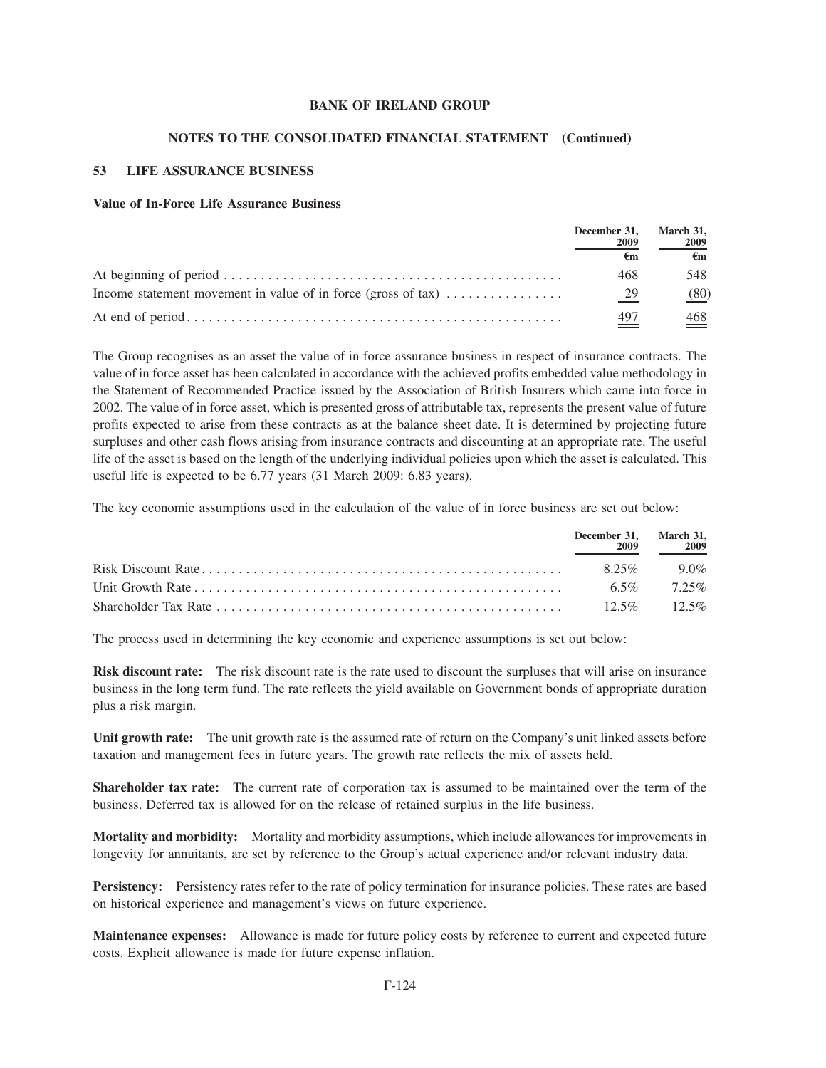#### **NOTES TO THE CONSOLIDATED FINANCIAL STATEMENT (Continued)**

## **53 LIFE ASSURANCE BUSINESS**

### **Value of In-Force Life Assurance Business**

|                                                                         | December 31,<br>2009 | March 31,<br>2009 |
|-------------------------------------------------------------------------|----------------------|-------------------|
|                                                                         | €m                   | €m                |
|                                                                         | 468                  | 548               |
| Income statement movement in value of in force (gross of $\text{tax}$ ) | 29                   | (80)              |
|                                                                         | 497                  | $\frac{468}{1}$   |

The Group recognises as an asset the value of in force assurance business in respect of insurance contracts. The value of in force asset has been calculated in accordance with the achieved profits embedded value methodology in the Statement of Recommended Practice issued by the Association of British Insurers which came into force in 2002. The value of in force asset, which is presented gross of attributable tax, represents the present value of future profits expected to arise from these contracts as at the balance sheet date. It is determined by projecting future surpluses and other cash flows arising from insurance contracts and discounting at an appropriate rate. The useful life of the asset is based on the length of the underlying individual policies upon which the asset is calculated. This useful life is expected to be 6.77 years (31 March 2009: 6.83 years).

The key economic assumptions used in the calculation of the value of in force business are set out below:

| December 31, March 31,<br>2009 | - 2009            |
|--------------------------------|-------------------|
| $825\%$                        | $90\%$            |
|                                | $6.5\%$ 7.25%     |
|                                | $12.5\%$ $12.5\%$ |

The process used in determining the key economic and experience assumptions is set out below:

**Risk discount rate:** The risk discount rate is the rate used to discount the surpluses that will arise on insurance business in the long term fund. The rate reflects the yield available on Government bonds of appropriate duration plus a risk margin.

**Unit growth rate:** The unit growth rate is the assumed rate of return on the Company's unit linked assets before taxation and management fees in future years. The growth rate reflects the mix of assets held.

**Shareholder tax rate:** The current rate of corporation tax is assumed to be maintained over the term of the business. Deferred tax is allowed for on the release of retained surplus in the life business.

**Mortality and morbidity:** Mortality and morbidity assumptions, which include allowances for improvements in longevity for annuitants, are set by reference to the Group's actual experience and/or relevant industry data.

**Persistency:** Persistency rates refer to the rate of policy termination for insurance policies. These rates are based on historical experience and management's views on future experience.

**Maintenance expenses:** Allowance is made for future policy costs by reference to current and expected future costs. Explicit allowance is made for future expense inflation.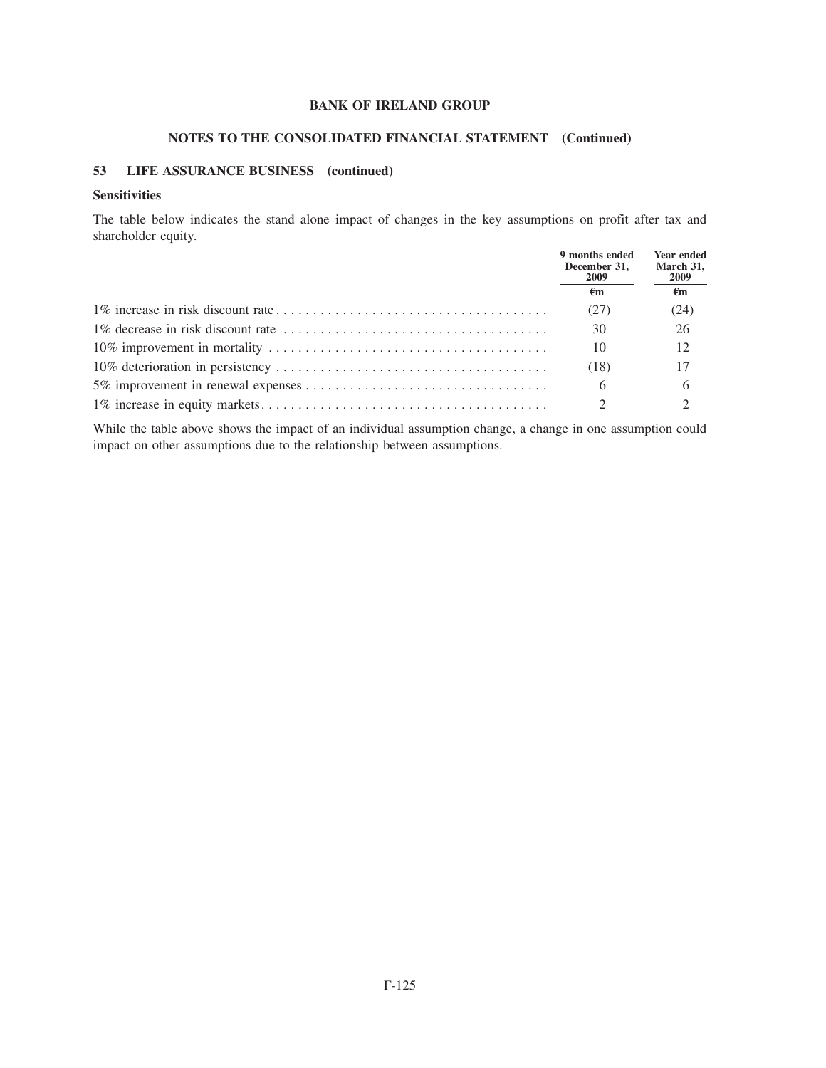# **NOTES TO THE CONSOLIDATED FINANCIAL STATEMENT (Continued)**

## **53 LIFE ASSURANCE BUSINESS (continued)**

## **Sensitivities**

The table below indicates the stand alone impact of changes in the key assumptions on profit after tax and shareholder equity.

| 9 months ended<br>December 31,<br>2009 | <b>Year ended</b><br>March 31,<br><b>2009</b> |
|----------------------------------------|-----------------------------------------------|
| €m                                     | €m                                            |
| (27)                                   | (24)                                          |
| 30                                     | 26                                            |
| 10                                     | 12                                            |
| (18)                                   |                                               |
| 6                                      | 6                                             |
|                                        |                                               |

While the table above shows the impact of an individual assumption change, a change in one assumption could impact on other assumptions due to the relationship between assumptions.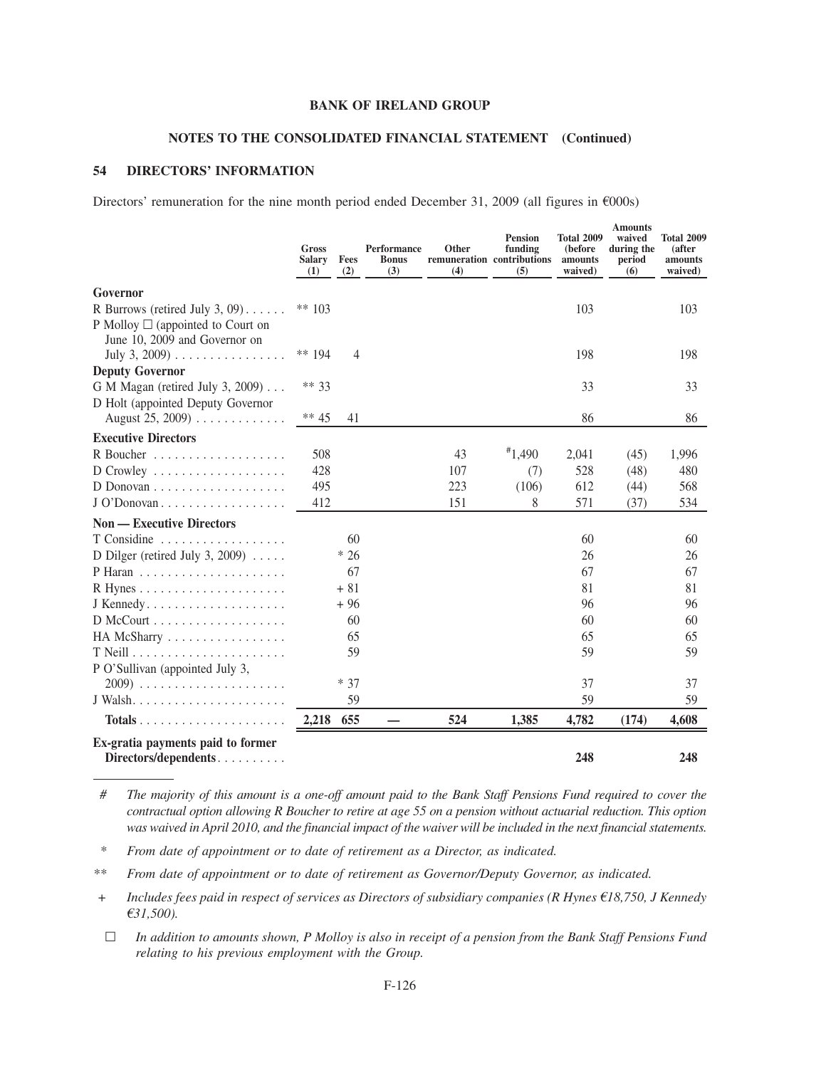#### **NOTES TO THE CONSOLIDATED FINANCIAL STATEMENT (Continued)**

### **54 DIRECTORS' INFORMATION**

Directors' remuneration for the nine month period ended December 31, 2009 (all figures in  $\epsilon$ 000s)

|                                                                                                                                  | Gross<br>Salary<br>(1) | Fees<br>(2)    | <b>Performance</b><br><b>Bonus</b><br>(3) | <b>Other</b><br>remuneration contributions<br>(4) | <b>Pension</b><br>funding<br>(5) | <b>Total 2009</b><br>(before)<br>amounts<br>waived) | <b>Amounts</b><br>waived<br>during the<br>period<br>(6) | <b>Total 2009</b><br>(after<br>amounts<br>waived) |
|----------------------------------------------------------------------------------------------------------------------------------|------------------------|----------------|-------------------------------------------|---------------------------------------------------|----------------------------------|-----------------------------------------------------|---------------------------------------------------------|---------------------------------------------------|
| Governor                                                                                                                         |                        |                |                                           |                                                   |                                  |                                                     |                                                         |                                                   |
| R Burrows (retired July 3, 09). $\dots$ .                                                                                        | ** $103$               |                |                                           |                                                   |                                  | 103                                                 |                                                         | 103                                               |
| P Molloy $\square$ (appointed to Court on<br>June 10, 2009 and Governor on<br>July 3, 2009) $\ldots \ldots \ldots \ldots \ldots$ | ** $194$               | $\overline{4}$ |                                           |                                                   |                                  | 198                                                 |                                                         | 198                                               |
| <b>Deputy Governor</b>                                                                                                           |                        |                |                                           |                                                   |                                  |                                                     |                                                         |                                                   |
| G M Magan (retired July 3, 2009)                                                                                                 | ** 33                  |                |                                           |                                                   |                                  | 33                                                  |                                                         | 33                                                |
| D Holt (appointed Deputy Governor                                                                                                |                        |                |                                           |                                                   |                                  |                                                     |                                                         |                                                   |
| August 25, 2009)                                                                                                                 | ** 45                  | 41             |                                           |                                                   |                                  | 86                                                  |                                                         | 86                                                |
| <b>Executive Directors</b>                                                                                                       |                        |                |                                           |                                                   |                                  |                                                     |                                                         |                                                   |
|                                                                                                                                  | 508                    |                |                                           | 43                                                | $*1,490$                         | 2,041                                               | (45)                                                    | 1,996                                             |
| $D$ Crowley                                                                                                                      | 428                    |                |                                           | 107                                               | (7)                              | 528                                                 | (48)                                                    | 480                                               |
|                                                                                                                                  | 495                    |                |                                           | 223                                               | (106)                            | 612                                                 | (44)                                                    | 568                                               |
| J O'Donovan                                                                                                                      | 412                    |                |                                           | 151                                               | 8                                | 571                                                 | (37)                                                    | 534                                               |
| <b>Non — Executive Directors</b>                                                                                                 |                        |                |                                           |                                                   |                                  |                                                     |                                                         |                                                   |
| T Considine                                                                                                                      |                        | 60             |                                           |                                                   |                                  | 60                                                  |                                                         | 60                                                |
| D Dilger (retired July 3, 2009) $\ldots$                                                                                         |                        | $*26$          |                                           |                                                   |                                  | 26                                                  |                                                         | 26                                                |
|                                                                                                                                  |                        | 67             |                                           |                                                   |                                  | 67                                                  |                                                         | 67                                                |
|                                                                                                                                  |                        | $+81$          |                                           |                                                   |                                  | 81                                                  |                                                         | 81                                                |
| $J$ Kennedy                                                                                                                      |                        | $+96$          |                                           |                                                   |                                  | 96                                                  |                                                         | 96                                                |
|                                                                                                                                  |                        | 60             |                                           |                                                   |                                  | 60                                                  |                                                         | 60                                                |
| HA McSharry                                                                                                                      |                        | 65             |                                           |                                                   |                                  | 65                                                  |                                                         | 65                                                |
|                                                                                                                                  |                        | 59             |                                           |                                                   |                                  | 59                                                  |                                                         | 59                                                |
| P O'Sullivan (appointed July 3,                                                                                                  |                        | $* 37$         |                                           |                                                   |                                  | 37                                                  |                                                         | 37                                                |
|                                                                                                                                  |                        | 59             |                                           |                                                   |                                  | 59                                                  |                                                         | 59                                                |
|                                                                                                                                  |                        |                |                                           |                                                   |                                  |                                                     |                                                         |                                                   |
| $Totals$                                                                                                                         | 2,218                  | 655            |                                           | 524                                               | 1,385                            | 4,782                                               | (174)                                                   | 4,608                                             |
| Ex-gratia payments paid to former<br>Directors/dependents                                                                        |                        |                |                                           |                                                   |                                  | 248                                                 |                                                         | 248                                               |

*# The majority of this amount is a one-off amount paid to the Bank Staff Pensions Fund required to cover the contractual option allowing R Boucher to retire at age 55 on a pension without actuarial reduction. This option was waived in April 2010, and the financial impact of the waiver will be included in the next financial statements.*

*\* From date of appointment or to date of retirement as a Director, as indicated.*

*\*\* From date of appointment or to date of retirement as Governor/Deputy Governor, as indicated.*

*+ Includes fees paid in respect of services as Directors of subsidiary companies (R Hynes €18,750, J Kennedy* B*31,500).*

n *In addition to amounts shown, P Molloy is also in receipt of a pension from the Bank Staff Pensions Fund relating to his previous employment with the Group.*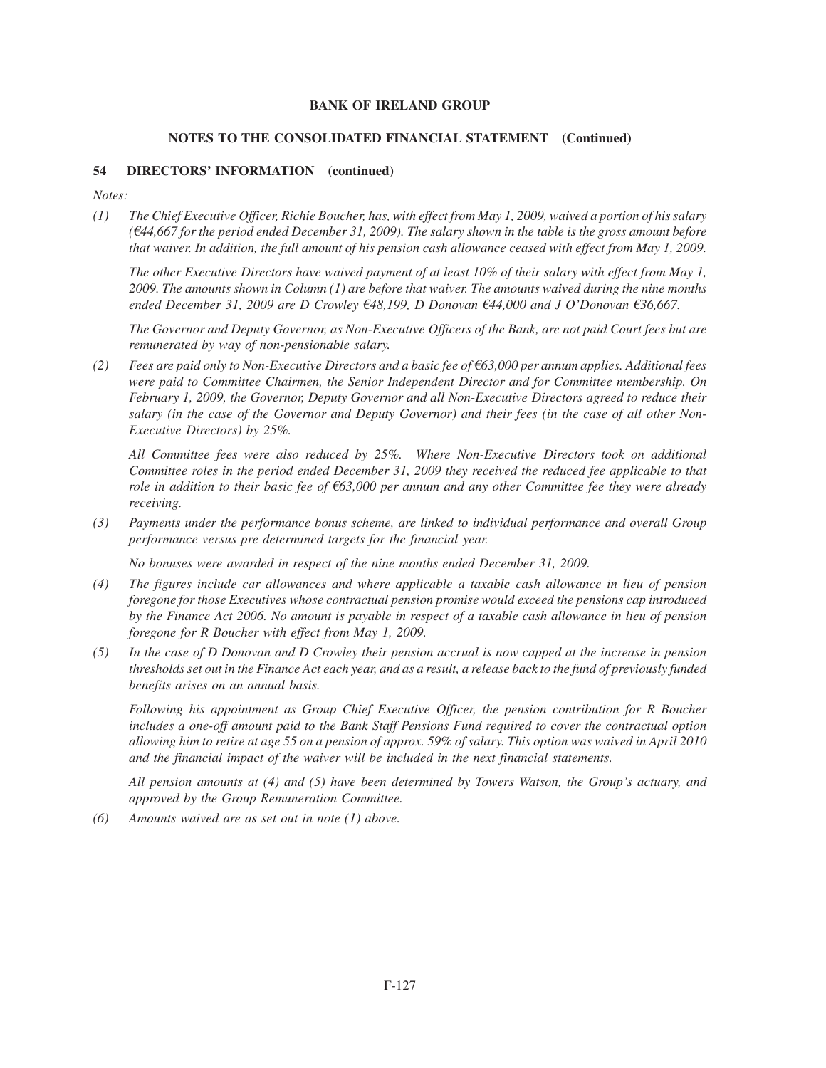#### **NOTES TO THE CONSOLIDATED FINANCIAL STATEMENT (Continued)**

### **54 DIRECTORS' INFORMATION (continued)**

*Notes:*

*(1) The Chief Executive Officer, Richie Boucher, has, with effect from May 1, 2009, waived a portion of his salary (*B*44,667 for the period ended December 31, 2009). The salary shown in the table is the gross amount before that waiver. In addition, the full amount of his pension cash allowance ceased with effect from May 1, 2009.*

*The other Executive Directors have waived payment of at least 10% of their salary with effect from May 1, 2009. The amounts shown in Column (1) are before that waiver. The amounts waived during the nine months ended December 31, 2009 are D Crowley €48,199, D Donovan €44,000 and J O'Donovan €36,667.* 

*The Governor and Deputy Governor, as Non-Executive Officers of the Bank, are not paid Court fees but are remunerated by way of non-pensionable salary.*

 $(2)$  Fees are paid only to Non-Executive Directors and a basic fee of  $63,000$  per annum applies. Additional fees *were paid to Committee Chairmen, the Senior Independent Director and for Committee membership. On February 1, 2009, the Governor, Deputy Governor and all Non-Executive Directors agreed to reduce their salary (in the case of the Governor and Deputy Governor) and their fees (in the case of all other Non-Executive Directors) by 25%.*

*All Committee fees were also reduced by 25%. Where Non-Executive Directors took on additional Committee roles in the period ended December 31, 2009 they received the reduced fee applicable to that role in addition to their basic fee of*  $63,000$  per annum and any other Committee fee they were already *receiving.*

*(3) Payments under the performance bonus scheme, are linked to individual performance and overall Group performance versus pre determined targets for the financial year.*

*No bonuses were awarded in respect of the nine months ended December 31, 2009.*

- *(4) The figures include car allowances and where applicable a taxable cash allowance in lieu of pension foregone for those Executives whose contractual pension promise would exceed the pensions cap introduced by the Finance Act 2006. No amount is payable in respect of a taxable cash allowance in lieu of pension foregone for R Boucher with effect from May 1, 2009.*
- *(5) In the case of D Donovan and D Crowley their pension accrual is now capped at the increase in pension thresholds set out in the Finance Act each year, and as a result, a release back to the fund of previously funded benefits arises on an annual basis.*

*Following his appointment as Group Chief Executive Officer, the pension contribution for R Boucher includes a one-off amount paid to the Bank Staff Pensions Fund required to cover the contractual option allowing him to retire at age 55 on a pension of approx. 59% of salary. This option was waived in April 2010 and the financial impact of the waiver will be included in the next financial statements.*

*All pension amounts at (4) and (5) have been determined by Towers Watson, the Group's actuary, and approved by the Group Remuneration Committee.*

*(6) Amounts waived are as set out in note (1) above.*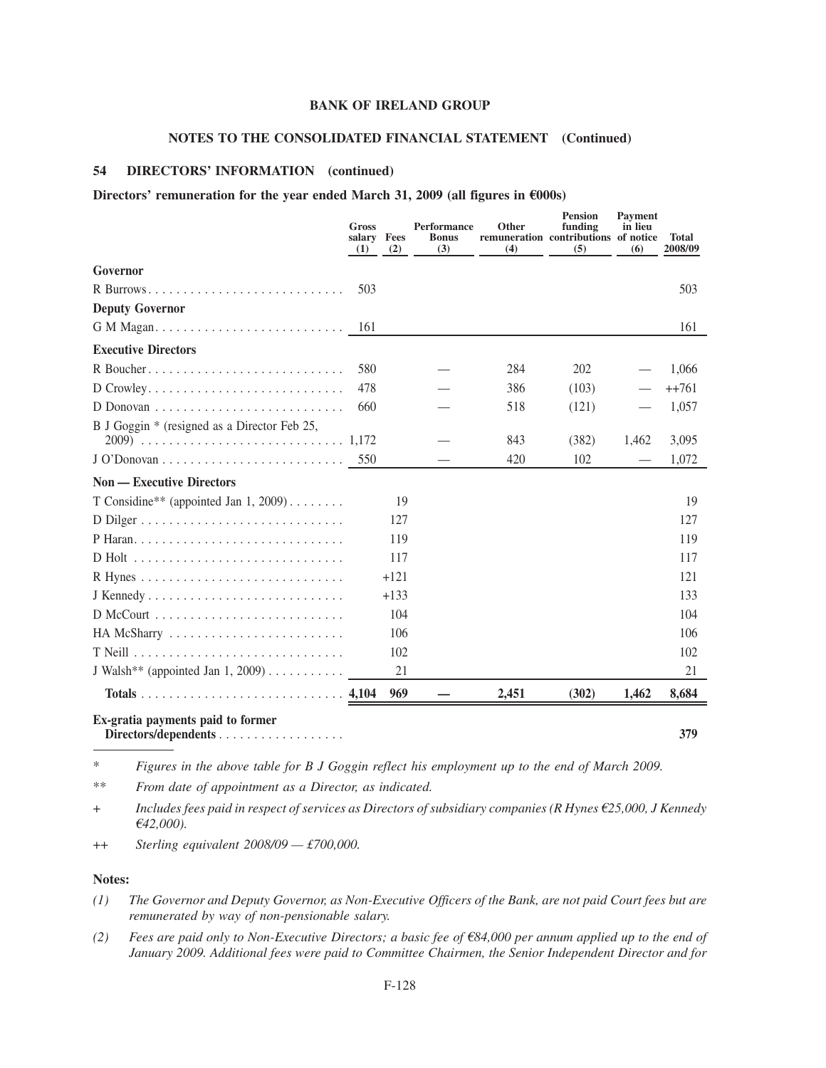# **NOTES TO THE CONSOLIDATED FINANCIAL STATEMENT (Continued)**

### **54 DIRECTORS' INFORMATION (continued)**

# Directors' remuneration for the year ended March 31, 2009 (all figures in  $\epsilon$ 000s)

|                                                           | Gross<br>salary Fees<br>(1) | (2)    | <b>Performance</b><br><b>Bonus</b><br>(3) | Other<br>remuneration contributions of notice<br>(4) | <b>Pension</b><br>funding<br>(5) | Payment<br>in lieu<br>(6) | <b>Total</b><br>2008/09 |
|-----------------------------------------------------------|-----------------------------|--------|-------------------------------------------|------------------------------------------------------|----------------------------------|---------------------------|-------------------------|
| Governor                                                  |                             |        |                                           |                                                      |                                  |                           |                         |
|                                                           | 503                         |        |                                           |                                                      |                                  |                           | 503                     |
| <b>Deputy Governor</b>                                    |                             |        |                                           |                                                      |                                  |                           |                         |
|                                                           | 161                         |        |                                           |                                                      |                                  |                           | 161                     |
| <b>Executive Directors</b>                                |                             |        |                                           |                                                      |                                  |                           |                         |
|                                                           | 580                         |        |                                           | 284                                                  | 202                              |                           | 1,066                   |
| $D$ Crowley                                               | 478                         |        |                                           | 386                                                  | (103)                            |                           | $+1761$                 |
|                                                           | 660                         |        |                                           | 518                                                  | (121)                            |                           | 1,057                   |
| B J Goggin * (resigned as a Director Feb 25,              |                             |        |                                           | 843                                                  | (382)                            | 1,462                     | 3,095                   |
|                                                           | 550                         |        |                                           | 420                                                  | 102                              |                           | 1,072                   |
| <b>Non — Executive Directors</b>                          |                             |        |                                           |                                                      |                                  |                           |                         |
| T Considine** (appointed Jan 1, 2009)                     |                             | 19     |                                           |                                                      |                                  |                           | 19                      |
|                                                           |                             | 127    |                                           |                                                      |                                  |                           | 127                     |
|                                                           |                             | 119    |                                           |                                                      |                                  |                           | 119                     |
|                                                           |                             | 117    |                                           |                                                      |                                  |                           | 117                     |
|                                                           |                             | $+121$ |                                           |                                                      |                                  |                           | 121                     |
|                                                           |                             | $+133$ |                                           |                                                      |                                  |                           | 133                     |
|                                                           |                             | 104    |                                           |                                                      |                                  |                           | 104                     |
| HA McSharry                                               |                             | 106    |                                           |                                                      |                                  |                           | 106                     |
|                                                           |                             | 102    |                                           |                                                      |                                  |                           | 102                     |
| J Walsh** (appointed Jan 1, 2009)                         |                             | 21     |                                           |                                                      |                                  |                           | 21                      |
|                                                           |                             | 969    |                                           | 2,451                                                | (302)                            | 1,462                     | 8,684                   |
| Ex-gratia payments paid to former<br>Directors/dependents |                             |        |                                           |                                                      |                                  |                           | 379                     |

\* *Figures in the above table for B J Goggin reflect his employment up to the end of March 2009.*

\*\* *From date of appointment as a Director, as indicated.*

+ *Includes fees paid in respect of services as Directors of subsidiary companies (R Hynes* B*25,000, J Kennedy* B*42,000).*

++ *Sterling equivalent 2008/09 — £700,000.*

### **Notes:**

- *(1) The Governor and Deputy Governor, as Non-Executive Officers of the Bank, are not paid Court fees but are remunerated by way of non-pensionable salary.*
- *(2) Fees are paid only to Non-Executive Directors; a basic fee of* B*84,000 per annum applied up to the end of January 2009. Additional fees were paid to Committee Chairmen, the Senior Independent Director and for*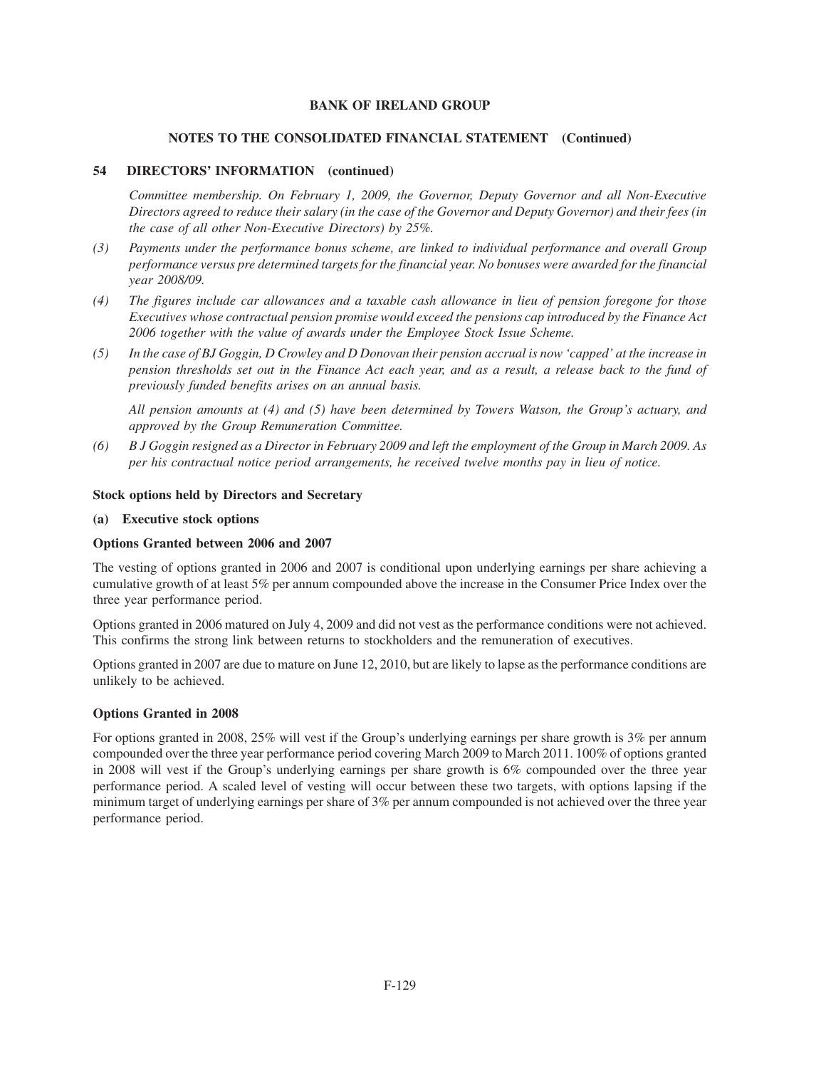## **NOTES TO THE CONSOLIDATED FINANCIAL STATEMENT (Continued)**

# **54 DIRECTORS' INFORMATION (continued)**

*Committee membership. On February 1, 2009, the Governor, Deputy Governor and all Non-Executive Directors agreed to reduce their salary (in the case of the Governor and Deputy Governor) and their fees (in the case of all other Non-Executive Directors) by 25%.*

- *(3) Payments under the performance bonus scheme, are linked to individual performance and overall Group performance versus pre determined targets for the financial year. No bonuses were awarded for the financial year 2008/09.*
- *(4) The figures include car allowances and a taxable cash allowance in lieu of pension foregone for those Executives whose contractual pension promise would exceed the pensions cap introduced by the Finance Act 2006 together with the value of awards under the Employee Stock Issue Scheme.*
- *(5) In the case of BJ Goggin, D Crowley and D Donovan their pension accrual is now 'capped' at the increase in pension thresholds set out in the Finance Act each year, and as a result, a release back to the fund of previously funded benefits arises on an annual basis.*

*All pension amounts at (4) and (5) have been determined by Towers Watson, the Group's actuary, and approved by the Group Remuneration Committee.*

*(6) B J Goggin resigned as a Director in February 2009 and left the employment of the Group in March 2009. As per his contractual notice period arrangements, he received twelve months pay in lieu of notice.*

### **Stock options held by Directors and Secretary**

#### **(a) Executive stock options**

### **Options Granted between 2006 and 2007**

The vesting of options granted in 2006 and 2007 is conditional upon underlying earnings per share achieving a cumulative growth of at least 5% per annum compounded above the increase in the Consumer Price Index over the three year performance period.

Options granted in 2006 matured on July 4, 2009 and did not vest as the performance conditions were not achieved. This confirms the strong link between returns to stockholders and the remuneration of executives.

Options granted in 2007 are due to mature on June 12, 2010, but are likely to lapse as the performance conditions are unlikely to be achieved.

### **Options Granted in 2008**

For options granted in 2008, 25% will vest if the Group's underlying earnings per share growth is 3% per annum compounded over the three year performance period covering March 2009 to March 2011. 100% of options granted in 2008 will vest if the Group's underlying earnings per share growth is 6% compounded over the three year performance period. A scaled level of vesting will occur between these two targets, with options lapsing if the minimum target of underlying earnings per share of 3% per annum compounded is not achieved over the three year performance period.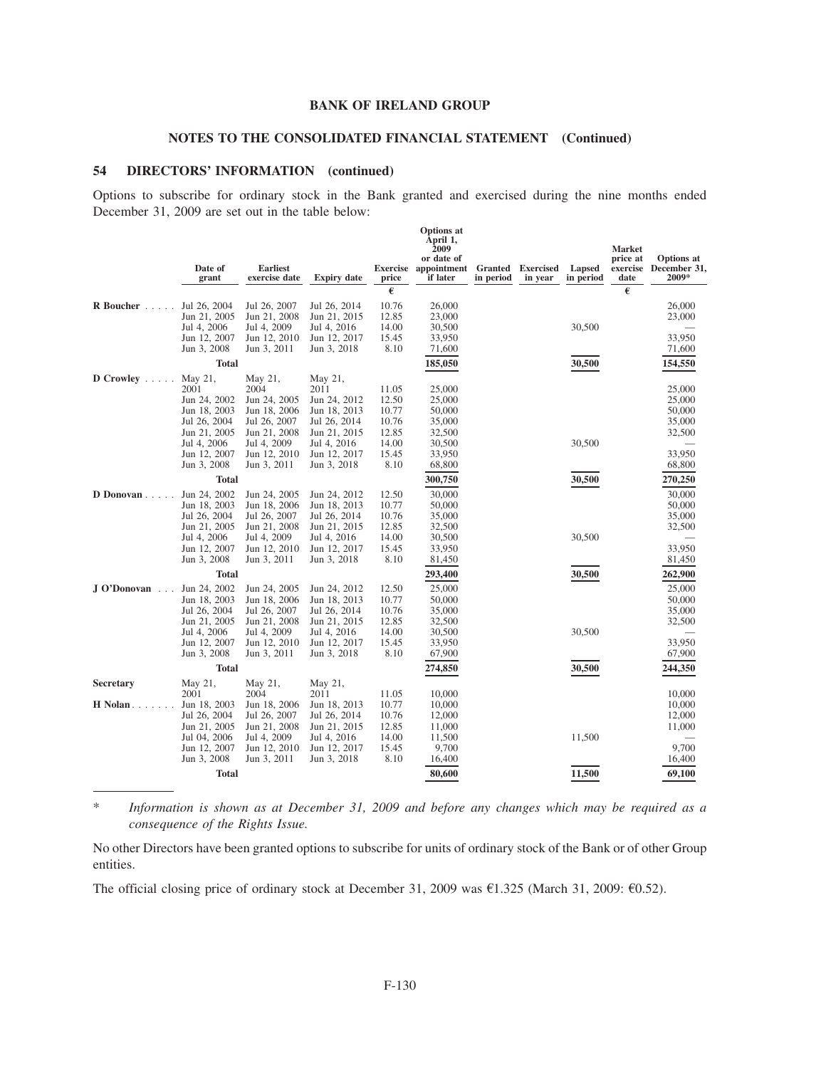### **NOTES TO THE CONSOLIDATED FINANCIAL STATEMENT (Continued)**

### **54 DIRECTORS' INFORMATION (continued)**

Options to subscribe for ordinary stock in the Bank granted and exercised during the nine months ended December 31, 2009 are set out in the table below:

|                        | Date of<br>grant             | <b>Earliest</b><br>exercise date | <b>Expiry date</b>           | price<br>€     | <b>Options</b> at<br>April 1,<br>2009<br>or date of<br>Exercise appointment<br>if later | Granted<br>in period | <b>Exercised</b><br>in year | Lapsed<br>in period | <b>Market</b><br>price at<br>date<br>€ | <b>Options</b> at<br>exercise December 31,<br>2009* |
|------------------------|------------------------------|----------------------------------|------------------------------|----------------|-----------------------------------------------------------------------------------------|----------------------|-----------------------------|---------------------|----------------------------------------|-----------------------------------------------------|
| R Boucher              | Jul 26, 2004                 | Jul 26, 2007                     | Jul 26, 2014                 | 10.76          | 26,000                                                                                  |                      |                             |                     |                                        | 26,000                                              |
|                        | Jun 21, 2005                 | Jun 21, 2008                     | Jun 21, 2015                 | 12.85          | 23,000                                                                                  |                      |                             |                     |                                        | 23,000                                              |
|                        | Jul 4, 2006                  | Jul 4, 2009                      | Jul 4, 2016                  | 14.00          | 30,500                                                                                  |                      |                             | 30,500              |                                        |                                                     |
|                        | Jun 12, 2007                 | Jun 12, 2010                     | Jun 12, 2017                 | 15.45          | 33,950                                                                                  |                      |                             |                     |                                        | 33,950                                              |
|                        | Jun 3, 2008                  | Jun 3, 2011                      | Jun 3, 2018                  | 8.10           | 71,600                                                                                  |                      |                             |                     |                                        | 71,600                                              |
|                        | <b>Total</b>                 |                                  |                              |                | 185,050                                                                                 |                      |                             | 30,500              |                                        | 154,550                                             |
| $D$ Crowley $\ldots$ . | May 21,                      | May 21,                          | May 21,                      |                |                                                                                         |                      |                             |                     |                                        |                                                     |
|                        | 2001                         | 2004                             | 2011                         | 11.05          | 25,000                                                                                  |                      |                             |                     |                                        | 25,000                                              |
|                        | Jun 24, 2002<br>Jun 18, 2003 | Jun 24, 2005<br>Jun 18, 2006     | Jun 24, 2012<br>Jun 18, 2013 | 12.50<br>10.77 | 25,000<br>50,000                                                                        |                      |                             |                     |                                        | 25,000<br>50,000                                    |
|                        | Jul 26, 2004                 | Jul 26, 2007                     | Jul 26, 2014                 | 10.76          | 35,000                                                                                  |                      |                             |                     |                                        | 35,000                                              |
|                        | Jun 21, 2005                 | Jun 21, 2008                     | Jun 21, 2015                 | 12.85          | 32,500                                                                                  |                      |                             |                     |                                        | 32,500                                              |
|                        | Jul 4, 2006                  | Jul 4, 2009                      | Jul 4, 2016                  | 14.00          | 30,500                                                                                  |                      |                             | 30,500              |                                        |                                                     |
|                        | Jun 12, 2007                 | Jun 12, 2010                     | Jun 12, 2017                 | 15.45          | 33,950                                                                                  |                      |                             |                     |                                        | 33,950                                              |
|                        | Jun 3, 2008                  | Jun 3, 2011                      | Jun 3, 2018                  | 8.10           | 68,800                                                                                  |                      |                             |                     |                                        | 68,800                                              |
|                        | <b>Total</b>                 |                                  |                              |                | 300,750                                                                                 |                      |                             | 30,500              |                                        | 270,250                                             |
| D Donovan              | Jun 24, 2002                 | Jun 24, 2005                     | Jun 24, 2012                 | 12.50          | 30,000                                                                                  |                      |                             |                     |                                        | 30,000                                              |
|                        | Jun 18, 2003                 | Jun 18, 2006                     | Jun 18, 2013                 | 10.77          | 50,000                                                                                  |                      |                             |                     |                                        | 50,000                                              |
|                        | Jul 26, 2004                 | Jul 26, 2007                     | Jul 26, 2014                 | 10.76          | 35,000                                                                                  |                      |                             |                     |                                        | 35,000                                              |
|                        | Jun 21, 2005<br>Jul 4, 2006  | Jun 21, 2008<br>Jul 4, 2009      | Jun 21, 2015<br>Jul 4, 2016  | 12.85<br>14.00 | 32,500<br>30,500                                                                        |                      |                             | 30,500              |                                        | 32,500                                              |
|                        | Jun 12, 2007                 | Jun 12, 2010                     | Jun 12, 2017                 | 15.45          | 33,950                                                                                  |                      |                             |                     |                                        | 33,950                                              |
|                        | Jun 3, 2008                  | Jun 3, 2011                      | Jun 3, 2018                  | 8.10           | 81,450                                                                                  |                      |                             |                     |                                        | 81,450                                              |
|                        | <b>Total</b>                 |                                  |                              |                | 293,400                                                                                 |                      |                             | 30,500              |                                        | 262,900                                             |
| J O'Donovan            | Jun 24, 2002                 | Jun 24, 2005                     | Jun 24, 2012                 | 12.50          | 25,000                                                                                  |                      |                             |                     |                                        | 25,000                                              |
|                        | Jun 18, 2003                 | Jun 18, 2006                     | Jun 18, 2013                 | 10.77          | 50,000                                                                                  |                      |                             |                     |                                        | 50,000                                              |
|                        | Jul 26, 2004                 | Jul 26, 2007                     | Jul 26, 2014                 | 10.76          | 35,000                                                                                  |                      |                             |                     |                                        | 35,000                                              |
|                        | Jun 21, 2005                 | Jun 21, 2008                     | Jun 21, 2015                 | 12.85          | 32,500                                                                                  |                      |                             |                     |                                        | 32,500                                              |
|                        | Jul 4, 2006                  | Jul 4, 2009                      | Jul 4, 2016                  | 14.00          | 30,500                                                                                  |                      |                             | 30,500              |                                        |                                                     |
|                        | Jun 12, 2007<br>Jun 3, 2008  | Jun 12, 2010<br>Jun 3, 2011      | Jun 12, 2017<br>Jun 3, 2018  | 15.45<br>8.10  | 33,950<br>67,900                                                                        |                      |                             |                     |                                        | 33,950<br>67,900                                    |
|                        |                              |                                  |                              |                |                                                                                         |                      |                             |                     |                                        |                                                     |
|                        | <b>Total</b>                 |                                  |                              |                | 274,850                                                                                 |                      |                             | 30,500              |                                        | 244,350                                             |
| Secretary              | May 21,                      | May 21,                          | May 21,                      |                |                                                                                         |                      |                             |                     |                                        |                                                     |
| <b>H</b> Nolan         | 2001<br>Jun 18, 2003         | 2004<br>Jun 18, 2006             | 2011<br>Jun 18, 2013         | 11.05<br>10.77 | 10,000<br>10,000                                                                        |                      |                             |                     |                                        | 10,000<br>10,000                                    |
|                        | Jul 26, 2004                 | Jul 26, 2007                     | Jul 26, 2014                 | 10.76          | 12,000                                                                                  |                      |                             |                     |                                        | 12,000                                              |
|                        | Jun 21, 2005                 | Jun 21, 2008                     | Jun 21, 2015                 | 12.85          | 11,000                                                                                  |                      |                             |                     |                                        | 11,000                                              |
|                        | Jul 04, 2006                 | Jul 4, 2009                      | Jul 4, 2016                  | 14.00          | 11,500                                                                                  |                      |                             | 11,500              |                                        |                                                     |
|                        | Jun 12, 2007                 | Jun 12, 2010                     | Jun 12, 2017                 | 15.45          | 9,700                                                                                   |                      |                             |                     |                                        | 9,700                                               |
|                        | Jun 3, 2008                  | Jun 3, 2011                      | Jun 3, 2018                  | 8.10           | 16,400                                                                                  |                      |                             |                     |                                        | 16,400                                              |
|                        | <b>Total</b>                 |                                  |                              |                | 80,600                                                                                  |                      |                             | 11,500              |                                        | 69,100                                              |

\* *Information is shown as at December 31, 2009 and before any changes which may be required as a consequence of the Rights Issue.*

No other Directors have been granted options to subscribe for units of ordinary stock of the Bank or of other Group entities.

The official closing price of ordinary stock at December 31, 2009 was  $E1.325$  (March 31, 2009:  $E0.52$ ).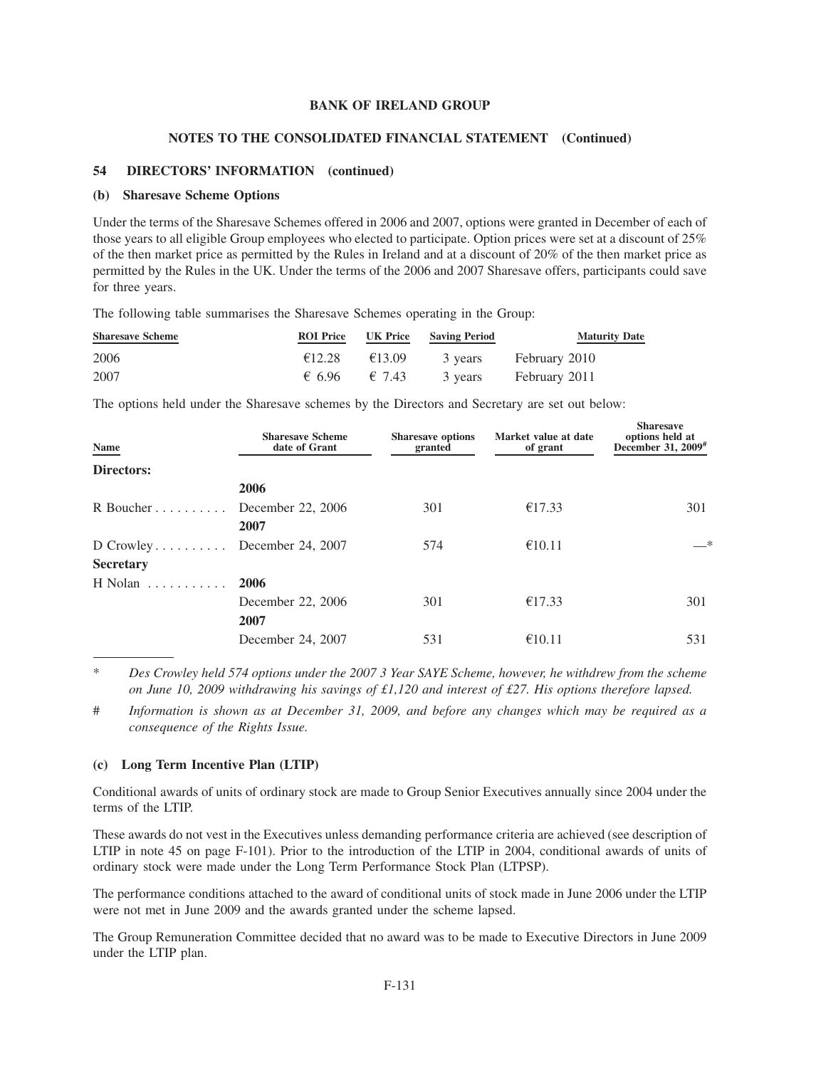### **NOTES TO THE CONSOLIDATED FINANCIAL STATEMENT (Continued)**

### **54 DIRECTORS' INFORMATION (continued)**

#### **(b) Sharesave Scheme Options**

Under the terms of the Sharesave Schemes offered in 2006 and 2007, options were granted in December of each of those years to all eligible Group employees who elected to participate. Option prices were set at a discount of 25% of the then market price as permitted by the Rules in Ireland and at a discount of 20% of the then market price as permitted by the Rules in the UK. Under the terms of the 2006 and 2007 Sharesave offers, participants could save for three years.

The following table summarises the Sharesave Schemes operating in the Group:

| <b>Sharesave Scheme</b> | <b>ROI</b> Price | UK Price               | <b>Saving Period</b> | <b>Maturity Date</b>  |
|-------------------------|------------------|------------------------|----------------------|-----------------------|
| 2006                    | €12.28           | €13.09                 |                      | 3 years February 2010 |
| 2007                    |                  | € 6.96 $\epsilon$ 7.43 |                      | 3 years February 2011 |

The options held under the Sharesave schemes by the Directors and Secretary are set out below:

| Name             | <b>Sharesave Scheme</b><br>date of Grant | <b>Sharesave options</b><br>granted | Market value at date<br>of grant | <b>Sharesave</b><br>options held at<br>December 31, 2009 <sup>#</sup> |
|------------------|------------------------------------------|-------------------------------------|----------------------------------|-----------------------------------------------------------------------|
| Directors:       |                                          |                                     |                                  |                                                                       |
|                  | 2006                                     |                                     |                                  |                                                                       |
| R Boucher        | December 22, 2006                        | 301                                 | €17.33                           | 301                                                                   |
|                  | 2007                                     |                                     |                                  |                                                                       |
| $D$ Crowley      | December 24, 2007                        | 574                                 | €10.11                           | $-*$                                                                  |
| <b>Secretary</b> |                                          |                                     |                                  |                                                                       |
| H Nolan<br>.     | 2006                                     |                                     |                                  |                                                                       |
|                  | December 22, 2006                        | 301                                 | €17.33                           | 301                                                                   |
|                  | 2007                                     |                                     |                                  |                                                                       |
|                  | December 24, 2007                        | 531                                 | €10.11                           | 531                                                                   |

\* *Des Crowley held 574 options under the 2007 3 Year SAYE Scheme, however, he withdrew from the scheme on June 10, 2009 withdrawing his savings of £1,120 and interest of £27. His options therefore lapsed.*

# *Information is shown as at December 31, 2009, and before any changes which may be required as a consequence of the Rights Issue.*

#### **(c) Long Term Incentive Plan (LTIP)**

Conditional awards of units of ordinary stock are made to Group Senior Executives annually since 2004 under the terms of the LTIP.

These awards do not vest in the Executives unless demanding performance criteria are achieved (see description of LTIP in note 45 on page F-101). Prior to the introduction of the LTIP in 2004, conditional awards of units of ordinary stock were made under the Long Term Performance Stock Plan (LTPSP).

The performance conditions attached to the award of conditional units of stock made in June 2006 under the LTIP were not met in June 2009 and the awards granted under the scheme lapsed.

The Group Remuneration Committee decided that no award was to be made to Executive Directors in June 2009 under the LTIP plan.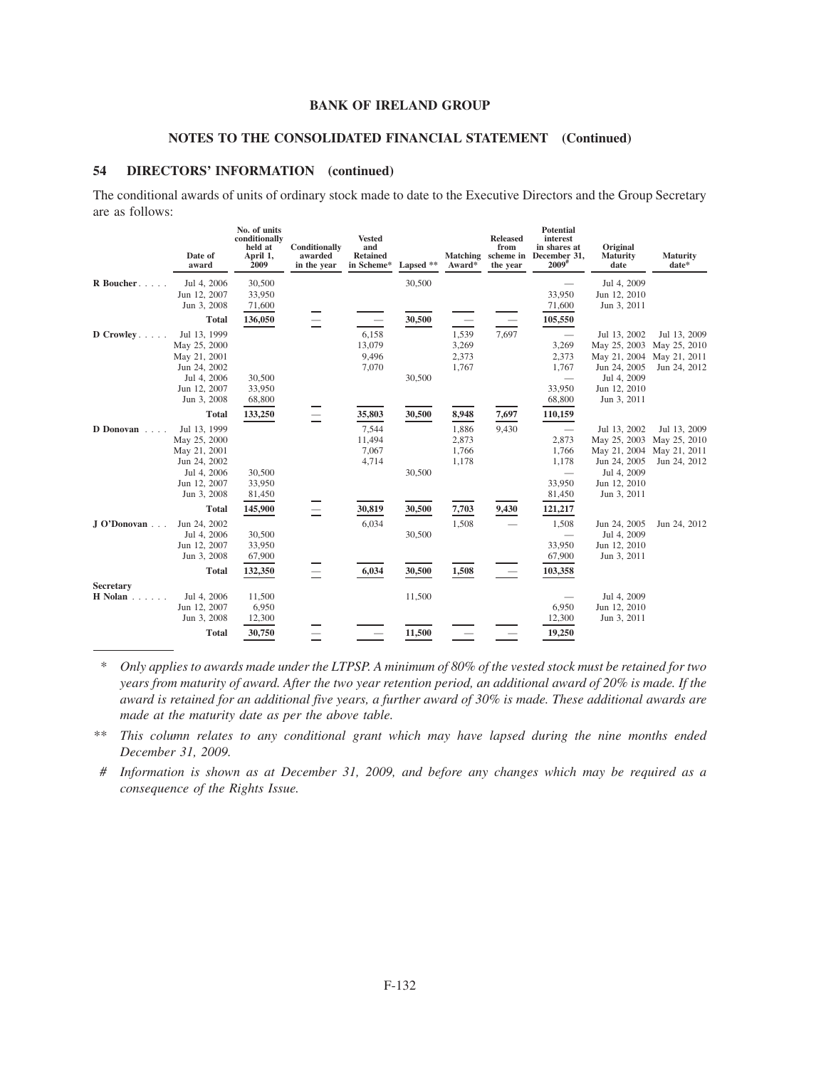# **NOTES TO THE CONSOLIDATED FINANCIAL STATEMENT (Continued)**

### **54 DIRECTORS' INFORMATION (continued)**

The conditional awards of units of ordinary stock made to date to the Executive Directors and the Group Secretary are as follows:

|                  | Date of<br>award                                                                                           | No. of units<br>conditionally<br>held at<br>April 1,<br>2009 | Conditionally<br>awarded<br>in the year | <b>Vested</b><br>and<br><b>Retained</b><br>in Scheme* | Lapsed **        | <b>Matching</b><br>Award*        | <b>Released</b><br>from<br>scheme in<br>the year | <b>Potential</b><br>interest<br>in shares at<br>December 31,<br>$2009$ <sup>#</sup> | Original<br>Maturity<br>date                                                                               | <b>Maturity</b><br>date*                                     |
|------------------|------------------------------------------------------------------------------------------------------------|--------------------------------------------------------------|-----------------------------------------|-------------------------------------------------------|------------------|----------------------------------|--------------------------------------------------|-------------------------------------------------------------------------------------|------------------------------------------------------------------------------------------------------------|--------------------------------------------------------------|
| R Boucher        | Jul 4, 2006<br>Jun 12, 2007<br>Jun 3, 2008                                                                 | 30,500<br>33,950<br>71,600                                   |                                         |                                                       | 30,500           |                                  |                                                  | 33,950<br>71,600                                                                    | Jul 4, 2009<br>Jun 12, 2010<br>Jun 3, 2011                                                                 |                                                              |
|                  | <b>Total</b>                                                                                               | 136,050                                                      |                                         |                                                       | 30,500           |                                  |                                                  | 105,550                                                                             |                                                                                                            |                                                              |
| $D$ Crowley      | Jul 13, 1999<br>May 25, 2000<br>May 21, 2001<br>Jun 24, 2002<br>Jul 4, 2006<br>Jun 12, 2007<br>Jun 3, 2008 | 30,500<br>33,950<br>68,800                                   |                                         | 6,158<br>13,079<br>9,496<br>7,070                     | 30,500           | 1,539<br>3,269<br>2,373<br>1,767 | 7,697                                            | 3,269<br>2,373<br>1,767<br>33,950<br>68,800                                         | Jul 13, 2002<br>May 25, 2003<br>May 21, 2004<br>Jun 24, 2005<br>Jul 4, 2009<br>Jun 12, 2010<br>Jun 3, 2011 | Jul 13, 2009<br>May 25, 2010<br>May 21, 2011<br>Jun 24, 2012 |
|                  | <b>Total</b>                                                                                               | 133,250                                                      |                                         | 35,803                                                | 30,500           | 8,948                            | 7,697                                            | 110,159                                                                             |                                                                                                            |                                                              |
| D Donovan        | Jul 13, 1999<br>May 25, 2000<br>May 21, 2001<br>Jun 24, 2002<br>Jul 4, 2006<br>Jun 12, 2007<br>Jun 3, 2008 | 30,500<br>33,950<br>81,450                                   |                                         | 7,544<br>11,494<br>7,067<br>4,714                     | 30,500           | 1,886<br>2,873<br>1,766<br>1,178 | 9,430                                            | 2,873<br>1,766<br>1,178<br>33,950<br>81,450                                         | Jul 13, 2002<br>May 25, 2003<br>May 21, 2004<br>Jun 24, 2005<br>Jul 4, 2009<br>Jun 12, 2010<br>Jun 3, 2011 | Jul 13, 2009<br>May 25, 2010<br>May 21, 2011<br>Jun 24, 2012 |
|                  | <b>Total</b>                                                                                               | 145,900                                                      |                                         | 30,819                                                | 30,500           | 7,703                            | 9,430                                            | 121,217                                                                             |                                                                                                            |                                                              |
| J O'Donovan      | Jun 24, 2002<br>Jul 4, 2006<br>Jun 12, 2007<br>Jun 3, 2008<br><b>Total</b>                                 | 30,500<br>33,950<br>67,900<br>132,350                        |                                         | 6,034<br>6,034                                        | 30,500<br>30,500 | 1,508<br>1,508                   |                                                  | 1,508<br>33,950<br>67,900<br>103,358                                                | Jun 24, 2005<br>Jul 4, 2009<br>Jun 12, 2010<br>Jun 3, 2011                                                 | Jun 24, 2012                                                 |
| <b>Secretary</b> |                                                                                                            |                                                              |                                         |                                                       |                  |                                  |                                                  |                                                                                     |                                                                                                            |                                                              |
| <b>H</b> Nolan   | Jul 4, 2006<br>Jun 12, 2007<br>Jun 3, 2008                                                                 | 11,500<br>6,950<br>12,300                                    |                                         |                                                       | 11,500           |                                  |                                                  | 6,950<br>12,300                                                                     | Jul 4, 2009<br>Jun 12, 2010<br>Jun 3, 2011                                                                 |                                                              |
|                  | <b>Total</b>                                                                                               | 30,750                                                       |                                         |                                                       | 11,500           |                                  |                                                  | 19,250                                                                              |                                                                                                            |                                                              |

*\* Only applies to awards made under the LTPSP. A minimum of 80% of the vested stock must be retained for two years from maturity of award. After the two year retention period, an additional award of 20% is made. If the award is retained for an additional five years, a further award of 30% is made. These additional awards are made at the maturity date as per the above table.*

*\*\* This column relates to any conditional grant which may have lapsed during the nine months ended December 31, 2009.*

*# Information is shown as at December 31, 2009, and before any changes which may be required as a consequence of the Rights Issue.*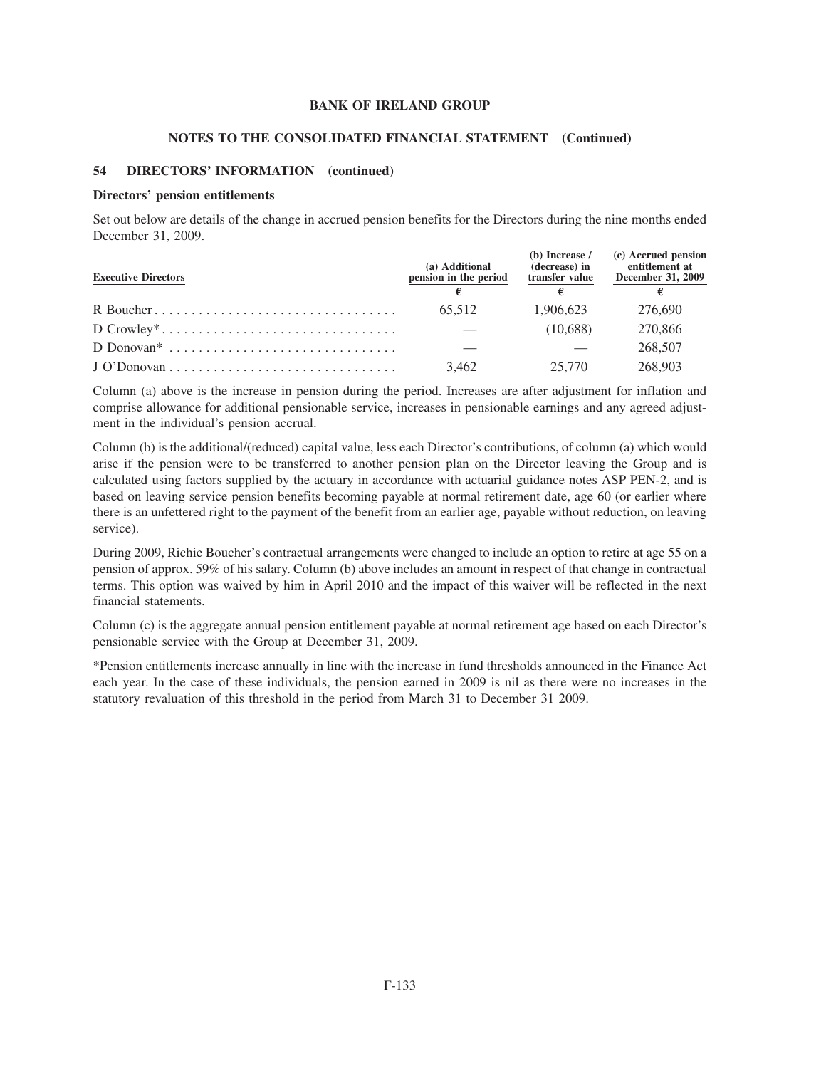#### **NOTES TO THE CONSOLIDATED FINANCIAL STATEMENT (Continued)**

### **54 DIRECTORS' INFORMATION (continued)**

#### **Directors' pension entitlements**

Set out below are details of the change in accrued pension benefits for the Directors during the nine months ended December 31, 2009.

| <b>Executive Directors</b> | (a) Additional<br>pension in the period | $(b)$ Increase /<br>(decrease) in<br>transfer value | (c) Accrued pension<br>entitlement at<br>December 31, 2009 |  |
|----------------------------|-----------------------------------------|-----------------------------------------------------|------------------------------------------------------------|--|
|                            |                                         | €                                                   |                                                            |  |
|                            | 65.512                                  | 1.906.623                                           | 276,690                                                    |  |
|                            |                                         | (10,688)                                            | 270,866                                                    |  |
|                            |                                         |                                                     | 268,507                                                    |  |
|                            | 3.462                                   | 25,770                                              | 268,903                                                    |  |

Column (a) above is the increase in pension during the period. Increases are after adjustment for inflation and comprise allowance for additional pensionable service, increases in pensionable earnings and any agreed adjustment in the individual's pension accrual.

Column (b) is the additional/(reduced) capital value, less each Director's contributions, of column (a) which would arise if the pension were to be transferred to another pension plan on the Director leaving the Group and is calculated using factors supplied by the actuary in accordance with actuarial guidance notes ASP PEN-2, and is based on leaving service pension benefits becoming payable at normal retirement date, age 60 (or earlier where there is an unfettered right to the payment of the benefit from an earlier age, payable without reduction, on leaving service).

During 2009, Richie Boucher's contractual arrangements were changed to include an option to retire at age 55 on a pension of approx. 59% of his salary. Column (b) above includes an amount in respect of that change in contractual terms. This option was waived by him in April 2010 and the impact of this waiver will be reflected in the next financial statements.

Column (c) is the aggregate annual pension entitlement payable at normal retirement age based on each Director's pensionable service with the Group at December 31, 2009.

\*Pension entitlements increase annually in line with the increase in fund thresholds announced in the Finance Act each year. In the case of these individuals, the pension earned in 2009 is nil as there were no increases in the statutory revaluation of this threshold in the period from March 31 to December 31 2009.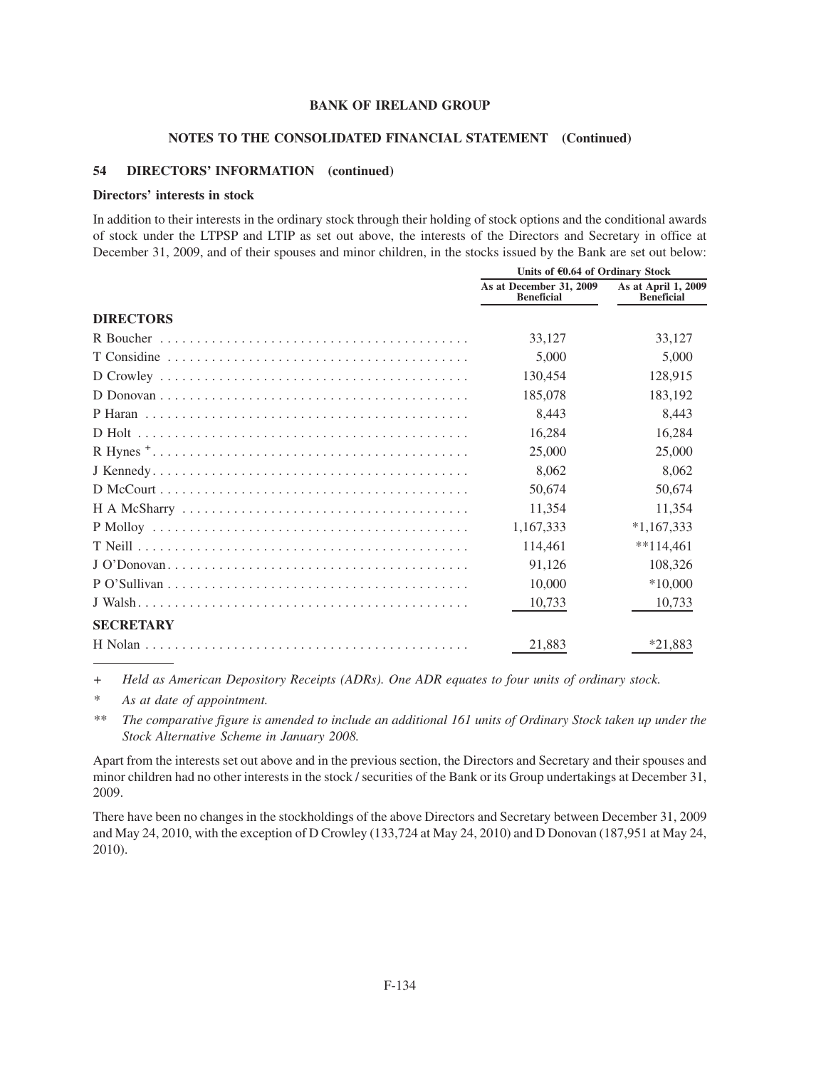#### **NOTES TO THE CONSOLIDATED FINANCIAL STATEMENT (Continued)**

### **54 DIRECTORS' INFORMATION (continued)**

#### **Directors' interests in stock**

In addition to their interests in the ordinary stock through their holding of stock options and the conditional awards of stock under the LTPSP and LTIP as set out above, the interests of the Directors and Secretary in office at December 31, 2009, and of their spouses and minor children, in the stocks issued by the Bank are set out below:

|                  | Units of €0.64 of Ordinary Stock             |                                          |  |
|------------------|----------------------------------------------|------------------------------------------|--|
|                  | As at December 31, 2009<br><b>Beneficial</b> | As at April 1, 2009<br><b>Beneficial</b> |  |
| <b>DIRECTORS</b> |                                              |                                          |  |
|                  | 33,127                                       | 33,127                                   |  |
|                  | 5,000                                        | 5,000                                    |  |
|                  | 130,454                                      | 128,915                                  |  |
|                  | 185,078                                      | 183,192                                  |  |
|                  | 8,443                                        | 8,443                                    |  |
|                  | 16,284                                       | 16,284                                   |  |
|                  | 25,000                                       | 25,000                                   |  |
|                  | 8,062                                        | 8,062                                    |  |
|                  | 50,674                                       | 50,674                                   |  |
|                  | 11,354                                       | 11,354                                   |  |
|                  | 1,167,333                                    | $*1,167,333$                             |  |
|                  | 114,461                                      | $**114,461$                              |  |
|                  | 91,126                                       | 108,326                                  |  |
|                  | 10,000                                       | $*10,000$                                |  |
|                  | 10,733                                       | 10,733                                   |  |
| <b>SECRETARY</b> |                                              |                                          |  |
|                  | 21,883                                       | $*21,883$                                |  |

*+ Held as American Depository Receipts (ADRs). One ADR equates to four units of ordinary stock.*

*\* As at date of appointment.*

*\*\* The comparative figure is amended to include an additional 161 units of Ordinary Stock taken up under the Stock Alternative Scheme in January 2008.*

Apart from the interests set out above and in the previous section, the Directors and Secretary and their spouses and minor children had no other interests in the stock / securities of the Bank or its Group undertakings at December 31, 2009.

There have been no changes in the stockholdings of the above Directors and Secretary between December 31, 2009 and May 24, 2010, with the exception of D Crowley (133,724 at May 24, 2010) and D Donovan (187,951 at May 24, 2010).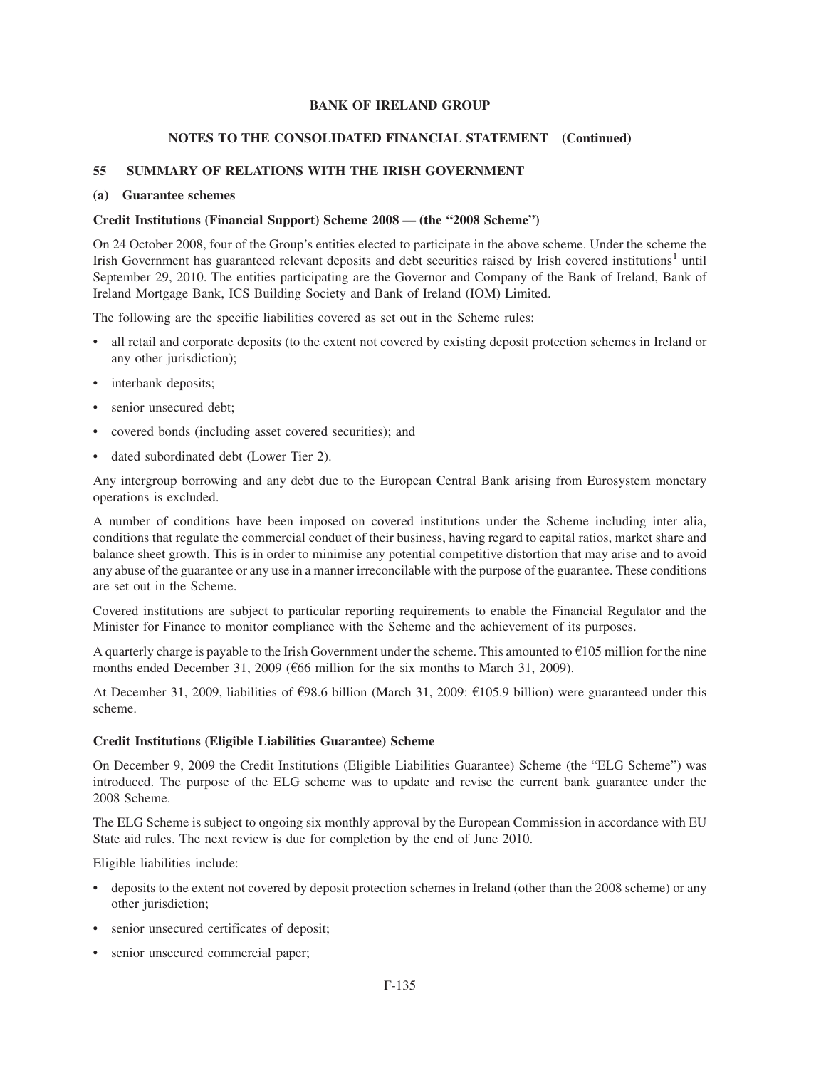# **NOTES TO THE CONSOLIDATED FINANCIAL STATEMENT (Continued)**

# **55 SUMMARY OF RELATIONS WITH THE IRISH GOVERNMENT**

### **(a) Guarantee schemes**

### **Credit Institutions (Financial Support) Scheme 2008 — (the "2008 Scheme")**

On 24 October 2008, four of the Group's entities elected to participate in the above scheme. Under the scheme the Irish Government has guaranteed relevant deposits and debt securities raised by Irish covered institutions<sup>1</sup> until September 29, 2010. The entities participating are the Governor and Company of the Bank of Ireland, Bank of Ireland Mortgage Bank, ICS Building Society and Bank of Ireland (IOM) Limited.

The following are the specific liabilities covered as set out in the Scheme rules:

- all retail and corporate deposits (to the extent not covered by existing deposit protection schemes in Ireland or any other jurisdiction);
- interbank deposits;
- senior unsecured debt;
- covered bonds (including asset covered securities); and
- dated subordinated debt (Lower Tier 2).

Any intergroup borrowing and any debt due to the European Central Bank arising from Eurosystem monetary operations is excluded.

A number of conditions have been imposed on covered institutions under the Scheme including inter alia, conditions that regulate the commercial conduct of their business, having regard to capital ratios, market share and balance sheet growth. This is in order to minimise any potential competitive distortion that may arise and to avoid any abuse of the guarantee or any use in a manner irreconcilable with the purpose of the guarantee. These conditions are set out in the Scheme.

Covered institutions are subject to particular reporting requirements to enable the Financial Regulator and the Minister for Finance to monitor compliance with the Scheme and the achievement of its purposes.

A quarterly charge is payable to the Irish Government under the scheme. This amounted to  $E$ 105 million for the nine months ended December 31, 2009 ( $666$  million for the six months to March 31, 2009).

At December 31, 2009, liabilities of  $\epsilon$ 98.6 billion (March 31, 2009:  $\epsilon$ 105.9 billion) were guaranteed under this scheme.

### **Credit Institutions (Eligible Liabilities Guarantee) Scheme**

On December 9, 2009 the Credit Institutions (Eligible Liabilities Guarantee) Scheme (the "ELG Scheme") was introduced. The purpose of the ELG scheme was to update and revise the current bank guarantee under the 2008 Scheme.

The ELG Scheme is subject to ongoing six monthly approval by the European Commission in accordance with EU State aid rules. The next review is due for completion by the end of June 2010.

Eligible liabilities include:

- deposits to the extent not covered by deposit protection schemes in Ireland (other than the 2008 scheme) or any other jurisdiction;
- senior unsecured certificates of deposit;
- senior unsecured commercial paper;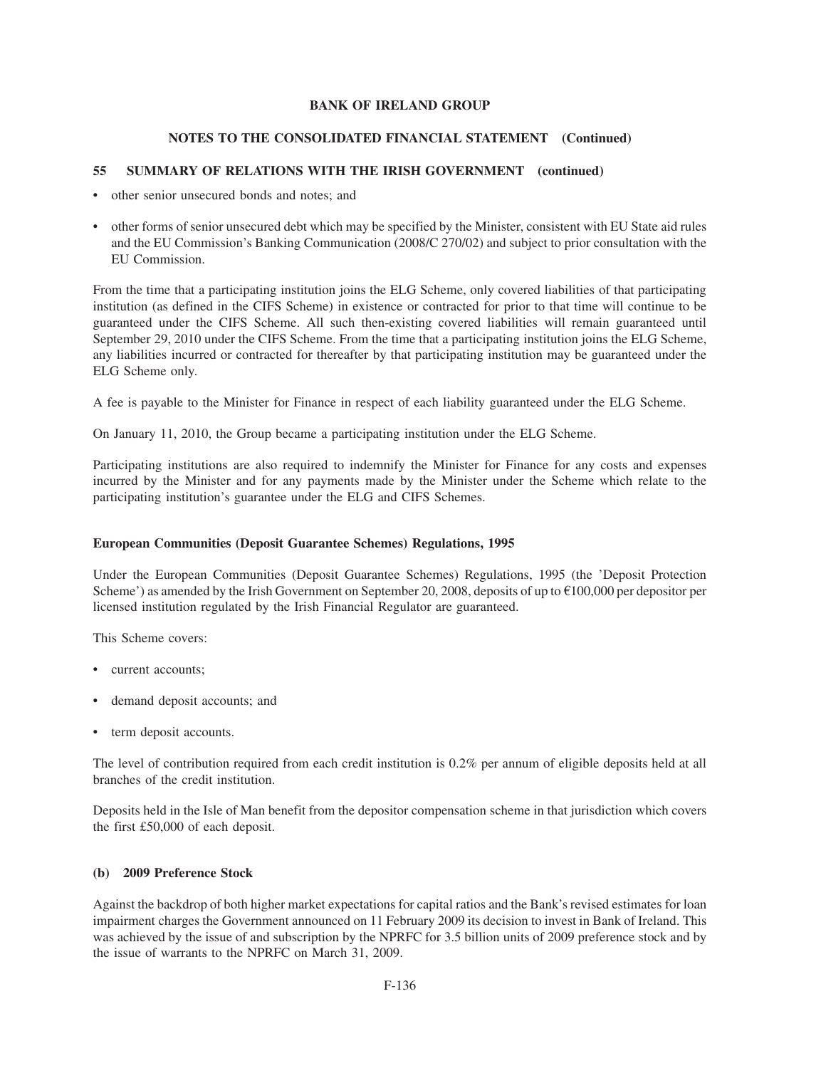# **NOTES TO THE CONSOLIDATED FINANCIAL STATEMENT (Continued)**

# **55 SUMMARY OF RELATIONS WITH THE IRISH GOVERNMENT (continued)**

- other senior unsecured bonds and notes; and
- other forms of senior unsecured debt which may be specified by the Minister, consistent with EU State aid rules and the EU Commission's Banking Communication (2008/C 270/02) and subject to prior consultation with the EU Commission.

From the time that a participating institution joins the ELG Scheme, only covered liabilities of that participating institution (as defined in the CIFS Scheme) in existence or contracted for prior to that time will continue to be guaranteed under the CIFS Scheme. All such then-existing covered liabilities will remain guaranteed until September 29, 2010 under the CIFS Scheme. From the time that a participating institution joins the ELG Scheme, any liabilities incurred or contracted for thereafter by that participating institution may be guaranteed under the ELG Scheme only.

A fee is payable to the Minister for Finance in respect of each liability guaranteed under the ELG Scheme.

On January 11, 2010, the Group became a participating institution under the ELG Scheme.

Participating institutions are also required to indemnify the Minister for Finance for any costs and expenses incurred by the Minister and for any payments made by the Minister under the Scheme which relate to the participating institution's guarantee under the ELG and CIFS Schemes.

# **European Communities (Deposit Guarantee Schemes) Regulations, 1995**

Under the European Communities (Deposit Guarantee Schemes) Regulations, 1995 (the 'Deposit Protection Scheme') as amended by the Irish Government on September 20, 2008, deposits of up to  $\epsilon$ 100,000 per depositor per licensed institution regulated by the Irish Financial Regulator are guaranteed.

This Scheme covers:

- current accounts;
- demand deposit accounts; and
- term deposit accounts.

The level of contribution required from each credit institution is 0.2% per annum of eligible deposits held at all branches of the credit institution.

Deposits held in the Isle of Man benefit from the depositor compensation scheme in that jurisdiction which covers the first £50,000 of each deposit.

### **(b) 2009 Preference Stock**

Against the backdrop of both higher market expectations for capital ratios and the Bank's revised estimates for loan impairment charges the Government announced on 11 February 2009 its decision to invest in Bank of Ireland. This was achieved by the issue of and subscription by the NPRFC for 3.5 billion units of 2009 preference stock and by the issue of warrants to the NPRFC on March 31, 2009.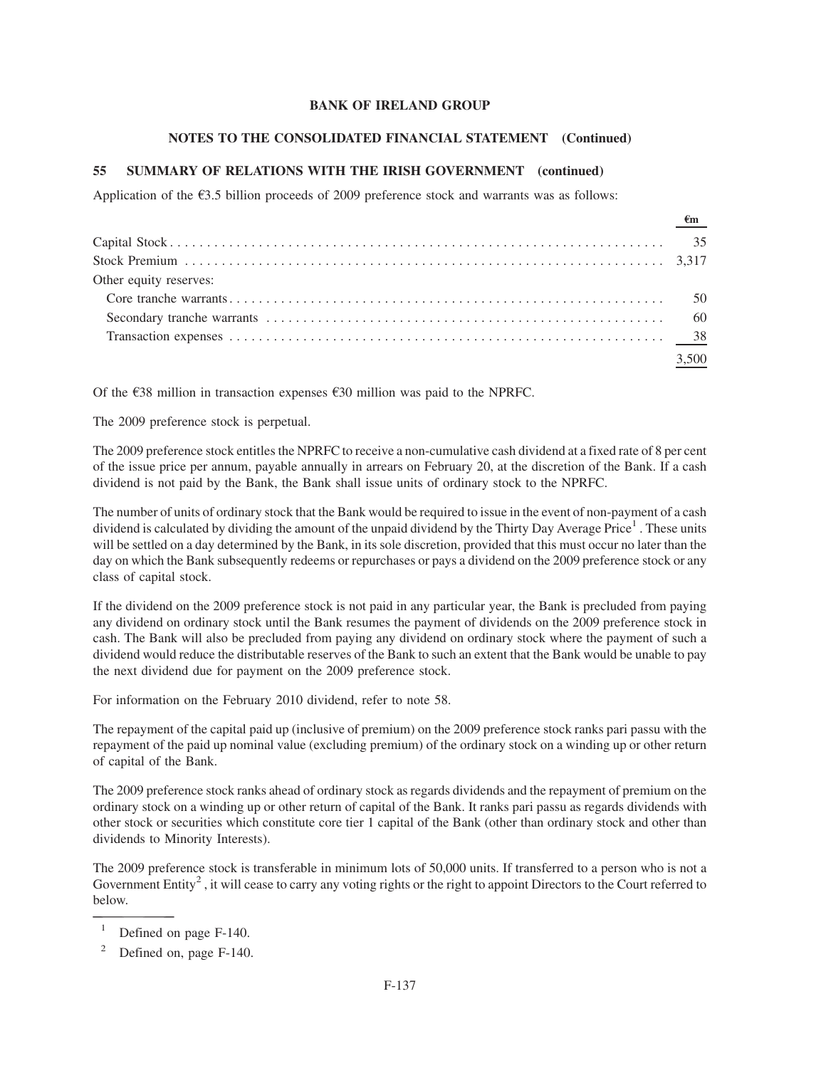### **NOTES TO THE CONSOLIDATED FINANCIAL STATEMENT (Continued)**

# **55 SUMMARY OF RELATIONS WITH THE IRISH GOVERNMENT (continued)**

Application of the  $\epsilon$ 3.5 billion proceeds of 2009 preference stock and warrants was as follows:

|                        | $\frac{\epsilon_{m}}{\epsilon_{m}}$ |
|------------------------|-------------------------------------|
|                        |                                     |
|                        |                                     |
| Other equity reserves: |                                     |
|                        |                                     |
|                        |                                     |
|                        |                                     |
|                        | 3,500                               |

Of the  $\epsilon$ 38 million in transaction expenses  $\epsilon$ 30 million was paid to the NPRFC.

The 2009 preference stock is perpetual.

The 2009 preference stock entitles the NPRFC to receive a non-cumulative cash dividend at a fixed rate of 8 per cent of the issue price per annum, payable annually in arrears on February 20, at the discretion of the Bank. If a cash dividend is not paid by the Bank, the Bank shall issue units of ordinary stock to the NPRFC.

The number of units of ordinary stock that the Bank would be required to issue in the event of non-payment of a cash dividend is calculated by dividing the amount of the unpaid dividend by the Thirty Day Average Price<sup>1</sup>. These units will be settled on a day determined by the Bank, in its sole discretion, provided that this must occur no later than the day on which the Bank subsequently redeems or repurchases or pays a dividend on the 2009 preference stock or any class of capital stock.

If the dividend on the 2009 preference stock is not paid in any particular year, the Bank is precluded from paying any dividend on ordinary stock until the Bank resumes the payment of dividends on the 2009 preference stock in cash. The Bank will also be precluded from paying any dividend on ordinary stock where the payment of such a dividend would reduce the distributable reserves of the Bank to such an extent that the Bank would be unable to pay the next dividend due for payment on the 2009 preference stock.

For information on the February 2010 dividend, refer to note 58.

The repayment of the capital paid up (inclusive of premium) on the 2009 preference stock ranks pari passu with the repayment of the paid up nominal value (excluding premium) of the ordinary stock on a winding up or other return of capital of the Bank.

The 2009 preference stock ranks ahead of ordinary stock as regards dividends and the repayment of premium on the ordinary stock on a winding up or other return of capital of the Bank. It ranks pari passu as regards dividends with other stock or securities which constitute core tier 1 capital of the Bank (other than ordinary stock and other than dividends to Minority Interests).

The 2009 preference stock is transferable in minimum lots of 50,000 units. If transferred to a person who is not a Government Entity<sup>2</sup>, it will cease to carry any voting rights or the right to appoint Directors to the Court referred to below.

<sup>&</sup>lt;sup>1</sup> Defined on page F-140.

Defined on, page F-140.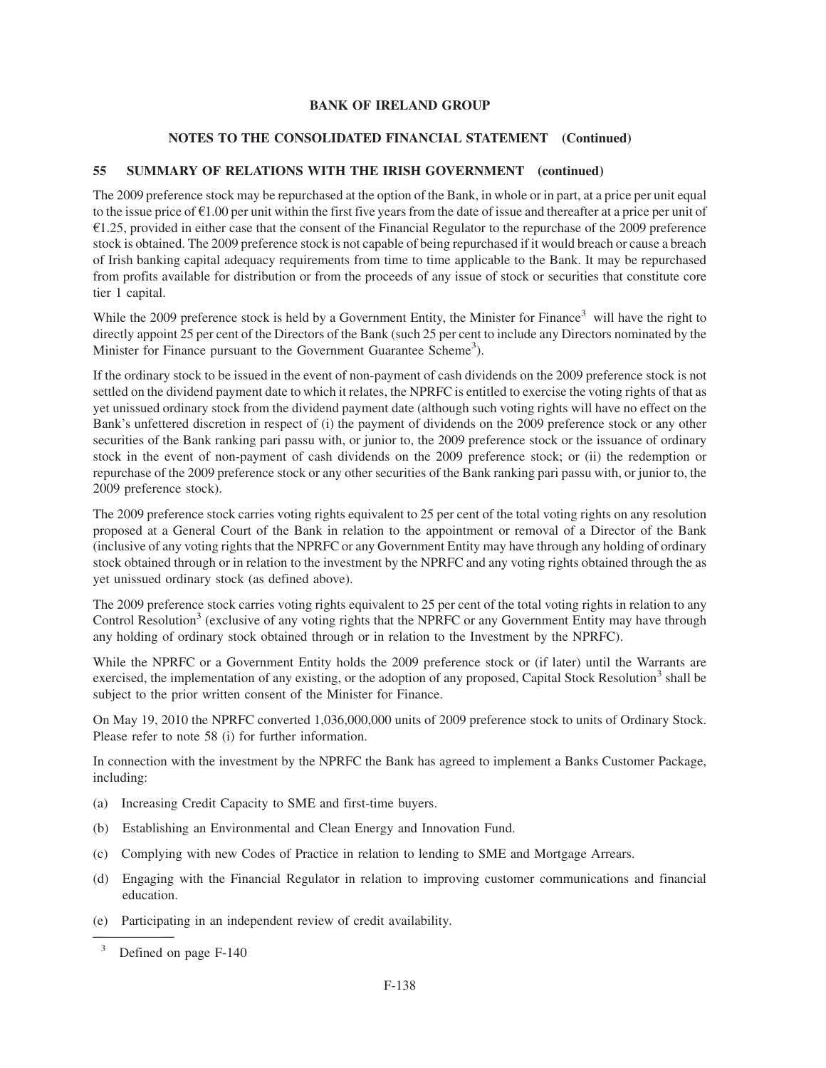# **NOTES TO THE CONSOLIDATED FINANCIAL STATEMENT (Continued)**

# **55 SUMMARY OF RELATIONS WITH THE IRISH GOVERNMENT (continued)**

The 2009 preference stock may be repurchased at the option of the Bank, in whole or in part, at a price per unit equal to the issue price of  $\epsilon$ 1.00 per unit within the first five years from the date of issue and thereafter at a price per unit of  $\epsilon$ 1.25, provided in either case that the consent of the Financial Regulator to the repurchase of the 2009 preference stock is obtained. The 2009 preference stock is not capable of being repurchased if it would breach or cause a breach of Irish banking capital adequacy requirements from time to time applicable to the Bank. It may be repurchased from profits available for distribution or from the proceeds of any issue of stock or securities that constitute core tier 1 capital.

While the 2009 preference stock is held by a Government Entity, the Minister for Finance<sup>3</sup> will have the right to directly appoint 25 per cent of the Directors of the Bank (such 25 per cent to include any Directors nominated by the Minister for Finance pursuant to the Government Guarantee Scheme<sup>3</sup>).

If the ordinary stock to be issued in the event of non-payment of cash dividends on the 2009 preference stock is not settled on the dividend payment date to which it relates, the NPRFC is entitled to exercise the voting rights of that as yet unissued ordinary stock from the dividend payment date (although such voting rights will have no effect on the Bank's unfettered discretion in respect of (i) the payment of dividends on the 2009 preference stock or any other securities of the Bank ranking pari passu with, or junior to, the 2009 preference stock or the issuance of ordinary stock in the event of non-payment of cash dividends on the 2009 preference stock; or (ii) the redemption or repurchase of the 2009 preference stock or any other securities of the Bank ranking pari passu with, or junior to, the 2009 preference stock).

The 2009 preference stock carries voting rights equivalent to 25 per cent of the total voting rights on any resolution proposed at a General Court of the Bank in relation to the appointment or removal of a Director of the Bank (inclusive of any voting rights that the NPRFC or any Government Entity may have through any holding of ordinary stock obtained through or in relation to the investment by the NPRFC and any voting rights obtained through the as yet unissued ordinary stock (as defined above).

The 2009 preference stock carries voting rights equivalent to 25 per cent of the total voting rights in relation to any Control Resolution<sup>3</sup> (exclusive of any voting rights that the NPRFC or any Government Entity may have through any holding of ordinary stock obtained through or in relation to the Investment by the NPRFC).

While the NPRFC or a Government Entity holds the 2009 preference stock or (if later) until the Warrants are exercised, the implementation of any existing, or the adoption of any proposed, Capital Stock Resolution<sup>3</sup> shall be subject to the prior written consent of the Minister for Finance.

On May 19, 2010 the NPRFC converted 1,036,000,000 units of 2009 preference stock to units of Ordinary Stock. Please refer to note 58 (i) for further information.

In connection with the investment by the NPRFC the Bank has agreed to implement a Banks Customer Package, including:

- (a) Increasing Credit Capacity to SME and first-time buyers.
- (b) Establishing an Environmental and Clean Energy and Innovation Fund.
- (c) Complying with new Codes of Practice in relation to lending to SME and Mortgage Arrears.
- (d) Engaging with the Financial Regulator in relation to improving customer communications and financial education.
- (e) Participating in an independent review of credit availability.

<sup>3</sup> Defined on page F-140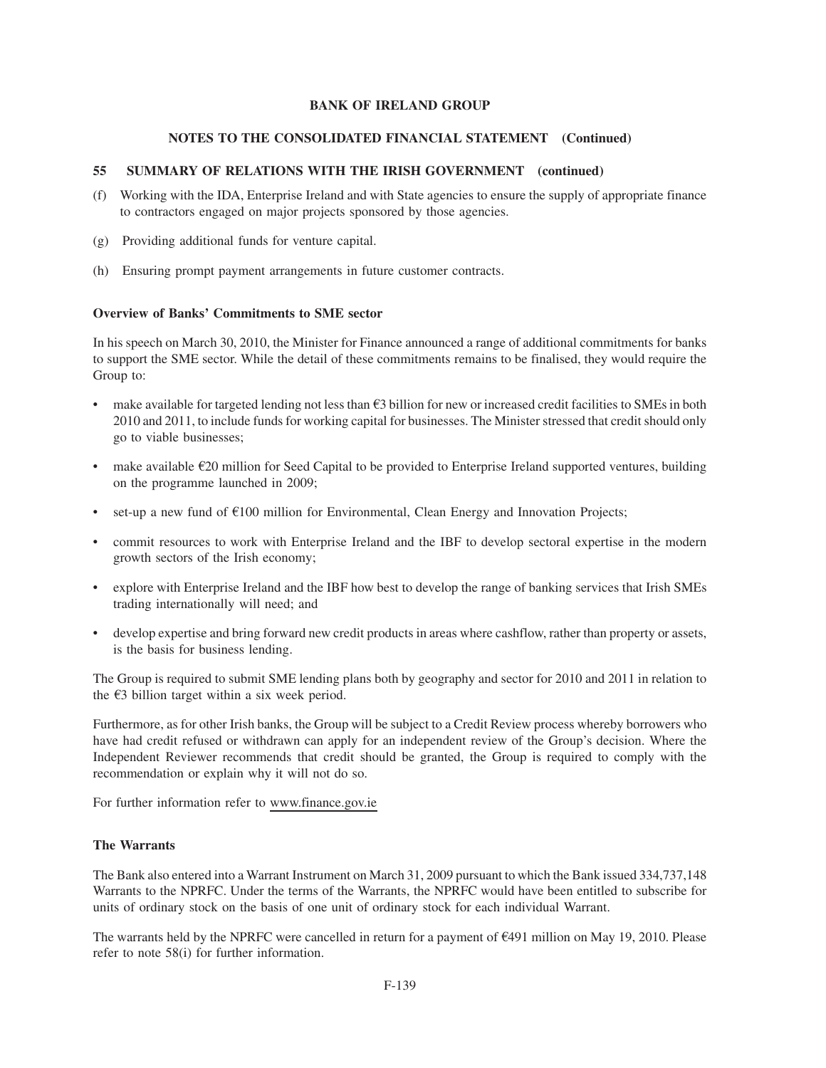# **NOTES TO THE CONSOLIDATED FINANCIAL STATEMENT (Continued)**

# **55 SUMMARY OF RELATIONS WITH THE IRISH GOVERNMENT (continued)**

- (f) Working with the IDA, Enterprise Ireland and with State agencies to ensure the supply of appropriate finance to contractors engaged on major projects sponsored by those agencies.
- (g) Providing additional funds for venture capital.
- (h) Ensuring prompt payment arrangements in future customer contracts.

## **Overview of Banks' Commitments to SME sector**

In his speech on March 30, 2010, the Minister for Finance announced a range of additional commitments for banks to support the SME sector. While the detail of these commitments remains to be finalised, they would require the Group to:

- make available for targeted lending not less than  $\epsilon$ 3 billion for new or increased credit facilities to SMEs in both 2010 and 2011, to include funds for working capital for businesses. The Minister stressed that credit should only go to viable businesses;
- make available  $\epsilon$ 20 million for Seed Capital to be provided to Enterprise Ireland supported ventures, building on the programme launched in 2009;
- set-up a new fund of  $E100$  million for Environmental, Clean Energy and Innovation Projects;
- commit resources to work with Enterprise Ireland and the IBF to develop sectoral expertise in the modern growth sectors of the Irish economy;
- explore with Enterprise Ireland and the IBF how best to develop the range of banking services that Irish SMEs trading internationally will need; and
- develop expertise and bring forward new credit products in areas where cashflow, rather than property or assets, is the basis for business lending.

The Group is required to submit SME lending plans both by geography and sector for 2010 and 2011 in relation to the  $\epsilon$ 3 billion target within a six week period.

Furthermore, as for other Irish banks, the Group will be subject to a Credit Review process whereby borrowers who have had credit refused or withdrawn can apply for an independent review of the Group's decision. Where the Independent Reviewer recommends that credit should be granted, the Group is required to comply with the recommendation or explain why it will not do so.

For further information refer to www.finance.gov.ie

# **The Warrants**

The Bank also entered into a Warrant Instrument on March 31, 2009 pursuant to which the Bank issued 334,737,148 Warrants to the NPRFC. Under the terms of the Warrants, the NPRFC would have been entitled to subscribe for units of ordinary stock on the basis of one unit of ordinary stock for each individual Warrant.

The warrants held by the NPRFC were cancelled in return for a payment of  $\epsilon$ 491 million on May 19, 2010. Please refer to note 58(i) for further information.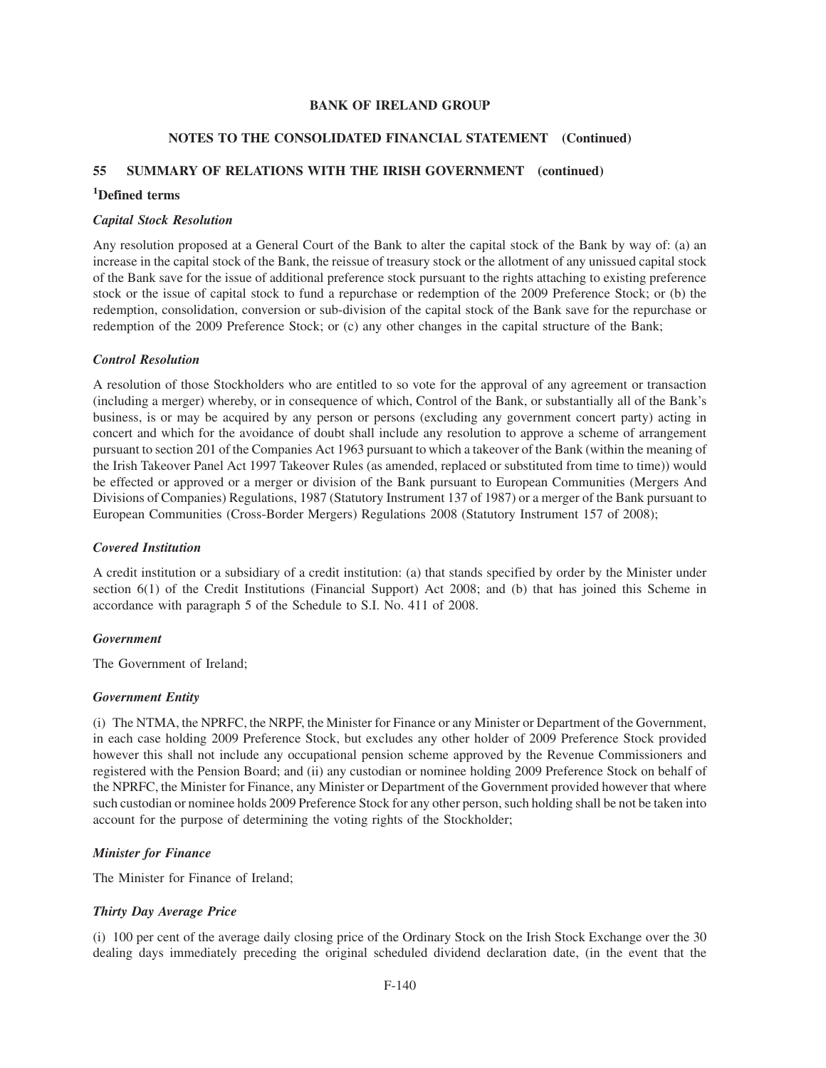# **NOTES TO THE CONSOLIDATED FINANCIAL STATEMENT (Continued)**

# **55 SUMMARY OF RELATIONS WITH THE IRISH GOVERNMENT (continued)**

# **1 Defined terms**

### *Capital Stock Resolution*

Any resolution proposed at a General Court of the Bank to alter the capital stock of the Bank by way of: (a) an increase in the capital stock of the Bank, the reissue of treasury stock or the allotment of any unissued capital stock of the Bank save for the issue of additional preference stock pursuant to the rights attaching to existing preference stock or the issue of capital stock to fund a repurchase or redemption of the 2009 Preference Stock; or (b) the redemption, consolidation, conversion or sub-division of the capital stock of the Bank save for the repurchase or redemption of the 2009 Preference Stock; or (c) any other changes in the capital structure of the Bank;

### *Control Resolution*

A resolution of those Stockholders who are entitled to so vote for the approval of any agreement or transaction (including a merger) whereby, or in consequence of which, Control of the Bank, or substantially all of the Bank's business, is or may be acquired by any person or persons (excluding any government concert party) acting in concert and which for the avoidance of doubt shall include any resolution to approve a scheme of arrangement pursuant to section 201 of the Companies Act 1963 pursuant to which a takeover of the Bank (within the meaning of the Irish Takeover Panel Act 1997 Takeover Rules (as amended, replaced or substituted from time to time)) would be effected or approved or a merger or division of the Bank pursuant to European Communities (Mergers And Divisions of Companies) Regulations, 1987 (Statutory Instrument 137 of 1987) or a merger of the Bank pursuant to European Communities (Cross-Border Mergers) Regulations 2008 (Statutory Instrument 157 of 2008);

### *Covered Institution*

A credit institution or a subsidiary of a credit institution: (a) that stands specified by order by the Minister under section 6(1) of the Credit Institutions (Financial Support) Act 2008; and (b) that has joined this Scheme in accordance with paragraph 5 of the Schedule to S.I. No. 411 of 2008.

### *Government*

The Government of Ireland;

### *Government Entity*

(i) The NTMA, the NPRFC, the NRPF, the Minister for Finance or any Minister or Department of the Government, in each case holding 2009 Preference Stock, but excludes any other holder of 2009 Preference Stock provided however this shall not include any occupational pension scheme approved by the Revenue Commissioners and registered with the Pension Board; and (ii) any custodian or nominee holding 2009 Preference Stock on behalf of the NPRFC, the Minister for Finance, any Minister or Department of the Government provided however that where such custodian or nominee holds 2009 Preference Stock for any other person, such holding shall be not be taken into account for the purpose of determining the voting rights of the Stockholder;

### *Minister for Finance*

The Minister for Finance of Ireland;

# *Thirty Day Average Price*

(i) 100 per cent of the average daily closing price of the Ordinary Stock on the Irish Stock Exchange over the 30 dealing days immediately preceding the original scheduled dividend declaration date, (in the event that the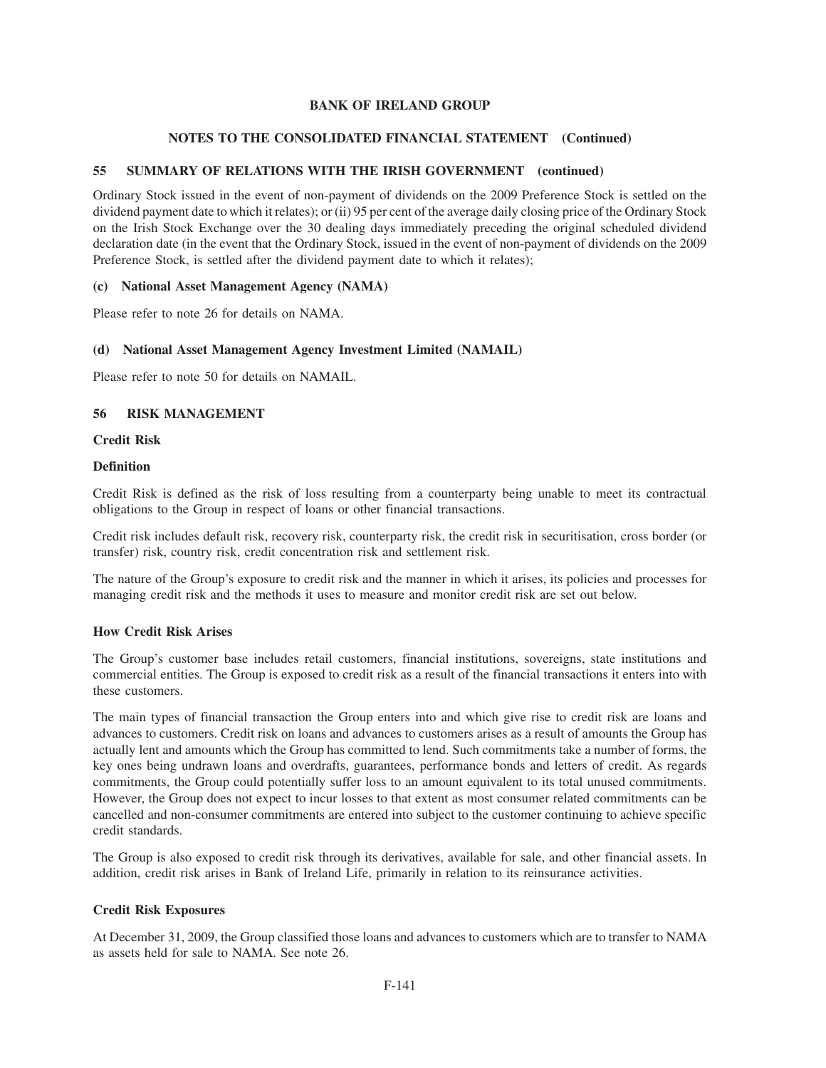# **NOTES TO THE CONSOLIDATED FINANCIAL STATEMENT (Continued)**

# **55 SUMMARY OF RELATIONS WITH THE IRISH GOVERNMENT (continued)**

Ordinary Stock issued in the event of non-payment of dividends on the 2009 Preference Stock is settled on the dividend payment date to which it relates); or (ii) 95 per cent of the average daily closing price of the Ordinary Stock on the Irish Stock Exchange over the 30 dealing days immediately preceding the original scheduled dividend declaration date (in the event that the Ordinary Stock, issued in the event of non-payment of dividends on the 2009 Preference Stock, is settled after the dividend payment date to which it relates);

### **(c) National Asset Management Agency (NAMA)**

Please refer to note 26 for details on NAMA.

# **(d) National Asset Management Agency Investment Limited (NAMAIL)**

Please refer to note 50 for details on NAMAIL.

# **56 RISK MANAGEMENT**

### **Credit Risk**

### **Definition**

Credit Risk is defined as the risk of loss resulting from a counterparty being unable to meet its contractual obligations to the Group in respect of loans or other financial transactions.

Credit risk includes default risk, recovery risk, counterparty risk, the credit risk in securitisation, cross border (or transfer) risk, country risk, credit concentration risk and settlement risk.

The nature of the Group's exposure to credit risk and the manner in which it arises, its policies and processes for managing credit risk and the methods it uses to measure and monitor credit risk are set out below.

## **How Credit Risk Arises**

The Group's customer base includes retail customers, financial institutions, sovereigns, state institutions and commercial entities. The Group is exposed to credit risk as a result of the financial transactions it enters into with these customers.

The main types of financial transaction the Group enters into and which give rise to credit risk are loans and advances to customers. Credit risk on loans and advances to customers arises as a result of amounts the Group has actually lent and amounts which the Group has committed to lend. Such commitments take a number of forms, the key ones being undrawn loans and overdrafts, guarantees, performance bonds and letters of credit. As regards commitments, the Group could potentially suffer loss to an amount equivalent to its total unused commitments. However, the Group does not expect to incur losses to that extent as most consumer related commitments can be cancelled and non-consumer commitments are entered into subject to the customer continuing to achieve specific credit standards.

The Group is also exposed to credit risk through its derivatives, available for sale, and other financial assets. In addition, credit risk arises in Bank of Ireland Life, primarily in relation to its reinsurance activities.

### **Credit Risk Exposures**

At December 31, 2009, the Group classified those loans and advances to customers which are to transfer to NAMA as assets held for sale to NAMA. See note 26.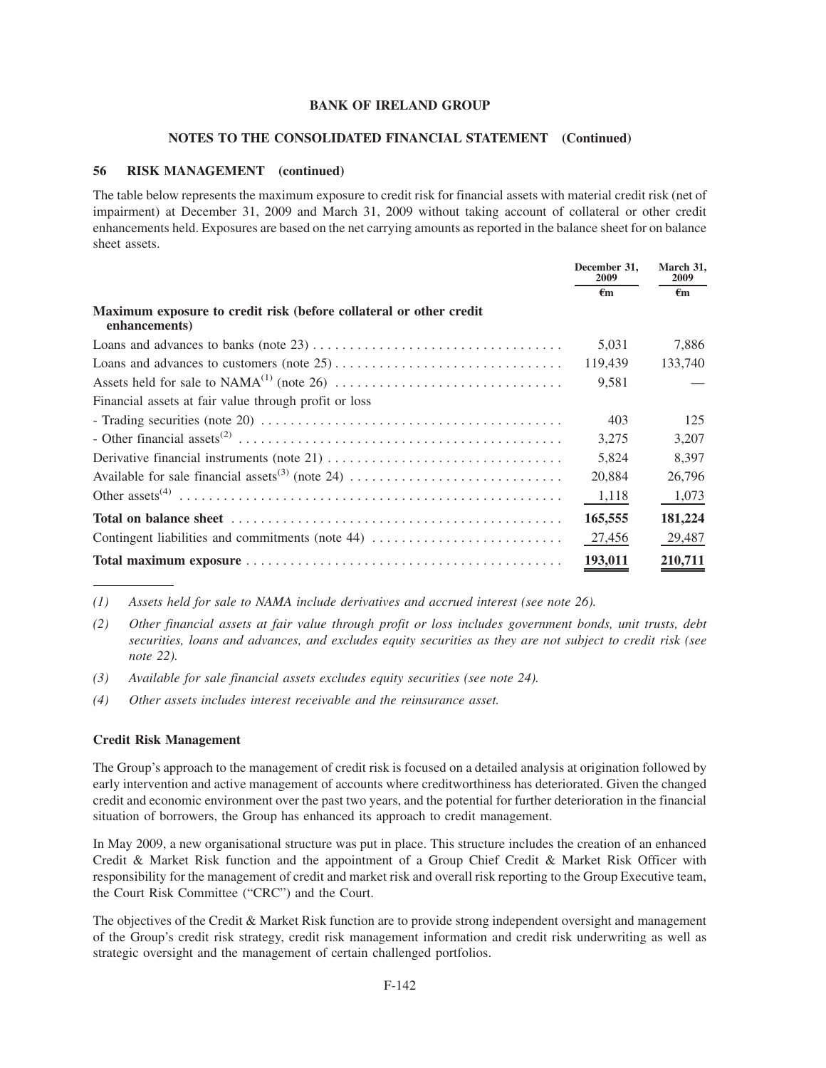#### **NOTES TO THE CONSOLIDATED FINANCIAL STATEMENT (Continued)**

### **56 RISK MANAGEMENT (continued)**

The table below represents the maximum exposure to credit risk for financial assets with material credit risk (net of impairment) at December 31, 2009 and March 31, 2009 without taking account of collateral or other credit enhancements held. Exposures are based on the net carrying amounts as reported in the balance sheet for on balance sheet assets.

|                                                                                                                      | December 31,<br>2009 | March 31,<br>2009 |
|----------------------------------------------------------------------------------------------------------------------|----------------------|-------------------|
|                                                                                                                      | €m                   | €m                |
| Maximum exposure to credit risk (before collateral or other credit<br>enhancements)                                  |                      |                   |
|                                                                                                                      | 5,031                | 7,886             |
|                                                                                                                      | 119,439              | 133,740           |
|                                                                                                                      | 9,581                |                   |
| Financial assets at fair value through profit or loss                                                                |                      |                   |
| - Trading securities (note 20) $\dots \dots \dots \dots \dots \dots \dots \dots \dots \dots \dots \dots \dots \dots$ | 403                  | 125               |
|                                                                                                                      | 3,275                | 3,207             |
|                                                                                                                      | 5,824                | 8.397             |
|                                                                                                                      | 20,884               | 26,796            |
|                                                                                                                      | 1,118                | 1,073             |
|                                                                                                                      | 165,555              | 181,224           |
| Contingent liabilities and commitments (note 44)                                                                     | 27,456               | 29,487            |
|                                                                                                                      | 193,011              | 210,711           |

*(1) Assets held for sale to NAMA include derivatives and accrued interest (see note 26).*

*(2) Other financial assets at fair value through profit or loss includes government bonds, unit trusts, debt securities, loans and advances, and excludes equity securities as they are not subject to credit risk (see note 22).*

- *(3) Available for sale financial assets excludes equity securities (see note 24).*
- *(4) Other assets includes interest receivable and the reinsurance asset.*

#### **Credit Risk Management**

The Group's approach to the management of credit risk is focused on a detailed analysis at origination followed by early intervention and active management of accounts where creditworthiness has deteriorated. Given the changed credit and economic environment over the past two years, and the potential for further deterioration in the financial situation of borrowers, the Group has enhanced its approach to credit management.

In May 2009, a new organisational structure was put in place. This structure includes the creation of an enhanced Credit & Market Risk function and the appointment of a Group Chief Credit & Market Risk Officer with responsibility for the management of credit and market risk and overall risk reporting to the Group Executive team, the Court Risk Committee ("CRC") and the Court.

The objectives of the Credit & Market Risk function are to provide strong independent oversight and management of the Group's credit risk strategy, credit risk management information and credit risk underwriting as well as strategic oversight and the management of certain challenged portfolios.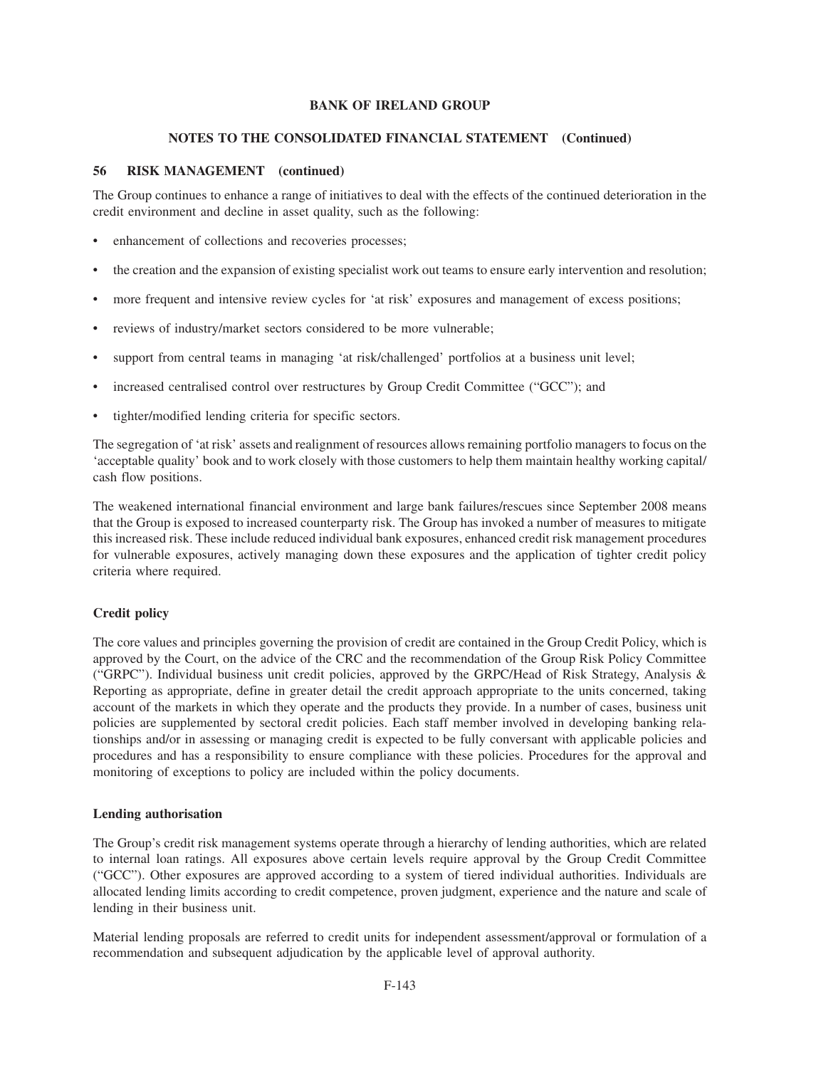#### **NOTES TO THE CONSOLIDATED FINANCIAL STATEMENT (Continued)**

# **56 RISK MANAGEMENT (continued)**

The Group continues to enhance a range of initiatives to deal with the effects of the continued deterioration in the credit environment and decline in asset quality, such as the following:

- enhancement of collections and recoveries processes;
- the creation and the expansion of existing specialist work out teams to ensure early intervention and resolution;
- more frequent and intensive review cycles for 'at risk' exposures and management of excess positions;
- reviews of industry/market sectors considered to be more vulnerable;
- support from central teams in managing 'at risk/challenged' portfolios at a business unit level;
- increased centralised control over restructures by Group Credit Committee ("GCC"); and
- tighter/modified lending criteria for specific sectors.

The segregation of 'at risk' assets and realignment of resources allows remaining portfolio managers to focus on the 'acceptable quality' book and to work closely with those customers to help them maintain healthy working capital/ cash flow positions.

The weakened international financial environment and large bank failures/rescues since September 2008 means that the Group is exposed to increased counterparty risk. The Group has invoked a number of measures to mitigate this increased risk. These include reduced individual bank exposures, enhanced credit risk management procedures for vulnerable exposures, actively managing down these exposures and the application of tighter credit policy criteria where required.

### **Credit policy**

The core values and principles governing the provision of credit are contained in the Group Credit Policy, which is approved by the Court, on the advice of the CRC and the recommendation of the Group Risk Policy Committee ("GRPC"). Individual business unit credit policies, approved by the GRPC/Head of Risk Strategy, Analysis & Reporting as appropriate, define in greater detail the credit approach appropriate to the units concerned, taking account of the markets in which they operate and the products they provide. In a number of cases, business unit policies are supplemented by sectoral credit policies. Each staff member involved in developing banking relationships and/or in assessing or managing credit is expected to be fully conversant with applicable policies and procedures and has a responsibility to ensure compliance with these policies. Procedures for the approval and monitoring of exceptions to policy are included within the policy documents.

#### **Lending authorisation**

The Group's credit risk management systems operate through a hierarchy of lending authorities, which are related to internal loan ratings. All exposures above certain levels require approval by the Group Credit Committee ("GCC"). Other exposures are approved according to a system of tiered individual authorities. Individuals are allocated lending limits according to credit competence, proven judgment, experience and the nature and scale of lending in their business unit.

Material lending proposals are referred to credit units for independent assessment/approval or formulation of a recommendation and subsequent adjudication by the applicable level of approval authority.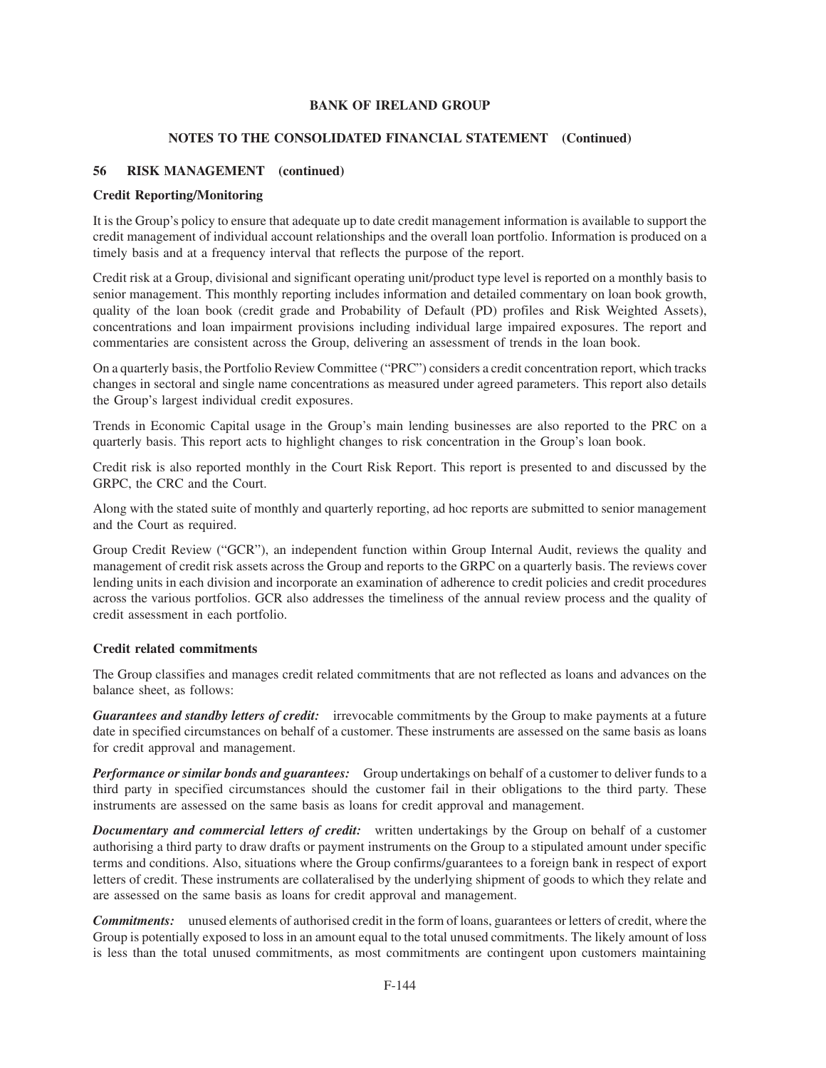# **NOTES TO THE CONSOLIDATED FINANCIAL STATEMENT (Continued)**

# **56 RISK MANAGEMENT (continued)**

## **Credit Reporting/Monitoring**

It is the Group's policy to ensure that adequate up to date credit management information is available to support the credit management of individual account relationships and the overall loan portfolio. Information is produced on a timely basis and at a frequency interval that reflects the purpose of the report.

Credit risk at a Group, divisional and significant operating unit/product type level is reported on a monthly basis to senior management. This monthly reporting includes information and detailed commentary on loan book growth, quality of the loan book (credit grade and Probability of Default (PD) profiles and Risk Weighted Assets), concentrations and loan impairment provisions including individual large impaired exposures. The report and commentaries are consistent across the Group, delivering an assessment of trends in the loan book.

On a quarterly basis, the Portfolio Review Committee ("PRC") considers a credit concentration report, which tracks changes in sectoral and single name concentrations as measured under agreed parameters. This report also details the Group's largest individual credit exposures.

Trends in Economic Capital usage in the Group's main lending businesses are also reported to the PRC on a quarterly basis. This report acts to highlight changes to risk concentration in the Group's loan book.

Credit risk is also reported monthly in the Court Risk Report. This report is presented to and discussed by the GRPC, the CRC and the Court.

Along with the stated suite of monthly and quarterly reporting, ad hoc reports are submitted to senior management and the Court as required.

Group Credit Review ("GCR"), an independent function within Group Internal Audit, reviews the quality and management of credit risk assets across the Group and reports to the GRPC on a quarterly basis. The reviews cover lending units in each division and incorporate an examination of adherence to credit policies and credit procedures across the various portfolios. GCR also addresses the timeliness of the annual review process and the quality of credit assessment in each portfolio.

### **Credit related commitments**

The Group classifies and manages credit related commitments that are not reflected as loans and advances on the balance sheet, as follows:

*Guarantees and standby letters of credit:* irrevocable commitments by the Group to make payments at a future date in specified circumstances on behalf of a customer. These instruments are assessed on the same basis as loans for credit approval and management.

*Performance or similar bonds and guarantees:* Group undertakings on behalf of a customer to deliver funds to a third party in specified circumstances should the customer fail in their obligations to the third party. These instruments are assessed on the same basis as loans for credit approval and management.

*Documentary and commercial letters of credit:* written undertakings by the Group on behalf of a customer authorising a third party to draw drafts or payment instruments on the Group to a stipulated amount under specific terms and conditions. Also, situations where the Group confirms/guarantees to a foreign bank in respect of export letters of credit. These instruments are collateralised by the underlying shipment of goods to which they relate and are assessed on the same basis as loans for credit approval and management.

*Commitments:* unused elements of authorised credit in the form of loans, guarantees or letters of credit, where the Group is potentially exposed to loss in an amount equal to the total unused commitments. The likely amount of loss is less than the total unused commitments, as most commitments are contingent upon customers maintaining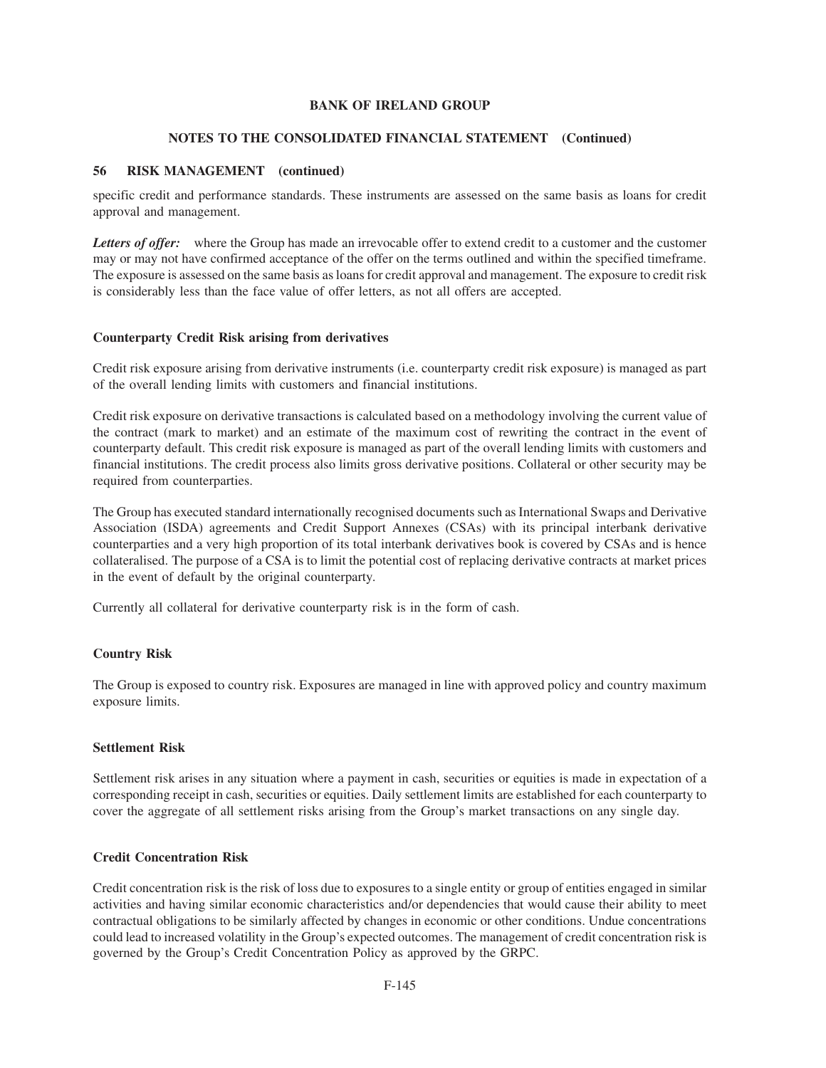# **NOTES TO THE CONSOLIDATED FINANCIAL STATEMENT (Continued)**

# **56 RISK MANAGEMENT (continued)**

specific credit and performance standards. These instruments are assessed on the same basis as loans for credit approval and management.

Letters of offer: where the Group has made an irrevocable offer to extend credit to a customer and the customer may or may not have confirmed acceptance of the offer on the terms outlined and within the specified timeframe. The exposure is assessed on the same basis as loans for credit approval and management. The exposure to credit risk is considerably less than the face value of offer letters, as not all offers are accepted.

# **Counterparty Credit Risk arising from derivatives**

Credit risk exposure arising from derivative instruments (i.e. counterparty credit risk exposure) is managed as part of the overall lending limits with customers and financial institutions.

Credit risk exposure on derivative transactions is calculated based on a methodology involving the current value of the contract (mark to market) and an estimate of the maximum cost of rewriting the contract in the event of counterparty default. This credit risk exposure is managed as part of the overall lending limits with customers and financial institutions. The credit process also limits gross derivative positions. Collateral or other security may be required from counterparties.

The Group has executed standard internationally recognised documents such as International Swaps and Derivative Association (ISDA) agreements and Credit Support Annexes (CSAs) with its principal interbank derivative counterparties and a very high proportion of its total interbank derivatives book is covered by CSAs and is hence collateralised. The purpose of a CSA is to limit the potential cost of replacing derivative contracts at market prices in the event of default by the original counterparty.

Currently all collateral for derivative counterparty risk is in the form of cash.

# **Country Risk**

The Group is exposed to country risk. Exposures are managed in line with approved policy and country maximum exposure limits.

### **Settlement Risk**

Settlement risk arises in any situation where a payment in cash, securities or equities is made in expectation of a corresponding receipt in cash, securities or equities. Daily settlement limits are established for each counterparty to cover the aggregate of all settlement risks arising from the Group's market transactions on any single day.

### **Credit Concentration Risk**

Credit concentration risk is the risk of loss due to exposures to a single entity or group of entities engaged in similar activities and having similar economic characteristics and/or dependencies that would cause their ability to meet contractual obligations to be similarly affected by changes in economic or other conditions. Undue concentrations could lead to increased volatility in the Group's expected outcomes. The management of credit concentration risk is governed by the Group's Credit Concentration Policy as approved by the GRPC.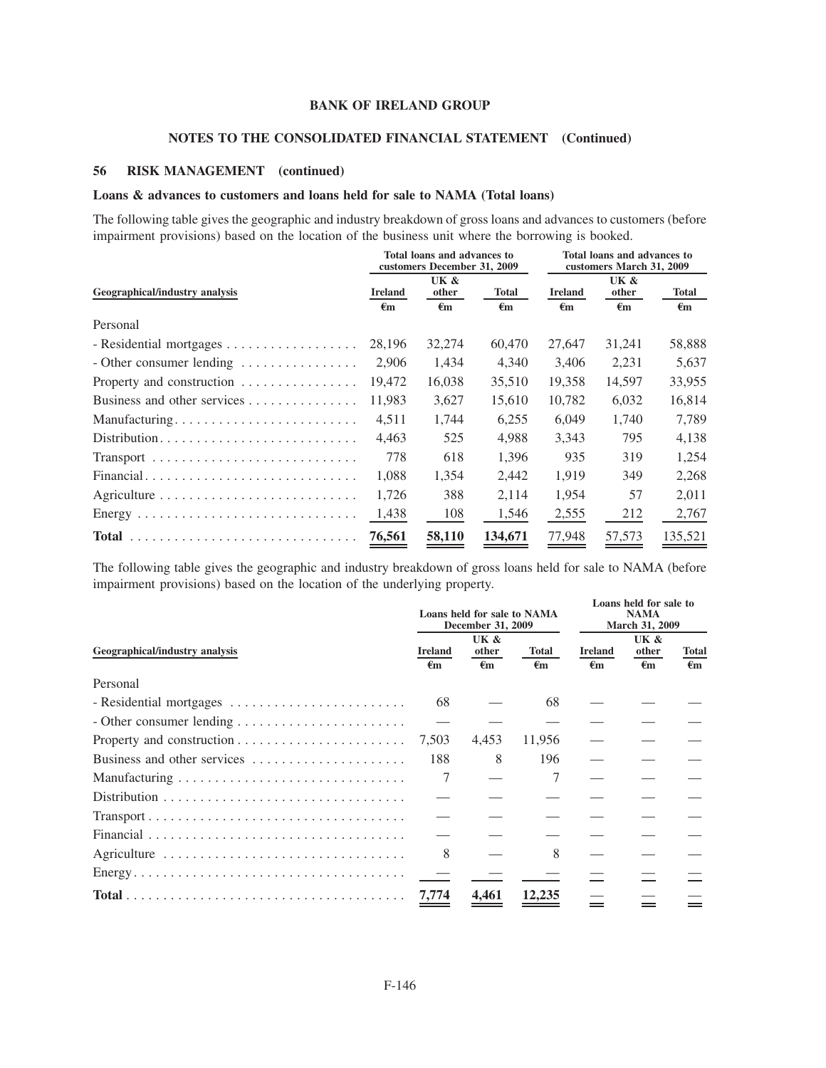## **NOTES TO THE CONSOLIDATED FINANCIAL STATEMENT (Continued)**

## **56 RISK MANAGEMENT (continued)**

# **Loans & advances to customers and loans held for sale to NAMA (Total loans)**

The following table gives the geographic and industry breakdown of gross loans and advances to customers (before impairment provisions) based on the location of the business unit where the borrowing is booked.

|                                                    |                    | Total loans and advances to<br>customers December 31, 2009 |                    | Total loans and advances to<br>customers March 31, 2009 |                    |                    |
|----------------------------------------------------|--------------------|------------------------------------------------------------|--------------------|---------------------------------------------------------|--------------------|--------------------|
| Geographical/industry analysis                     | <b>Ireland</b>     | UK &<br>other                                              | <b>Total</b>       | <b>Ireland</b>                                          | UK &<br>other      | <b>Total</b>       |
|                                                    | $\epsilon_{\rm m}$ | $\epsilon_{\rm m}$                                         | $\epsilon_{\rm m}$ | $\epsilon_{\rm m}$                                      | $\epsilon_{\rm m}$ | $\epsilon_{\rm m}$ |
| Personal                                           |                    |                                                            |                    |                                                         |                    |                    |
|                                                    | 28,196             | 32,274                                                     | 60,470             | 27,647                                                  | 31,241             | 58,888             |
| - Other consumer lending $\dots \dots \dots \dots$ | 2,906              | 1,434                                                      | 4,340              | 3,406                                                   | 2,231              | 5,637              |
| Property and construction                          | 19.472             | 16,038                                                     | 35,510             | 19,358                                                  | 14,597             | 33,955             |
| Business and other services                        | 11,983             | 3,627                                                      | 15,610             | 10,782                                                  | 6,032              | 16,814             |
| Manufacturing                                      | 4,511              | 1,744                                                      | 6,255              | 6,049                                                   | 1,740              | 7,789              |
| Distribution                                       | 4,463              | 525                                                        | 4.988              | 3.343                                                   | 795                | 4,138              |
|                                                    | 778                | 618                                                        | 1,396              | 935                                                     | 319                | 1,254              |
| Financial                                          | 1,088              | 1,354                                                      | 2,442              | 1,919                                                   | 349                | 2,268              |
|                                                    | 1,726              | 388                                                        | 2,114              | 1,954                                                   | 57                 | 2,011              |
|                                                    | 1,438              | 108                                                        | 1,546              | 2,555                                                   | 212                | 2,767              |
|                                                    | 76,561             | 58,110                                                     | 134,671            | 77,948                                                  | 57,573             | 135,521            |

The following table gives the geographic and industry breakdown of gross loans held for sale to NAMA (before impairment provisions) based on the location of the underlying property.

| Geographical/industry analysis                                                           |       | Loans held for sale to NAMA<br>December 31, 2009 |                    |                                | Loans held for sale to<br><b>NAMA</b><br>March 31, 2009 |                                    |  |
|------------------------------------------------------------------------------------------|-------|--------------------------------------------------|--------------------|--------------------------------|---------------------------------------------------------|------------------------------------|--|
|                                                                                          |       | UK &<br>other<br>$\epsilon_{\mathbf{m}}$         | <b>Total</b><br>€m | <b>Ireland</b><br>$\epsilon$ m | UK &<br>other<br>$\epsilon_{\rm m}$                     | <b>Total</b><br>$\epsilon_{\rm m}$ |  |
| Personal                                                                                 | €m    |                                                  |                    |                                |                                                         |                                    |  |
|                                                                                          | 68    |                                                  | 68                 |                                |                                                         |                                    |  |
|                                                                                          |       |                                                  |                    |                                |                                                         |                                    |  |
|                                                                                          | 7,503 | 4,453                                            | 11,956             |                                |                                                         |                                    |  |
| Business and other services                                                              | 188   | 8                                                | 196                |                                |                                                         |                                    |  |
|                                                                                          |       |                                                  | 7                  |                                |                                                         |                                    |  |
|                                                                                          |       |                                                  |                    |                                |                                                         |                                    |  |
| $Transport \ldots \ldots \ldots \ldots \ldots \ldots \ldots \ldots \ldots \ldots \ldots$ |       |                                                  |                    |                                |                                                         |                                    |  |
|                                                                                          |       |                                                  |                    |                                |                                                         |                                    |  |
|                                                                                          | 8     |                                                  | 8                  |                                |                                                         |                                    |  |
|                                                                                          |       |                                                  |                    |                                |                                                         |                                    |  |
|                                                                                          | 7,774 | 4.461                                            | 12,235             |                                |                                                         |                                    |  |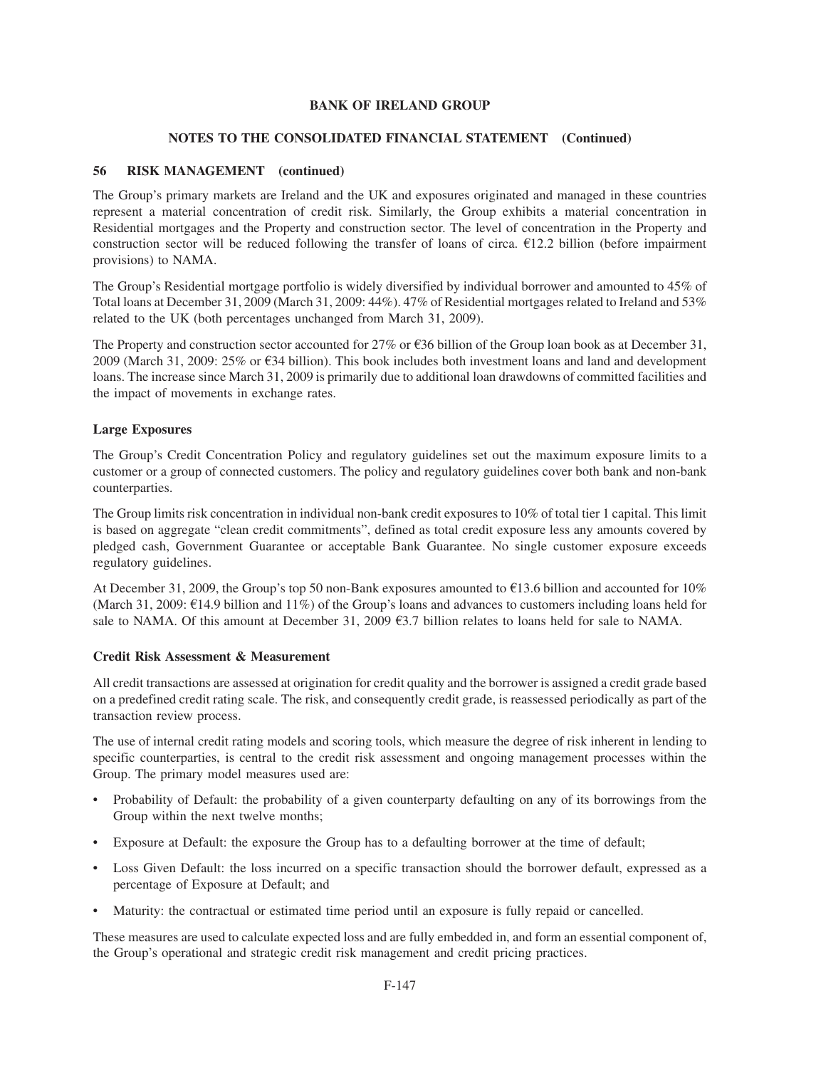#### **NOTES TO THE CONSOLIDATED FINANCIAL STATEMENT (Continued)**

### **56 RISK MANAGEMENT (continued)**

The Group's primary markets are Ireland and the UK and exposures originated and managed in these countries represent a material concentration of credit risk. Similarly, the Group exhibits a material concentration in Residential mortgages and the Property and construction sector. The level of concentration in the Property and construction sector will be reduced following the transfer of loans of circa.  $E12.2$  billion (before impairment provisions) to NAMA.

The Group's Residential mortgage portfolio is widely diversified by individual borrower and amounted to 45% of Total loans at December 31, 2009 (March 31, 2009: 44%). 47% of Residential mortgages related to Ireland and 53% related to the UK (both percentages unchanged from March 31, 2009).

The Property and construction sector accounted for 27% or  $\epsilon$ 36 billion of the Group loan book as at December 31, 2009 (March 31, 2009: 25% or  $\epsilon$ 34 billion). This book includes both investment loans and land and development loans. The increase since March 31, 2009 is primarily due to additional loan drawdowns of committed facilities and the impact of movements in exchange rates.

#### **Large Exposures**

The Group's Credit Concentration Policy and regulatory guidelines set out the maximum exposure limits to a customer or a group of connected customers. The policy and regulatory guidelines cover both bank and non-bank counterparties.

The Group limits risk concentration in individual non-bank credit exposures to 10% of total tier 1 capital. This limit is based on aggregate "clean credit commitments", defined as total credit exposure less any amounts covered by pledged cash, Government Guarantee or acceptable Bank Guarantee. No single customer exposure exceeds regulatory guidelines.

At December 31, 2009, the Group's top 50 non-Bank exposures amounted to  $\epsilon$ 13.6 billion and accounted for 10% (March 31, 2009:  $\epsilon$ 14.9 billion and 11%) of the Group's loans and advances to customers including loans held for sale to NAMA. Of this amount at December 31, 2009  $\epsilon$ 3.7 billion relates to loans held for sale to NAMA.

#### **Credit Risk Assessment & Measurement**

All credit transactions are assessed at origination for credit quality and the borrower is assigned a credit grade based on a predefined credit rating scale. The risk, and consequently credit grade, is reassessed periodically as part of the transaction review process.

The use of internal credit rating models and scoring tools, which measure the degree of risk inherent in lending to specific counterparties, is central to the credit risk assessment and ongoing management processes within the Group. The primary model measures used are:

- Probability of Default: the probability of a given counterparty defaulting on any of its borrowings from the Group within the next twelve months;
- Exposure at Default: the exposure the Group has to a defaulting borrower at the time of default;
- Loss Given Default: the loss incurred on a specific transaction should the borrower default, expressed as a percentage of Exposure at Default; and
- Maturity: the contractual or estimated time period until an exposure is fully repaid or cancelled.

These measures are used to calculate expected loss and are fully embedded in, and form an essential component of, the Group's operational and strategic credit risk management and credit pricing practices.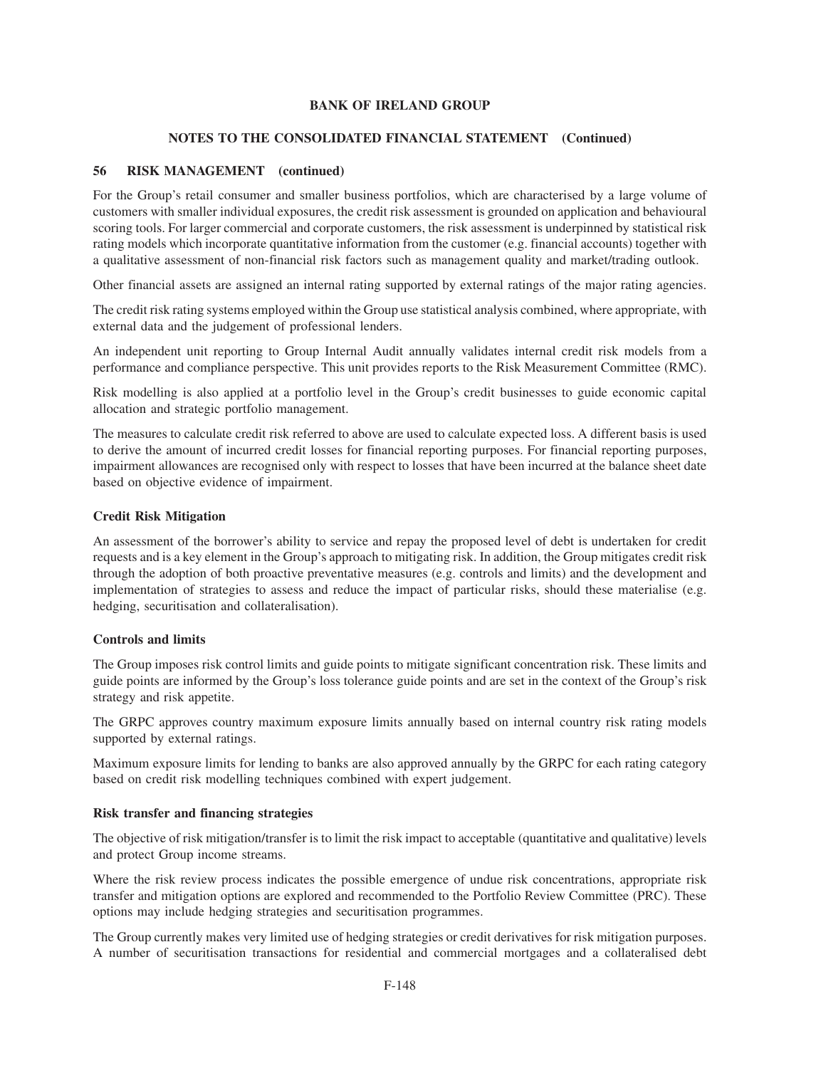# **NOTES TO THE CONSOLIDATED FINANCIAL STATEMENT (Continued)**

# **56 RISK MANAGEMENT (continued)**

For the Group's retail consumer and smaller business portfolios, which are characterised by a large volume of customers with smaller individual exposures, the credit risk assessment is grounded on application and behavioural scoring tools. For larger commercial and corporate customers, the risk assessment is underpinned by statistical risk rating models which incorporate quantitative information from the customer (e.g. financial accounts) together with a qualitative assessment of non-financial risk factors such as management quality and market/trading outlook.

Other financial assets are assigned an internal rating supported by external ratings of the major rating agencies.

The credit risk rating systems employed within the Group use statistical analysis combined, where appropriate, with external data and the judgement of professional lenders.

An independent unit reporting to Group Internal Audit annually validates internal credit risk models from a performance and compliance perspective. This unit provides reports to the Risk Measurement Committee (RMC).

Risk modelling is also applied at a portfolio level in the Group's credit businesses to guide economic capital allocation and strategic portfolio management.

The measures to calculate credit risk referred to above are used to calculate expected loss. A different basis is used to derive the amount of incurred credit losses for financial reporting purposes. For financial reporting purposes, impairment allowances are recognised only with respect to losses that have been incurred at the balance sheet date based on objective evidence of impairment.

## **Credit Risk Mitigation**

An assessment of the borrower's ability to service and repay the proposed level of debt is undertaken for credit requests and is a key element in the Group's approach to mitigating risk. In addition, the Group mitigates credit risk through the adoption of both proactive preventative measures (e.g. controls and limits) and the development and implementation of strategies to assess and reduce the impact of particular risks, should these materialise (e.g. hedging, securitisation and collateralisation).

## **Controls and limits**

The Group imposes risk control limits and guide points to mitigate significant concentration risk. These limits and guide points are informed by the Group's loss tolerance guide points and are set in the context of the Group's risk strategy and risk appetite.

The GRPC approves country maximum exposure limits annually based on internal country risk rating models supported by external ratings.

Maximum exposure limits for lending to banks are also approved annually by the GRPC for each rating category based on credit risk modelling techniques combined with expert judgement.

## **Risk transfer and financing strategies**

The objective of risk mitigation/transfer is to limit the risk impact to acceptable (quantitative and qualitative) levels and protect Group income streams.

Where the risk review process indicates the possible emergence of undue risk concentrations, appropriate risk transfer and mitigation options are explored and recommended to the Portfolio Review Committee (PRC). These options may include hedging strategies and securitisation programmes.

The Group currently makes very limited use of hedging strategies or credit derivatives for risk mitigation purposes. A number of securitisation transactions for residential and commercial mortgages and a collateralised debt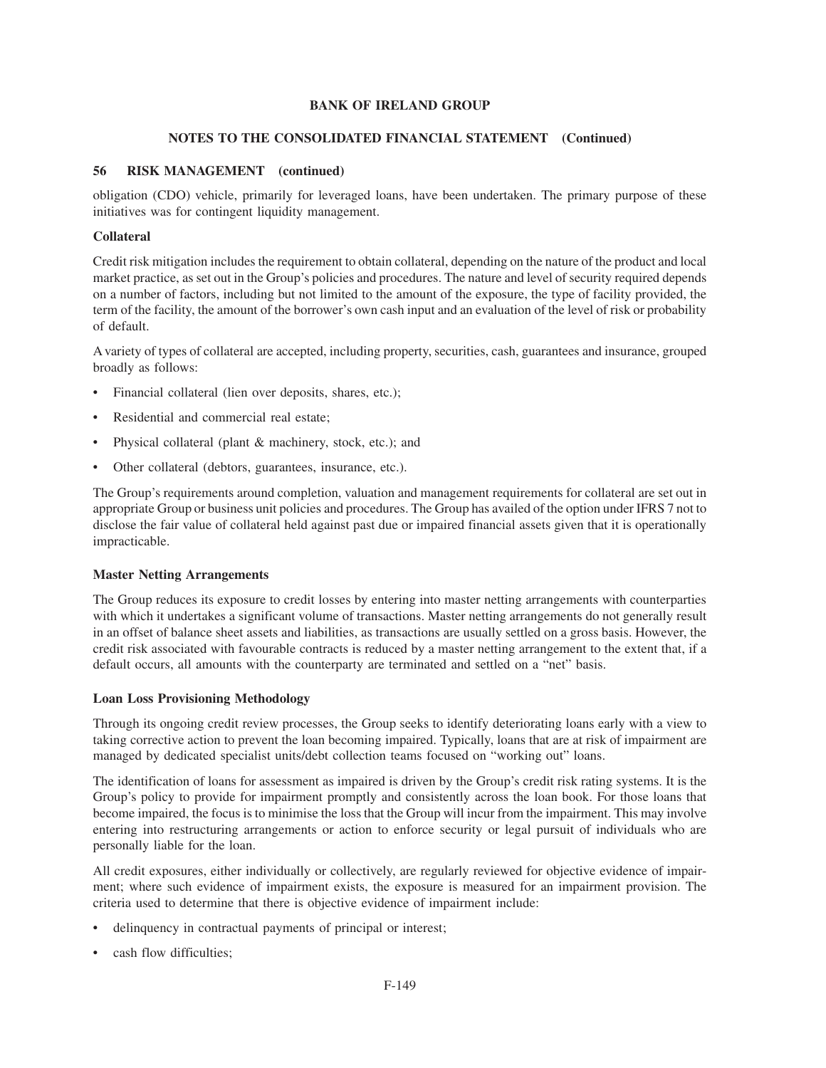# **NOTES TO THE CONSOLIDATED FINANCIAL STATEMENT (Continued)**

# **56 RISK MANAGEMENT (continued)**

obligation (CDO) vehicle, primarily for leveraged loans, have been undertaken. The primary purpose of these initiatives was for contingent liquidity management.

# **Collateral**

Credit risk mitigation includes the requirement to obtain collateral, depending on the nature of the product and local market practice, as set out in the Group's policies and procedures. The nature and level of security required depends on a number of factors, including but not limited to the amount of the exposure, the type of facility provided, the term of the facility, the amount of the borrower's own cash input and an evaluation of the level of risk or probability of default.

A variety of types of collateral are accepted, including property, securities, cash, guarantees and insurance, grouped broadly as follows:

- Financial collateral (lien over deposits, shares, etc.);
- Residential and commercial real estate;
- Physical collateral (plant & machinery, stock, etc.); and
- Other collateral (debtors, guarantees, insurance, etc.).

The Group's requirements around completion, valuation and management requirements for collateral are set out in appropriate Group or business unit policies and procedures. The Group has availed of the option under IFRS 7 not to disclose the fair value of collateral held against past due or impaired financial assets given that it is operationally impracticable.

## **Master Netting Arrangements**

The Group reduces its exposure to credit losses by entering into master netting arrangements with counterparties with which it undertakes a significant volume of transactions. Master netting arrangements do not generally result in an offset of balance sheet assets and liabilities, as transactions are usually settled on a gross basis. However, the credit risk associated with favourable contracts is reduced by a master netting arrangement to the extent that, if a default occurs, all amounts with the counterparty are terminated and settled on a "net" basis.

# **Loan Loss Provisioning Methodology**

Through its ongoing credit review processes, the Group seeks to identify deteriorating loans early with a view to taking corrective action to prevent the loan becoming impaired. Typically, loans that are at risk of impairment are managed by dedicated specialist units/debt collection teams focused on "working out" loans.

The identification of loans for assessment as impaired is driven by the Group's credit risk rating systems. It is the Group's policy to provide for impairment promptly and consistently across the loan book. For those loans that become impaired, the focus is to minimise the loss that the Group will incur from the impairment. This may involve entering into restructuring arrangements or action to enforce security or legal pursuit of individuals who are personally liable for the loan.

All credit exposures, either individually or collectively, are regularly reviewed for objective evidence of impairment; where such evidence of impairment exists, the exposure is measured for an impairment provision. The criteria used to determine that there is objective evidence of impairment include:

- delinquency in contractual payments of principal or interest;
- cash flow difficulties;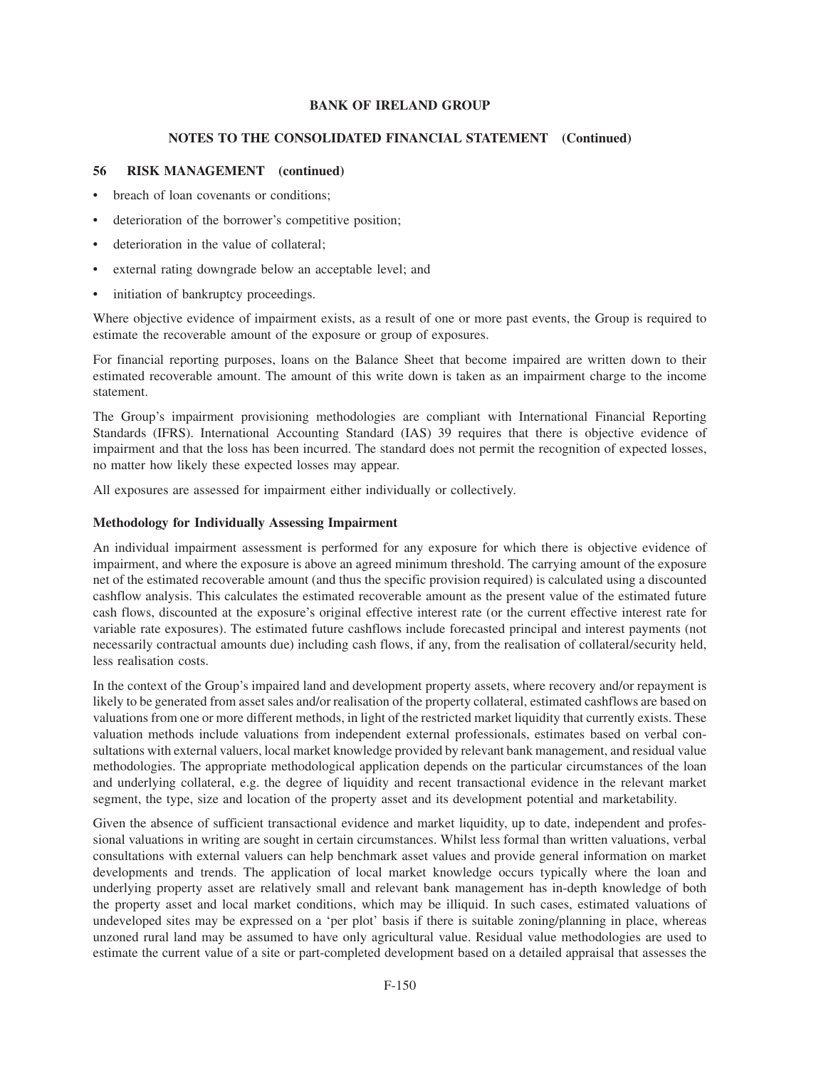## **NOTES TO THE CONSOLIDATED FINANCIAL STATEMENT (Continued)**

# **56 RISK MANAGEMENT (continued)**

- breach of loan covenants or conditions;
- deterioration of the borrower's competitive position;
- deterioration in the value of collateral;
- external rating downgrade below an acceptable level; and
- initiation of bankruptcy proceedings.

Where objective evidence of impairment exists, as a result of one or more past events, the Group is required to estimate the recoverable amount of the exposure or group of exposures.

For financial reporting purposes, loans on the Balance Sheet that become impaired are written down to their estimated recoverable amount. The amount of this write down is taken as an impairment charge to the income statement.

The Group's impairment provisioning methodologies are compliant with International Financial Reporting Standards (IFRS). International Accounting Standard (IAS) 39 requires that there is objective evidence of impairment and that the loss has been incurred. The standard does not permit the recognition of expected losses, no matter how likely these expected losses may appear.

All exposures are assessed for impairment either individually or collectively.

# **Methodology for Individually Assessing Impairment**

An individual impairment assessment is performed for any exposure for which there is objective evidence of impairment, and where the exposure is above an agreed minimum threshold. The carrying amount of the exposure net of the estimated recoverable amount (and thus the specific provision required) is calculated using a discounted cashflow analysis. This calculates the estimated recoverable amount as the present value of the estimated future cash flows, discounted at the exposure's original effective interest rate (or the current effective interest rate for variable rate exposures). The estimated future cashflows include forecasted principal and interest payments (not necessarily contractual amounts due) including cash flows, if any, from the realisation of collateral/security held, less realisation costs.

In the context of the Group's impaired land and development property assets, where recovery and/or repayment is likely to be generated from asset sales and/or realisation of the property collateral, estimated cashflows are based on valuations from one or more different methods, in light of the restricted market liquidity that currently exists. These valuation methods include valuations from independent external professionals, estimates based on verbal consultations with external valuers, local market knowledge provided by relevant bank management, and residual value methodologies. The appropriate methodological application depends on the particular circumstances of the loan and underlying collateral, e.g. the degree of liquidity and recent transactional evidence in the relevant market segment, the type, size and location of the property asset and its development potential and marketability.

Given the absence of sufficient transactional evidence and market liquidity, up to date, independent and professional valuations in writing are sought in certain circumstances. Whilst less formal than written valuations, verbal consultations with external valuers can help benchmark asset values and provide general information on market developments and trends. The application of local market knowledge occurs typically where the loan and underlying property asset are relatively small and relevant bank management has in-depth knowledge of both the property asset and local market conditions, which may be illiquid. In such cases, estimated valuations of undeveloped sites may be expressed on a 'per plot' basis if there is suitable zoning/planning in place, whereas unzoned rural land may be assumed to have only agricultural value. Residual value methodologies are used to estimate the current value of a site or part-completed development based on a detailed appraisal that assesses the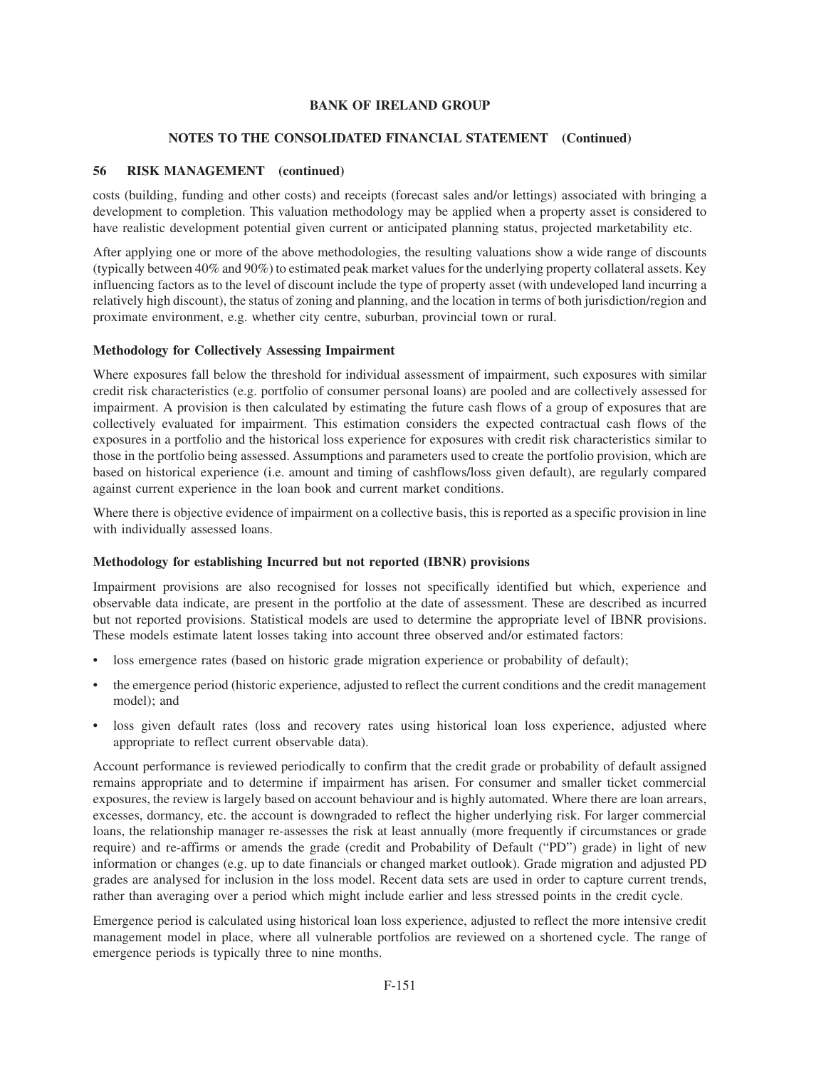# **NOTES TO THE CONSOLIDATED FINANCIAL STATEMENT (Continued)**

# **56 RISK MANAGEMENT (continued)**

costs (building, funding and other costs) and receipts (forecast sales and/or lettings) associated with bringing a development to completion. This valuation methodology may be applied when a property asset is considered to have realistic development potential given current or anticipated planning status, projected marketability etc.

After applying one or more of the above methodologies, the resulting valuations show a wide range of discounts (typically between 40% and 90%) to estimated peak market values for the underlying property collateral assets. Key influencing factors as to the level of discount include the type of property asset (with undeveloped land incurring a relatively high discount), the status of zoning and planning, and the location in terms of both jurisdiction/region and proximate environment, e.g. whether city centre, suburban, provincial town or rural.

## **Methodology for Collectively Assessing Impairment**

Where exposures fall below the threshold for individual assessment of impairment, such exposures with similar credit risk characteristics (e.g. portfolio of consumer personal loans) are pooled and are collectively assessed for impairment. A provision is then calculated by estimating the future cash flows of a group of exposures that are collectively evaluated for impairment. This estimation considers the expected contractual cash flows of the exposures in a portfolio and the historical loss experience for exposures with credit risk characteristics similar to those in the portfolio being assessed. Assumptions and parameters used to create the portfolio provision, which are based on historical experience (i.e. amount and timing of cashflows/loss given default), are regularly compared against current experience in the loan book and current market conditions.

Where there is objective evidence of impairment on a collective basis, this is reported as a specific provision in line with individually assessed loans.

## **Methodology for establishing Incurred but not reported (IBNR) provisions**

Impairment provisions are also recognised for losses not specifically identified but which, experience and observable data indicate, are present in the portfolio at the date of assessment. These are described as incurred but not reported provisions. Statistical models are used to determine the appropriate level of IBNR provisions. These models estimate latent losses taking into account three observed and/or estimated factors:

- loss emergence rates (based on historic grade migration experience or probability of default);
- the emergence period (historic experience, adjusted to reflect the current conditions and the credit management model); and
- loss given default rates (loss and recovery rates using historical loan loss experience, adjusted where appropriate to reflect current observable data).

Account performance is reviewed periodically to confirm that the credit grade or probability of default assigned remains appropriate and to determine if impairment has arisen. For consumer and smaller ticket commercial exposures, the review is largely based on account behaviour and is highly automated. Where there are loan arrears, excesses, dormancy, etc. the account is downgraded to reflect the higher underlying risk. For larger commercial loans, the relationship manager re-assesses the risk at least annually (more frequently if circumstances or grade require) and re-affirms or amends the grade (credit and Probability of Default ("PD") grade) in light of new information or changes (e.g. up to date financials or changed market outlook). Grade migration and adjusted PD grades are analysed for inclusion in the loss model. Recent data sets are used in order to capture current trends, rather than averaging over a period which might include earlier and less stressed points in the credit cycle.

Emergence period is calculated using historical loan loss experience, adjusted to reflect the more intensive credit management model in place, where all vulnerable portfolios are reviewed on a shortened cycle. The range of emergence periods is typically three to nine months.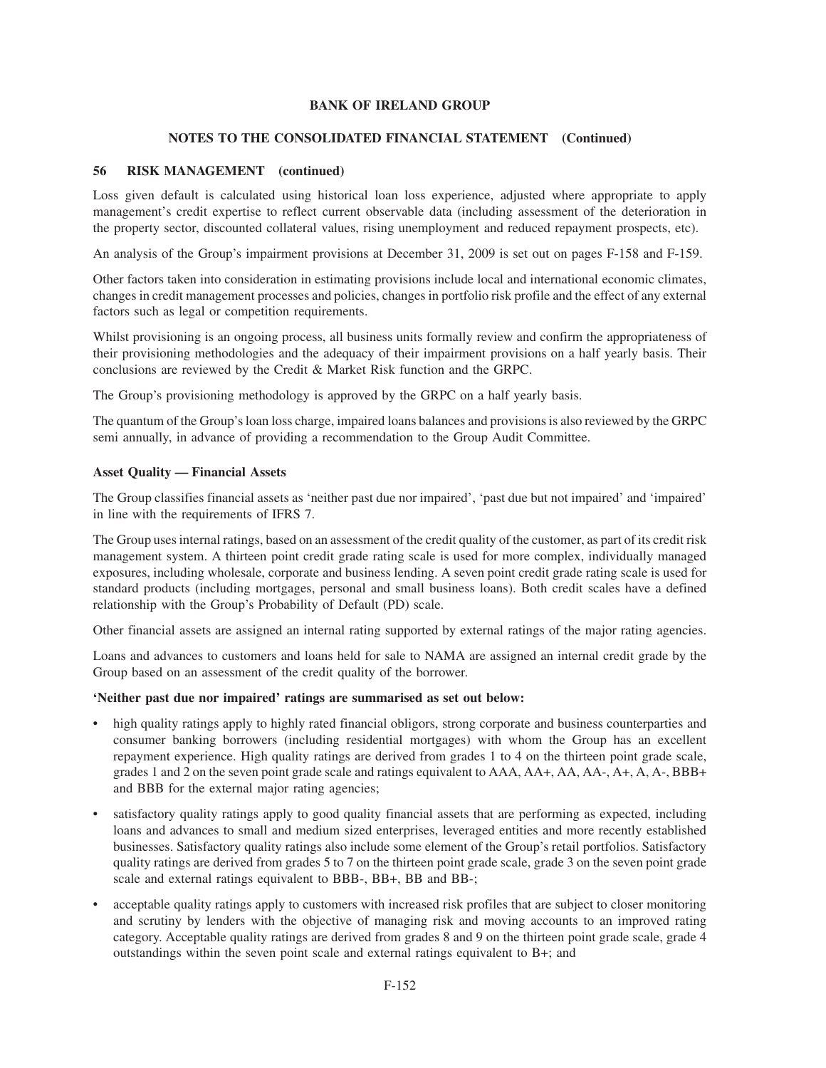## **NOTES TO THE CONSOLIDATED FINANCIAL STATEMENT (Continued)**

# **56 RISK MANAGEMENT (continued)**

Loss given default is calculated using historical loan loss experience, adjusted where appropriate to apply management's credit expertise to reflect current observable data (including assessment of the deterioration in the property sector, discounted collateral values, rising unemployment and reduced repayment prospects, etc).

An analysis of the Group's impairment provisions at December 31, 2009 is set out on pages F-158 and F-159.

Other factors taken into consideration in estimating provisions include local and international economic climates, changes in credit management processes and policies, changes in portfolio risk profile and the effect of any external factors such as legal or competition requirements.

Whilst provisioning is an ongoing process, all business units formally review and confirm the appropriateness of their provisioning methodologies and the adequacy of their impairment provisions on a half yearly basis. Their conclusions are reviewed by the Credit & Market Risk function and the GRPC.

The Group's provisioning methodology is approved by the GRPC on a half yearly basis.

The quantum of the Group's loan loss charge, impaired loans balances and provisions is also reviewed by the GRPC semi annually, in advance of providing a recommendation to the Group Audit Committee.

# **Asset Quality — Financial Assets**

The Group classifies financial assets as 'neither past due nor impaired', 'past due but not impaired' and 'impaired' in line with the requirements of IFRS 7.

The Group uses internal ratings, based on an assessment of the credit quality of the customer, as part of its credit risk management system. A thirteen point credit grade rating scale is used for more complex, individually managed exposures, including wholesale, corporate and business lending. A seven point credit grade rating scale is used for standard products (including mortgages, personal and small business loans). Both credit scales have a defined relationship with the Group's Probability of Default (PD) scale.

Other financial assets are assigned an internal rating supported by external ratings of the major rating agencies.

Loans and advances to customers and loans held for sale to NAMA are assigned an internal credit grade by the Group based on an assessment of the credit quality of the borrower.

## **'Neither past due nor impaired' ratings are summarised as set out below:**

- high quality ratings apply to highly rated financial obligors, strong corporate and business counterparties and consumer banking borrowers (including residential mortgages) with whom the Group has an excellent repayment experience. High quality ratings are derived from grades 1 to 4 on the thirteen point grade scale, grades 1 and 2 on the seven point grade scale and ratings equivalent to AAA, AA+, AA, AA-, A+, A, A-, BBB+ and BBB for the external major rating agencies;
- satisfactory quality ratings apply to good quality financial assets that are performing as expected, including loans and advances to small and medium sized enterprises, leveraged entities and more recently established businesses. Satisfactory quality ratings also include some element of the Group's retail portfolios. Satisfactory quality ratings are derived from grades 5 to 7 on the thirteen point grade scale, grade 3 on the seven point grade scale and external ratings equivalent to BBB-, BB+, BB and BB-;
- acceptable quality ratings apply to customers with increased risk profiles that are subject to closer monitoring and scrutiny by lenders with the objective of managing risk and moving accounts to an improved rating category. Acceptable quality ratings are derived from grades 8 and 9 on the thirteen point grade scale, grade 4 outstandings within the seven point scale and external ratings equivalent to B+; and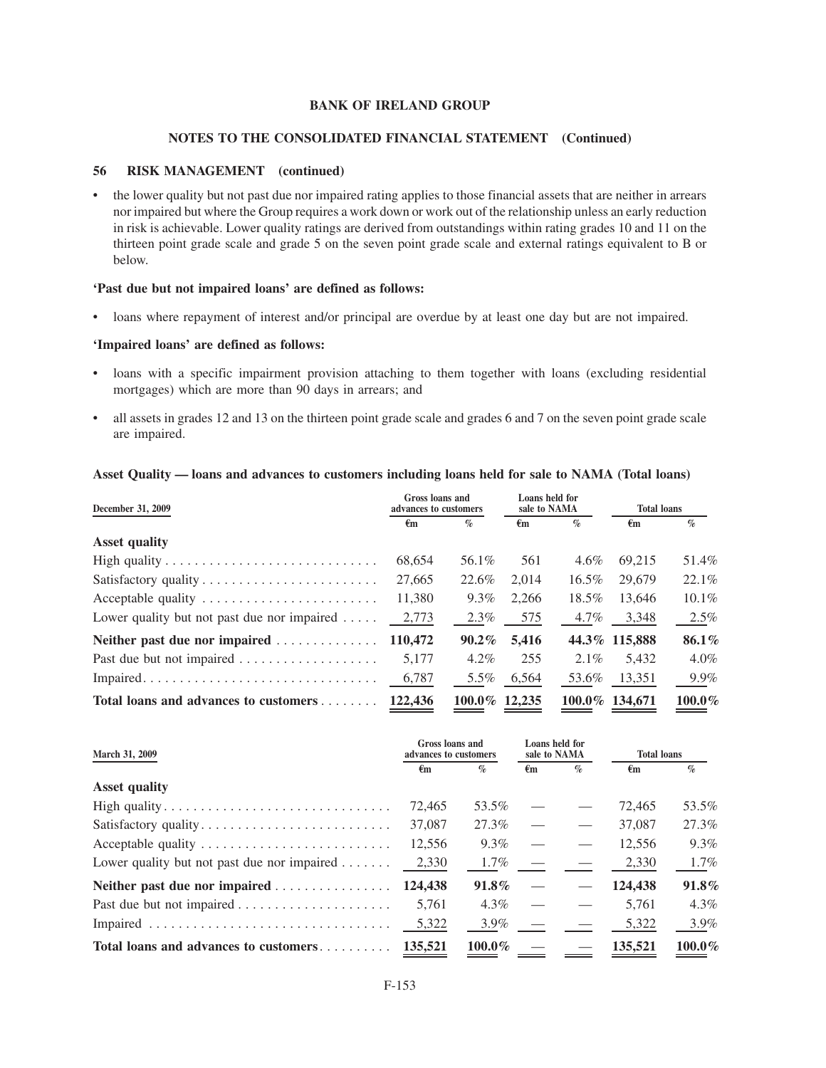#### **NOTES TO THE CONSOLIDATED FINANCIAL STATEMENT (Continued)**

## **56 RISK MANAGEMENT (continued)**

• the lower quality but not past due nor impaired rating applies to those financial assets that are neither in arrears nor impaired but where the Group requires a work down or work out of the relationship unless an early reduction in risk is achievable. Lower quality ratings are derived from outstandings within rating grades 10 and 11 on the thirteen point grade scale and grade 5 on the seven point grade scale and external ratings equivalent to B or below.

## **'Past due but not impaired loans' are defined as follows:**

• loans where repayment of interest and/or principal are overdue by at least one day but are not impaired.

#### **'Impaired loans' are defined as follows:**

- loans with a specific impairment provision attaching to them together with loans (excluding residential mortgages) which are more than 90 days in arrears; and
- all assets in grades 12 and 13 on the thirteen point grade scale and grades 6 and 7 on the seven point grade scale are impaired.

## **Asset Quality — loans and advances to customers including loans held for sale to NAMA (Total loans)**

| December 31, 2009                                     | Gross loans and<br>advances to customers |               | Loans held for<br>sale to NAMA |          | <b>Total loans</b> |           |
|-------------------------------------------------------|------------------------------------------|---------------|--------------------------------|----------|--------------------|-----------|
|                                                       | $\epsilon$ m                             | $\%$          | €m                             | $\%$     | $\epsilon_{\rm m}$ | $\%$      |
| <b>Asset quality</b>                                  |                                          |               |                                |          |                    |           |
|                                                       | 68,654                                   | 56.1%         | 561                            | $4.6\%$  | 69.215             | 51.4%     |
|                                                       | 27,665                                   | 22.6%         | 2.014                          | $16.5\%$ | 29,679             | $22.1\%$  |
| Acceptable quality                                    | 11,380                                   | $9.3\%$       | 2.266                          | 18.5%    | 13.646             | $10.1\%$  |
| Lower quality but not past due nor impaired $\dots$ . | 2,773                                    | 2.3%          | 575                            | 4.7%     | 3,348              | $2.5\%$   |
| Neither past due nor impaired                         | 110,472                                  | $90.2\%$      | 5,416                          |          | 44.3% 115,888      | 86.1%     |
| Past due but not impaired                             | 5.177                                    | $4.2\%$       | 255                            | $2.1\%$  | 5.432              | $4.0\%$   |
|                                                       | 6,787                                    | 5.5%          | 6,564                          | 53.6%    | 13,351             | 9.9%      |
| Total loans and advances to customers 122,436         |                                          | 100.0% 12.235 |                                |          | 100.0% 134.671     | $100.0\%$ |

| March 31, 2009                                      | Gross loans and<br>advances to customers |           | Loans held for<br>sale to NAMA |      | <b>Total loans</b> |           |
|-----------------------------------------------------|------------------------------------------|-----------|--------------------------------|------|--------------------|-----------|
|                                                     | €m                                       | $\%$      | €m                             | $\%$ | €m                 | $\%$      |
| <b>Asset quality</b>                                |                                          |           |                                |      |                    |           |
|                                                     | 72,465                                   | 53.5%     |                                |      | 72,465             | 53.5%     |
| Satisfactory quality                                | 37,087                                   | 27.3%     |                                |      | 37,087             | 27.3%     |
| Acceptable quality                                  | 12,556                                   | $9.3\%$   |                                |      | 12.556             | $9.3\%$   |
| Lower quality but not past due nor impaired $\dots$ | 2,330                                    | $1.7\%$   |                                |      | 2,330              | 1.7%      |
| Neither past due nor impaired                       | 124,438                                  | $91.8\%$  |                                |      | 124,438            | 91.8%     |
| Past due but not impaired                           | 5.761                                    | $4.3\%$   |                                |      | 5.761              | 4.3%      |
|                                                     | 5,322                                    | $3.9\%$   |                                |      | 5,322              | 3.9%      |
| Total loans and advances to customers               | 135,521                                  | $100.0\%$ |                                |      | 135.521            | $100.0\%$ |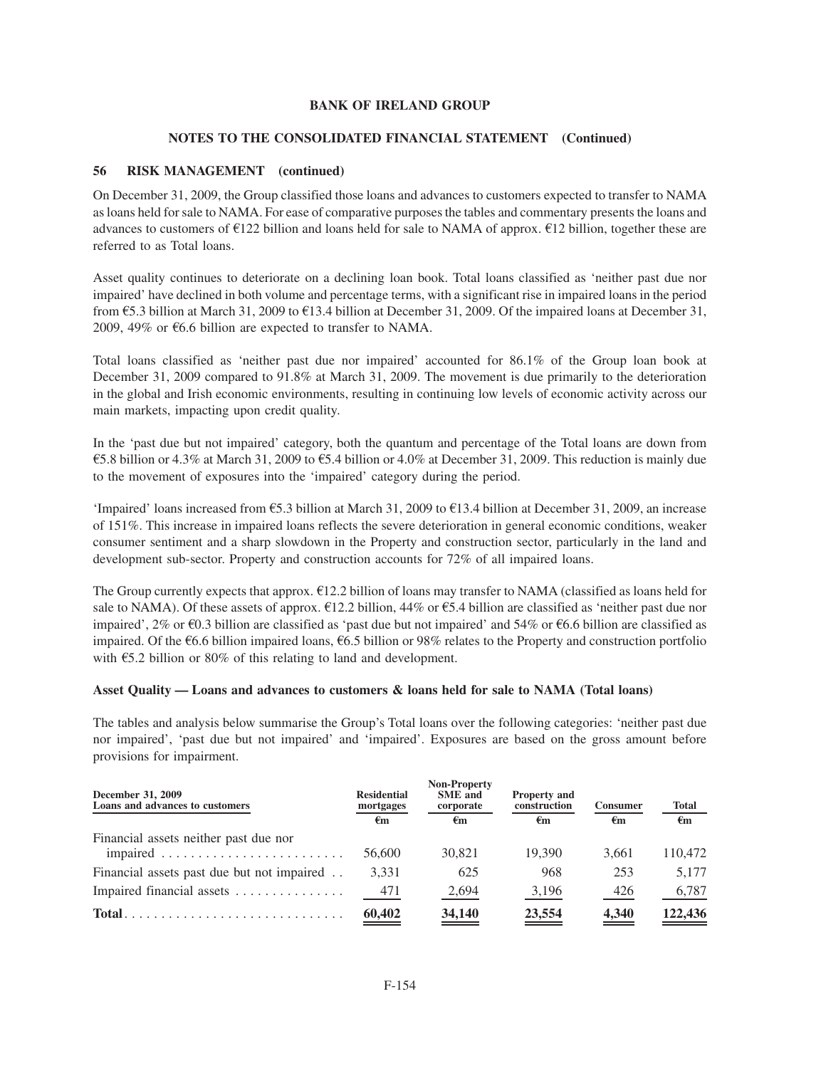# **NOTES TO THE CONSOLIDATED FINANCIAL STATEMENT (Continued)**

# **56 RISK MANAGEMENT (continued)**

On December 31, 2009, the Group classified those loans and advances to customers expected to transfer to NAMA as loans held for sale to NAMA. For ease of comparative purposes the tables and commentary presents the loans and advances to customers of  $\epsilon$ 122 billion and loans held for sale to NAMA of approx.  $\epsilon$ 12 billion, together these are referred to as Total loans.

Asset quality continues to deteriorate on a declining loan book. Total loans classified as 'neither past due nor impaired' have declined in both volume and percentage terms, with a significant rise in impaired loans in the period from  $\text{\textsterling}5.3$  billion at March 31, 2009 to  $\text{\textsterling}13.4$  billion at December 31, 2009. Of the impaired loans at December 31, 2009, 49% or  $66.6$  billion are expected to transfer to NAMA.

Total loans classified as 'neither past due nor impaired' accounted for 86.1% of the Group loan book at December 31, 2009 compared to 91.8% at March 31, 2009. The movement is due primarily to the deterioration in the global and Irish economic environments, resulting in continuing low levels of economic activity across our main markets, impacting upon credit quality.

In the 'past due but not impaired' category, both the quantum and percentage of the Total loans are down from  $65.8$  billion or 4.3% at March 31, 2009 to  $65.4$  billion or 4.0% at December 31, 2009. This reduction is mainly due to the movement of exposures into the 'impaired' category during the period.

'Impaired' loans increased from  $\epsilon$ 5.3 billion at March 31, 2009 to  $\epsilon$ 13.4 billion at December 31, 2009, an increase of 151%. This increase in impaired loans reflects the severe deterioration in general economic conditions, weaker consumer sentiment and a sharp slowdown in the Property and construction sector, particularly in the land and development sub-sector. Property and construction accounts for 72% of all impaired loans.

The Group currently expects that approx.  $E12.2$  billion of loans may transfer to NAMA (classified as loans held for sale to NAMA). Of these assets of approx.  $E12.2$  billion, 44% or  $E5.4$  billion are classified as 'neither past due nor impaired', 2% or  $\epsilon$ 0.3 billion are classified as 'past due but not impaired' and 54% or  $\epsilon$ 6.6 billion are classified as impaired. Of the  $\epsilon$ 6.6 billion impaired loans,  $\epsilon$ 6.5 billion or 98% relates to the Property and construction portfolio with  $\epsilon$ 5.2 billion or 80% of this relating to land and development.

## **Asset Quality — Loans and advances to customers & loans held for sale to NAMA (Total loans)**

The tables and analysis below summarise the Group's Total loans over the following categories: 'neither past due nor impaired', 'past due but not impaired' and 'impaired'. Exposures are based on the gross amount before provisions for impairment.

| December 31, 2009<br>Loans and advances to customers                      | <b>Residential</b><br>mortgages<br>€m | <b>Non-Property</b><br><b>SME</b> and<br>corporate<br>€m | <b>Property and</b><br>construction<br>€m | <b>Consumer</b><br>€m | <b>Total</b><br>$\epsilon_{\rm m}$ |
|---------------------------------------------------------------------------|---------------------------------------|----------------------------------------------------------|-------------------------------------------|-----------------------|------------------------------------|
| Financial assets neither past due nor                                     | 56,600                                | 30.821                                                   | 19.390                                    | 3.661                 | 110.472                            |
| Financial assets past due but not impaired                                | 3,331                                 | 625                                                      | 968                                       | 253                   | 5.177                              |
| Impaired financial assets                                                 | 471                                   | 2,694                                                    | 3,196                                     | 426                   | 6,787                              |
| $Total \dots \dots \dots \dots \dots \dots \dots \dots \dots \dots \dots$ | $\underline{60,402}$                  | $\frac{34,140}{2}$                                       | 23,554                                    | $\frac{4,340}{ }$     | 122,436                            |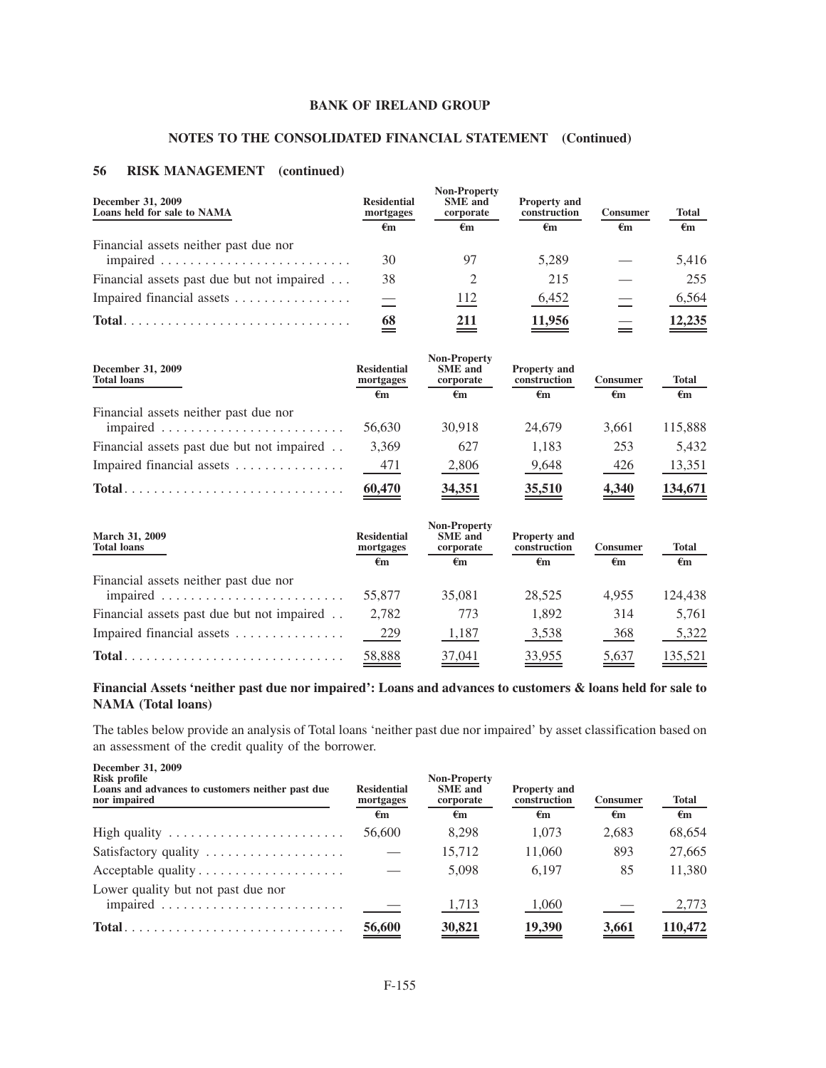# **NOTES TO THE CONSOLIDATED FINANCIAL STATEMENT (Continued)**

# **56 RISK MANAGEMENT (continued)**

| December 31, 2009<br>Loans held for sale to NAMA | <b>Residential</b><br>mortgages<br>€m | <b>Non-Property</b><br><b>SME</b> and<br>corporate<br>€m | <b>Property and</b><br>construction<br>€m | <b>Consumer</b><br>€m | <b>Total</b><br>$\epsilon$ m |
|--------------------------------------------------|---------------------------------------|----------------------------------------------------------|-------------------------------------------|-----------------------|------------------------------|
| Financial assets neither past due nor            | 30                                    |                                                          | 5.289                                     |                       | 5,416                        |
| Financial assets past due but not impaired       | 38                                    |                                                          | 215                                       |                       | 255                          |
| Impaired financial assets                        |                                       | 112                                                      | 6,452                                     |                       | 6,564                        |
| $Total.$                                         | 68                                    | 211                                                      | 11,956                                    |                       | 12,235                       |

| December 31, 2009<br><b>Total loans</b>                                   | <b>Residential</b><br>mortgages<br>€m | <b>Non-Property</b><br><b>SME</b> and<br>corporate<br>€m | <b>Property and</b><br>construction<br>€m | <b>Consumer</b><br>€m | <b>Total</b><br>€m |
|---------------------------------------------------------------------------|---------------------------------------|----------------------------------------------------------|-------------------------------------------|-----------------------|--------------------|
| Financial assets neither past due nor                                     | 56,630                                | 30.918                                                   | 24,679                                    | 3.661                 | 115,888            |
| Financial assets past due but not impaired                                | 3,369                                 | 627                                                      | 1.183                                     | 253                   | 5.432              |
| Impaired financial assets                                                 | 471                                   | 2,806                                                    | 9,648                                     | 426                   | 13,351             |
| $Total \dots \dots \dots \dots \dots \dots \dots \dots \dots \dots \dots$ | 60,470                                | 34,351                                                   | 35,510                                    | 4.340                 | 134,671            |

| March 31, 2009<br><b>Total loans</b>                                            | <b>Residential</b><br>mortgages<br>€m | <b>Non-Property</b><br><b>SME</b> and<br>corporate<br>$\epsilon_{\rm m}$ | <b>Property and</b><br>construction<br>€m | <b>Consumer</b><br>$\epsilon_{\rm m}$ | Total<br>$\epsilon_{\rm m}$ |
|---------------------------------------------------------------------------------|---------------------------------------|--------------------------------------------------------------------------|-------------------------------------------|---------------------------------------|-----------------------------|
| Financial assets neither past due nor                                           | 55,877                                | 35,081                                                                   | 28.525                                    | 4.955                                 | 124.438                     |
| Financial assets past due but not impaired                                      | 2,782                                 | 773                                                                      | 1.892                                     | 314                                   | 5.761                       |
| Impaired financial assets                                                       | 229                                   | 1,187                                                                    | 3,538                                     | 368                                   | 5,322                       |
| $Total \dots \dots \dots \dots \dots \dots \dots \dots \dots \dots \dots \dots$ | 58,888                                | 37,041                                                                   | 33,955                                    | 5,637                                 | 135,521                     |

# **Financial Assets 'neither past due nor impaired': Loans and advances to customers & loans held for sale to NAMA (Total loans)**

The tables below provide an analysis of Total loans 'neither past due nor impaired' by asset classification based on an assessment of the credit quality of the borrower.

| December 31, 2009<br>Risk profile<br>Loans and advances to customers neither past due<br>nor impaired | <b>Residential</b><br>mortgages | <b>Non-Property</b><br><b>SME</b> and<br>corporate | <b>Property and</b><br>construction | <b>Consumer</b> | <b>Total</b> |
|-------------------------------------------------------------------------------------------------------|---------------------------------|----------------------------------------------------|-------------------------------------|-----------------|--------------|
|                                                                                                       | €m                              | €m                                                 | €m                                  | €m              | €m           |
| High quality $\dots \dots \dots \dots \dots \dots \dots$                                              | 56,600                          | 8.298                                              | 1.073                               | 2,683           | 68,654       |
| Satisfactory quality $\dots \dots \dots \dots \dots \dots$                                            |                                 | 15,712                                             | 11,060                              | 893             | 27,665       |
| Acceptable quality                                                                                    |                                 | 5,098                                              | 6.197                               | 85              | 11,380       |
| Lower quality but not past due nor                                                                    |                                 | 1,713                                              | 1,060                               |                 | 2,773        |
|                                                                                                       | 56,600                          | 30,821                                             | 19,390                              | 3,661           | 110,472      |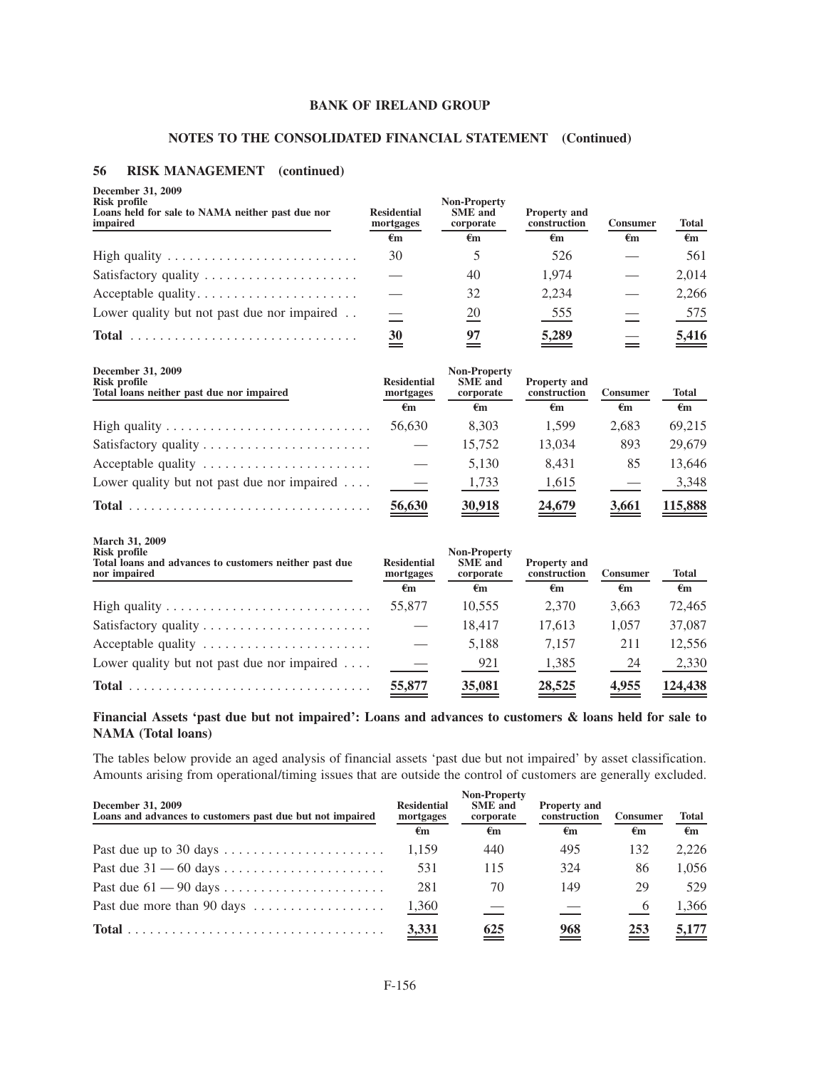# **NOTES TO THE CONSOLIDATED FINANCIAL STATEMENT (Continued)**

## **56 RISK MANAGEMENT (continued)**

| December 31, 2009<br><b>Risk profile</b><br>Loans held for sale to NAMA neither past due nor<br>impaired        | <b>Residential</b><br>mortgages | Non-Property<br><b>SME</b> and<br>corporate        | <b>Property and</b><br>construction | Consumer          | <b>Total</b>       |
|-----------------------------------------------------------------------------------------------------------------|---------------------------------|----------------------------------------------------|-------------------------------------|-------------------|--------------------|
|                                                                                                                 | €m                              | €m                                                 | $\epsilon_{m}$                      | $\epsilon$ m      | $\epsilon_{\rm m}$ |
|                                                                                                                 | 30                              | 5                                                  | 526                                 |                   | 561                |
| Satisfactory quality                                                                                            |                                 | 40                                                 | 1,974                               |                   | 2,014              |
| Acceptable quality                                                                                              |                                 | 32                                                 | 2,234                               |                   | 2,266              |
| Lower quality but not past due nor impaired                                                                     |                                 | $\frac{20}{}$                                      | 555                                 |                   | 575                |
|                                                                                                                 | $\overset{30}{=}$               | 97<br>$\equiv$                                     | $\underline{5,289}$                 | $=$               | 5,416              |
| December 31, 2009<br><b>Risk profile</b><br>Total loans neither past due nor impaired                           | <b>Residential</b><br>mortgages | <b>Non-Property</b><br><b>SME</b> and<br>corporate | <b>Property and</b><br>construction | <b>Consumer</b>   | <b>Total</b>       |
|                                                                                                                 | $\epsilon$ m                    | $\epsilon$ m                                       | $\epsilon$ m                        | $\epsilon$ m      | $\epsilon$ m       |
| High quality $\ldots \ldots \ldots \ldots \ldots \ldots \ldots \ldots$                                          | 56,630                          | 8.303                                              | 1.599                               | 2,683             | 69,215             |
|                                                                                                                 |                                 | 15,752                                             | 13,034                              | 893               | 29,679             |
| Acceptable quality                                                                                              |                                 | 5,130                                              | 8,431                               | 85                | 13,646             |
| Lower quality but not past due nor impaired                                                                     |                                 | 1,733                                              | 1,615                               |                   | 3,348              |
|                                                                                                                 | 56,630                          | $\frac{30,918}{2}$                                 | 24,679                              | $\frac{3,661}{ }$ | 115,888            |
| March 31, 2009<br><b>Risk profile</b><br>Total loans and advances to customers neither past due<br>nor impaired | <b>Residential</b><br>mortgages | <b>Non-Property</b><br><b>SME</b> and<br>corporate | <b>Property and</b><br>construction | Consumer          | <b>Total</b>       |
|                                                                                                                 | $\epsilon$ m                    | €m                                                 | $\epsilon$ m                        | $\epsilon$ m      | €m                 |
|                                                                                                                 | 55,877                          | 10,555                                             | 2,370                               | 3,663             | 72,465             |
|                                                                                                                 |                                 | 18,417                                             | 17,613                              | 1,057             | 37,087             |
| Acceptable quality                                                                                              |                                 | 5,188                                              | 7,157                               | 211               | 12,556             |
| Lower quality but not past due nor impaired $\dots$                                                             |                                 | 921                                                | 1,385                               | 24                | 2,330              |
|                                                                                                                 | 55,877                          | 35,081                                             | 28,525                              | 4,955             | 124,438            |

# **Financial Assets 'past due but not impaired': Loans and advances to customers & loans held for sale to NAMA (Total loans)**

The tables below provide an aged analysis of financial assets 'past due but not impaired' by asset classification. Amounts arising from operational/timing issues that are outside the control of customers are generally excluded.

| December 31, 2009<br>Loans and advances to customers past due but not impaired              | <b>Residential</b><br>mortgages<br>€m | <b>Non-Property</b><br><b>SME</b> and<br>corporate<br>€m | <b>Property and</b><br>construction<br>€m | <b>Consumer</b><br>€m | <b>Total</b><br>€m |
|---------------------------------------------------------------------------------------------|---------------------------------------|----------------------------------------------------------|-------------------------------------------|-----------------------|--------------------|
|                                                                                             | 1.159                                 | 440                                                      | 495                                       | 132                   | 2.226              |
|                                                                                             | 531                                   | 115                                                      | 324                                       | 86                    | 1.056              |
|                                                                                             | 281                                   | 70                                                       | 149                                       | 29                    | 529                |
| Past due more than 90 days                                                                  | 1,360                                 |                                                          |                                           | $\theta$              | 1,366              |
| $Total \dots \dots \dots \dots \dots \dots \dots \dots \dots \dots \dots \dots \dots \dots$ | 3,331                                 | 625                                                      | 968                                       | 253                   | 5,177              |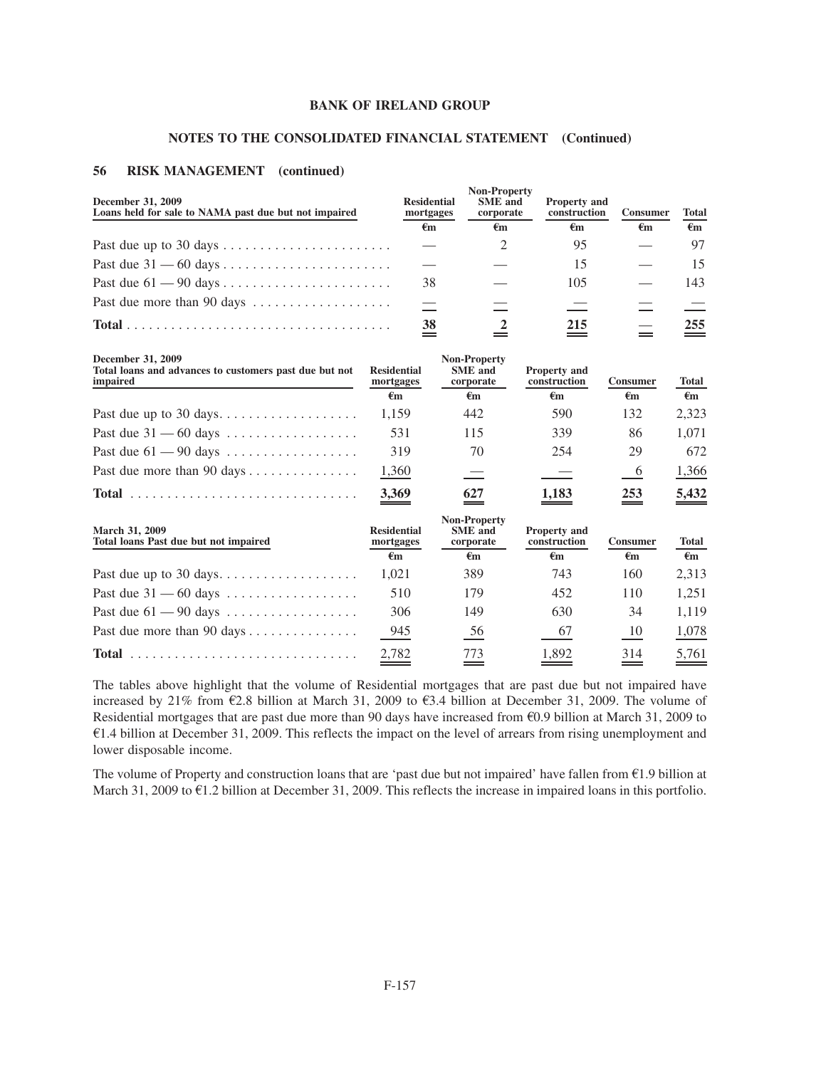#### **NOTES TO THE CONSOLIDATED FINANCIAL STATEMENT (Continued)**

#### **56 RISK MANAGEMENT (continued)**

| December 31, 2009<br>Loans held for sale to NAMA past due but not impaired | <b>Residential</b><br>mortgages<br>€m | <b>Non-Property</b><br><b>SME</b> and<br>corporate<br>€m | <b>Property and</b><br>construction<br>€m | <b>Consumer</b><br>€m | <b>Total</b><br>€m |
|----------------------------------------------------------------------------|---------------------------------------|----------------------------------------------------------|-------------------------------------------|-----------------------|--------------------|
|                                                                            |                                       |                                                          | 95                                        |                       | 97                 |
|                                                                            |                                       |                                                          | 15                                        |                       | 15                 |
|                                                                            | 38                                    |                                                          | 105                                       |                       | 143                |
| Past due more than 90 days                                                 |                                       |                                                          |                                           |                       |                    |
|                                                                            | 38                                    |                                                          | 215                                       |                       | 255                |

**December 31, 2009**

| December 31, 2009<br>Total loans and advances to customers past due but not<br>impaired | <b>Residential</b><br>mortgages<br>€m | <b>Non-Property</b><br><b>SME</b> and<br>corporate<br>€m | <b>Property and</b><br>construction<br>€m | <b>Consumer</b><br>€m | <b>Total</b><br>$\epsilon_{\rm m}$ |
|-----------------------------------------------------------------------------------------|---------------------------------------|----------------------------------------------------------|-------------------------------------------|-----------------------|------------------------------------|
| Past due up to 30 days                                                                  | 1.159                                 | 442                                                      | 590                                       | 132                   | 2.323                              |
| Past due $31 - 60$ days                                                                 | 531                                   | 115                                                      | 339                                       | 86                    | 1.071                              |
| Past due $61 - 90$ days                                                                 | 319                                   | 70                                                       | 254                                       | 29                    | 672                                |
| Past due more than 90 days $\dots \dots \dots \dots$                                    | 1,360                                 |                                                          |                                           | $\frac{6}{1}$         | 1,366                              |
| <b>Total</b>                                                                            | 3.369                                 | 627                                                      | 1.183                                     | 253                   | 5.432                              |

| <b>March 31, 2009</b><br>Total loans Past due but not impaired | <b>Residential</b><br>mortgages<br>€m | <b>Non-Property</b><br><b>SME</b> and<br>corporate<br>€m | <b>Property and</b><br>construction<br>€m | <b>Consumer</b><br>€m | <b>Total</b><br>€m |
|----------------------------------------------------------------|---------------------------------------|----------------------------------------------------------|-------------------------------------------|-----------------------|--------------------|
|                                                                | 1.021                                 | 389                                                      | 743                                       | 160                   | 2.313              |
| Past due $31 - 60$ days                                        | 510                                   | 179                                                      | 452                                       | 110                   | 1.251              |
| Past due $61 - 90$ days $\dots \dots \dots \dots \dots$        | 306                                   | 149                                                      | 630                                       | 34                    | 1.119              |
| Past due more than 90 days                                     | 945                                   | 56                                                       | 67                                        | 10                    | 1,078              |
|                                                                | 2,782                                 | 773                                                      | 1.892                                     | 314                   | 5.761              |

The tables above highlight that the volume of Residential mortgages that are past due but not impaired have increased by 21% from  $\epsilon$ 2.8 billion at March 31, 2009 to  $\epsilon$ 3.4 billion at December 31, 2009. The volume of Residential mortgages that are past due more than 90 days have increased from  $\epsilon$ 0.9 billion at March 31, 2009 to  $E1.4$  billion at December 31, 2009. This reflects the impact on the level of arrears from rising unemployment and lower disposable income.

The volume of Property and construction loans that are 'past due but not impaired' have fallen from  $E1.9$  billion at March 31, 2009 to  $\epsilon$ 1.2 billion at December 31, 2009. This reflects the increase in impaired loans in this portfolio.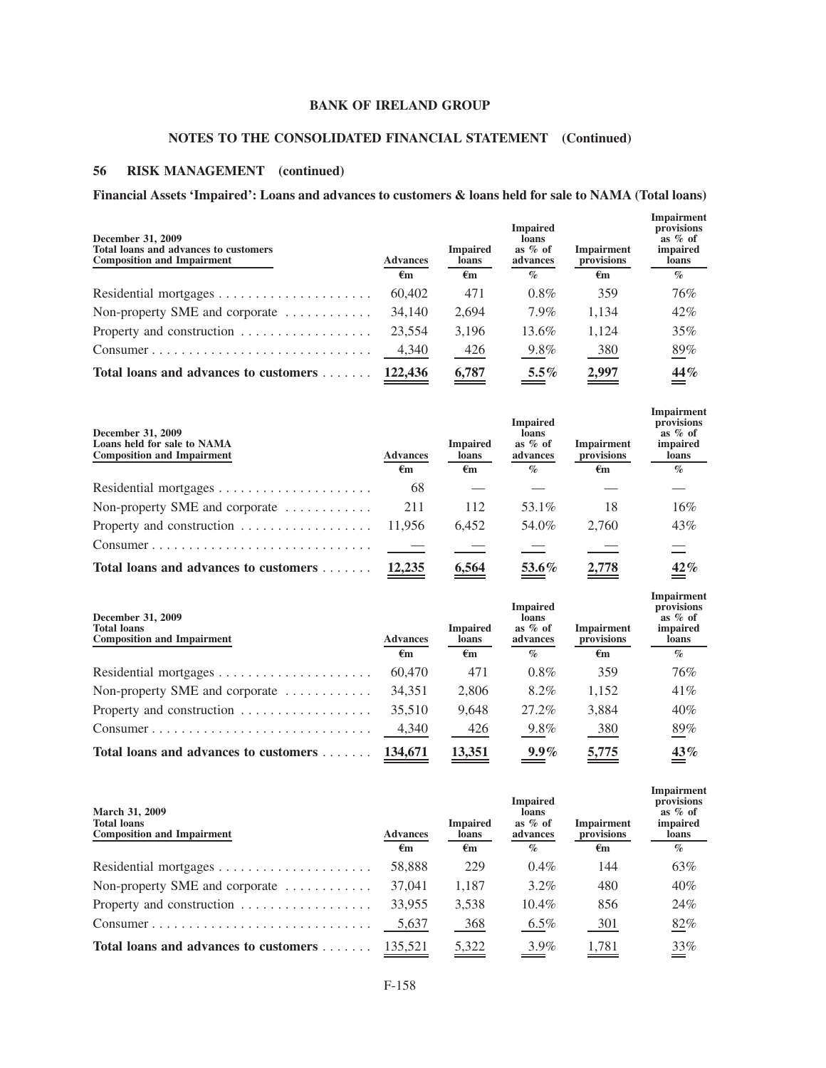# **NOTES TO THE CONSOLIDATED FINANCIAL STATEMENT (Continued)**

# **56 RISK MANAGEMENT (continued)**

# **Financial Assets 'Impaired': Loans and advances to customers & loans held for sale to NAMA (Total loans)**

| December 31, 2009<br>Total loans and advances to customers<br><b>Composition and Impairment</b> | <b>Advances</b> | <b>Impaired</b><br>loans | <b>Impaired</b><br>loans<br>as $%$ of<br>advances | <b>Impairment</b><br>provisions | Impairment<br>provisions<br>as $%$ of<br>impaired<br>loans |
|-------------------------------------------------------------------------------------------------|-----------------|--------------------------|---------------------------------------------------|---------------------------------|------------------------------------------------------------|
|                                                                                                 | €m              | $\epsilon_{\rm m}$       | $\%$                                              | €m                              | $\%$                                                       |
|                                                                                                 | 60,402          | 471                      | $0.8\%$                                           | 359                             | 76%                                                        |
| Non-property SME and corporate $\dots\dots\dots\dots$                                           | 34,140          | 2,694                    | 7.9%                                              | 1.134                           | 42%                                                        |
| Property and construction $\dots\dots\dots\dots\dots\dots$                                      | 23,554          | 3,196                    | 13.6%                                             | 1.124                           | 35%                                                        |
| Consumer                                                                                        | 4,340           | 426                      | 9.8%                                              | 380                             | 89%                                                        |
| Total loans and advances to customers                                                           | 122,436         | 6,787                    | $5.5\%$                                           | 2,997                           | 44%                                                        |

| December 31, 2009<br>Loans held for sale to NAMA<br><b>Composition and Impairment</b> | <b>Advances</b>    | <b>Impaired</b><br>loans | <b>Impaired</b><br>loans<br>as $%$ of<br>advances | <b>Impairment</b><br>provisions | Impairment<br>provisions<br>as $%$ of<br><i>impaired</i><br>loans |
|---------------------------------------------------------------------------------------|--------------------|--------------------------|---------------------------------------------------|---------------------------------|-------------------------------------------------------------------|
|                                                                                       | $\epsilon_{\rm m}$ | €m                       | $\%$                                              | €m                              | $\mathcal{O}_\mathcal{D}$                                         |
|                                                                                       | 68                 |                          |                                                   |                                 |                                                                   |
| Non-property SME and corporate $\dots\dots\dots\dots$                                 | 211                | 112                      | 53.1%                                             | 18                              | 16%                                                               |
| Property and construction                                                             | 11.956             | 6.452                    | 54.0%                                             | 2.760                           | 43%                                                               |
| Consumer                                                                              |                    |                          |                                                   |                                 |                                                                   |
| Total loans and advances to customers                                                 | 12,235             | 6.564                    | $53.6\%$                                          | 2.778                           | 42%                                                               |

| December 31, 2009<br><b>Total loans</b><br><b>Composition and Impairment</b> | <b>Advances</b> | <b>Impaired</b><br>loans | <b>Impaired</b><br>loans<br>as $%$ of<br>advances | Impairment<br>provisions | provisions<br>as $%$ of<br>impaired<br>loans |
|------------------------------------------------------------------------------|-----------------|--------------------------|---------------------------------------------------|--------------------------|----------------------------------------------|
|                                                                              | $\epsilon_{m}$  | $\epsilon_{\rm m}$       | $\%$                                              | €m                       | $\%$                                         |
|                                                                              | 60,470          | 471                      | $0.8\%$                                           | 359                      | 76%                                          |
| Non-property SME and corporate $\dots\dots\dots\dots$                        | 34.351          | 2.806                    | 8.2%                                              | 1.152                    | 41%                                          |
| Property and construction $\ldots \ldots \ldots \ldots \ldots$               | 35,510          | 9.648                    | 27.2%                                             | 3.884                    | 40%                                          |
| Consumer                                                                     | 4,340           | 426                      | 9.8%                                              | 380                      | 89%                                          |
| Total loans and advances to customers                                        | 134,671         | 13,351                   | $9.9\%$                                           | 5,775                    | 43%                                          |

**Impairment**

**Impairment**

| <b>March 31, 2009</b><br><b>Total loans</b><br><b>Composition and Impairment</b> | <b>Advances</b>    | <b>Impaired</b><br><b>loans</b> | <b>Impaired</b><br>loans<br>as $\%$ of<br>advances | <b>Impairment</b><br>provisions | provisions<br>as $%$ of<br>impaired<br>loans |
|----------------------------------------------------------------------------------|--------------------|---------------------------------|----------------------------------------------------|---------------------------------|----------------------------------------------|
|                                                                                  | $\epsilon_{\rm m}$ | €m                              | $\mathcal{O}_0$                                    | €m                              | $\%$                                         |
|                                                                                  | 58,888             | 229                             | $0.4\%$                                            | 144                             | 63%                                          |
| Non-property SME and corporate $\dots\dots\dots\dots$                            | 37,041             | 1.187                           | $3.2\%$                                            | 480                             | 40%                                          |
| Property and construction                                                        | 33,955             | 3.538                           | $10.4\%$                                           | 856                             | 24%                                          |
| Consumer                                                                         | 5,637              | 368                             | $6.5\%$                                            | 301                             | 82%                                          |
| Total loans and advances to customers                                            | 135.521            | 5.322                           | $3.9\%$                                            | 1.781                           | 33%                                          |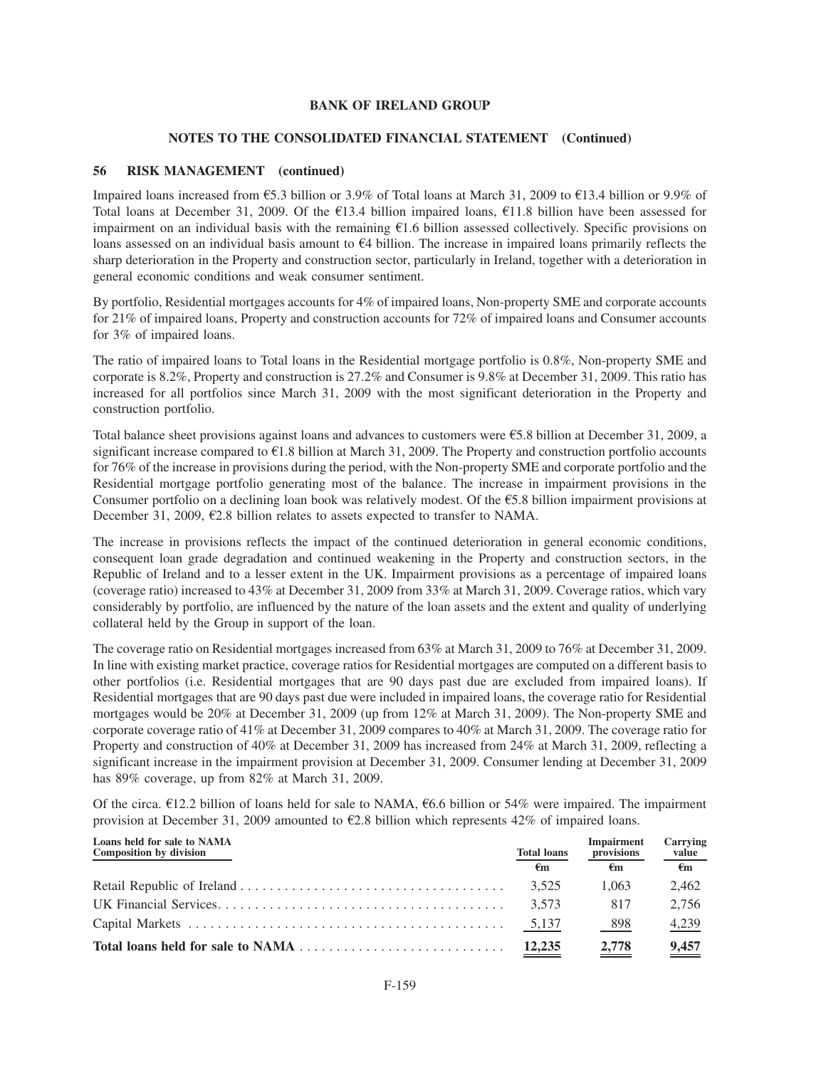#### **NOTES TO THE CONSOLIDATED FINANCIAL STATEMENT (Continued)**

#### **56 RISK MANAGEMENT (continued)**

Impaired loans increased from  $\text{\textsterling}5.3$  billion or 3.9% of Total loans at March 31, 2009 to  $\text{\textsterling}13.4$  billion or 9.9% of Total loans at December 31, 2009. Of the  $E$ 13.4 billion impaired loans,  $E$ 11.8 billion have been assessed for impairment on an individual basis with the remaining  $\epsilon$ 1.6 billion assessed collectively. Specific provisions on loans assessed on an individual basis amount to  $64$  billion. The increase in impaired loans primarily reflects the sharp deterioration in the Property and construction sector, particularly in Ireland, together with a deterioration in general economic conditions and weak consumer sentiment.

By portfolio, Residential mortgages accounts for 4% of impaired loans, Non-property SME and corporate accounts for 21% of impaired loans, Property and construction accounts for 72% of impaired loans and Consumer accounts for 3% of impaired loans.

The ratio of impaired loans to Total loans in the Residential mortgage portfolio is 0.8%, Non-property SME and corporate is 8.2%, Property and construction is 27.2% and Consumer is 9.8% at December 31, 2009. This ratio has increased for all portfolios since March 31, 2009 with the most significant deterioration in the Property and construction portfolio.

Total balance sheet provisions against loans and advances to customers were  $\epsilon$ 5.8 billion at December 31, 2009, a significant increase compared to  $E1.8$  billion at March 31, 2009. The Property and construction portfolio accounts for 76% of the increase in provisions during the period, with the Non-property SME and corporate portfolio and the Residential mortgage portfolio generating most of the balance. The increase in impairment provisions in the Consumer portfolio on a declining loan book was relatively modest. Of the  $\epsilon$ 5.8 billion impairment provisions at December 31, 2009,  $\epsilon$ 2.8 billion relates to assets expected to transfer to NAMA.

The increase in provisions reflects the impact of the continued deterioration in general economic conditions, consequent loan grade degradation and continued weakening in the Property and construction sectors, in the Republic of Ireland and to a lesser extent in the UK. Impairment provisions as a percentage of impaired loans (coverage ratio) increased to 43% at December 31, 2009 from 33% at March 31, 2009. Coverage ratios, which vary considerably by portfolio, are influenced by the nature of the loan assets and the extent and quality of underlying collateral held by the Group in support of the loan.

The coverage ratio on Residential mortgages increased from 63% at March 31, 2009 to 76% at December 31, 2009. In line with existing market practice, coverage ratios for Residential mortgages are computed on a different basis to other portfolios (i.e. Residential mortgages that are 90 days past due are excluded from impaired loans). If Residential mortgages that are 90 days past due were included in impaired loans, the coverage ratio for Residential mortgages would be 20% at December 31, 2009 (up from 12% at March 31, 2009). The Non-property SME and corporate coverage ratio of 41% at December 31, 2009 compares to 40% at March 31, 2009. The coverage ratio for Property and construction of 40% at December 31, 2009 has increased from 24% at March 31, 2009, reflecting a significant increase in the impairment provision at December 31, 2009. Consumer lending at December 31, 2009 has 89% coverage, up from 82% at March 31, 2009.

Of the circa.  $\epsilon$ 12.2 billion of loans held for sale to NAMA,  $\epsilon$ 6.6 billion or 54% were impaired. The impairment provision at December 31, 2009 amounted to  $\epsilon$ 2.8 billion which represents 42% of impaired loans.

| Loans held for sale to NAMA<br>Composition by division | <b>Total loans</b> | <b>Impairment</b><br>provisions | Carrying<br>value |
|--------------------------------------------------------|--------------------|---------------------------------|-------------------|
|                                                        | €m                 | €m                              | €m                |
|                                                        | 3.525              | 1.063                           | 2.462             |
|                                                        | 3.573              | 817                             | 2.756             |
|                                                        | 5,137              | 898                             | 4,239             |
|                                                        | 12,235             | 2.778                           | 9.457             |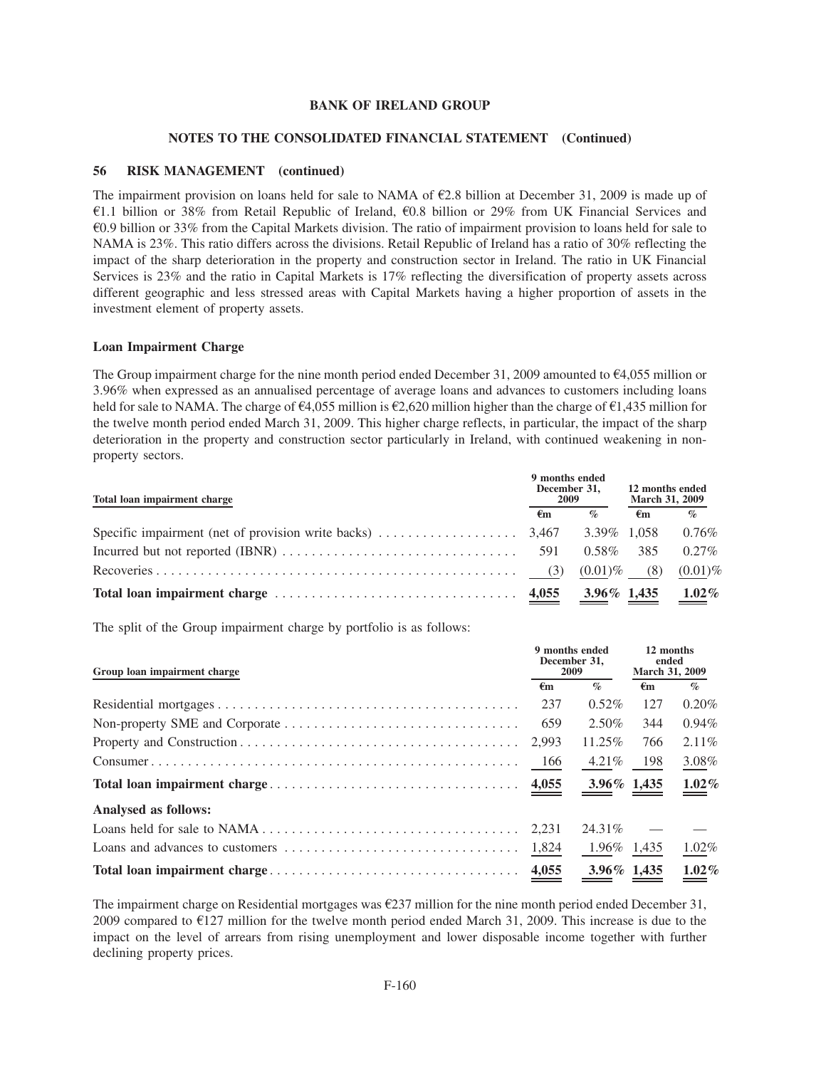# **NOTES TO THE CONSOLIDATED FINANCIAL STATEMENT (Continued)**

# **56 RISK MANAGEMENT (continued)**

The impairment provision on loans held for sale to NAMA of  $\epsilon$ 2.8 billion at December 31, 2009 is made up of  $\epsilon$ 1.1 billion or 38% from Retail Republic of Ireland,  $\epsilon$ 0.8 billion or 29% from UK Financial Services and  $60.9$  billion or 33% from the Capital Markets division. The ratio of impairment provision to loans held for sale to NAMA is 23%. This ratio differs across the divisions. Retail Republic of Ireland has a ratio of 30% reflecting the impact of the sharp deterioration in the property and construction sector in Ireland. The ratio in UK Financial Services is 23% and the ratio in Capital Markets is 17% reflecting the diversification of property assets across different geographic and less stressed areas with Capital Markets having a higher proportion of assets in the investment element of property assets.

## **Loan Impairment Charge**

The Group impairment charge for the nine month period ended December 31, 2009 amounted to  $\epsilon$ 4,055 million or 3.96% when expressed as an annualised percentage of average loans and advances to customers including loans held for sale to NAMA. The charge of  $\epsilon$ 4,055 million is  $\epsilon$ 2,620 million higher than the charge of  $\epsilon$ 1,435 million for the twelve month period ended March 31, 2009. This higher charge reflects, in particular, the impact of the sharp deterioration in the property and construction sector particularly in Ireland, with continued weakening in nonproperty sectors.

| Total loan impairment charge |    | 9 months ended<br>December 31,<br><b>2009</b> | 12 months ended<br><b>March 31, 2009</b> |            |  |
|------------------------------|----|-----------------------------------------------|------------------------------------------|------------|--|
|                              | €m | $\%$                                          | €m                                       | $\%$       |  |
|                              |    |                                               |                                          | $0.76\%$   |  |
|                              |    | $0.58\%$                                      | -385                                     | $0.27\%$   |  |
|                              |    | $(0.01)\%$ (8)                                |                                          | $(0.01)\%$ |  |
|                              |    | $3.96\%$ 1,435                                |                                          | $1.02\%$   |  |

The split of the Group impairment charge by portfolio is as follows:

| Group loan impairment charge |                    | 9 months ended<br>December 31.<br>2009 | 12 months<br>ended<br>March 31, 2009 |                             |
|------------------------------|--------------------|----------------------------------------|--------------------------------------|-----------------------------|
|                              | $\epsilon_{\rm m}$ | $\mathcal{O}_0$                        | $\epsilon_{\rm m}$                   | $\mathcal{O}_{\mathcal{D}}$ |
|                              | 237                | $0.52\%$                               | 127                                  | $0.20\%$                    |
|                              | 659                | $2.50\%$                               | 344                                  | $0.94\%$                    |
|                              | 2.993              | $11.25\%$                              | 766                                  | $2.11\%$                    |
|                              | - 166              | $4.21\%$                               | - 198                                | 3.08%                       |
|                              |                    | $3.96\%$ 1.435                         |                                      | $1.02\%$                    |
| Analysed as follows:         |                    |                                        |                                      |                             |
|                              |                    | 24.31\%                                |                                      |                             |
|                              |                    | 1.96% 1.435                            |                                      | $1.02\%$                    |
|                              |                    | $3.96\%$ 1,435                         |                                      | $1.02\%$                    |

The impairment charge on Residential mortgages was  $\epsilon$ 237 million for the nine month period ended December 31, 2009 compared to  $E$ 127 million for the twelve month period ended March 31, 2009. This increase is due to the impact on the level of arrears from rising unemployment and lower disposable income together with further declining property prices.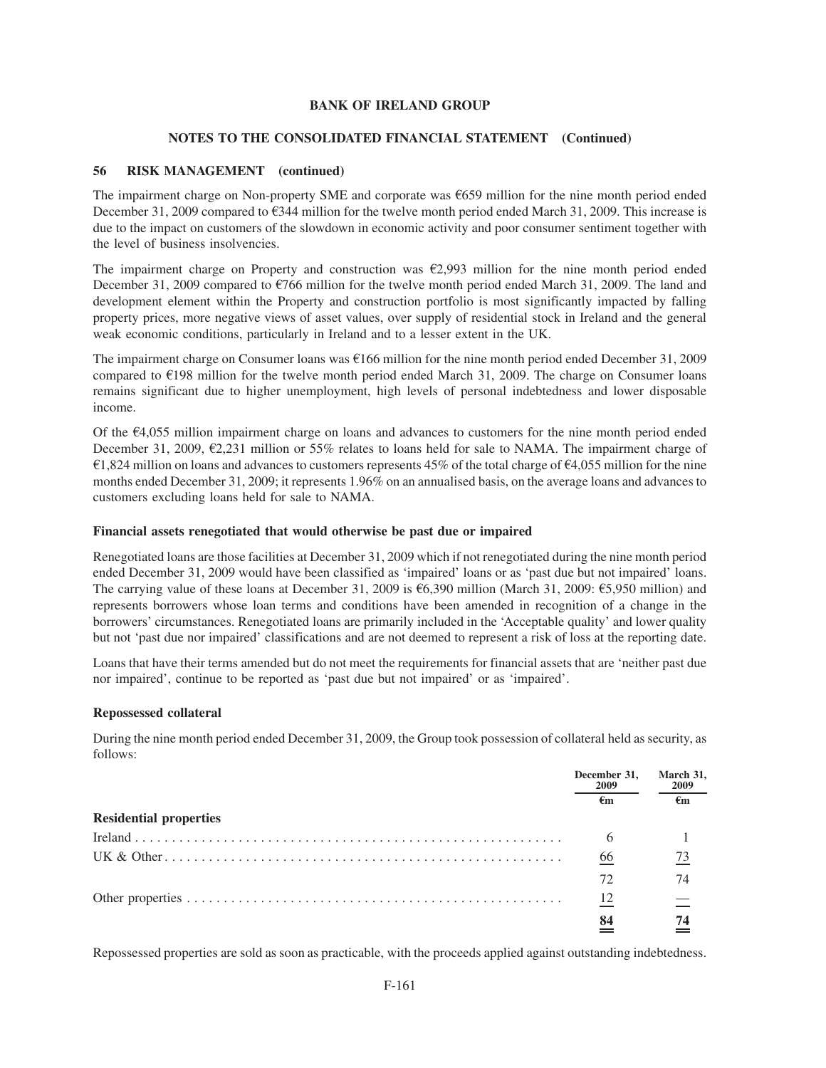# **NOTES TO THE CONSOLIDATED FINANCIAL STATEMENT (Continued)**

# **56 RISK MANAGEMENT (continued)**

The impairment charge on Non-property SME and corporate was  $6659$  million for the nine month period ended December 31, 2009 compared to  $\epsilon$ 344 million for the twelve month period ended March 31, 2009. This increase is due to the impact on customers of the slowdown in economic activity and poor consumer sentiment together with the level of business insolvencies.

The impairment charge on Property and construction was  $\epsilon$ 2,993 million for the nine month period ended December 31, 2009 compared to  $\epsilon$ 766 million for the twelve month period ended March 31, 2009. The land and development element within the Property and construction portfolio is most significantly impacted by falling property prices, more negative views of asset values, over supply of residential stock in Ireland and the general weak economic conditions, particularly in Ireland and to a lesser extent in the UK.

The impairment charge on Consumer loans was  $E166$  million for the nine month period ended December 31, 2009 compared to  $E$ 198 million for the twelve month period ended March 31, 2009. The charge on Consumer loans remains significant due to higher unemployment, high levels of personal indebtedness and lower disposable income.

Of the  $E4,055$  million impairment charge on loans and advances to customers for the nine month period ended December 31, 2009,  $\epsilon$ 2,231 million or 55% relates to loans held for sale to NAMA. The impairment charge of  $\epsilon$ 1,824 million on loans and advances to customers represents 45% of the total charge of  $\epsilon$ 4,055 million for the nine months ended December 31, 2009; it represents 1.96% on an annualised basis, on the average loans and advances to customers excluding loans held for sale to NAMA.

### **Financial assets renegotiated that would otherwise be past due or impaired**

Renegotiated loans are those facilities at December 31, 2009 which if not renegotiated during the nine month period ended December 31, 2009 would have been classified as 'impaired' loans or as 'past due but not impaired' loans. The carrying value of these loans at December 31, 2009 is  $6,390$  million (March 31, 2009:  $65,950$  million) and represents borrowers whose loan terms and conditions have been amended in recognition of a change in the borrowers' circumstances. Renegotiated loans are primarily included in the 'Acceptable quality' and lower quality but not 'past due nor impaired' classifications and are not deemed to represent a risk of loss at the reporting date.

Loans that have their terms amended but do not meet the requirements for financial assets that are 'neither past due nor impaired', continue to be reported as 'past due but not impaired' or as 'impaired'.

## **Repossessed collateral**

During the nine month period ended December 31, 2009, the Group took possession of collateral held as security, as follows:

|                               | December 31,<br>2009 | March 31,<br>2009 |
|-------------------------------|----------------------|-------------------|
|                               | €m                   | €m                |
| <b>Residential properties</b> |                      |                   |
|                               | 6                    |                   |
|                               | 66                   | 73                |
|                               | 72                   | 74                |
|                               | 12                   |                   |
|                               | 84                   |                   |

Repossessed properties are sold as soon as practicable, with the proceeds applied against outstanding indebtedness.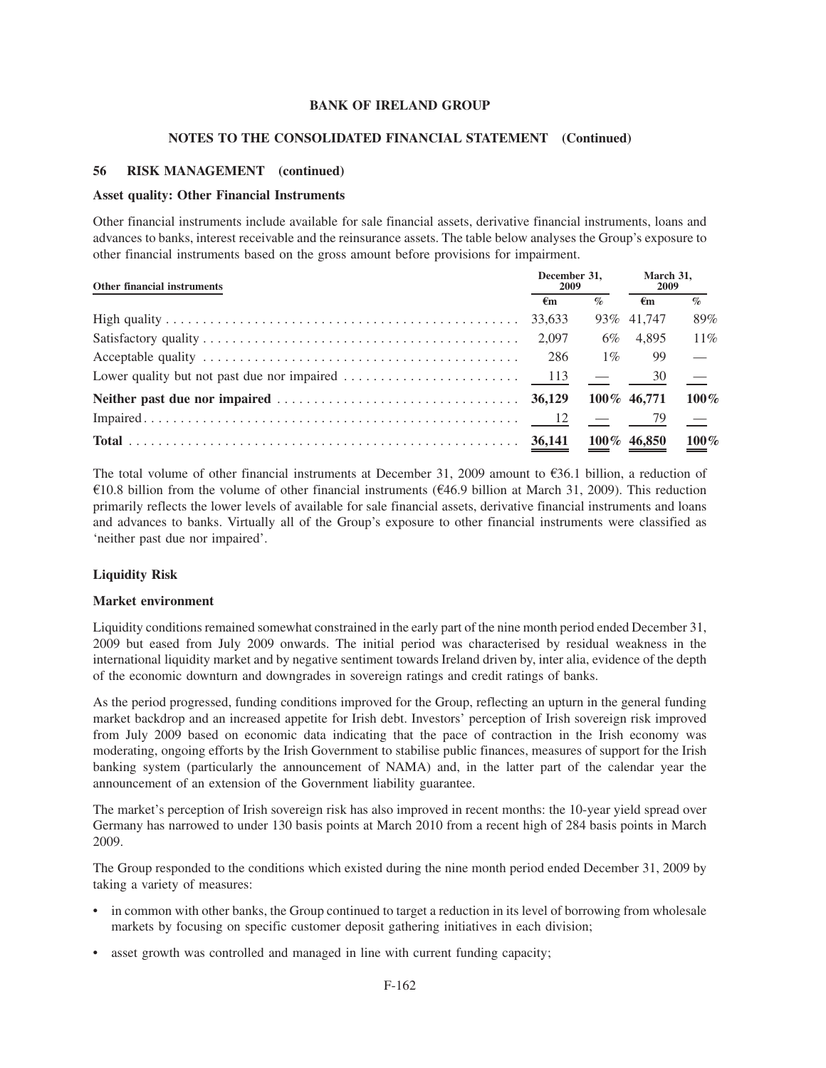#### **NOTES TO THE CONSOLIDATED FINANCIAL STATEMENT (Continued)**

### **56 RISK MANAGEMENT (continued)**

#### **Asset quality: Other Financial Instruments**

Other financial instruments include available for sale financial assets, derivative financial instruments, loans and advances to banks, interest receivable and the reinsurance assets. The table below analyses the Group's exposure to other financial instruments based on the gross amount before provisions for impairment.

| Other financial instruments |              | December 31.<br><b>2009</b> | March 31,<br>2009 |               |
|-----------------------------|--------------|-----------------------------|-------------------|---------------|
|                             | $\epsilon$ m | $\%$                        | $\epsilon$ m      | $\%$          |
|                             | 33,633       |                             | 93\% 41.747       | 89%           |
|                             | 2.097        | 6%                          | 4.895             | $11\%$        |
|                             | 286          | $1\%$                       | 99                | $\frac{1}{2}$ |
|                             |              |                             | 30                |               |
|                             |              |                             | 100\% 46.771      | 100%          |
|                             |              |                             |                   |               |
|                             |              |                             | $100\%$ 46,850    | $100\%$       |

The total volume of other financial instruments at December 31, 2009 amount to  $\epsilon$ 36.1 billion, a reduction of  $\epsilon$ 10.8 billion from the volume of other financial instruments ( $\epsilon$ 46.9 billion at March 31, 2009). This reduction primarily reflects the lower levels of available for sale financial assets, derivative financial instruments and loans and advances to banks. Virtually all of the Group's exposure to other financial instruments were classified as 'neither past due nor impaired'.

## **Liquidity Risk**

#### **Market environment**

Liquidity conditions remained somewhat constrained in the early part of the nine month period ended December 31, 2009 but eased from July 2009 onwards. The initial period was characterised by residual weakness in the international liquidity market and by negative sentiment towards Ireland driven by, inter alia, evidence of the depth of the economic downturn and downgrades in sovereign ratings and credit ratings of banks.

As the period progressed, funding conditions improved for the Group, reflecting an upturn in the general funding market backdrop and an increased appetite for Irish debt. Investors' perception of Irish sovereign risk improved from July 2009 based on economic data indicating that the pace of contraction in the Irish economy was moderating, ongoing efforts by the Irish Government to stabilise public finances, measures of support for the Irish banking system (particularly the announcement of NAMA) and, in the latter part of the calendar year the announcement of an extension of the Government liability guarantee.

The market's perception of Irish sovereign risk has also improved in recent months: the 10-year yield spread over Germany has narrowed to under 130 basis points at March 2010 from a recent high of 284 basis points in March 2009.

The Group responded to the conditions which existed during the nine month period ended December 31, 2009 by taking a variety of measures:

- in common with other banks, the Group continued to target a reduction in its level of borrowing from wholesale markets by focusing on specific customer deposit gathering initiatives in each division;
- asset growth was controlled and managed in line with current funding capacity;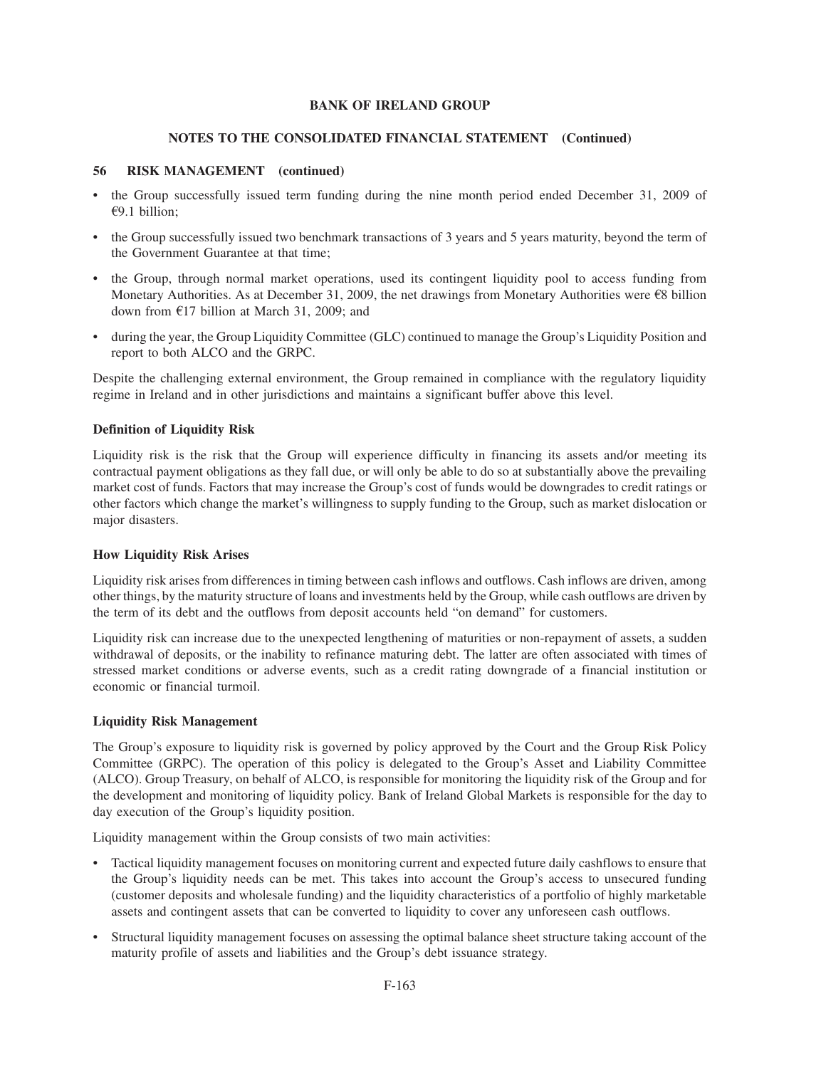# **NOTES TO THE CONSOLIDATED FINANCIAL STATEMENT (Continued)**

# **56 RISK MANAGEMENT (continued)**

- the Group successfully issued term funding during the nine month period ended December 31, 2009 of €9.1 billion;
- the Group successfully issued two benchmark transactions of 3 years and 5 years maturity, beyond the term of the Government Guarantee at that time;
- the Group, through normal market operations, used its contingent liquidity pool to access funding from Monetary Authorities. As at December 31, 2009, the net drawings from Monetary Authorities were  $\epsilon$ 8 billion down from  $E17$  billion at March 31, 2009; and
- during the year, the Group Liquidity Committee (GLC) continued to manage the Group's Liquidity Position and report to both ALCO and the GRPC.

Despite the challenging external environment, the Group remained in compliance with the regulatory liquidity regime in Ireland and in other jurisdictions and maintains a significant buffer above this level.

# **Definition of Liquidity Risk**

Liquidity risk is the risk that the Group will experience difficulty in financing its assets and/or meeting its contractual payment obligations as they fall due, or will only be able to do so at substantially above the prevailing market cost of funds. Factors that may increase the Group's cost of funds would be downgrades to credit ratings or other factors which change the market's willingness to supply funding to the Group, such as market dislocation or major disasters.

## **How Liquidity Risk Arises**

Liquidity risk arises from differences in timing between cash inflows and outflows. Cash inflows are driven, among other things, by the maturity structure of loans and investments held by the Group, while cash outflows are driven by the term of its debt and the outflows from deposit accounts held "on demand" for customers.

Liquidity risk can increase due to the unexpected lengthening of maturities or non-repayment of assets, a sudden withdrawal of deposits, or the inability to refinance maturing debt. The latter are often associated with times of stressed market conditions or adverse events, such as a credit rating downgrade of a financial institution or economic or financial turmoil.

## **Liquidity Risk Management**

The Group's exposure to liquidity risk is governed by policy approved by the Court and the Group Risk Policy Committee (GRPC). The operation of this policy is delegated to the Group's Asset and Liability Committee (ALCO). Group Treasury, on behalf of ALCO, is responsible for monitoring the liquidity risk of the Group and for the development and monitoring of liquidity policy. Bank of Ireland Global Markets is responsible for the day to day execution of the Group's liquidity position.

Liquidity management within the Group consists of two main activities:

- Tactical liquidity management focuses on monitoring current and expected future daily cashflows to ensure that the Group's liquidity needs can be met. This takes into account the Group's access to unsecured funding (customer deposits and wholesale funding) and the liquidity characteristics of a portfolio of highly marketable assets and contingent assets that can be converted to liquidity to cover any unforeseen cash outflows.
- Structural liquidity management focuses on assessing the optimal balance sheet structure taking account of the maturity profile of assets and liabilities and the Group's debt issuance strategy.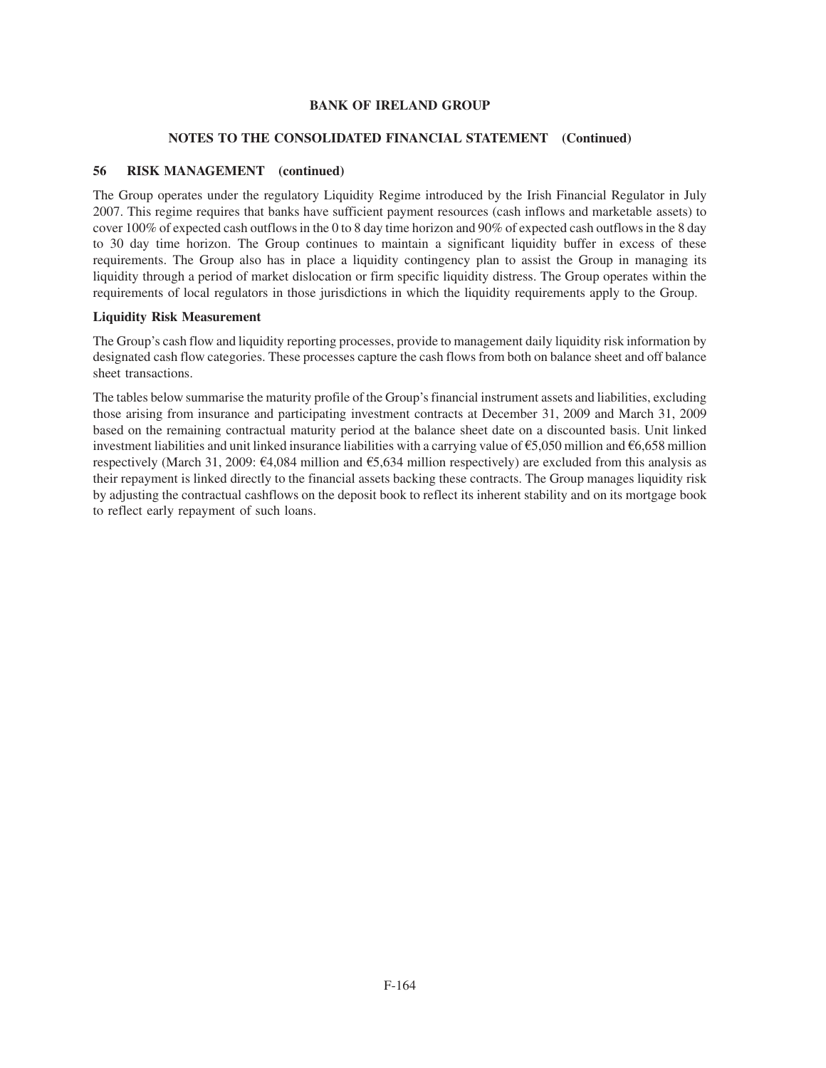# **NOTES TO THE CONSOLIDATED FINANCIAL STATEMENT (Continued)**

# **56 RISK MANAGEMENT (continued)**

The Group operates under the regulatory Liquidity Regime introduced by the Irish Financial Regulator in July 2007. This regime requires that banks have sufficient payment resources (cash inflows and marketable assets) to cover 100% of expected cash outflows in the 0 to 8 day time horizon and 90% of expected cash outflows in the 8 day to 30 day time horizon. The Group continues to maintain a significant liquidity buffer in excess of these requirements. The Group also has in place a liquidity contingency plan to assist the Group in managing its liquidity through a period of market dislocation or firm specific liquidity distress. The Group operates within the requirements of local regulators in those jurisdictions in which the liquidity requirements apply to the Group.

## **Liquidity Risk Measurement**

The Group's cash flow and liquidity reporting processes, provide to management daily liquidity risk information by designated cash flow categories. These processes capture the cash flows from both on balance sheet and off balance sheet transactions.

The tables below summarise the maturity profile of the Group's financial instrument assets and liabilities, excluding those arising from insurance and participating investment contracts at December 31, 2009 and March 31, 2009 based on the remaining contractual maturity period at the balance sheet date on a discounted basis. Unit linked investment liabilities and unit linked insurance liabilities with a carrying value of  $\epsilon$ 5,050 million and  $\epsilon$ 6,658 million respectively (March 31, 2009:  $\epsilon$ 4,084 million and  $\epsilon$ 5,634 million respectively) are excluded from this analysis as their repayment is linked directly to the financial assets backing these contracts. The Group manages liquidity risk by adjusting the contractual cashflows on the deposit book to reflect its inherent stability and on its mortgage book to reflect early repayment of such loans.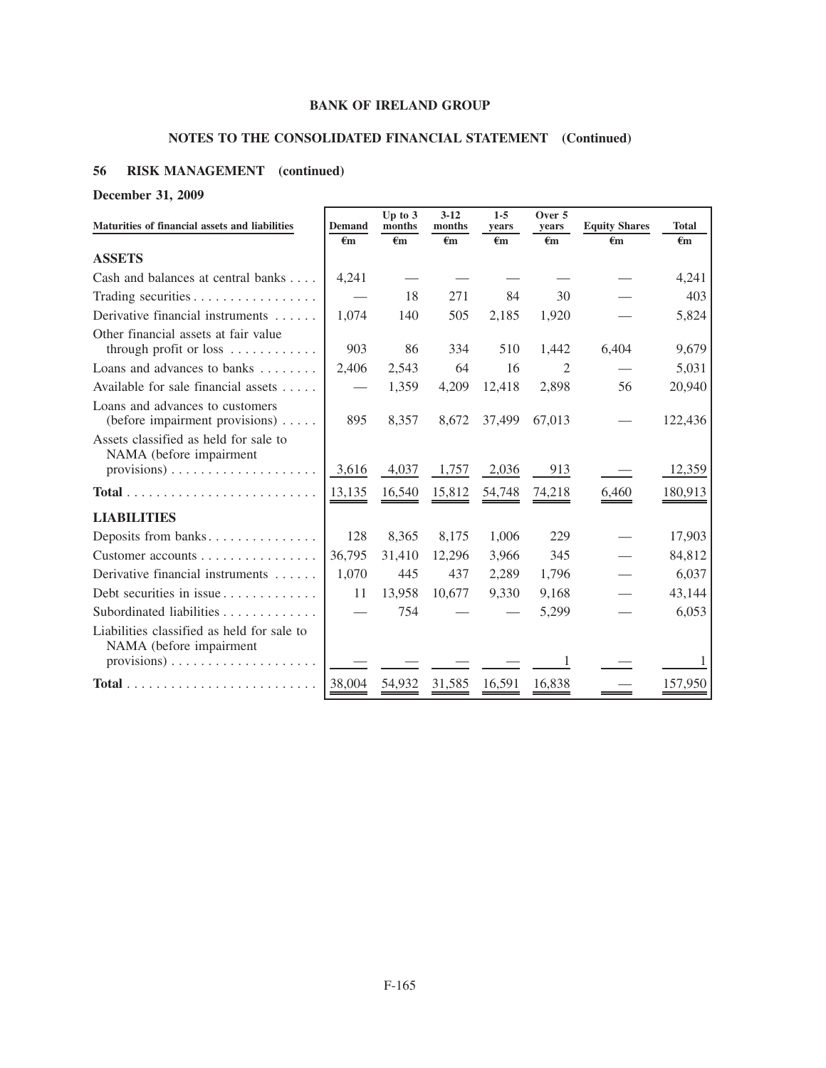# **NOTES TO THE CONSOLIDATED FINANCIAL STATEMENT (Continued)**

# **56 RISK MANAGEMENT (continued)**

**December 31, 2009**

| Maturities of financial assets and liabilities                              | <b>Demand</b>                 | Up to $3$<br>months | $3 - 12$<br>months | $1 - 5$<br>vears   | Over 5<br>vears | <b>Equity Shares</b> | <b>Total</b> |
|-----------------------------------------------------------------------------|-------------------------------|---------------------|--------------------|--------------------|-----------------|----------------------|--------------|
|                                                                             | €m                            | €m                  | $\epsilon$ m       | $\epsilon_{\rm m}$ | $\epsilon$ m    | €m                   | $\epsilon$ m |
| <b>ASSETS</b>                                                               |                               |                     |                    |                    |                 |                      |              |
| Cash and balances at central banks                                          | 4,241                         |                     |                    |                    |                 |                      | 4,241        |
| Trading securities $\dots \dots \dots \dots \dots$                          |                               | 18                  | 271                | 84                 | 30              |                      | 403          |
| Derivative financial instruments                                            | 1,074                         | 140                 | 505                | 2,185              | 1,920           |                      | 5,824        |
| Other financial assets at fair value<br>through profit or loss              | 903                           | 86                  | 334                | 510                | 1,442           | 6,404                | 9,679        |
| Loans and advances to banks $\dots \dots$                                   | 2,406                         | 2,543               | 64                 | 16                 | $\overline{c}$  |                      | 5,031        |
| Available for sale financial assets $\dots$ .                               | $\overbrace{\phantom{aaaaa}}$ | 1,359               | 4,209              | 12,418             | 2,898           | 56                   | 20,940       |
| Loans and advances to customers<br>(before impairment provisions) $\dots$ . | 895                           | 8,357               | 8,672              | 37,499             | 67,013          |                      | 122,436      |
| Assets classified as held for sale to<br>NAMA (before impairment            |                               |                     |                    |                    |                 |                      |              |
| $provisions) \ldots \ldots \ldots \ldots \ldots \ldots$                     | 3.616                         | 4,037               | 1,757              | 2,036              | 913             |                      | 12,359       |
| $Total \dots \dots \dots \dots \dots \dots \dots \dots \dots \dots$         | 13,135                        | 16,540              | 15,812             | 54,748             | 74,218          | 6,460                | 180,913      |
| <b>LIABILITIES</b>                                                          |                               |                     |                    |                    |                 |                      |              |
| Deposits from banks                                                         | 128                           | 8,365               | 8,175              | 1,006              | 229             |                      | 17,903       |
| Customer accounts                                                           | 36,795                        | 31,410              | 12,296             | 3,966              | 345             |                      | 84,812       |
| Derivative financial instruments                                            | 1,070                         | 445                 | 437                | 2,289              | 1,796           |                      | 6,037        |
| Debt securities in issue                                                    | 11                            | 13,958              | 10,677             | 9,330              | 9,168           |                      | 43,144       |
| Subordinated liabilities                                                    |                               | 754                 |                    |                    | 5,299           |                      | 6,053        |
| Liabilities classified as held for sale to<br>NAMA (before impairment       |                               |                     |                    |                    |                 |                      |              |
| $provisions) \ldots \ldots \ldots \ldots \ldots \ldots$                     |                               |                     |                    |                    |                 |                      | 1            |
|                                                                             | 38,004                        | 54,932              | 31,585             | 16,591             | 16,838          |                      | 157,950      |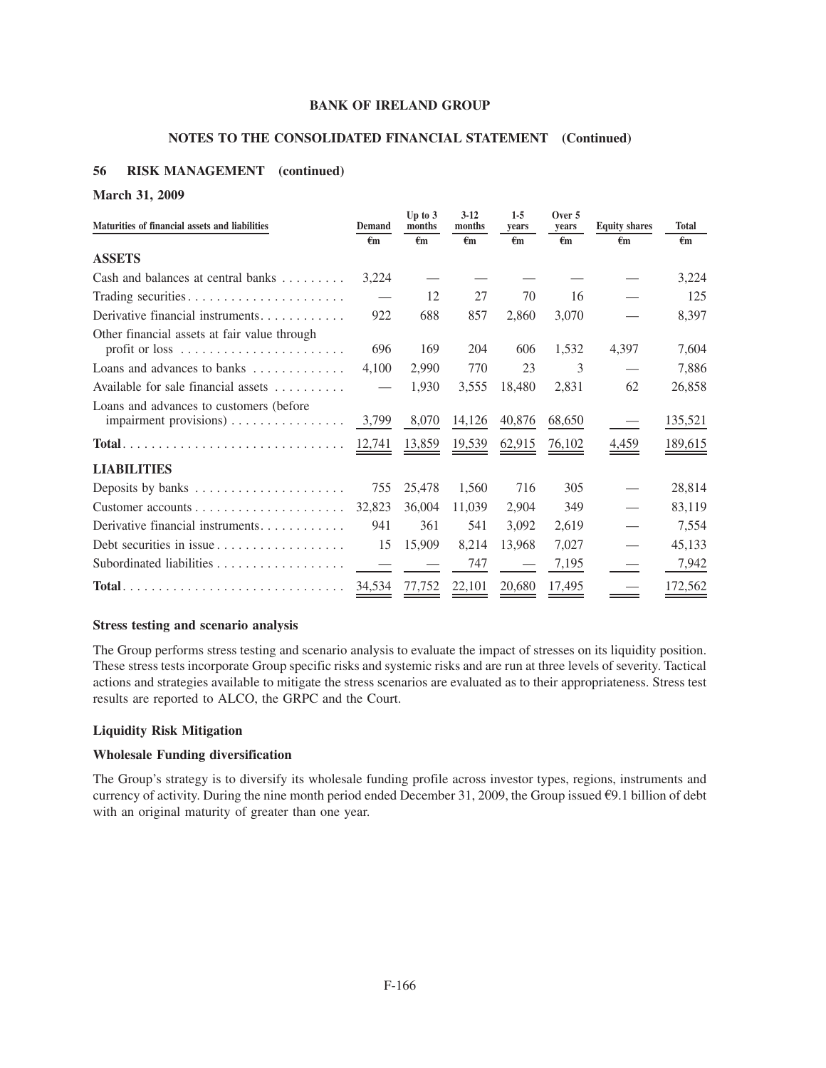# **NOTES TO THE CONSOLIDATED FINANCIAL STATEMENT (Continued)**

# **56 RISK MANAGEMENT (continued)**

## **March 31, 2009**

| Maturities of financial assets and liabilities                | <b>Demand</b>  | Up to $3$<br>months | $3-12$<br>months | $1-5$<br>vears | Over 5<br>years | <b>Equity shares</b> | <b>Total</b> |
|---------------------------------------------------------------|----------------|---------------------|------------------|----------------|-----------------|----------------------|--------------|
|                                                               | $\epsilon_{m}$ | €m                  | $\epsilon_{m}$   | €m             | $\epsilon$ m    | $\epsilon$ m         | $\epsilon$ m |
| <b>ASSETS</b>                                                 |                |                     |                  |                |                 |                      |              |
| Cash and balances at central banks                            | 3,224          |                     |                  |                |                 |                      | 3,224        |
|                                                               |                | 12                  | 27               | 70             | 16              |                      | 125          |
| Derivative financial instruments                              | 922            | 688                 | 857              | 2,860          | 3,070           |                      | 8,397        |
| Other financial assets at fair value through                  |                |                     |                  |                |                 |                      |              |
|                                                               | 696            | 169                 | 204              | 606            | 1,532           | 4,397                | 7,604        |
| Loans and advances to banks $\dots \dots \dots$               | 4,100          | 2,990               | 770              | 23             | 3               |                      | 7,886        |
| Available for sale financial assets                           |                | 1,930               | 3,555            | 18,480         | 2,831           | 62                   | 26,858       |
| Loans and advances to customers (before                       |                |                     |                  |                |                 |                      |              |
| impairment provisions)                                        | 3,799          | 8,070               | 14,126           | 40,876         | 68,650          |                      | 135,521      |
| $Total.$                                                      | 12,741         | 13,859              | 19,539           | 62,915         | 76,102          | $\frac{4,459}{4}$    | 189,615      |
| <b>LIABILITIES</b>                                            |                |                     |                  |                |                 |                      |              |
| Deposits by banks                                             | 755            | 25,478              | 1,560            | 716            | 305             |                      | 28,814       |
|                                                               | 32,823         | 36,004              | 11,039           | 2,904          | 349             |                      | 83,119       |
| Derivative financial instruments                              | 941            | 361                 | 541              | 3,092          | 2,619           |                      | 7,554        |
| Debt securities in issue $\ldots \ldots \ldots \ldots \ldots$ | 15             | 15,909              | 8,214            | 13,968         | 7,027           |                      | 45,133       |
|                                                               |                |                     | 747              |                | 7,195           |                      | 7,942        |
| $Total$                                                       | 34,534         | 77,752              | 22,101           | 20,680         | 17,495          |                      | 172,562      |

## **Stress testing and scenario analysis**

The Group performs stress testing and scenario analysis to evaluate the impact of stresses on its liquidity position. These stress tests incorporate Group specific risks and systemic risks and are run at three levels of severity. Tactical actions and strategies available to mitigate the stress scenarios are evaluated as to their appropriateness. Stress test results are reported to ALCO, the GRPC and the Court.

## **Liquidity Risk Mitigation**

# **Wholesale Funding diversification**

The Group's strategy is to diversify its wholesale funding profile across investor types, regions, instruments and currency of activity. During the nine month period ended December 31, 2009, the Group issued  $\epsilon$ 9.1 billion of debt with an original maturity of greater than one year.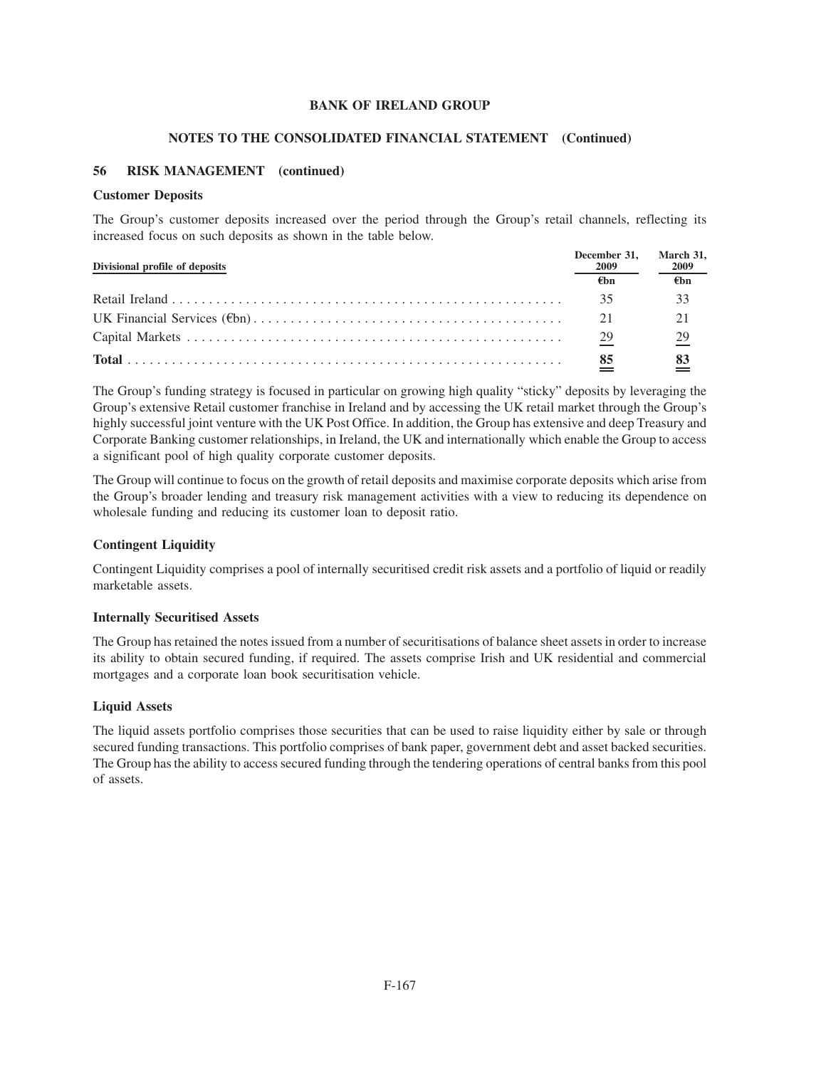# **NOTES TO THE CONSOLIDATED FINANCIAL STATEMENT (Continued)**

# **56 RISK MANAGEMENT (continued)**

## **Customer Deposits**

The Group's customer deposits increased over the period through the Group's retail channels, reflecting its increased focus on such deposits as shown in the table below.

| Divisional profile of deposits | December 31.<br>2009 | March 31,<br>2009 |  |
|--------------------------------|----------------------|-------------------|--|
|                                | €hn                  | €hn               |  |
|                                | 35                   |                   |  |
|                                | 21                   |                   |  |
|                                | 29                   | 29                |  |
|                                | 85                   |                   |  |

The Group's funding strategy is focused in particular on growing high quality "sticky" deposits by leveraging the Group's extensive Retail customer franchise in Ireland and by accessing the UK retail market through the Group's highly successful joint venture with the UK Post Office. In addition, the Group has extensive and deep Treasury and Corporate Banking customer relationships, in Ireland, the UK and internationally which enable the Group to access a significant pool of high quality corporate customer deposits.

The Group will continue to focus on the growth of retail deposits and maximise corporate deposits which arise from the Group's broader lending and treasury risk management activities with a view to reducing its dependence on wholesale funding and reducing its customer loan to deposit ratio.

# **Contingent Liquidity**

Contingent Liquidity comprises a pool of internally securitised credit risk assets and a portfolio of liquid or readily marketable assets.

## **Internally Securitised Assets**

The Group has retained the notes issued from a number of securitisations of balance sheet assets in order to increase its ability to obtain secured funding, if required. The assets comprise Irish and UK residential and commercial mortgages and a corporate loan book securitisation vehicle.

## **Liquid Assets**

The liquid assets portfolio comprises those securities that can be used to raise liquidity either by sale or through secured funding transactions. This portfolio comprises of bank paper, government debt and asset backed securities. The Group has the ability to access secured funding through the tendering operations of central banks from this pool of assets.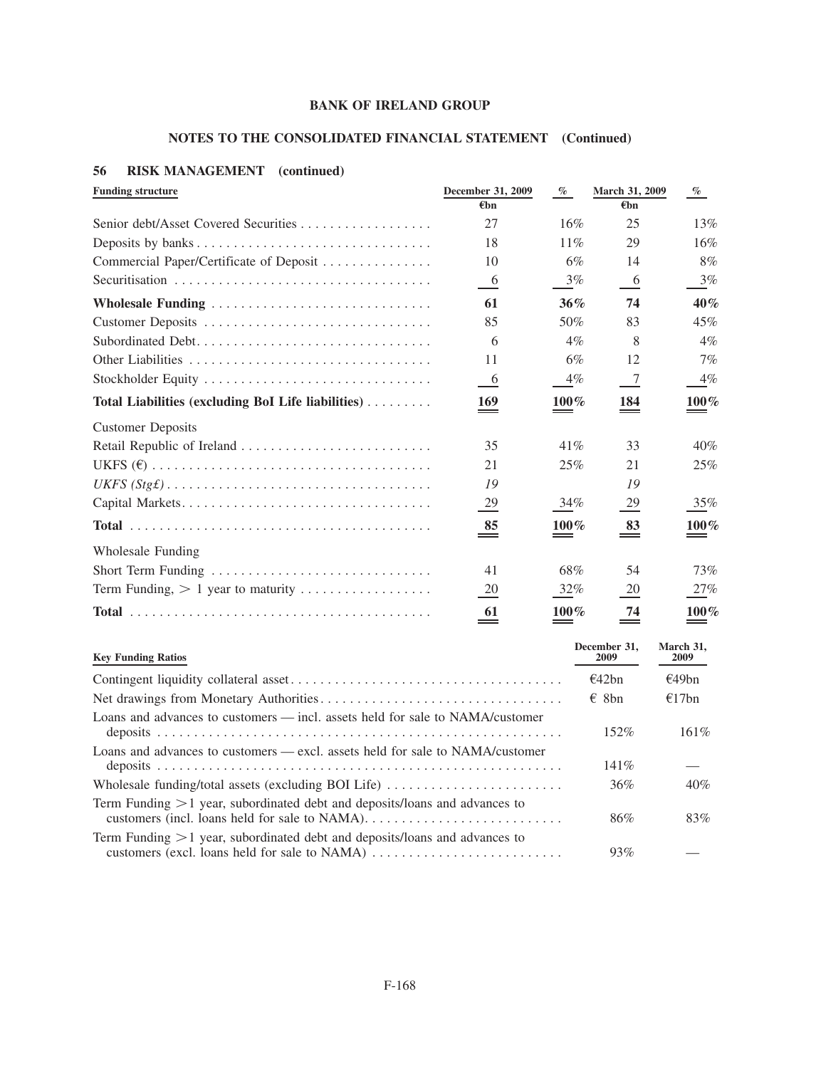# **NOTES TO THE CONSOLIDATED FINANCIAL STATEMENT (Continued)**

# **56 RISK MANAGEMENT (continued)**

| <b>Funding structure</b>                           | December 31, 2009         | $\%$    | March 31, 2009 | $\%$    |
|----------------------------------------------------|---------------------------|---------|----------------|---------|
|                                                    | €bn                       |         | €hn            |         |
|                                                    | 27                        | 16%     | 25             | 13%     |
|                                                    | 18                        | $11\%$  | 29             | 16%     |
| Commercial Paper/Certificate of Deposit            | 10                        | 6%      | 14             | 8%      |
|                                                    | -6                        | 3%      | $-6$           | 3%      |
| Wholesale Funding                                  | 61                        | 36%     | 74             | 40%     |
|                                                    | 85                        | 50%     | 83             | 45%     |
|                                                    | 6                         | $4\%$   | 8              | $4\%$   |
|                                                    | 11                        | 6%      | 12             | $7\%$   |
|                                                    | 6                         | $4\%$   | $\overline{7}$ | $4\%$   |
| Total Liabilities (excluding BoI Life liabilities) | 169                       | $100\%$ | 184            | $100\%$ |
| <b>Customer Deposits</b>                           |                           |         |                |         |
|                                                    | 35                        | 41%     | 33             | 40%     |
|                                                    | 21                        | 25%     | 21             | 25%     |
|                                                    | 19                        |         | 19             |         |
|                                                    | $\frac{29}{2}$            | 34%     | $\frac{29}{2}$ | 35%     |
|                                                    | 85<br>$=$                 | $100\%$ | 83<br>$=$      | $100\%$ |
| Wholesale Funding                                  |                           |         |                |         |
| Short Term Funding                                 | 41                        | 68%     | 54             | 73%     |
| Term Funding, $> 1$ year to maturity               | 20                        | 32%     | 20             | 27%     |
|                                                    | 61<br>$\hspace{0.05cm} =$ | $100\%$ | 74             | $100\%$ |

| <b>Key Funding Ratios</b>                                                                      | December 31.<br>2009 | March 31,<br><b>2009</b> |
|------------------------------------------------------------------------------------------------|----------------------|--------------------------|
|                                                                                                | f42bn                | €49bn                    |
|                                                                                                | $\epsilon$ 8bn       | €17bn                    |
| Loans and advances to customers — incl. assets held for sale to NAMA/customer                  | 152%                 | $161\%$                  |
| Loans and advances to customers — excl. assets held for sale to NAMA/customer                  | $141\%$              |                          |
| Wholesale funding/total assets (excluding BOI Life) $\dots\dots\dots\dots\dots\dots\dots\dots$ | 36%                  | 40%                      |
| Term Funding $>1$ year, subordinated debt and deposits/loans and advances to                   | 86%                  | 83%                      |
| Term Funding $>1$ year, subordinated debt and deposits/loans and advances to                   | 93%                  |                          |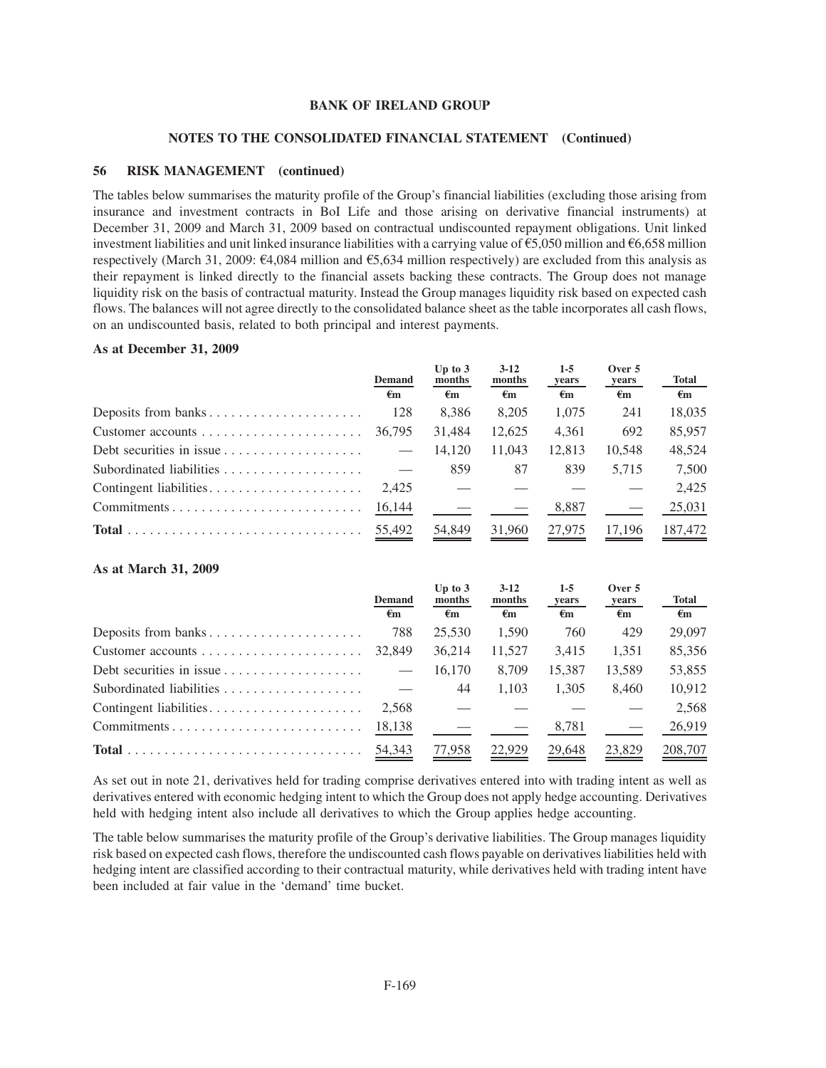#### **NOTES TO THE CONSOLIDATED FINANCIAL STATEMENT (Continued)**

#### **56 RISK MANAGEMENT (continued)**

The tables below summarises the maturity profile of the Group's financial liabilities (excluding those arising from insurance and investment contracts in BoI Life and those arising on derivative financial instruments) at December 31, 2009 and March 31, 2009 based on contractual undiscounted repayment obligations. Unit linked investment liabilities and unit linked insurance liabilities with a carrying value of  $\epsilon$ 5,050 million and  $\epsilon$ 6,658 million respectively (March 31, 2009:  $\epsilon$ 4,084 million and  $\epsilon$ 5,634 million respectively) are excluded from this analysis as their repayment is linked directly to the financial assets backing these contracts. The Group does not manage liquidity risk on the basis of contractual maturity. Instead the Group manages liquidity risk based on expected cash flows. The balances will not agree directly to the consolidated balance sheet as the table incorporates all cash flows, on an undiscounted basis, related to both principal and interest payments.

#### **As at December 31, 2009**

|                                                                | <b>Demand</b> | Up to $3$<br>months | $3-12$<br>months   | $1-5$<br>years     | Over $5$<br>years  | <b>Total</b>       |
|----------------------------------------------------------------|---------------|---------------------|--------------------|--------------------|--------------------|--------------------|
|                                                                | $\epsilon$ m  | $\epsilon_{\rm m}$  | $\epsilon_{\rm m}$ | $\epsilon_{\rm m}$ | $\epsilon_{\rm m}$ | $\epsilon_{\rm m}$ |
| Deposits from banks                                            | 128           | 8.386               | 8.205              | 1.075              | 241                | 18,035             |
|                                                                | 36.795        | 31.484              | 12.625             | 4.361              | 692                | 85,957             |
| Debt securities in issue $\dots \dots \dots \dots \dots \dots$ |               | 14.120              | 11,043             | 12.813             | 10.548             | 48,524             |
|                                                                |               | 859                 | 87                 | 839                | 5.715              | 7,500              |
| Contingent liabilities                                         | 2.425         |                     |                    |                    |                    | 2.425              |
| Commitments                                                    | 16,144        |                     |                    | 8,887              |                    | 25,031             |
|                                                                |               | 54,849              | 31,960             | 27,975             | 17.196             | 187,472            |

#### **As at March 31, 2009**

|                                                               | <b>Demand</b> | Up to $3$<br>months | $3-12$<br>months   | $1-5$<br>years     | Over 5<br>years    | <b>Total</b>       |
|---------------------------------------------------------------|---------------|---------------------|--------------------|--------------------|--------------------|--------------------|
|                                                               | $\epsilon$ m  | $\epsilon_{\rm m}$  | $\epsilon_{\rm m}$ | $\epsilon_{\rm m}$ | $\epsilon_{\rm m}$ | $\epsilon_{\rm m}$ |
|                                                               | 788           | 25.530              | 1,590              | 760                | 429                | 29,097             |
| Customer accounts $\dots \dots \dots \dots \dots \dots \dots$ | 32,849        | 36,214              | 11,527             | 3.415              | 1.351              | 85,356             |
|                                                               |               | 16.170              | 8.709              | 15.387             | 13,589             | 53,855             |
| Subordinated liabilities                                      |               | 44                  | 1.103              | 1.305              | 8.460              | 10,912             |
|                                                               | 2.568         |                     |                    |                    |                    | 2,568              |
| Commitments                                                   | 18,138        |                     |                    | 8,781              |                    | 26,919             |
|                                                               | 54,343        | 77,958              | 22,929             | 29,648             | 23,829             | 208,707            |

As set out in note 21, derivatives held for trading comprise derivatives entered into with trading intent as well as derivatives entered with economic hedging intent to which the Group does not apply hedge accounting. Derivatives held with hedging intent also include all derivatives to which the Group applies hedge accounting.

The table below summarises the maturity profile of the Group's derivative liabilities. The Group manages liquidity risk based on expected cash flows, therefore the undiscounted cash flows payable on derivatives liabilities held with hedging intent are classified according to their contractual maturity, while derivatives held with trading intent have been included at fair value in the 'demand' time bucket.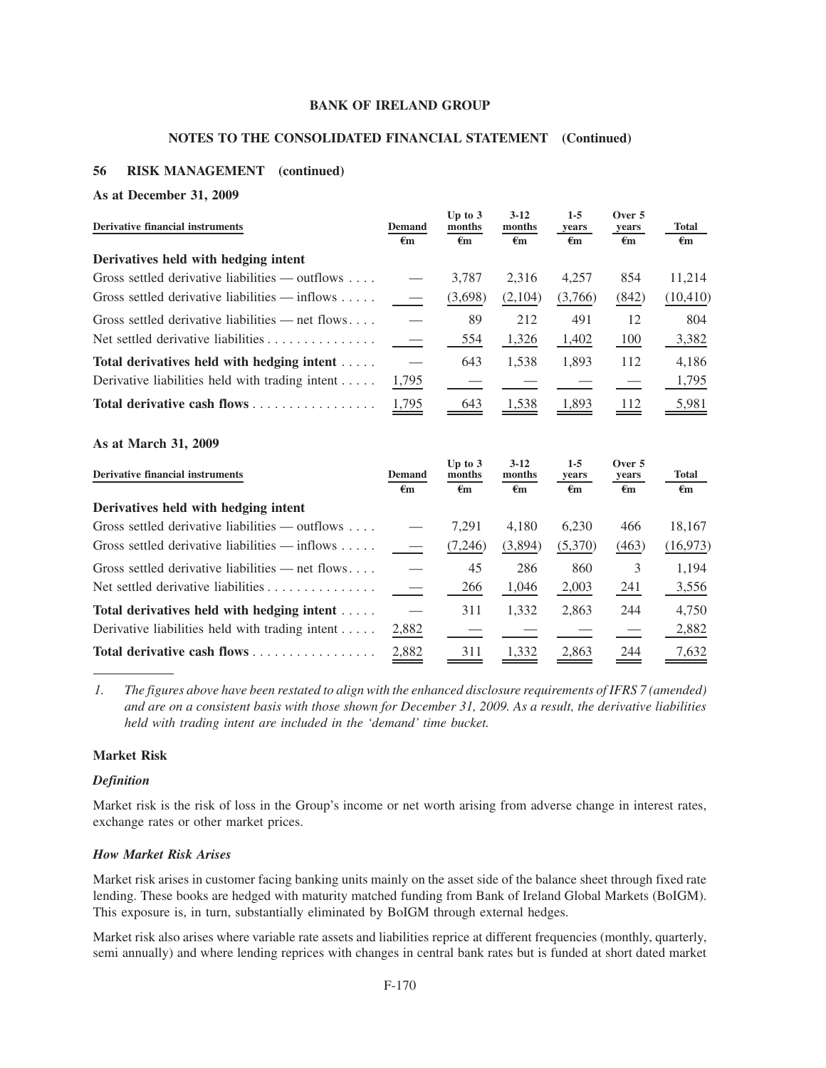## **NOTES TO THE CONSOLIDATED FINANCIAL STATEMENT (Continued)**

# **56 RISK MANAGEMENT (continued)**

#### **As at December 31, 2009**

| <b>Derivative financial instruments</b>                    | <b>Demand</b> | Up to $3$<br>months | $3-12$<br>months   | $1 - 5$<br>years | Over 5<br>years | <b>Total</b>       |
|------------------------------------------------------------|---------------|---------------------|--------------------|------------------|-----------------|--------------------|
|                                                            | €m            | $\epsilon_{\rm m}$  | $\epsilon_{\rm m}$ | €m               | €m              | $\epsilon_{\rm m}$ |
| Derivatives held with hedging intent                       |               |                     |                    |                  |                 |                    |
| Gross settled derivative liabilities — outflows $\dots$ .  |               | 3.787               | 2.316              | 4.257            | 854             | 11,214             |
| Gross settled derivative liabilities $-$ inflows $\dots$ . |               | (3,698)             | (2,104)            | (3,766)          | (842)           | (10, 410)          |
| Gross settled derivative liabilities — net flows           |               | 89                  | 212                | 491              | 12              | 804                |
| Net settled derivative liabilities                         |               | 554                 | 1,326              | 1,402            | 100             | 3,382              |
| Total derivatives held with hedging intent                 |               | 643                 | 1,538              | 1,893            | 112             | 4,186              |
| Derivative liabilities held with trading intent $\dots$ .  | 1,795         |                     |                    |                  |                 | 1,795              |
| Total derivative cash flows                                | 1,795         | 643                 | 1.538              | 1,893            | 112             | 5,981              |

#### **As at March 31, 2009**

| <b>Derivative financial instruments</b>                    | Demand | Up to $3$<br>months | $3-12$<br>months        | $1-5$<br>years | Over 5<br>years    | <b>Total</b> |
|------------------------------------------------------------|--------|---------------------|-------------------------|----------------|--------------------|--------------|
|                                                            | €m     | $\epsilon_{\rm m}$  | $\epsilon_{\mathbf{m}}$ | €m             | $\epsilon_{\rm m}$ | $\epsilon$ m |
| Derivatives held with hedging intent                       |        |                     |                         |                |                    |              |
| Gross settled derivative liabilities — outflows $\dots$    |        | 7.291               | 4.180                   | 6.230          | 466                | 18,167       |
| Gross settled derivative liabilities $-$ inflows $\dots$ . |        | (7,246)             | (3,894)                 | (5,370)        | (463)              | (16, 973)    |
| Gross settled derivative liabilities — net flows           |        | 45                  | 286                     | 860            | 3                  | 1,194        |
| Net settled derivative liabilities                         |        | 266                 | 1,046                   | 2,003          | 241                | 3,556        |
| Total derivatives held with hedging intent                 |        | 311                 | 1,332                   | 2,863          | 244                | 4,750        |
| Derivative liabilities held with trading intent $\dots$ .  | 2,882  |                     |                         |                |                    | 2,882        |
| Total derivative cash flows                                | 2,882  | 311                 | 1,332                   | 2,863          | 244                | 7,632        |

*1. The figures above have been restated to align with the enhanced disclosure requirements of IFRS 7 (amended) and are on a consistent basis with those shown for December 31, 2009. As a result, the derivative liabilities held with trading intent are included in the 'demand' time bucket.*

# **Market Risk**

## *Definition*

Market risk is the risk of loss in the Group's income or net worth arising from adverse change in interest rates, exchange rates or other market prices.

# *How Market Risk Arises*

Market risk arises in customer facing banking units mainly on the asset side of the balance sheet through fixed rate lending. These books are hedged with maturity matched funding from Bank of Ireland Global Markets (BoIGM). This exposure is, in turn, substantially eliminated by BoIGM through external hedges.

Market risk also arises where variable rate assets and liabilities reprice at different frequencies (monthly, quarterly, semi annually) and where lending reprices with changes in central bank rates but is funded at short dated market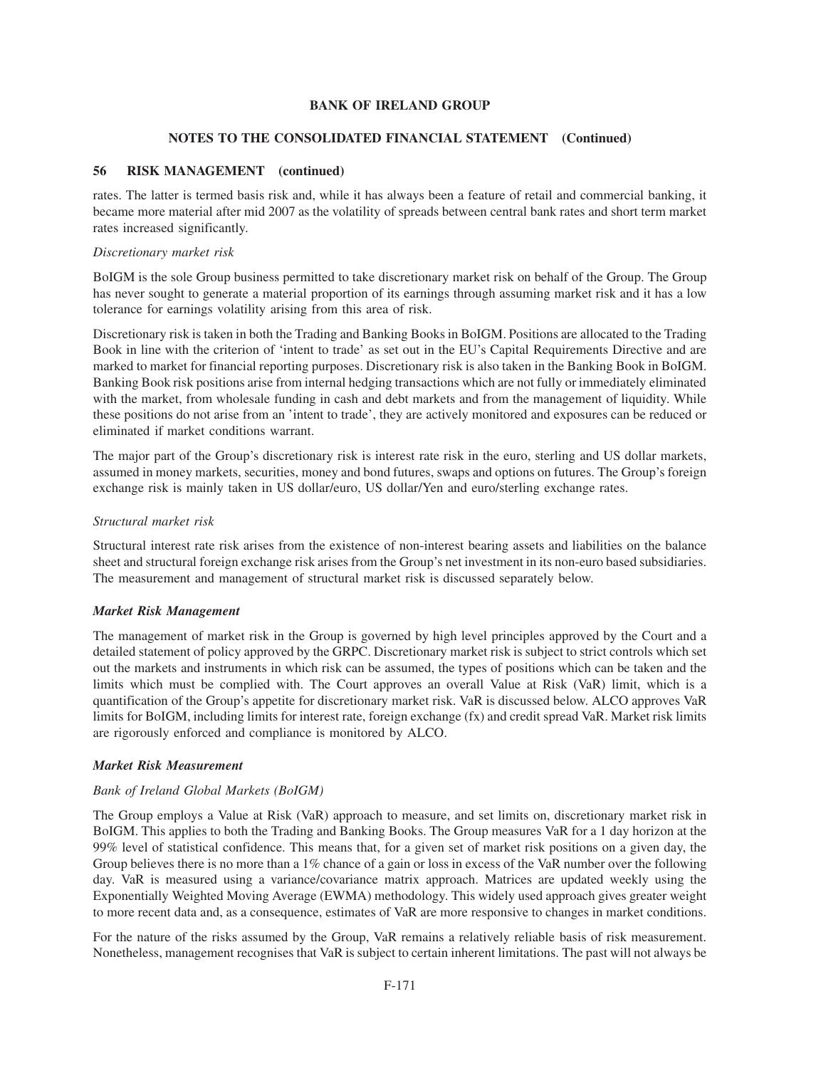# **NOTES TO THE CONSOLIDATED FINANCIAL STATEMENT (Continued)**

# **56 RISK MANAGEMENT (continued)**

rates. The latter is termed basis risk and, while it has always been a feature of retail and commercial banking, it became more material after mid 2007 as the volatility of spreads between central bank rates and short term market rates increased significantly.

## *Discretionary market risk*

BoIGM is the sole Group business permitted to take discretionary market risk on behalf of the Group. The Group has never sought to generate a material proportion of its earnings through assuming market risk and it has a low tolerance for earnings volatility arising from this area of risk.

Discretionary risk is taken in both the Trading and Banking Books in BoIGM. Positions are allocated to the Trading Book in line with the criterion of 'intent to trade' as set out in the EU's Capital Requirements Directive and are marked to market for financial reporting purposes. Discretionary risk is also taken in the Banking Book in BoIGM. Banking Book risk positions arise from internal hedging transactions which are not fully or immediately eliminated with the market, from wholesale funding in cash and debt markets and from the management of liquidity. While these positions do not arise from an 'intent to trade', they are actively monitored and exposures can be reduced or eliminated if market conditions warrant.

The major part of the Group's discretionary risk is interest rate risk in the euro, sterling and US dollar markets, assumed in money markets, securities, money and bond futures, swaps and options on futures. The Group's foreign exchange risk is mainly taken in US dollar/euro, US dollar/Yen and euro/sterling exchange rates.

# *Structural market risk*

Structural interest rate risk arises from the existence of non-interest bearing assets and liabilities on the balance sheet and structural foreign exchange risk arises from the Group's net investment in its non-euro based subsidiaries. The measurement and management of structural market risk is discussed separately below.

# *Market Risk Management*

The management of market risk in the Group is governed by high level principles approved by the Court and a detailed statement of policy approved by the GRPC. Discretionary market risk is subject to strict controls which set out the markets and instruments in which risk can be assumed, the types of positions which can be taken and the limits which must be complied with. The Court approves an overall Value at Risk (VaR) limit, which is a quantification of the Group's appetite for discretionary market risk. VaR is discussed below. ALCO approves VaR limits for BoIGM, including limits for interest rate, foreign exchange (fx) and credit spread VaR. Market risk limits are rigorously enforced and compliance is monitored by ALCO.

## *Market Risk Measurement*

# *Bank of Ireland Global Markets (BoIGM)*

The Group employs a Value at Risk (VaR) approach to measure, and set limits on, discretionary market risk in BoIGM. This applies to both the Trading and Banking Books. The Group measures VaR for a 1 day horizon at the 99% level of statistical confidence. This means that, for a given set of market risk positions on a given day, the Group believes there is no more than a 1% chance of a gain or loss in excess of the VaR number over the following day. VaR is measured using a variance/covariance matrix approach. Matrices are updated weekly using the Exponentially Weighted Moving Average (EWMA) methodology. This widely used approach gives greater weight to more recent data and, as a consequence, estimates of VaR are more responsive to changes in market conditions.

For the nature of the risks assumed by the Group, VaR remains a relatively reliable basis of risk measurement. Nonetheless, management recognises that VaR is subject to certain inherent limitations. The past will not always be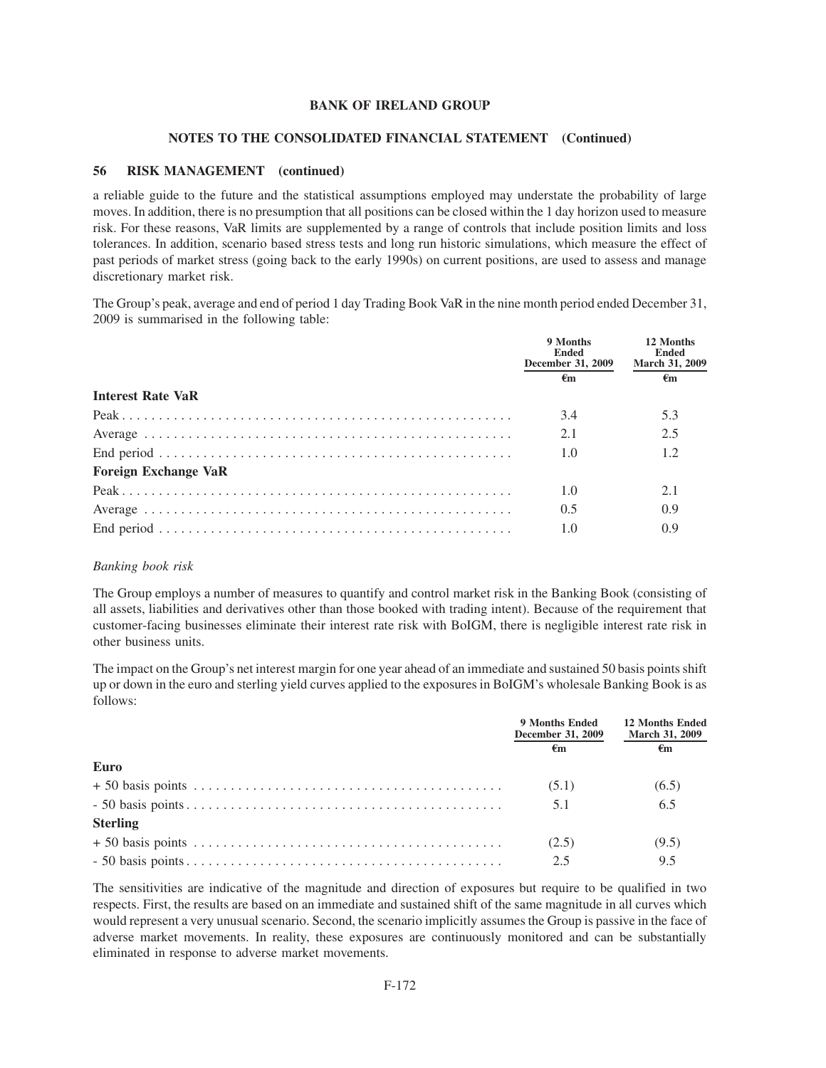#### **NOTES TO THE CONSOLIDATED FINANCIAL STATEMENT (Continued)**

#### **56 RISK MANAGEMENT (continued)**

a reliable guide to the future and the statistical assumptions employed may understate the probability of large moves. In addition, there is no presumption that all positions can be closed within the 1 day horizon used to measure risk. For these reasons, VaR limits are supplemented by a range of controls that include position limits and loss tolerances. In addition, scenario based stress tests and long run historic simulations, which measure the effect of past periods of market stress (going back to the early 1990s) on current positions, are used to assess and manage discretionary market risk.

The Group's peak, average and end of period 1 day Trading Book VaR in the nine month period ended December 31, 2009 is summarised in the following table:

|                             | 9 Months<br>Ended<br>December 31, 2009 | 12 Months<br><b>Ended</b><br><b>March 31, 2009</b> |
|-----------------------------|----------------------------------------|----------------------------------------------------|
|                             | €m                                     | €m                                                 |
| <b>Interest Rate VaR</b>    |                                        |                                                    |
|                             | 3.4                                    | 5.3                                                |
|                             | 2.1                                    | 2.5                                                |
|                             | 1.0                                    | 1.2                                                |
| <b>Foreign Exchange VaR</b> |                                        |                                                    |
|                             | 1.0                                    | 2.1                                                |
|                             | 0.5                                    | 0.9                                                |
|                             | 1.0                                    | 0.9                                                |

### *Banking book risk*

The Group employs a number of measures to quantify and control market risk in the Banking Book (consisting of all assets, liabilities and derivatives other than those booked with trading intent). Because of the requirement that customer-facing businesses eliminate their interest rate risk with BoIGM, there is negligible interest rate risk in other business units.

The impact on the Group's net interest margin for one year ahead of an immediate and sustained 50 basis points shift up or down in the euro and sterling yield curves applied to the exposures in BoIGM's wholesale Banking Book is as follows:

|                 | 9 Months Ended<br>December 31, 2009 | <b>12 Months Ended</b><br><b>March 31, 2009</b> |
|-----------------|-------------------------------------|-------------------------------------------------|
|                 | €m                                  | €m                                              |
| Euro            |                                     |                                                 |
|                 | (5.1)                               | (6.5)                                           |
|                 | 5.1                                 | 6.5                                             |
| <b>Sterling</b> |                                     |                                                 |
|                 | (2.5)                               | (9.5)                                           |
|                 | 2.5                                 | 9.5                                             |

The sensitivities are indicative of the magnitude and direction of exposures but require to be qualified in two respects. First, the results are based on an immediate and sustained shift of the same magnitude in all curves which would represent a very unusual scenario. Second, the scenario implicitly assumes the Group is passive in the face of adverse market movements. In reality, these exposures are continuously monitored and can be substantially eliminated in response to adverse market movements.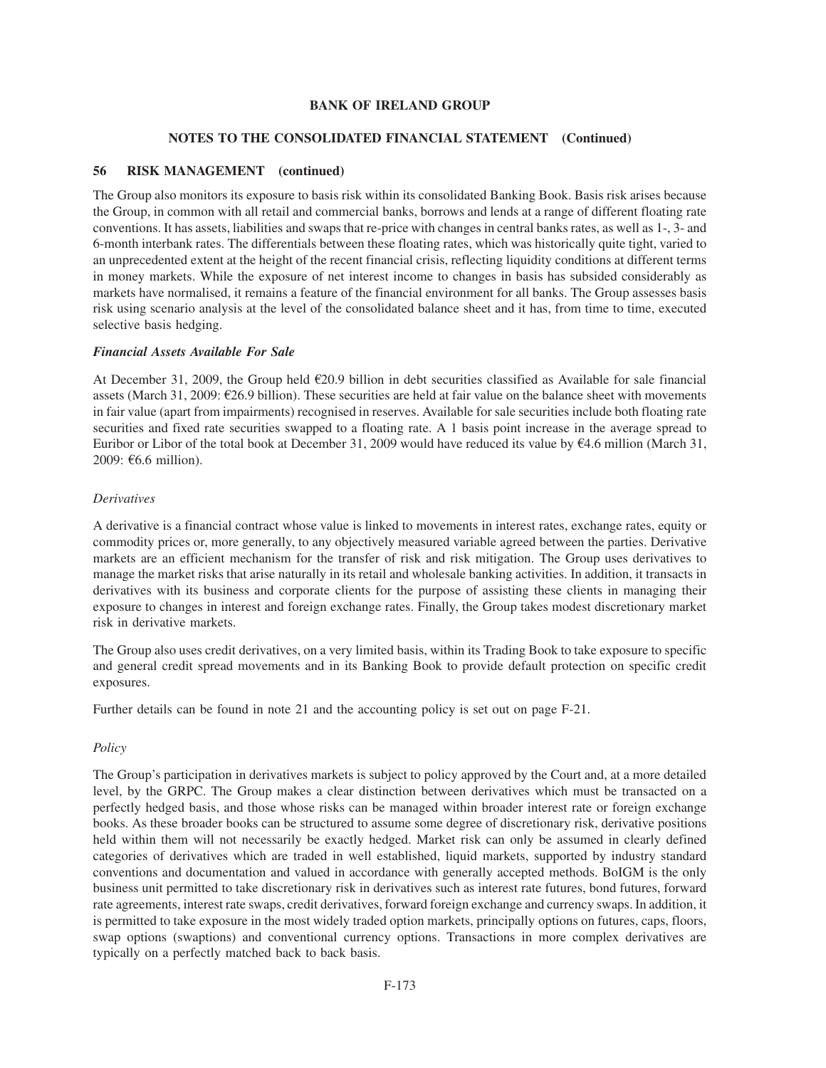#### **NOTES TO THE CONSOLIDATED FINANCIAL STATEMENT (Continued)**

#### **56 RISK MANAGEMENT (continued)**

The Group also monitors its exposure to basis risk within its consolidated Banking Book. Basis risk arises because the Group, in common with all retail and commercial banks, borrows and lends at a range of different floating rate conventions. It has assets, liabilities and swaps that re-price with changes in central banks rates, as well as 1-, 3- and 6-month interbank rates. The differentials between these floating rates, which was historically quite tight, varied to an unprecedented extent at the height of the recent financial crisis, reflecting liquidity conditions at different terms in money markets. While the exposure of net interest income to changes in basis has subsided considerably as markets have normalised, it remains a feature of the financial environment for all banks. The Group assesses basis risk using scenario analysis at the level of the consolidated balance sheet and it has, from time to time, executed selective basis hedging.

#### *Financial Assets Available For Sale*

At December 31, 2009, the Group held  $\epsilon$ 20.9 billion in debt securities classified as Available for sale financial assets (March 31, 2009:  $\epsilon$ 26.9 billion). These securities are held at fair value on the balance sheet with movements in fair value (apart from impairments) recognised in reserves. Available for sale securities include both floating rate securities and fixed rate securities swapped to a floating rate. A 1 basis point increase in the average spread to Euribor or Libor of the total book at December 31, 2009 would have reduced its value by  $\epsilon$ 4.6 million (March 31, 2009:  $\epsilon$ 6.6 million).

#### *Derivatives*

A derivative is a financial contract whose value is linked to movements in interest rates, exchange rates, equity or commodity prices or, more generally, to any objectively measured variable agreed between the parties. Derivative markets are an efficient mechanism for the transfer of risk and risk mitigation. The Group uses derivatives to manage the market risks that arise naturally in its retail and wholesale banking activities. In addition, it transacts in derivatives with its business and corporate clients for the purpose of assisting these clients in managing their exposure to changes in interest and foreign exchange rates. Finally, the Group takes modest discretionary market risk in derivative markets.

The Group also uses credit derivatives, on a very limited basis, within its Trading Book to take exposure to specific and general credit spread movements and in its Banking Book to provide default protection on specific credit exposures.

Further details can be found in note 21 and the accounting policy is set out on page F-21.

## *Policy*

The Group's participation in derivatives markets is subject to policy approved by the Court and, at a more detailed level, by the GRPC. The Group makes a clear distinction between derivatives which must be transacted on a perfectly hedged basis, and those whose risks can be managed within broader interest rate or foreign exchange books. As these broader books can be structured to assume some degree of discretionary risk, derivative positions held within them will not necessarily be exactly hedged. Market risk can only be assumed in clearly defined categories of derivatives which are traded in well established, liquid markets, supported by industry standard conventions and documentation and valued in accordance with generally accepted methods. BoIGM is the only business unit permitted to take discretionary risk in derivatives such as interest rate futures, bond futures, forward rate agreements, interest rate swaps, credit derivatives, forward foreign exchange and currency swaps. In addition, it is permitted to take exposure in the most widely traded option markets, principally options on futures, caps, floors, swap options (swaptions) and conventional currency options. Transactions in more complex derivatives are typically on a perfectly matched back to back basis.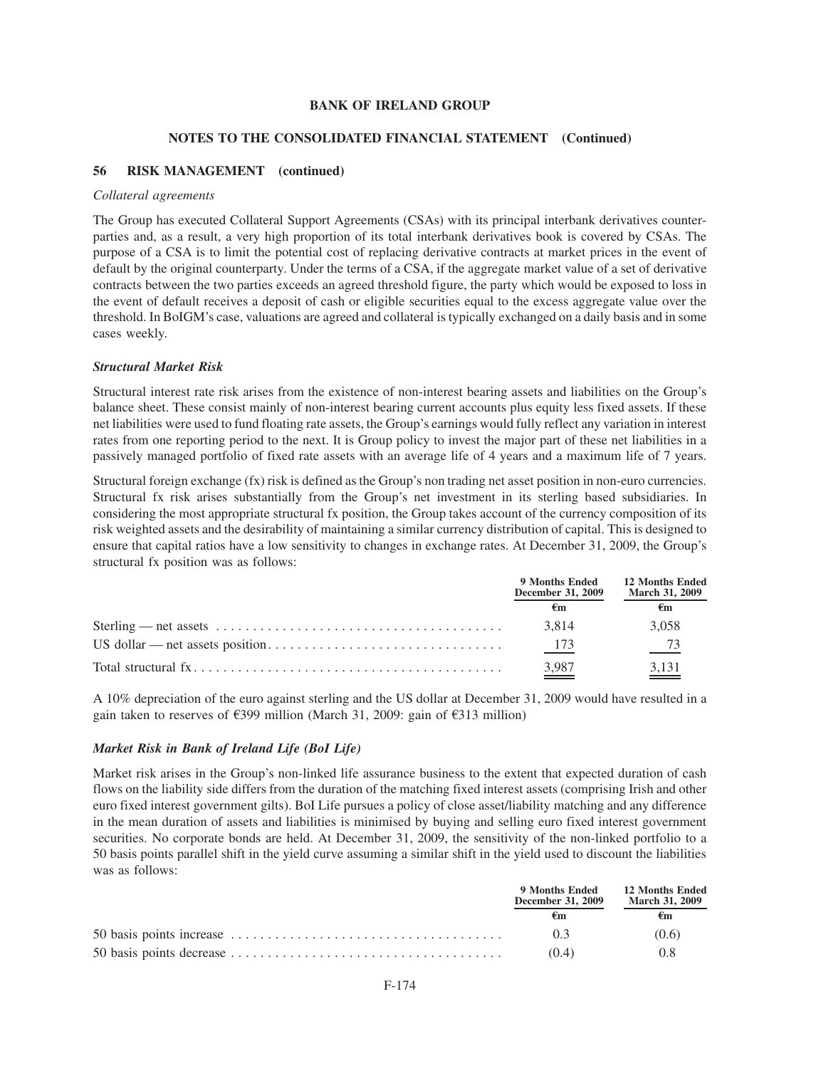#### **NOTES TO THE CONSOLIDATED FINANCIAL STATEMENT (Continued)**

#### **56 RISK MANAGEMENT (continued)**

#### *Collateral agreements*

The Group has executed Collateral Support Agreements (CSAs) with its principal interbank derivatives counterparties and, as a result, a very high proportion of its total interbank derivatives book is covered by CSAs. The purpose of a CSA is to limit the potential cost of replacing derivative contracts at market prices in the event of default by the original counterparty. Under the terms of a CSA, if the aggregate market value of a set of derivative contracts between the two parties exceeds an agreed threshold figure, the party which would be exposed to loss in the event of default receives a deposit of cash or eligible securities equal to the excess aggregate value over the threshold. In BoIGM's case, valuations are agreed and collateral is typically exchanged on a daily basis and in some cases weekly.

#### *Structural Market Risk*

Structural interest rate risk arises from the existence of non-interest bearing assets and liabilities on the Group's balance sheet. These consist mainly of non-interest bearing current accounts plus equity less fixed assets. If these net liabilities were used to fund floating rate assets, the Group's earnings would fully reflect any variation in interest rates from one reporting period to the next. It is Group policy to invest the major part of these net liabilities in a passively managed portfolio of fixed rate assets with an average life of 4 years and a maximum life of 7 years.

Structural foreign exchange (fx) risk is defined as the Group's non trading net asset position in non-euro currencies. Structural fx risk arises substantially from the Group's net investment in its sterling based subsidiaries. In considering the most appropriate structural fx position, the Group takes account of the currency composition of its risk weighted assets and the desirability of maintaining a similar currency distribution of capital. This is designed to ensure that capital ratios have a low sensitivity to changes in exchange rates. At December 31, 2009, the Group's structural fx position was as follows:

|                                                                                                       | 9 Months Ended<br>December 31, 2009 | <b>12 Months Ended</b><br><b>March 31, 2009</b> |
|-------------------------------------------------------------------------------------------------------|-------------------------------------|-------------------------------------------------|
|                                                                                                       | €m                                  | €m                                              |
| Sterling — net assets $\dots \dots \dots \dots \dots \dots \dots \dots \dots \dots \dots \dots \dots$ | 3.814                               | 3.058                                           |
|                                                                                                       | 173                                 | $-73$                                           |
|                                                                                                       | $\frac{3,987}{2}$                   | $\frac{3,131}{ }$                               |

A 10% depreciation of the euro against sterling and the US dollar at December 31, 2009 would have resulted in a gain taken to reserves of  $\epsilon$ 399 million (March 31, 2009: gain of  $\epsilon$ 313 million)

# *Market Risk in Bank of Ireland Life (BoI Life)*

Market risk arises in the Group's non-linked life assurance business to the extent that expected duration of cash flows on the liability side differs from the duration of the matching fixed interest assets (comprising Irish and other euro fixed interest government gilts). BoI Life pursues a policy of close asset/liability matching and any difference in the mean duration of assets and liabilities is minimised by buying and selling euro fixed interest government securities. No corporate bonds are held. At December 31, 2009, the sensitivity of the non-linked portfolio to a 50 basis points parallel shift in the yield curve assuming a similar shift in the yield used to discount the liabilities was as follows:

| 9 Months Ended<br>December 31, 2009 | <b>12 Months Ended</b><br><b>March 31, 2009</b> |
|-------------------------------------|-------------------------------------------------|
|                                     | €m                                              |
| 03                                  | (0.6)                                           |
| (0.4)                               | 0.8                                             |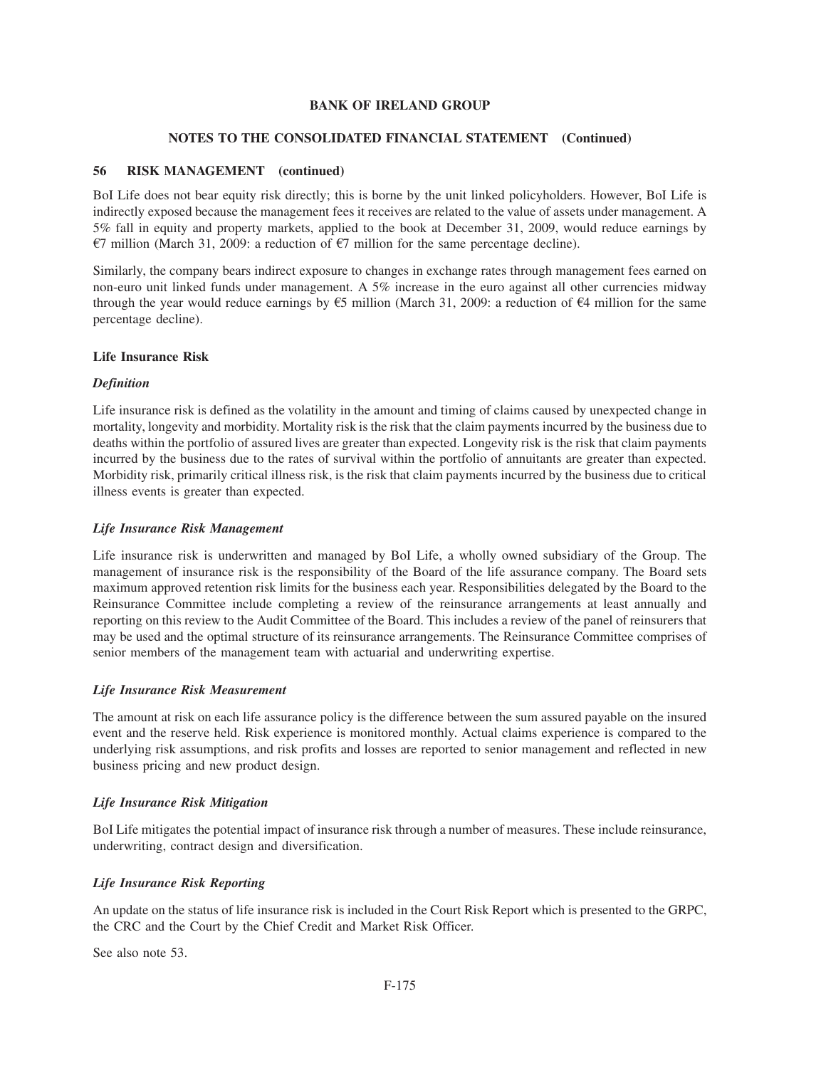# **NOTES TO THE CONSOLIDATED FINANCIAL STATEMENT (Continued)**

# **56 RISK MANAGEMENT (continued)**

BoI Life does not bear equity risk directly; this is borne by the unit linked policyholders. However, BoI Life is indirectly exposed because the management fees it receives are related to the value of assets under management. A 5% fall in equity and property markets, applied to the book at December 31, 2009, would reduce earnings by  $E7$  million (March 31, 2009: a reduction of  $E7$  million for the same percentage decline).

Similarly, the company bears indirect exposure to changes in exchange rates through management fees earned on non-euro unit linked funds under management. A 5% increase in the euro against all other currencies midway through the year would reduce earnings by  $\epsilon$ 5 million (March 31, 2009: a reduction of  $\epsilon$ 4 million for the same percentage decline).

# **Life Insurance Risk**

# *Definition*

Life insurance risk is defined as the volatility in the amount and timing of claims caused by unexpected change in mortality, longevity and morbidity. Mortality risk is the risk that the claim payments incurred by the business due to deaths within the portfolio of assured lives are greater than expected. Longevity risk is the risk that claim payments incurred by the business due to the rates of survival within the portfolio of annuitants are greater than expected. Morbidity risk, primarily critical illness risk, is the risk that claim payments incurred by the business due to critical illness events is greater than expected.

# *Life Insurance Risk Management*

Life insurance risk is underwritten and managed by BoI Life, a wholly owned subsidiary of the Group. The management of insurance risk is the responsibility of the Board of the life assurance company. The Board sets maximum approved retention risk limits for the business each year. Responsibilities delegated by the Board to the Reinsurance Committee include completing a review of the reinsurance arrangements at least annually and reporting on this review to the Audit Committee of the Board. This includes a review of the panel of reinsurers that may be used and the optimal structure of its reinsurance arrangements. The Reinsurance Committee comprises of senior members of the management team with actuarial and underwriting expertise.

# *Life Insurance Risk Measurement*

The amount at risk on each life assurance policy is the difference between the sum assured payable on the insured event and the reserve held. Risk experience is monitored monthly. Actual claims experience is compared to the underlying risk assumptions, and risk profits and losses are reported to senior management and reflected in new business pricing and new product design.

# *Life Insurance Risk Mitigation*

BoI Life mitigates the potential impact of insurance risk through a number of measures. These include reinsurance, underwriting, contract design and diversification.

# *Life Insurance Risk Reporting*

An update on the status of life insurance risk is included in the Court Risk Report which is presented to the GRPC, the CRC and the Court by the Chief Credit and Market Risk Officer.

See also note 53.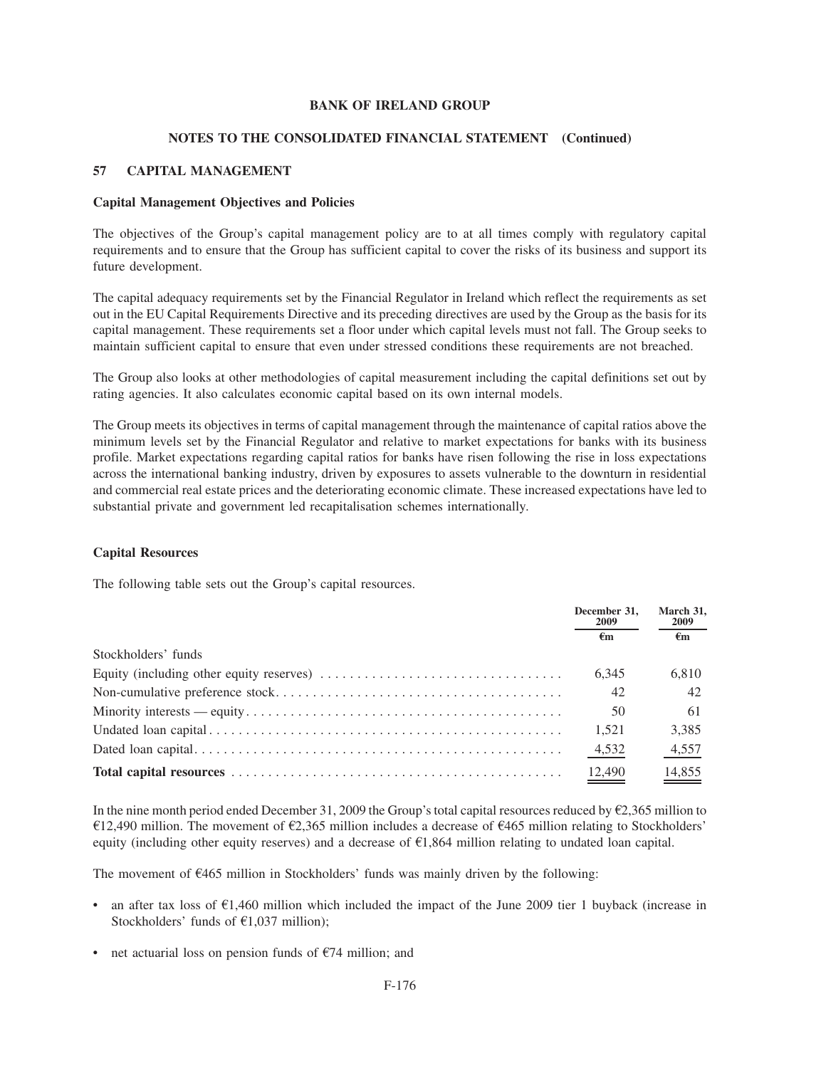#### **NOTES TO THE CONSOLIDATED FINANCIAL STATEMENT (Continued)**

## **57 CAPITAL MANAGEMENT**

#### **Capital Management Objectives and Policies**

The objectives of the Group's capital management policy are to at all times comply with regulatory capital requirements and to ensure that the Group has sufficient capital to cover the risks of its business and support its future development.

The capital adequacy requirements set by the Financial Regulator in Ireland which reflect the requirements as set out in the EU Capital Requirements Directive and its preceding directives are used by the Group as the basis for its capital management. These requirements set a floor under which capital levels must not fall. The Group seeks to maintain sufficient capital to ensure that even under stressed conditions these requirements are not breached.

The Group also looks at other methodologies of capital measurement including the capital definitions set out by rating agencies. It also calculates economic capital based on its own internal models.

The Group meets its objectives in terms of capital management through the maintenance of capital ratios above the minimum levels set by the Financial Regulator and relative to market expectations for banks with its business profile. Market expectations regarding capital ratios for banks have risen following the rise in loss expectations across the international banking industry, driven by exposures to assets vulnerable to the downturn in residential and commercial real estate prices and the deteriorating economic climate. These increased expectations have led to substantial private and government led recapitalisation schemes internationally.

#### **Capital Resources**

The following table sets out the Group's capital resources.

|                                                                                                        | December 31.<br>2009 | March 31,<br><b>2009</b> |
|--------------------------------------------------------------------------------------------------------|----------------------|--------------------------|
|                                                                                                        | €m                   | €m                       |
| Stockholders' funds                                                                                    |                      |                          |
| Equity (including other equity reserves) $\dots \dots \dots \dots \dots \dots \dots \dots \dots \dots$ | 6.345                | 6.810                    |
|                                                                                                        | 42                   | 42                       |
|                                                                                                        | 50                   | -61                      |
|                                                                                                        | 1.521                | 3,385                    |
|                                                                                                        | 4,532                | 4,557                    |
|                                                                                                        | $\frac{12,490}{2}$   | $\frac{14,855}{2}$       |

In the nine month period ended December 31, 2009 the Group's total capital resources reduced by  $\epsilon$ 2,365 million to  $\epsilon$ 12,490 million. The movement of  $\epsilon$ 2,365 million includes a decrease of  $\epsilon$ 465 million relating to Stockholders' equity (including other equity reserves) and a decrease of  $E1,864$  million relating to undated loan capital.

The movement of  $\epsilon$ 465 million in Stockholders' funds was mainly driven by the following:

- an after tax loss of  $\epsilon$ 1,460 million which included the impact of the June 2009 tier 1 buyback (increase in Stockholders' funds of  $E1,037$  million);
- net actuarial loss on pension funds of  $E$ 74 million; and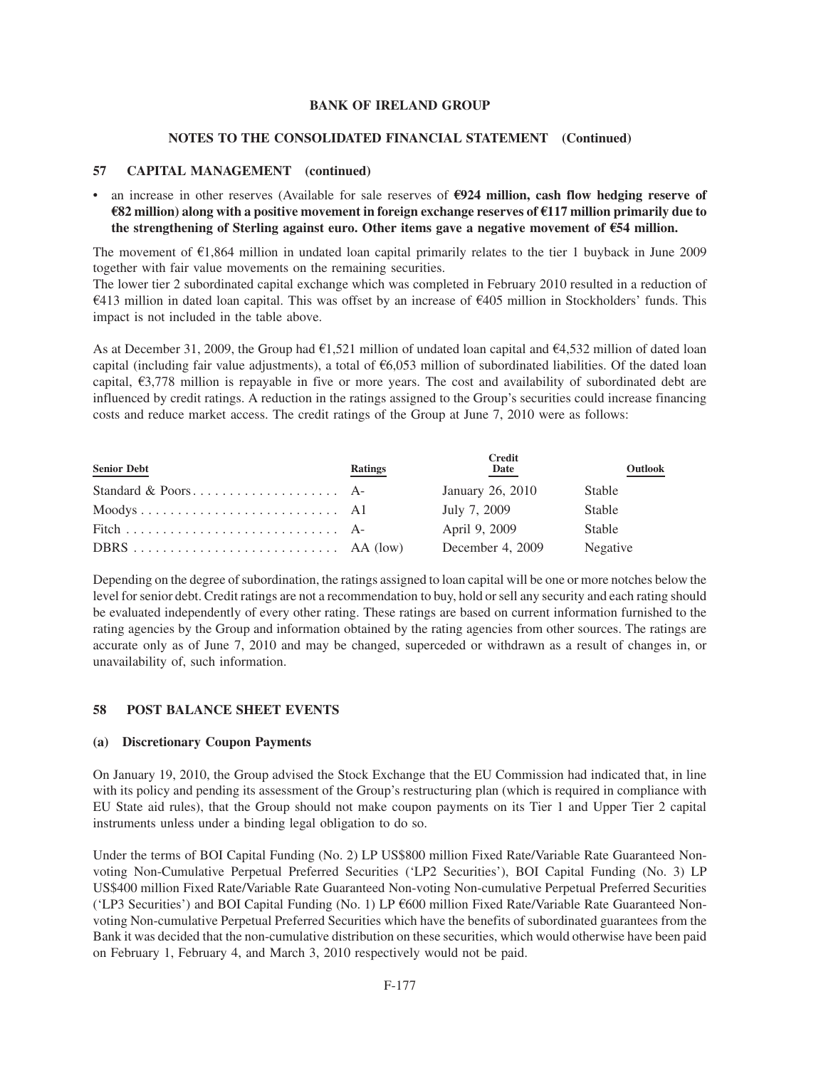#### **NOTES TO THE CONSOLIDATED FINANCIAL STATEMENT (Continued)**

## **57 CAPITAL MANAGEMENT (continued)**

• an increase in other reserves (Available for sale reserves of E**924 million, cash flow hedging reserve of** E**82 million) along with a positive movement in foreign exchange reserves of** E**117 million primarily due to the strengthening of Sterling against euro. Other items gave a negative movement of** E**54 million.**

The movement of  $\epsilon$ 1,864 million in undated loan capital primarily relates to the tier 1 buyback in June 2009 together with fair value movements on the remaining securities.

The lower tier 2 subordinated capital exchange which was completed in February 2010 resulted in a reduction of  $\epsilon$ 413 million in dated loan capital. This was offset by an increase of  $\epsilon$ 405 million in Stockholders' funds. This impact is not included in the table above.

As at December 31, 2009, the Group had  $E1,521$  million of undated loan capital and  $E4,532$  million of dated loan capital (including fair value adjustments), a total of  $\epsilon$ 6,053 million of subordinated liabilities. Of the dated loan capital,  $\epsilon$ 3,778 million is repayable in five or more years. The cost and availability of subordinated debt are influenced by credit ratings. A reduction in the ratings assigned to the Group's securities could increase financing costs and reduce market access. The credit ratings of the Group at June 7, 2010 were as follows:

| <b>Senior Debt</b> | <b>Ratings</b> | <b>Credit</b><br>Date | Outlook  |
|--------------------|----------------|-----------------------|----------|
|                    |                | January 26, 2010      | Stable   |
|                    |                | July 7, 2009          | Stable   |
|                    |                | April 9, 2009         | Stable   |
|                    |                | December 4, 2009      | Negative |

Depending on the degree of subordination, the ratings assigned to loan capital will be one or more notches below the level for senior debt. Credit ratings are not a recommendation to buy, hold or sell any security and each rating should be evaluated independently of every other rating. These ratings are based on current information furnished to the rating agencies by the Group and information obtained by the rating agencies from other sources. The ratings are accurate only as of June 7, 2010 and may be changed, superceded or withdrawn as a result of changes in, or unavailability of, such information.

#### **58 POST BALANCE SHEET EVENTS**

# **(a) Discretionary Coupon Payments**

On January 19, 2010, the Group advised the Stock Exchange that the EU Commission had indicated that, in line with its policy and pending its assessment of the Group's restructuring plan (which is required in compliance with EU State aid rules), that the Group should not make coupon payments on its Tier 1 and Upper Tier 2 capital instruments unless under a binding legal obligation to do so.

Under the terms of BOI Capital Funding (No. 2) LP US\$800 million Fixed Rate/Variable Rate Guaranteed Nonvoting Non-Cumulative Perpetual Preferred Securities ('LP2 Securities'), BOI Capital Funding (No. 3) LP US\$400 million Fixed Rate/Variable Rate Guaranteed Non-voting Non-cumulative Perpetual Preferred Securities ('LP3 Securities') and BOI Capital Funding (No. 1) LP €600 million Fixed Rate/Variable Rate Guaranteed Nonvoting Non-cumulative Perpetual Preferred Securities which have the benefits of subordinated guarantees from the Bank it was decided that the non-cumulative distribution on these securities, which would otherwise have been paid on February 1, February 4, and March 3, 2010 respectively would not be paid.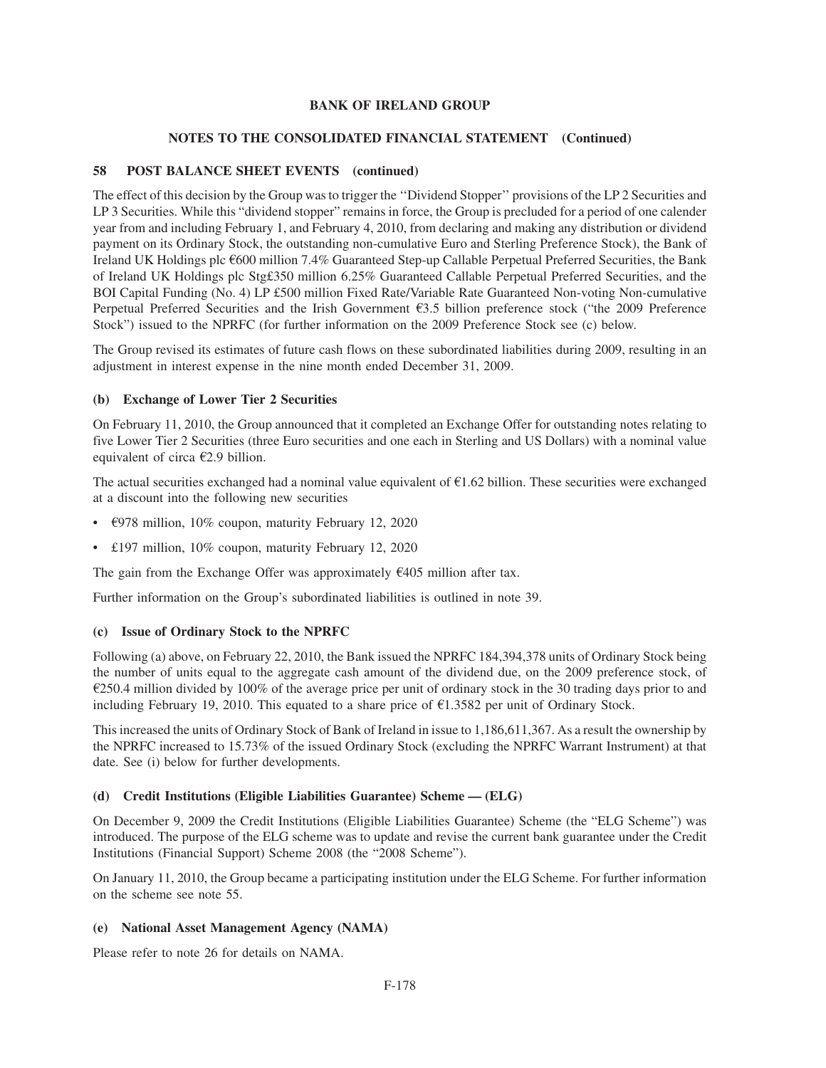# **NOTES TO THE CONSOLIDATED FINANCIAL STATEMENT (Continued)**

# **58 POST BALANCE SHEET EVENTS (continued)**

The effect of this decision by the Group was to trigger the ''Dividend Stopper'' provisions of the LP 2 Securities and LP 3 Securities. While this "dividend stopper" remains in force, the Group is precluded for a period of one calender year from and including February 1, and February 4, 2010, from declaring and making any distribution or dividend payment on its Ordinary Stock, the outstanding non-cumulative Euro and Sterling Preference Stock), the Bank of Ireland UK Holdings plc  $600$  million 7.4% Guaranteed Step-up Callable Perpetual Preferred Securities, the Bank of Ireland UK Holdings plc Stg£350 million 6.25% Guaranteed Callable Perpetual Preferred Securities, and the BOI Capital Funding (No. 4) LP £500 million Fixed Rate/Variable Rate Guaranteed Non-voting Non-cumulative Perpetual Preferred Securities and the Irish Government  $\epsilon$ 3.5 billion preference stock ("the 2009 Preference Stock") issued to the NPRFC (for further information on the 2009 Preference Stock see (c) below.

The Group revised its estimates of future cash flows on these subordinated liabilities during 2009, resulting in an adjustment in interest expense in the nine month ended December 31, 2009.

## **(b) Exchange of Lower Tier 2 Securities**

On February 11, 2010, the Group announced that it completed an Exchange Offer for outstanding notes relating to five Lower Tier 2 Securities (three Euro securities and one each in Sterling and US Dollars) with a nominal value equivalent of circa  $\epsilon$ 2.9 billion.

The actual securities exchanged had a nominal value equivalent of  $\epsilon$ 1.62 billion. These securities were exchanged at a discount into the following new securities

- $\epsilon$ 978 million, 10% coupon, maturity February 12, 2020
- £197 million, 10% coupon, maturity February 12, 2020

The gain from the Exchange Offer was approximately  $\epsilon$ 405 million after tax.

Further information on the Group's subordinated liabilities is outlined in note 39.

## **(c) Issue of Ordinary Stock to the NPRFC**

Following (a) above, on February 22, 2010, the Bank issued the NPRFC 184,394,378 units of Ordinary Stock being the number of units equal to the aggregate cash amount of the dividend due, on the 2009 preference stock, of  $\epsilon$ 250.4 million divided by 100% of the average price per unit of ordinary stock in the 30 trading days prior to and including February 19, 2010. This equated to a share price of  $\epsilon$ 1.3582 per unit of Ordinary Stock.

This increased the units of Ordinary Stock of Bank of Ireland in issue to 1,186,611,367. As a result the ownership by the NPRFC increased to 15.73% of the issued Ordinary Stock (excluding the NPRFC Warrant Instrument) at that date. See (i) below for further developments.

## **(d) Credit Institutions (Eligible Liabilities Guarantee) Scheme — (ELG)**

On December 9, 2009 the Credit Institutions (Eligible Liabilities Guarantee) Scheme (the "ELG Scheme") was introduced. The purpose of the ELG scheme was to update and revise the current bank guarantee under the Credit Institutions (Financial Support) Scheme 2008 (the "2008 Scheme").

On January 11, 2010, the Group became a participating institution under the ELG Scheme. For further information on the scheme see note 55.

## **(e) National Asset Management Agency (NAMA)**

Please refer to note 26 for details on NAMA.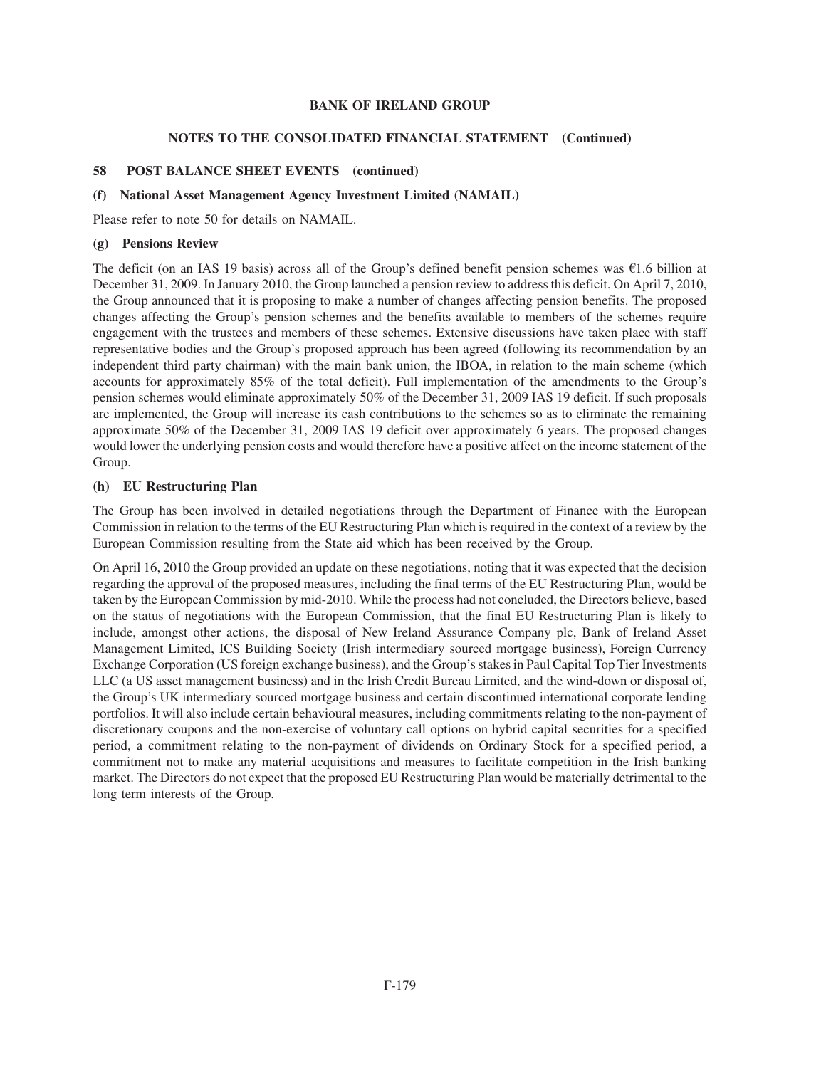# **NOTES TO THE CONSOLIDATED FINANCIAL STATEMENT (Continued)**

# **58 POST BALANCE SHEET EVENTS (continued)**

## **(f) National Asset Management Agency Investment Limited (NAMAIL)**

Please refer to note 50 for details on NAMAIL.

## **(g) Pensions Review**

The deficit (on an IAS 19 basis) across all of the Group's defined benefit pension schemes was  $\epsilon$ 1.6 billion at December 31, 2009. In January 2010, the Group launched a pension review to address this deficit. On April 7, 2010, the Group announced that it is proposing to make a number of changes affecting pension benefits. The proposed changes affecting the Group's pension schemes and the benefits available to members of the schemes require engagement with the trustees and members of these schemes. Extensive discussions have taken place with staff representative bodies and the Group's proposed approach has been agreed (following its recommendation by an independent third party chairman) with the main bank union, the IBOA, in relation to the main scheme (which accounts for approximately 85% of the total deficit). Full implementation of the amendments to the Group's pension schemes would eliminate approximately 50% of the December 31, 2009 IAS 19 deficit. If such proposals are implemented, the Group will increase its cash contributions to the schemes so as to eliminate the remaining approximate 50% of the December 31, 2009 IAS 19 deficit over approximately 6 years. The proposed changes would lower the underlying pension costs and would therefore have a positive affect on the income statement of the Group.

# **(h) EU Restructuring Plan**

The Group has been involved in detailed negotiations through the Department of Finance with the European Commission in relation to the terms of the EU Restructuring Plan which is required in the context of a review by the European Commission resulting from the State aid which has been received by the Group.

On April 16, 2010 the Group provided an update on these negotiations, noting that it was expected that the decision regarding the approval of the proposed measures, including the final terms of the EU Restructuring Plan, would be taken by the European Commission by mid-2010. While the process had not concluded, the Directors believe, based on the status of negotiations with the European Commission, that the final EU Restructuring Plan is likely to include, amongst other actions, the disposal of New Ireland Assurance Company plc, Bank of Ireland Asset Management Limited, ICS Building Society (Irish intermediary sourced mortgage business), Foreign Currency Exchange Corporation (US foreign exchange business), and the Group's stakes in Paul Capital Top Tier Investments LLC (a US asset management business) and in the Irish Credit Bureau Limited, and the wind-down or disposal of, the Group's UK intermediary sourced mortgage business and certain discontinued international corporate lending portfolios. It will also include certain behavioural measures, including commitments relating to the non-payment of discretionary coupons and the non-exercise of voluntary call options on hybrid capital securities for a specified period, a commitment relating to the non-payment of dividends on Ordinary Stock for a specified period, a commitment not to make any material acquisitions and measures to facilitate competition in the Irish banking market. The Directors do not expect that the proposed EU Restructuring Plan would be materially detrimental to the long term interests of the Group.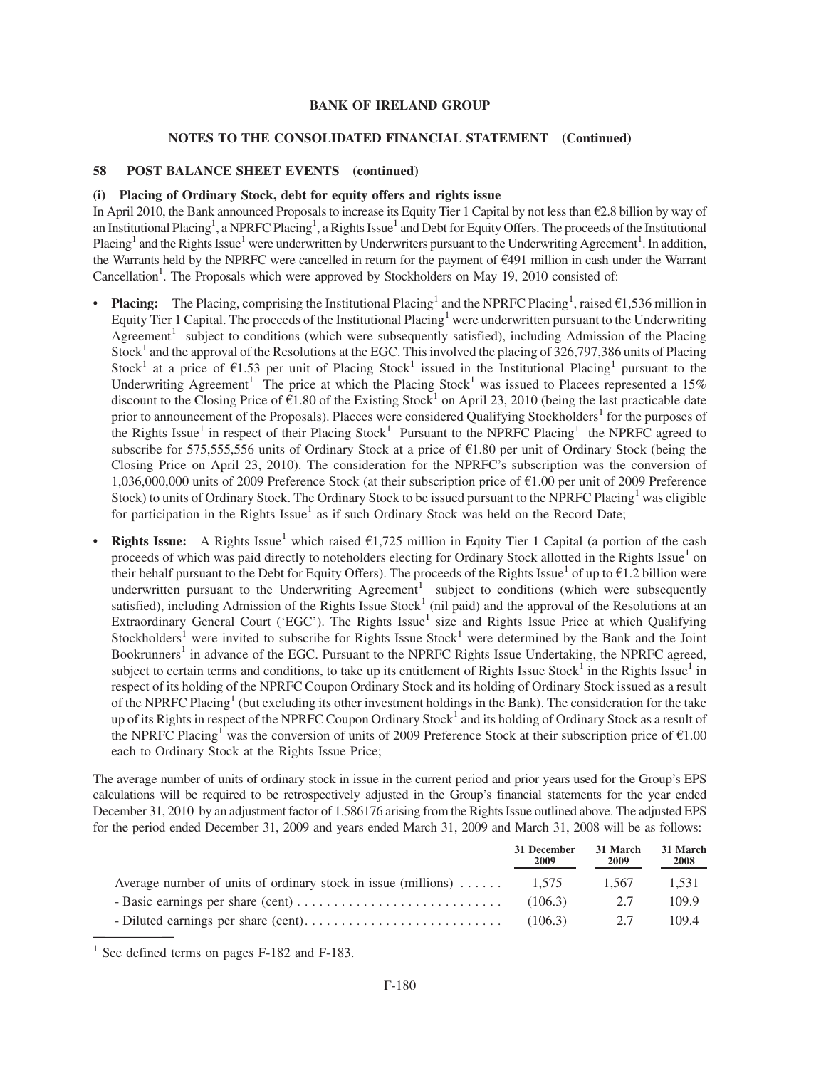#### **NOTES TO THE CONSOLIDATED FINANCIAL STATEMENT (Continued)**

#### **58 POST BALANCE SHEET EVENTS (continued)**

#### **(i) Placing of Ordinary Stock, debt for equity offers and rights issue**

In April 2010, the Bank announced Proposals to increase its Equity Tier 1 Capital by not less than  $\epsilon$ 2.8 billion by way of an Institutional Placing<sup>1</sup>, a NPRFC Placing<sup>1</sup>, a Rights Issue<sup>1</sup> and Debt for Equity Offers. The proceeds of the Institutional Placing<sup>1</sup> and the Rights Issue<sup>1</sup> were underwritten by Underwriters pursuant to the Underwriting Agreement<sup>1</sup>. In addition, the Warrants held by the NPRFC were cancelled in return for the payment of  $E$ 491 million in cash under the Warrant Cancellation<sup>1</sup>. The Proposals which were approved by Stockholders on May 19, 2010 consisted of:

- **Placing:** The Placing, comprising the Institutional Placing<sup>1</sup> and the NPRFC Placing<sup>1</sup>, raised  $\epsilon$ 1,536 million in Equity Tier 1 Capital. The proceeds of the Institutional Placing<sup>1</sup> were underwritten pursuant to the Underwriting Agreement<sup>1</sup> subject to conditions (which were subsequently satisfied), including Admission of the Placing Stock<sup>1</sup> and the approval of the Resolutions at the EGC. This involved the placing of  $326,797,386$  units of Placing Stock<sup>1</sup> at a price of  $\epsilon$ 1.53 per unit of Placing Stock<sup>1</sup> issued in the Institutional Placing<sup>1</sup> pursuant to the Underwriting Agreement<sup>1</sup> The price at which the Placing Stock<sup>1</sup> was issued to Placees represented a 15% discount to the Closing Price of  $\epsilon$ 1.80 of the Existing Stock<sup>1</sup> on April 23, 2010 (being the last practicable date prior to announcement of the Proposals). Placees were considered Qualifying Stockholders<sup>1</sup> for the purposes of the Rights Issue<sup>1</sup> in respect of their Placing Stock<sup>1</sup> Pursuant to the NPRFC Placing<sup>1</sup> the NPRFC agreed to subscribe for 575,555,556 units of Ordinary Stock at a price of  $\epsilon$ 1.80 per unit of Ordinary Stock (being the Closing Price on April 23, 2010). The consideration for the NPRFC's subscription was the conversion of 1,036,000,000 units of 2009 Preference Stock (at their subscription price of  $\epsilon$ 1.00 per unit of 2009 Preference Stock) to units of Ordinary Stock. The Ordinary Stock to be issued pursuant to the NPRFC Placing<sup>1</sup> was eligible for participation in the Rights Issue<sup>1</sup> as if such Ordinary Stock was held on the Record Date;
- **Rights Issue:** A Rights Issue<sup>1</sup> which raised  $\epsilon$ 1,725 million in Equity Tier 1 Capital (a portion of the cash proceeds of which was paid directly to noteholders electing for Ordinary Stock allotted in the Rights Issue<sup>1</sup> on their behalf pursuant to the Debt for Equity Offers). The proceeds of the Rights Issue<sup>1</sup> of up to  $\epsilon$ 1.2 billion were underwritten pursuant to the Underwriting Agreement<sup>1</sup> subject to conditions (which were subsequently satisfied), including Admission of the Rights Issue Stock<sup>1</sup> (nil paid) and the approval of the Resolutions at an Extraordinary General Court ('EGC'). The Rights Issue<sup>1</sup> size and Rights Issue Price at which Qualifying Stockholders<sup>1</sup> were invited to subscribe for Rights Issue Stock<sup>1</sup> were determined by the Bank and the Joint Bookrunners<sup>1</sup> in advance of the EGC. Pursuant to the NPRFC Rights Issue Undertaking, the NPRFC agreed, subject to certain terms and conditions, to take up its entitlement of Rights Issue Stock<sup>1</sup> in the Rights Issue<sup>1</sup> in respect of its holding of the NPRFC Coupon Ordinary Stock and its holding of Ordinary Stock issued as a result of the NPRFC Placing<sup>1</sup> (but excluding its other investment holdings in the Bank). The consideration for the take up of its Rights in respect of the NPRFC Coupon Ordinary Stock<sup>1</sup> and its holding of Ordinary Stock as a result of the NPRFC Placing<sup>1</sup> was the conversion of units of 2009 Preference Stock at their subscription price of  $\epsilon$ 1.00 each to Ordinary Stock at the Rights Issue Price;

The average number of units of ordinary stock in issue in the current period and prior years used for the Group's EPS calculations will be required to be retrospectively adjusted in the Group's financial statements for the year ended December 31, 2010 by an adjustment factor of 1.586176 arising from the Rights Issue outlined above. The adjusted EPS for the period ended December 31, 2009 and years ended March 31, 2009 and March 31, 2008 will be as follows:

|                                                                                   | 31 December<br><b>2009</b> | 31 March<br>2009 | 31 March<br>2008 |
|-----------------------------------------------------------------------------------|----------------------------|------------------|------------------|
| Average number of units of ordinary stock in issue (millions) $\dots \dots$ 1.575 |                            | 1.567            | 1.531            |
|                                                                                   | (106.3)                    | 2.7              | 109.9            |
|                                                                                   | (106.3)                    | 2.7              | 109.4            |

<sup>1</sup> See defined terms on pages F-182 and F-183.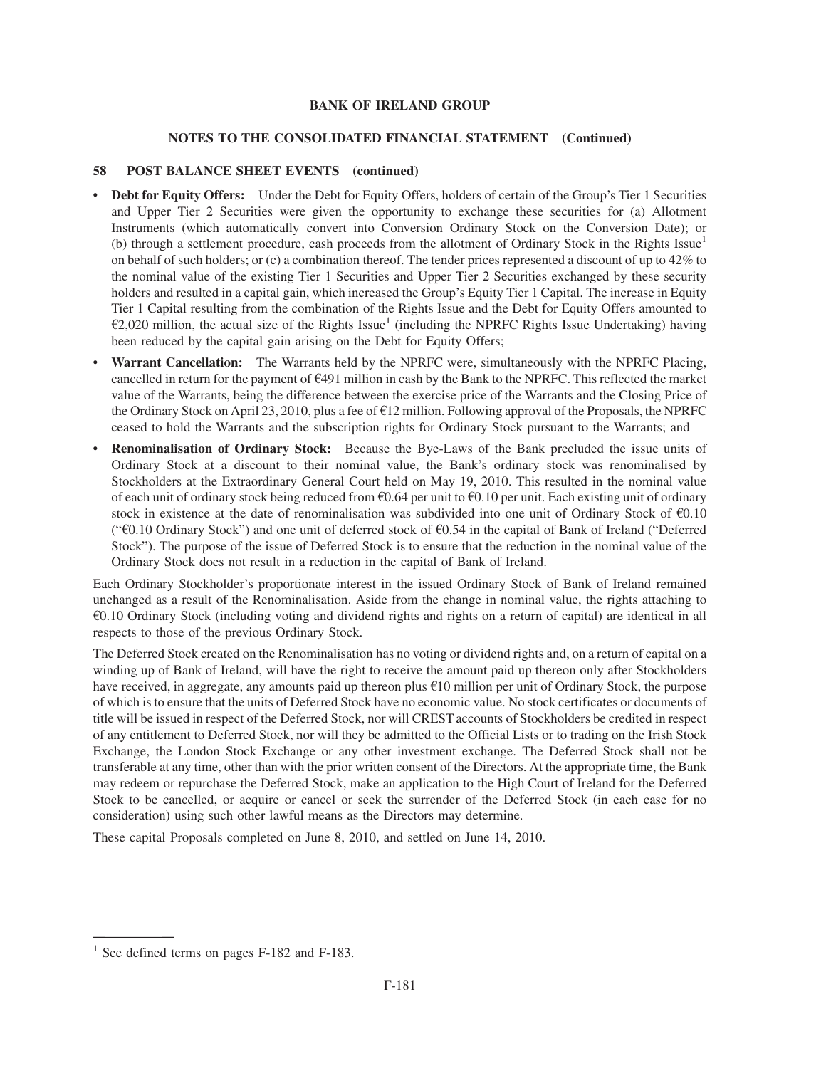# **NOTES TO THE CONSOLIDATED FINANCIAL STATEMENT (Continued)**

# **58 POST BALANCE SHEET EVENTS (continued)**

- **Debt for Equity Offers:** Under the Debt for Equity Offers, holders of certain of the Group's Tier 1 Securities and Upper Tier 2 Securities were given the opportunity to exchange these securities for (a) Allotment Instruments (which automatically convert into Conversion Ordinary Stock on the Conversion Date); or (b) through a settlement procedure, cash proceeds from the allotment of Ordinary Stock in the Rights Issue<sup>1</sup> on behalf of such holders; or (c) a combination thereof. The tender prices represented a discount of up to 42% to the nominal value of the existing Tier 1 Securities and Upper Tier 2 Securities exchanged by these security holders and resulted in a capital gain, which increased the Group's Equity Tier 1 Capital. The increase in Equity Tier 1 Capital resulting from the combination of the Rights Issue and the Debt for Equity Offers amounted to  $\epsilon$ 2,020 million, the actual size of the Rights Issue<sup>1</sup> (including the NPRFC Rights Issue Undertaking) having been reduced by the capital gain arising on the Debt for Equity Offers;
- **Warrant Cancellation:** The Warrants held by the NPRFC were, simultaneously with the NPRFC Placing, cancelled in return for the payment of  $\epsilon$ 491 million in cash by the Bank to the NPRFC. This reflected the market value of the Warrants, being the difference between the exercise price of the Warrants and the Closing Price of the Ordinary Stock on April 23, 2010, plus a fee of  $E12$  million. Following approval of the Proposals, the NPRFC ceased to hold the Warrants and the subscription rights for Ordinary Stock pursuant to the Warrants; and
- **Renominalisation of Ordinary Stock:** Because the Bye-Laws of the Bank precluded the issue units of Ordinary Stock at a discount to their nominal value, the Bank's ordinary stock was renominalised by Stockholders at the Extraordinary General Court held on May 19, 2010. This resulted in the nominal value of each unit of ordinary stock being reduced from  $60.64$  per unit to  $60.10$  per unit. Each existing unit of ordinary stock in existence at the date of renominalisation was subdivided into one unit of Ordinary Stock of  $\epsilon$ 0.10 (" $\epsilon$ 0.10 Ordinary Stock") and one unit of deferred stock of  $\epsilon$ 0.54 in the capital of Bank of Ireland ("Deferred") Stock"). The purpose of the issue of Deferred Stock is to ensure that the reduction in the nominal value of the Ordinary Stock does not result in a reduction in the capital of Bank of Ireland.

Each Ordinary Stockholder's proportionate interest in the issued Ordinary Stock of Bank of Ireland remained unchanged as a result of the Renominalisation. Aside from the change in nominal value, the rights attaching to  $60.10$  Ordinary Stock (including voting and dividend rights and rights on a return of capital) are identical in all respects to those of the previous Ordinary Stock.

The Deferred Stock created on the Renominalisation has no voting or dividend rights and, on a return of capital on a winding up of Bank of Ireland, will have the right to receive the amount paid up thereon only after Stockholders have received, in aggregate, any amounts paid up thereon plus  $E10$  million per unit of Ordinary Stock, the purpose of which is to ensure that the units of Deferred Stock have no economic value. No stock certificates or documents of title will be issued in respect of the Deferred Stock, nor will CREST accounts of Stockholders be credited in respect of any entitlement to Deferred Stock, nor will they be admitted to the Official Lists or to trading on the Irish Stock Exchange, the London Stock Exchange or any other investment exchange. The Deferred Stock shall not be transferable at any time, other than with the prior written consent of the Directors. At the appropriate time, the Bank may redeem or repurchase the Deferred Stock, make an application to the High Court of Ireland for the Deferred Stock to be cancelled, or acquire or cancel or seek the surrender of the Deferred Stock (in each case for no consideration) using such other lawful means as the Directors may determine.

These capital Proposals completed on June 8, 2010, and settled on June 14, 2010.

<sup>&</sup>lt;sup>1</sup> See defined terms on pages F-182 and F-183.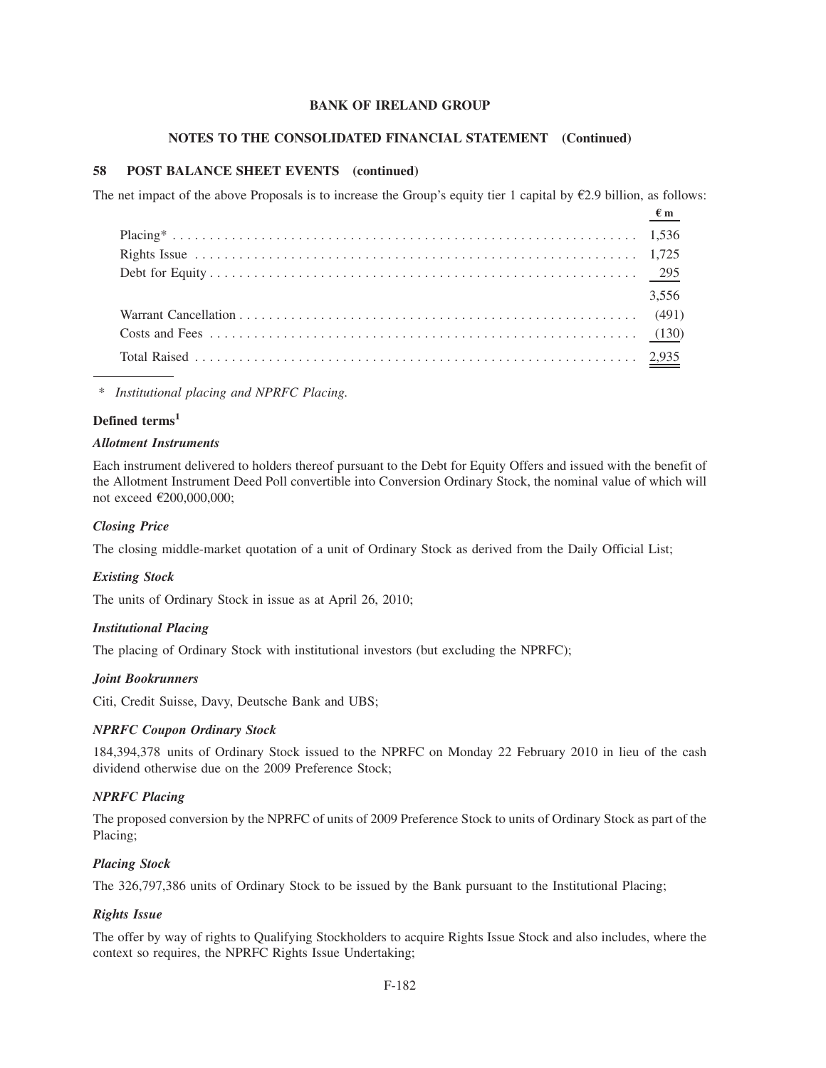#### **NOTES TO THE CONSOLIDATED FINANCIAL STATEMENT (Continued)**

# **58 POST BALANCE SHEET EVENTS (continued)**

The net impact of the above Proposals is to increase the Group's equity tier 1 capital by  $\epsilon$ 2.9 billion, as follows:

| $\frac{\epsilon m}{\epsilon}$ |       |
|-------------------------------|-------|
|                               |       |
|                               |       |
|                               |       |
|                               | 3,556 |
|                               |       |
|                               |       |
|                               |       |

*\* Institutional placing and NPRFC Placing.*

## **Defined terms<sup>1</sup>**

#### *Allotment Instruments*

Each instrument delivered to holders thereof pursuant to the Debt for Equity Offers and issued with the benefit of the Allotment Instrument Deed Poll convertible into Conversion Ordinary Stock, the nominal value of which will not exceed €200,000,000;

## *Closing Price*

The closing middle-market quotation of a unit of Ordinary Stock as derived from the Daily Official List;

#### *Existing Stock*

The units of Ordinary Stock in issue as at April 26, 2010;

#### *Institutional Placing*

The placing of Ordinary Stock with institutional investors (but excluding the NPRFC);

#### *Joint Bookrunners*

Citi, Credit Suisse, Davy, Deutsche Bank and UBS;

### *NPRFC Coupon Ordinary Stock*

184,394,378 units of Ordinary Stock issued to the NPRFC on Monday 22 February 2010 in lieu of the cash dividend otherwise due on the 2009 Preference Stock;

#### *NPRFC Placing*

The proposed conversion by the NPRFC of units of 2009 Preference Stock to units of Ordinary Stock as part of the Placing;

#### *Placing Stock*

The 326,797,386 units of Ordinary Stock to be issued by the Bank pursuant to the Institutional Placing;

#### *Rights Issue*

The offer by way of rights to Qualifying Stockholders to acquire Rights Issue Stock and also includes, where the context so requires, the NPRFC Rights Issue Undertaking;